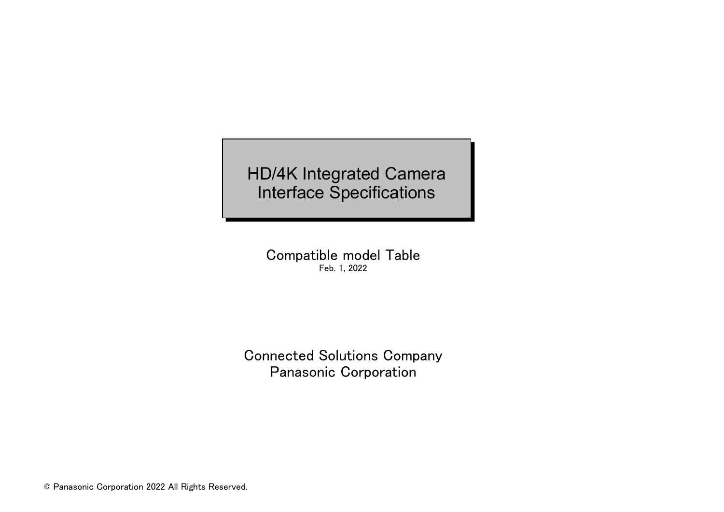HD/4K Integrated Camera Interface Specifications

Compatible model Table Feb. 1, 2022

Connected Solutions Company Panasonic Corporation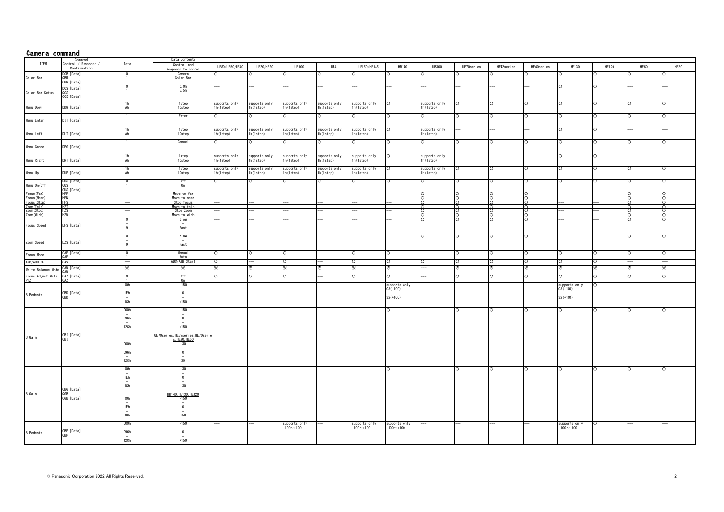| Camera command             |                                                   |                          |                                                             |                             |                             |                             |                             |                            |               |                             |                       |                    |            |                            |              |      |          |
|----------------------------|---------------------------------------------------|--------------------------|-------------------------------------------------------------|-----------------------------|-----------------------------|-----------------------------|-----------------------------|----------------------------|---------------|-----------------------------|-----------------------|--------------------|------------|----------------------------|--------------|------|----------|
|                            | Command                                           |                          | Data Contents                                               |                             |                             |                             |                             |                            |               |                             |                       |                    |            |                            |              |      |          |
| <b>I TEM</b>               | Control / Response<br>Confirmation<br>DCB: [Data] | Data                     | Control and<br>Response to contol                           | UE80/UE50/UE40              | <b>UE20/HE20</b>            | <b>UE100</b>                | UE4                         | UE150/HE145                | HR140         | <b>UB300</b>                | UE70series<br>$\circ$ | HE42series         | HE40series | <b>HE130</b><br>Ω          | <b>HE120</b> | HE60 | HE50     |
| Color Bar                  | OBR: [Data]                                       | - 1                      | Camera<br>Color Bar                                         |                             |                             |                             |                             |                            |               |                             |                       |                    |            |                            |              |      |          |
| Color Bar Setup            | DCS: [Data]<br><b>OCS</b>                         |                          | $0.0\%$<br>7.5%                                             |                             |                             |                             |                             |                            |               |                             |                       |                    |            | $\Omega$                   |              |      |          |
|                            | OCS: [Data]                                       |                          |                                                             |                             |                             |                             |                             |                            |               |                             |                       |                    |            |                            |              |      |          |
| Menu Down                  | DDW: [Data]                                       | $\frac{1h}{Ah}$          | <b>1step</b><br>10step                                      | supports only<br>lh (1step) | supports only<br>lh (1step) | supports only<br>1h (1step) | supports only<br>lh (1step) | supports only<br>lh(1step) | $\circ$       | supports only<br>1h (1step) | lO.                   | $\circ$            | ⌒          | $\circ$                    | O            |      |          |
| Menu Enter                 | DIT: [data]                                       | $\overline{1}$           | Enter                                                       |                             |                             | $\circ$                     | $\Omega$                    |                            |               | O                           | $\circ$               | $\Omega$           |            |                            | O            |      |          |
| Menu Left                  | DLT: [Data]                                       | $\frac{1h}{Ah}$          | <b>1step</b><br>$10$ step                                   | supports only<br>1h(1step)  | supports only<br>lh (1step) | supports only<br>lh(1step)  | supports only<br>lh (1step) | supports only<br>lh(1step) | $\circ$       | supports only<br>1h(1step)  |                       |                    |            | $\circ$                    | O            |      |          |
| Menu Cancel                | DPG: [Data]                                       | $\overline{1}$           | Cancel                                                      |                             |                             |                             |                             |                            |               | $\circ$                     | $\circ$               | O                  |            |                            |              |      |          |
| Menu Right                 | DRT: [Data]                                       | 1h<br>Ah                 | 1step<br>10step                                             | supports only<br>lh(1step)  | supports only<br>1h(1step)  | supports only<br>1h(1step)  | supports only<br>1h(1step)  | supports only<br>lh(1step) | O             | supports only<br>1h(1step)  |                       |                    |            | $\circ$                    |              |      |          |
| Menu Up                    | DUP: [Data]                                       | 1h<br>Ah                 | 1step<br>10step                                             | supports only<br>h(1step)   | supports only<br>lh (1step) | supports only<br>lh (1step) | supports only<br>h (1step)  | supports only<br>h(1step)  |               | supports only<br>1h (1step) | $\circ$               | Ō                  |            | Ο                          |              |      |          |
|                            | DUS: [Data]                                       | -0                       |                                                             |                             |                             |                             | ∩                           |                            |               | $\circ$                     | $\circ$               | ∩                  | $\cap$     | $\circ$                    |              |      |          |
| Menu On/Off                | <b>QHS</b><br>OUS: [Data]                         |                          | Off<br>On                                                   |                             |                             |                             |                             |                            |               |                             |                       |                    |            |                            |              |      |          |
| Focus (Far)                | HFF                                               | $-\!-\!$                 | Move to far                                                 |                             |                             |                             |                             |                            |               |                             |                       |                    |            |                            |              |      |          |
| Focus (Near)               | <b>HFN</b><br><b>HFS</b>                          |                          | Move to near<br>Stop focus                                  |                             |                             |                             |                             |                            |               | $\overline{ }$              | $\overline{ }$        |                    |            |                            |              |      |          |
| ocus (Stop)<br>Zoom (Tele) | H7T                                               |                          | Move to tele                                                |                             |                             |                             |                             |                            |               | $\cap$                      | $\cap$                |                    |            |                            |              |      |          |
| Zoom (Stop)                | H7S                                               |                          | Stop zoom                                                   |                             |                             |                             |                             |                            |               | $\cap$                      | $\cap$                | $\cap$             | $\cap$     |                            |              |      | $\cap$   |
| Zoom (Wide)                | <b>HZW</b>                                        |                          | Move to wide                                                |                             |                             |                             |                             |                            |               | ō                           | ō                     | $\overline{O}$     | $\circ$    |                            |              |      | $\Omega$ |
|                            |                                                   | $\bf{0}$                 | Slow                                                        |                             |                             |                             |                             |                            |               | O                           | $\circ$               | O                  |            |                            |              |      |          |
| Focus Speed                | LFS: [Data]                                       | 9                        | $\overline{\phantom{a}}$<br>Fast                            |                             |                             |                             |                             |                            |               |                             |                       |                    |            |                            |              |      |          |
|                            |                                                   | $\overline{0}$           | Slow                                                        |                             |                             |                             |                             |                            |               | $\circ$                     | ा                     |                    |            |                            |              |      |          |
| Zoom Speed                 | LZS: [Data]                                       | 9                        | Fast                                                        |                             |                             |                             |                             |                            |               |                             |                       |                    |            |                            |              |      |          |
| Focus Mode                 | OAF:[Data]<br>QAF                                 | $\Omega$                 | Manual<br>Auto                                              |                             |                             |                             |                             |                            | $\Omega$      |                             | ТO                    | ∩                  |            | $\circ$                    |              |      |          |
| ABC/ABB SET                | <b>OAS</b>                                        | ---                      | ABC/ABB Start                                               |                             |                             |                             |                             |                            | $\circ$       | $\circ$                     | ा                     | $\circ$            |            | $\circ$                    | $\Omega$     |      |          |
| White Balance Mode         | OAW: [Data]<br><b>MAO</b>                         | ⋇                        | Ж                                                           |                             |                             |                             |                             |                            |               |                             | x.                    | X.                 |            | ×.                         |              |      |          |
| Focus Adjust With          | OAZ: [Data]                                       | $\overline{\phantom{0}}$ | 0ff<br>0 <sub>n</sub>                                       |                             |                             |                             |                             |                            | $\Omega$      |                             | Ō                     | $\overline{\circ}$ | Ō          | O                          | O            |      |          |
|                            |                                                   | 00h                      | $-150$<br>$\sim$                                            |                             |                             |                             |                             |                            | supports only |                             |                       |                    |            | supports only<br>OA(-100)  | $\Omega$     |      |          |
| <b>B</b> Pedestal          | OBD: [Data]                                       | 1Eh                      | $\overline{0}$                                              |                             |                             |                             |                             |                            | $0A (-100)$   |                             |                       |                    |            |                            |              |      |          |
|                            | QBD                                               | 3Ch                      | $+150$                                                      |                             |                             |                             |                             |                            | $32 (+100)$   |                             |                       |                    |            | $32 (+100)$                |              |      |          |
|                            |                                                   | 000h                     | $-150$                                                      |                             |                             |                             |                             |                            | $\Omega$      |                             | $\circ$               | ∩                  |            | $\circ$                    | ∩            |      |          |
|                            |                                                   |                          | $\overline{\phantom{a}}$                                    |                             |                             |                             |                             |                            |               |                             |                       |                    |            |                            |              |      |          |
|                            |                                                   | 096h                     | $\overline{0}$                                              |                             |                             |                             |                             |                            |               |                             |                       |                    |            |                            |              |      |          |
|                            |                                                   | 12Ch                     | $+150$                                                      |                             |                             |                             |                             |                            |               |                             |                       |                    |            |                            |              |      |          |
|                            |                                                   |                          |                                                             |                             |                             |                             |                             |                            |               |                             |                       |                    |            |                            |              |      |          |
| B Gain                     | OBI: [Data]<br><b>QBI</b>                         |                          | <u>UE70 series, HE75 series, HE70 seri</u><br>s. HE60, HE50 |                             |                             |                             |                             |                            |               |                             |                       |                    |            |                            |              |      |          |
|                            |                                                   | 000h                     |                                                             |                             |                             |                             |                             |                            |               |                             |                       |                    |            |                            |              |      |          |
|                            |                                                   | 096h                     | $\overline{0}$                                              |                             |                             |                             |                             |                            |               |                             |                       |                    |            |                            |              |      |          |
|                            |                                                   | 12Ch                     | 30                                                          |                             |                             |                             |                             |                            |               |                             |                       |                    |            |                            |              |      |          |
|                            |                                                   | 00h                      | $-30$                                                       |                             |                             |                             |                             |                            | $\Omega$      |                             | O                     | $\Omega$           | $\Omega$   | O                          | $\Omega$     |      |          |
|                            |                                                   |                          | $\overline{\phantom{a}}$                                    |                             |                             |                             |                             |                            |               |                             |                       |                    |            |                            |              |      |          |
|                            |                                                   | 1Eh                      | $\mathbf{0}$                                                |                             |                             |                             |                             |                            |               |                             |                       |                    |            |                            |              |      |          |
|                            | OBG: [Data]                                       | 3Ch                      | $+30$                                                       |                             |                             |                             |                             |                            |               |                             |                       |                    |            |                            |              |      |          |
| B Gain                     | OGB: [Data]                                       | 00h                      | HR140, HE130, HE120<br>$-150$<br>$\overline{\phantom{a}}$   |                             |                             |                             |                             |                            |               |                             |                       |                    |            |                            |              |      |          |
|                            |                                                   | 1Eh                      | $\bf{0}$                                                    |                             |                             |                             |                             |                            |               |                             |                       |                    |            |                            |              |      |          |
|                            |                                                   | 3Ch                      | 150                                                         |                             |                             |                             |                             |                            |               |                             |                       |                    |            |                            |              |      |          |
|                            |                                                   | 000h                     | $-150$                                                      |                             |                             | supports only<br>-100~+100  |                             | supports only              | supports only |                             |                       |                    |            | supports only<br>-100~+100 |              |      |          |
| <b>B</b> Pedestal          | OBP: [Data]                                       | 096h                     | $\overline{\phantom{a}}$<br>$\overline{0}$                  |                             |                             |                             |                             | $-100 - +100$              | $-100 - +100$ |                             |                       |                    |            |                            |              |      |          |
|                            |                                                   |                          |                                                             |                             |                             |                             |                             |                            |               |                             |                       |                    |            |                            |              |      |          |
|                            |                                                   | 12Ch                     | $+150$                                                      |                             |                             |                             |                             |                            |               |                             |                       |                    |            |                            |              |      |          |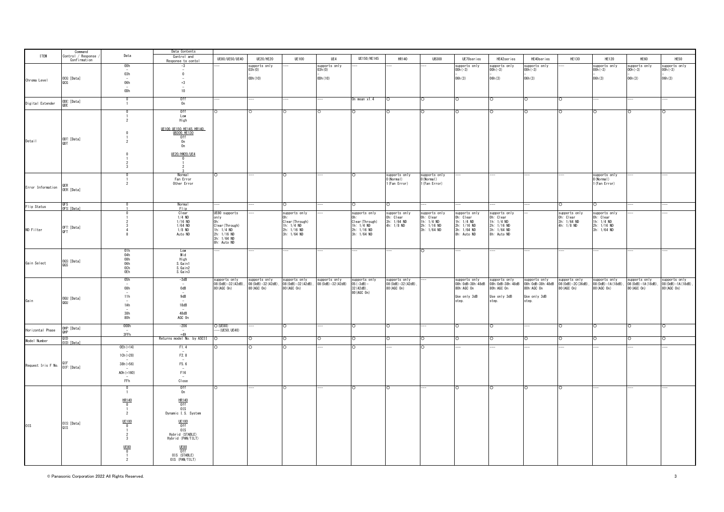|                    | Command<br>Control / Response |                         | Data Contents                       |                                           |                      |                                    |                                   |                              |                            |                                |                            |                            |                                                                                                                                                                                |                               |                                    |                                                                                             |               |
|--------------------|-------------------------------|-------------------------|-------------------------------------|-------------------------------------------|----------------------|------------------------------------|-----------------------------------|------------------------------|----------------------------|--------------------------------|----------------------------|----------------------------|--------------------------------------------------------------------------------------------------------------------------------------------------------------------------------|-------------------------------|------------------------------------|---------------------------------------------------------------------------------------------|---------------|
| <b>ITEM</b>        | Confirmation                  | Data                    | Control and                         | UE80/UE50/UE40                            | UE20/HE20            | <b>UE100</b>                       | UE4                               | UE150/HE145                  | <b>HR140</b>               | <b>UB300</b>                   | UE70series                 | HE42series                 | HE40series                                                                                                                                                                     | <b>HE130</b>                  | <b>HE120</b>                       | HE60                                                                                        | HE50          |
|                    |                               | 00h                     | Response to contol<br>$-3$          |                                           | supports only        |                                    | supports only                     |                              |                            |                                | supports only              | supports only              | supports only                                                                                                                                                                  |                               | supports only                      | supports only                                                                               | supports only |
|                    |                               |                         |                                     |                                           | 03h (0)              |                                    | 03h(0)                            |                              |                            |                                | $00h(-3)$                  | 00h (-3)                   | $00h(-3)$                                                                                                                                                                      |                               | $00h(-3)$                          | $00h(-3)$                                                                                   | $00h(-3)$     |
|                    | OCG: [Data]                   | 03h                     | $\mathbf{0}$                        |                                           | 0Dh (10)             |                                    | 0Dh (10)                          |                              |                            |                                | 06h (3)                    | 06h(3)                     | 06h(3)                                                                                                                                                                         |                               | 06h (3)                            | 06h (3)                                                                                     | 06h(3)        |
| Chroma Level       | QCG                           | 06h                     | $+3$                                |                                           |                      |                                    |                                   |                              |                            |                                |                            |                            |                                                                                                                                                                                |                               |                                    |                                                                                             |               |
|                    |                               | 0Dh                     | 10                                  |                                           |                      |                                    |                                   |                              |                            |                                |                            |                            |                                                                                                                                                                                |                               |                                    |                                                                                             |               |
|                    |                               |                         |                                     |                                           |                      |                                    |                                   |                              |                            |                                |                            |                            |                                                                                                                                                                                |                               |                                    |                                                                                             |               |
| Digital Extender   | ODE: [Data]                   | $\Omega$                | 0ff<br>0n                           |                                           |                      |                                    |                                   | On mean $x1.4$               | $\circ$                    | $\circ$                        | $\circ$                    | $\circ$                    | $\circ$                                                                                                                                                                        | $\circ$                       |                                    |                                                                                             |               |
|                    | QDE                           |                         |                                     |                                           |                      |                                    |                                   |                              |                            |                                |                            |                            |                                                                                                                                                                                |                               |                                    |                                                                                             |               |
|                    |                               |                         | 0ff<br>Low                          |                                           |                      |                                    |                                   |                              |                            | $\overline{O}$                 | $\cap$                     |                            | $\circ$                                                                                                                                                                        | $\Omega$                      |                                    |                                                                                             |               |
|                    |                               | $\overline{2}$          | High                                |                                           |                      |                                    |                                   |                              |                            |                                |                            |                            |                                                                                                                                                                                |                               |                                    |                                                                                             |               |
|                    |                               |                         | UE100, UE150, HE145, HR140,         |                                           |                      |                                    |                                   |                              |                            |                                |                            |                            |                                                                                                                                                                                |                               |                                    |                                                                                             |               |
|                    |                               |                         | UB300, HE130                        |                                           |                      |                                    |                                   |                              |                            |                                |                            |                            |                                                                                                                                                                                |                               |                                    |                                                                                             |               |
| Detail             | ODT: [Data]                   |                         | 0ff<br>0n                           |                                           |                      |                                    |                                   |                              |                            |                                |                            |                            |                                                                                                                                                                                |                               |                                    |                                                                                             |               |
|                    | ODT                           |                         | 0n                                  |                                           |                      |                                    |                                   |                              |                            |                                |                            |                            |                                                                                                                                                                                |                               |                                    |                                                                                             |               |
|                    |                               |                         | UE20/HW20/UE4                       |                                           |                      |                                    |                                   |                              |                            |                                |                            |                            |                                                                                                                                                                                |                               |                                    |                                                                                             |               |
|                    |                               |                         | -0                                  |                                           |                      |                                    |                                   |                              |                            |                                |                            |                            |                                                                                                                                                                                |                               |                                    |                                                                                             |               |
|                    |                               | -3                      |                                     |                                           |                      |                                    |                                   |                              |                            |                                |                            |                            |                                                                                                                                                                                |                               |                                    |                                                                                             |               |
|                    |                               |                         |                                     |                                           |                      |                                    |                                   |                              |                            |                                |                            |                            |                                                                                                                                                                                |                               |                                    |                                                                                             |               |
|                    |                               |                         | Normal<br>Fan Error                 |                                           |                      | $\circ$                            |                                   | $\cap$                       | supports only<br>O(Normal) | supports only<br>0(Normal)     |                            |                            |                                                                                                                                                                                |                               | supports only<br>O(Normal)         |                                                                                             |               |
|                    |                               | $\overline{2}$          | Other Error                         |                                           |                      |                                    |                                   |                              | 1 (Fan Error)              | 1 (Fan Error)                  |                            |                            |                                                                                                                                                                                |                               | 1 (Fan Error)                      |                                                                                             |               |
| Error Information  | OER: [Data]                   |                         |                                     |                                           |                      |                                    |                                   |                              |                            |                                |                            |                            |                                                                                                                                                                                |                               |                                    |                                                                                             |               |
|                    |                               |                         |                                     |                                           |                      |                                    |                                   |                              |                            |                                |                            |                            |                                                                                                                                                                                |                               |                                    |                                                                                             |               |
|                    | o⊧s                           |                         | <b>Normal</b>                       |                                           |                      |                                    |                                   |                              |                            |                                |                            |                            |                                                                                                                                                                                | $\Omega$                      | O                                  |                                                                                             |               |
| Flip Status        | OFS: [Data]                   |                         | Flip                                |                                           |                      |                                    |                                   |                              |                            |                                |                            |                            |                                                                                                                                                                                |                               |                                    |                                                                                             |               |
|                    |                               |                         | Clear<br>$1/4$ ND                   | UE80 supports<br>only                     |                      | supports only                      |                                   | supports only                | supports only<br>Oh: Clear | supports only<br>Oh: Clear     | supports only<br>Oh: Clear | supports only<br>Oh: Clear |                                                                                                                                                                                | supports only<br>Oh: Clear    | supports only<br>Oh: Clear         |                                                                                             |               |
|                    |                               |                         | $1/16$ ND                           |                                           |                      | Clear (Through)                    |                                   | Clear (Through)              | 3h: 1/64 ND                | 1h: $1/4$ ND                   | 1h: $1/4$ ND               | 1h: $1/4$ ND               |                                                                                                                                                                                | $3h: 1/64$ ND<br>4h: $1/8$ ND | 1h: 1/4 ND                         |                                                                                             |               |
| ND Filter          | OFT: [Data]                   |                         | $1/64$ ND<br>$1/8$ ND               | Clear (Through)<br>1h: 1/4 ND             |                      | 1h: 1/4 ND                         |                                   | 1 $h: 1/4$ ND<br>2h: 1/16 ND | 4h: 1/8 ND                 | $2h: 1/16 ND$<br>$3h: 1/64 ND$ | 2h: 1/16 ND<br>3h: 1/64 ND | 2h: 1/16 ND<br>3h: 1/64 ND |                                                                                                                                                                                |                               | 2h: 1/16 ND<br>3h: 1/64 ND         |                                                                                             |               |
|                    | 0FT                           |                         | Auto ND                             | 2h: 1/16 ND<br>3h: 1/64 ND<br>8h: Auto ND |                      | $2h: 1/16 ND$<br>3h: $1/64 ND$     |                                   | 3h: 1/64 ND                  |                            |                                | 8h: Auto ND                | 8h: Auto ND                |                                                                                                                                                                                |                               |                                    |                                                                                             |               |
|                    |                               |                         |                                     |                                           |                      |                                    |                                   |                              |                            |                                |                            |                            |                                                                                                                                                                                |                               |                                    |                                                                                             |               |
|                    |                               |                         |                                     |                                           |                      |                                    |                                   |                              |                            |                                |                            |                            |                                                                                                                                                                                |                               |                                    |                                                                                             |               |
|                    |                               | $\frac{01h}{04h}$       | Low<br>Mid                          |                                           |                      |                                    |                                   |                              |                            | $\cap$                         |                            |                            |                                                                                                                                                                                |                               |                                    |                                                                                             |               |
|                    | OGS: [Data]                   | 08h<br>06h              | High                                |                                           |                      |                                    |                                   |                              |                            |                                |                            |                            |                                                                                                                                                                                |                               |                                    |                                                                                             |               |
| Gain Select        | QGS                           | 0Ch                     | S. Gain1<br>S. Gain2                |                                           |                      |                                    |                                   |                              |                            |                                |                            |                            |                                                                                                                                                                                |                               |                                    |                                                                                             |               |
|                    |                               | 0Eh                     | S. Gain3                            |                                           |                      |                                    |                                   |                              |                            |                                |                            |                            |                                                                                                                                                                                |                               |                                    |                                                                                             |               |
|                    |                               | 05h                     | $-3dB$                              | supports only                             | supports only        |                                    |                                   |                              | supports only              |                                |                            |                            |                                                                                                                                                                                |                               |                                    |                                                                                             |               |
|                    |                               |                         | $0dB$                               | 08 (0dB) -32 (42dB),                      | 08 (0dB) -32 (42dB), | supports only<br>08(OdB)-32(42dB), | supports only<br>08(OdB)-32(42dB) | supports only<br>05(-3dB)-   | 08 (0dB) -32 (42dB),       |                                |                            |                            | supports only supports only supports only supports only<br>08h:0dB-38h:48dB 08h:0dB-38h:48dB 08h:0dB-38h:48dB 08(0dB)-2C(36dB),<br>80h:AGC 0n 80h:AGC 0n 80h:AGC 0n 800.0dC 0n |                               | supports only<br>08(OdB)-1A(18dB), | supports only supports only<br>08(0dB)-1A(18dB), 08(0dB)-1A(18dB),<br>80(AGC On) 80(AGC On) |               |
|                    |                               | 08h                     |                                     | 80 (AGC 0n)                               | 80 (AGC 0n)          | 80 (AGC 0n)                        |                                   | 32 (42dB).<br>80 (AGC 0n)    | 80 (AGC 0n)                |                                |                            |                            |                                                                                                                                                                                |                               | 80 (AGC 0n)                        |                                                                                             |               |
| Gain               | OGU: [Data]                   | 11h                     | 9dB                                 |                                           |                      |                                    |                                   |                              |                            |                                | Use only 3dB               | Use only 3dB               | Use only 3dB                                                                                                                                                                   |                               |                                    |                                                                                             |               |
|                    | QGU                           | 1Ah                     | 18dB                                |                                           |                      |                                    |                                   |                              |                            |                                | step.                      | step.                      | step.                                                                                                                                                                          |                               |                                    |                                                                                             |               |
|                    |                               | $\overline{a}$          | $\sim$                              |                                           |                      |                                    |                                   |                              |                            |                                |                            |                            |                                                                                                                                                                                |                               |                                    |                                                                                             |               |
|                    |                               | 38h<br>80h              | 48dB<br>AGC On                      |                                           |                      |                                    |                                   |                              |                            |                                |                            |                            |                                                                                                                                                                                |                               |                                    |                                                                                             |               |
|                    |                               | 000h                    | $-206$                              | O (UE80)                                  |                      |                                    |                                   |                              |                            |                                |                            |                            |                                                                                                                                                                                | $\Omega$                      |                                    |                                                                                             |               |
| Horizontal Phase   | OHP: [Data]<br>OHP            |                         | $\sim$                              | $-(UE50, UE40)$                           |                      |                                    |                                   |                              |                            |                                |                            |                            |                                                                                                                                                                                |                               |                                    |                                                                                             |               |
|                    | QID                           | 3FFh                    | $+49$<br>Returns model No. by ASCII |                                           |                      |                                    |                                   |                              | $\circ$                    | ∩                              |                            | Ō                          | $\circ$                                                                                                                                                                        | ō                             |                                    |                                                                                             | ∩             |
| Model Number       | <br>OID: [Data]               |                         |                                     |                                           |                      |                                    |                                   |                              |                            |                                |                            |                            |                                                                                                                                                                                |                               |                                    |                                                                                             |               |
|                    |                               | $OEh (=14)$             | F1.4                                |                                           |                      |                                    |                                   |                              |                            | $\Omega$                       |                            |                            |                                                                                                                                                                                |                               |                                    |                                                                                             |               |
|                    |                               | $1Ch (=28)$             | F2.8                                |                                           |                      |                                    |                                   |                              |                            |                                |                            |                            |                                                                                                                                                                                |                               |                                    |                                                                                             |               |
| Request Iris F No. |                               | $38h (=56)$             | F5.6                                |                                           |                      |                                    |                                   |                              |                            |                                |                            |                            |                                                                                                                                                                                |                               |                                    |                                                                                             |               |
|                    | OIF: [Data]                   |                         |                                     |                                           |                      |                                    |                                   |                              |                            |                                |                            |                            |                                                                                                                                                                                |                               |                                    |                                                                                             |               |
|                    |                               | A0h $(=160)$            | F16                                 |                                           |                      |                                    |                                   |                              |                            |                                |                            |                            |                                                                                                                                                                                |                               |                                    |                                                                                             |               |
|                    |                               | FFh                     | Close                               |                                           |                      |                                    |                                   |                              |                            |                                |                            |                            |                                                                                                                                                                                |                               |                                    |                                                                                             |               |
|                    |                               | $\Omega$                | 0ff                                 |                                           |                      |                                    |                                   |                              |                            |                                |                            | C.                         | $\circ$                                                                                                                                                                        | $\circ$                       |                                    |                                                                                             |               |
|                    |                               |                         | 0n                                  |                                           |                      |                                    |                                   |                              |                            |                                |                            |                            |                                                                                                                                                                                |                               |                                    |                                                                                             |               |
|                    |                               | HR140                   | $\frac{HR140}{Off}$                 |                                           |                      |                                    |                                   |                              |                            |                                |                            |                            |                                                                                                                                                                                |                               |                                    |                                                                                             |               |
|                    |                               | $\Omega$                | 01s                                 |                                           |                      |                                    |                                   |                              |                            |                                |                            |                            |                                                                                                                                                                                |                               |                                    |                                                                                             |               |
|                    |                               | $\overline{2}$          | Dynamic I.S. System                 |                                           |                      |                                    |                                   |                              |                            |                                |                            |                            |                                                                                                                                                                                |                               |                                    |                                                                                             |               |
|                    |                               | <b>UE100</b>            | UE100                               |                                           |                      |                                    |                                   |                              |                            |                                |                            |                            |                                                                                                                                                                                |                               |                                    |                                                                                             |               |
| 0IS                | OIS: [Data]<br>QIS            | $\Omega$                | 0ff                                 |                                           |                      |                                    |                                   |                              |                            |                                |                            |                            |                                                                                                                                                                                |                               |                                    |                                                                                             |               |
|                    |                               |                         | 01S<br>Hybrid (STABLE)              |                                           |                      |                                    |                                   |                              |                            |                                |                            |                            |                                                                                                                                                                                |                               |                                    |                                                                                             |               |
|                    |                               | $\overline{\mathbf{3}}$ | Hybrid (PAN/TILT)                   |                                           |                      |                                    |                                   |                              |                            |                                |                            |                            |                                                                                                                                                                                |                               |                                    |                                                                                             |               |
|                    |                               | <b>UE80</b>             | <b>UE80</b>                         |                                           |                      |                                    |                                   |                              |                            |                                |                            |                            |                                                                                                                                                                                |                               |                                    |                                                                                             |               |
|                    |                               | $\mathbf 0$             | 0ff                                 |                                           |                      |                                    |                                   |                              |                            |                                |                            |                            |                                                                                                                                                                                |                               |                                    |                                                                                             |               |
|                    |                               | $\overline{2}$          | OIS (STABLE)<br>OIS (PAN/TILT)      |                                           |                      |                                    |                                   |                              |                            |                                |                            |                            |                                                                                                                                                                                |                               |                                    |                                                                                             |               |
|                    |                               |                         |                                     |                                           |                      |                                    |                                   |                              |                            |                                |                            |                            |                                                                                                                                                                                |                               |                                    |                                                                                             |               |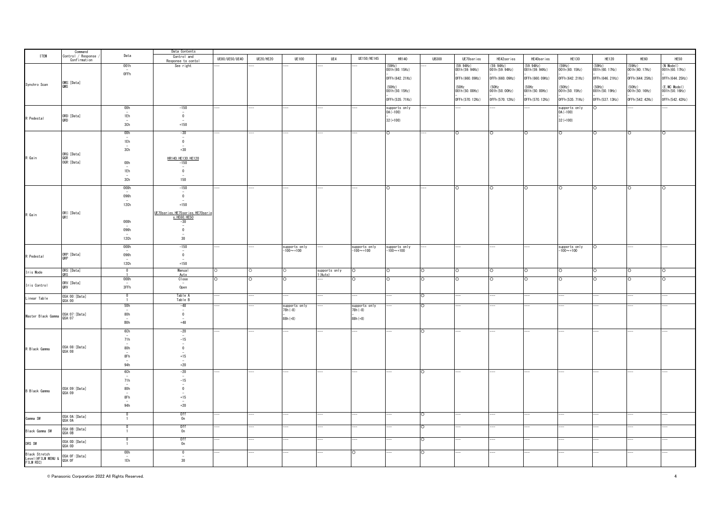|                                                             | Command<br>Control / Response |                                           | Data Contents                                            |                |                  |                            |                          |                            |                            |              |                             |                          |                          |                            |                           |                           |                                  |
|-------------------------------------------------------------|-------------------------------|-------------------------------------------|----------------------------------------------------------|----------------|------------------|----------------------------|--------------------------|----------------------------|----------------------------|--------------|-----------------------------|--------------------------|--------------------------|----------------------------|---------------------------|---------------------------|----------------------------------|
| <b>ITEM</b>                                                 | Confirmation                  | Data                                      | Control and                                              | UE80/UE50/UE40 | <b>UE20/HE20</b> | <b>UE100</b>               | UE4                      | UE150/HE145                | HR140                      | <b>UB300</b> | UE70series                  | HE42series               | HE40series               | HE130                      | <b>HE120</b>              | HE60                      | HE50                             |
|                                                             |                               | 001h                                      | Response to conto<br>See right                           |                |                  |                            |                          |                            | (59Hz)                     |              |                             | (59.94Hz)                | (59.94Hz)                |                            | (59Hz)                    |                           | $(N$ Model)                      |
|                                                             |                               |                                           |                                                          |                |                  |                            |                          |                            | 001h (60.15Hz)             |              | (59.94Hz)<br>001h (59.94Hz) | 001h (59. 94Hz)          | 001h (59.94Hz)           | (59Hz)<br>001h (60. 15Hz)  | 001h (60. 17Hz)           | (59Hz)<br>001h (60. 17Hz) | 001h (60. 17Hz)                  |
|                                                             |                               | 0FFh                                      |                                                          |                |                  |                            |                          |                            | OFFh (642. 21Hz)           |              | OFFh (660, 09Hz)            | OFFh (660, 09Hz)         | OFFh (660, 09Hz)         | OFFh (642. 21Hz)           | OFFh (646, 21Hz)          | OFFh (644. 25Hz)          | OFFh (644. 25Hz)                 |
| Synchro Scan                                                | OMS: [Data]                   |                                           |                                                          |                |                  |                            |                          |                            |                            |              |                             |                          |                          |                            |                           |                           |                                  |
|                                                             | QMS                           |                                           |                                                          |                |                  |                            |                          |                            | (50Hz)<br>001h (50. 15Hz)  |              | (50Hz<br>001h (50.00Hz)     | (50Hz<br>001h (50. 00Hz) | (50Hz<br>001h (50, 00Hz) | (50Hz)<br>001h (50.15Hz)   | (50Hz)<br>001h (50. 19Hz) | (50Hz)<br>001h (50. 16Hz) | (E, MC Model)<br>001h (50. 16Hz) |
|                                                             |                               |                                           |                                                          |                |                  |                            |                          |                            |                            |              |                             |                          |                          |                            |                           |                           |                                  |
|                                                             |                               |                                           |                                                          |                |                  |                            |                          |                            | OFFh (535, 71Hz)           |              | OFFh (570, 12Hz)            | OFFh (570. 12Hz)         | OFFh (570, 12Hz)         | OFFh (535, 71Hz)           | OFFh (537.13Hz)           | OFFh (542.42Hz)           | OFFh (542.42Hz)                  |
|                                                             |                               | 00h                                       | $-150$                                                   |                | -                |                            |                          |                            | supports only<br>OA(-100)  |              |                             |                          |                          | supports only<br>OA(-100)  | O                         |                           |                                  |
|                                                             | ORD: [Data]                   | 1Eh                                       | $\bar{\rm_0}$                                            |                |                  |                            |                          |                            |                            |              |                             |                          |                          |                            |                           |                           |                                  |
| R Pedestal                                                  | QRD                           | 3Ch                                       | $+150$                                                   |                |                  |                            |                          |                            | $32 (+100)$                |              |                             |                          |                          | $32 (+100)$                |                           |                           |                                  |
|                                                             |                               |                                           |                                                          |                |                  |                            |                          |                            |                            |              |                             |                          |                          |                            |                           |                           |                                  |
|                                                             |                               | 00h                                       | $-30$<br>$\overline{\phantom{a}}$                        |                |                  |                            |                          |                            | O                          |              | Ō                           | O                        | $\circ$                  | $\circ$                    | Ō                         | O                         | O                                |
|                                                             |                               | 1Eh                                       | $\mathbf 0$                                              |                |                  |                            |                          |                            |                            |              |                             |                          |                          |                            |                           |                           |                                  |
|                                                             |                               | 3Ch                                       | $+30$                                                    |                |                  |                            |                          |                            |                            |              |                             |                          |                          |                            |                           |                           |                                  |
|                                                             | ORG: [Data]                   |                                           |                                                          |                |                  |                            |                          |                            |                            |              |                             |                          |                          |                            |                           |                           |                                  |
| R Gain                                                      | QGR<br>OGR:[Data]             | 00h                                       | HR140, HE130, HE120<br>$-150$                            |                |                  |                            |                          |                            |                            |              |                             |                          |                          |                            |                           |                           |                                  |
|                                                             |                               |                                           | $\overline{\phantom{a}}$                                 |                |                  |                            |                          |                            |                            |              |                             |                          |                          |                            |                           |                           |                                  |
|                                                             |                               | 1Eh                                       | $\mathbf{0}$                                             |                |                  |                            |                          |                            |                            |              |                             |                          |                          |                            |                           |                           |                                  |
|                                                             |                               | 3Ch                                       | 150                                                      |                |                  |                            |                          |                            |                            |              |                             |                          |                          |                            |                           |                           |                                  |
|                                                             |                               | 000h                                      | $-150$                                                   |                |                  |                            |                          |                            |                            |              |                             | $\circ$                  | $\circ$                  | ∩                          | Ω                         | IO                        |                                  |
|                                                             |                               | 096h                                      | $\sim$<br>$\overline{0}$                                 |                |                  |                            |                          |                            |                            |              |                             |                          |                          |                            |                           |                           |                                  |
|                                                             |                               | $\overline{\phantom{a}}$                  | $\overline{\phantom{a}}$                                 |                |                  |                            |                          |                            |                            |              |                             |                          |                          |                            |                           |                           |                                  |
|                                                             |                               | 12Ch                                      | $+150$                                                   |                |                  |                            |                          |                            |                            |              |                             |                          |                          |                            |                           |                           |                                  |
|                                                             | ORI: [Data]<br>QRI            |                                           | UE70series, HE75series, HE70serie                        |                |                  |                            |                          |                            |                            |              |                             |                          |                          |                            |                           |                           |                                  |
| R Gain                                                      |                               |                                           | s. HE60, HE50                                            |                |                  |                            |                          |                            |                            |              |                             |                          |                          |                            |                           |                           |                                  |
|                                                             |                               | 000h                                      | $-30$<br>$\sim$                                          |                |                  |                            |                          |                            |                            |              |                             |                          |                          |                            |                           |                           |                                  |
|                                                             |                               | 096h                                      | $\mathbf 0$<br>$\sim$                                    |                |                  |                            |                          |                            |                            |              |                             |                          |                          |                            |                           |                           |                                  |
|                                                             |                               | 12Ch                                      | 30                                                       |                |                  |                            |                          |                            |                            |              |                             |                          |                          |                            |                           |                           |                                  |
|                                                             |                               | 000h                                      | $-150$                                                   |                |                  |                            |                          |                            |                            |              |                             |                          |                          |                            | $\circ$                   |                           |                                  |
|                                                             |                               |                                           | $\sim$                                                   |                |                  | supports only<br>-100~+100 |                          | supports only<br>-100~+100 | supports only<br>-100~+100 |              |                             |                          |                          | supports only<br>-100~+100 |                           |                           |                                  |
| R Pedestal                                                  | ORP: [Data]<br>QRP            | 096h                                      | $\mathbf 0$                                              |                |                  |                            |                          |                            |                            |              |                             |                          |                          |                            |                           |                           |                                  |
|                                                             |                               | 12Ch                                      | $+150$                                                   |                |                  |                            |                          |                            |                            |              |                             |                          |                          |                            |                           |                           |                                  |
| Iris Mode                                                   | ORS: [Data]                   | $\overline{\mathbf{0}}$                   | Manual                                                   |                |                  |                            | supports only<br>1(Auto) |                            |                            | $\circ$      | $\circ$                     | $\circ$                  | $\circ$                  | O                          |                           | O                         |                                  |
|                                                             |                               | 000h                                      | Auto<br>Close                                            |                |                  |                            |                          |                            |                            | O            |                             | $\Omega$                 | $\circ$                  | O                          |                           |                           |                                  |
| Iris Control                                                | ORV: [Data]                   |                                           |                                                          |                |                  |                            |                          |                            |                            |              |                             |                          |                          |                            |                           |                           |                                  |
|                                                             | QRV                           | 3FFh                                      | Open                                                     |                |                  |                            |                          |                            |                            |              |                             |                          |                          |                            |                           |                           |                                  |
| Linear Table                                                | 0SA:00: [Data]<br>QSA:00      | $\overline{\mathbf{0}}$<br>$\overline{1}$ | Table A<br>Table B                                       |                |                  |                            |                          |                            |                            | O            |                             |                          |                          |                            |                           |                           |                                  |
|                                                             |                               | 50h                                       | $-48$                                                    |                |                  |                            |                          |                            |                            | $\Omega$     |                             |                          |                          |                            |                           |                           |                                  |
|                                                             |                               |                                           | $\overline{\phantom{a}}$                                 |                |                  | supports only<br>78h(-8)   |                          | supports only<br>78h(-8)   |                            |              |                             |                          |                          |                            |                           |                           |                                  |
| Master Black Gamma                                          | OSA:07: [Data]<br>QSA: 07     | 80h                                       | $\mathbf 0$                                              |                |                  | $88h (+8)$                 |                          | $88h (+8)$                 |                            |              |                             |                          |                          |                            |                           |                           |                                  |
|                                                             |                               | <b>BOh</b>                                | $+48$                                                    |                |                  |                            |                          |                            |                            |              |                             |                          |                          |                            |                           |                           |                                  |
|                                                             |                               | 6Ch                                       | $-20$                                                    |                |                  |                            |                          |                            |                            | lO.          |                             |                          |                          |                            |                           |                           |                                  |
|                                                             |                               | 71h                                       | $\sim$                                                   |                |                  |                            |                          |                            |                            |              |                             |                          |                          |                            |                           |                           |                                  |
|                                                             |                               |                                           | $-15$<br>$\overline{\phantom{a}}$                        |                |                  |                            |                          |                            |                            |              |                             |                          |                          |                            |                           |                           |                                  |
| R Black Gamma                                               | OSA:08: [Data]<br>QSA: 08     | 80h                                       | $\overline{\mathbf{0}}$<br>٠                             |                |                  |                            |                          |                            |                            |              |                             |                          |                          |                            |                           |                           |                                  |
|                                                             |                               | 8Fh                                       | $^{\mathrm {+15}}$                                       |                |                  |                            |                          |                            |                            |              |                             |                          |                          |                            |                           |                           |                                  |
|                                                             |                               | 94h                                       | $+20$                                                    |                |                  |                            |                          |                            |                            |              |                             |                          |                          |                            |                           |                           |                                  |
|                                                             |                               | 6Ch                                       | $-20$                                                    |                |                  |                            |                          |                            |                            | ТO           |                             |                          |                          | $\overline{a}$             |                           |                           |                                  |
|                                                             |                               |                                           | $\sim$                                                   |                |                  |                            |                          |                            |                            |              |                             |                          |                          |                            |                           |                           |                                  |
|                                                             |                               | 71h                                       | $-15$<br>$\sim$                                          |                |                  |                            |                          |                            |                            |              |                             |                          |                          |                            |                           |                           |                                  |
| <b>B</b> Black Gamma                                        | OSA:09:[Data]                 | 80h                                       | $\pmb{0}$                                                |                |                  |                            |                          |                            |                            |              |                             |                          |                          |                            |                           |                           |                                  |
|                                                             | QSA: 09                       | 8Fh                                       | $+15$                                                    |                |                  |                            |                          |                            |                            |              |                             |                          |                          |                            |                           |                           |                                  |
|                                                             |                               |                                           |                                                          |                |                  |                            |                          |                            |                            |              |                             |                          |                          |                            |                           |                           |                                  |
|                                                             |                               | 94h                                       | $+20$                                                    |                |                  |                            |                          |                            |                            |              |                             |                          |                          |                            |                           |                           |                                  |
|                                                             | OSA: OA: [Data]               | $\Omega$                                  | Off<br>On                                                |                |                  |                            |                          |                            |                            | $\circ$      |                             |                          |                          |                            |                           |                           |                                  |
| Gamma SW                                                    | QSA: OA                       | $\overline{1}$                            |                                                          |                |                  |                            |                          |                            |                            |              |                             |                          |                          |                            |                           |                           |                                  |
|                                                             | OSA: OB: [Data]               | $\Omega$                                  | 0ff                                                      |                |                  |                            |                          |                            |                            | ТO           |                             |                          |                          |                            |                           |                           |                                  |
| Black Gamma SW                                              | QSA: OB                       | $\overline{1}$                            | $\overline{0}n$                                          |                |                  |                            |                          |                            |                            |              |                             |                          |                          |                            |                           |                           |                                  |
| DRS SW                                                      | OSA: OD: [Data]               | $\Omega$<br>$\overline{1}$                | $\begin{array}{c} 0 \text{ff} \\ 0 \text{n} \end{array}$ |                |                  |                            |                          |                            |                            | $\Omega$     |                             |                          |                          |                            |                           |                           |                                  |
|                                                             | QSA: OD                       |                                           |                                                          |                |                  |                            |                          |                            |                            |              |                             |                          |                          |                            |                           |                           |                                  |
| Black Stretch                                               |                               | 00h<br>$\sim$                             | $\overline{0}$<br>$\sim$                                 |                |                  |                            |                          |                            |                            | $\circ$      |                             |                          |                          |                            |                           |                           |                                  |
| Level (@FILM MENU & OSA:OF:[Data]<br>FILM REC)<br>FILM REC) |                               | 1Eh                                       | 30                                                       |                |                  |                            |                          |                            |                            |              |                             |                          |                          |                            |                           |                           |                                  |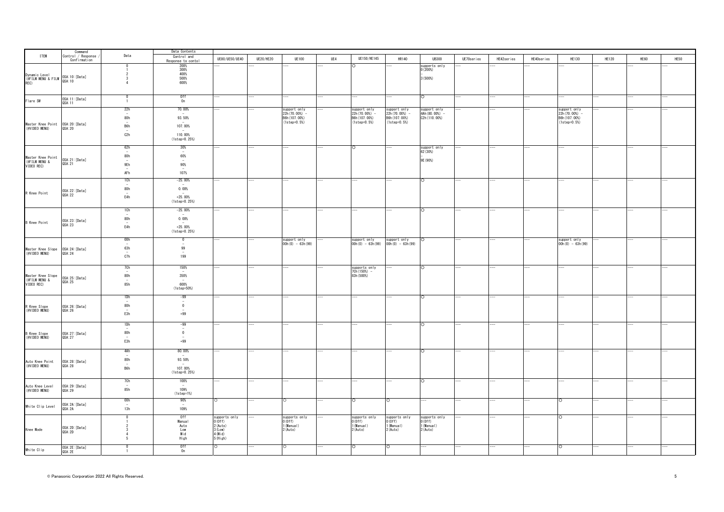|                                                                            |                               |                                 | Data Contents                              |                         |                  |                                  |     |                                  |                                  |                          |            |            |            |                                  |              |      |      |
|----------------------------------------------------------------------------|-------------------------------|---------------------------------|--------------------------------------------|-------------------------|------------------|----------------------------------|-----|----------------------------------|----------------------------------|--------------------------|------------|------------|------------|----------------------------------|--------------|------|------|
| <b>ITEM</b>                                                                | Command<br>Control / Response | Data                            | Control and                                | UE80/UE50/UE40          | <b>UE20/HE20</b> | <b>UE100</b>                     | UE4 | UE150/HE145                      | <b>HR140</b>                     | <b>UB300</b>             | UE70series | HE42series | HE40series | <b>HE130</b>                     | <b>HE120</b> | HE60 | HE50 |
|                                                                            | Confirmation                  |                                 | Response to conto                          |                         |                  |                                  |     |                                  |                                  |                          |            |            |            |                                  |              |      |      |
|                                                                            |                               |                                 | 200%<br>300%                               |                         |                  |                                  |     |                                  |                                  | supperts only<br>0(200%) |            |            |            |                                  |              |      |      |
|                                                                            |                               |                                 | 400%                                       |                         |                  |                                  |     |                                  |                                  |                          |            |            |            |                                  |              |      |      |
| Dynamic Level<br>(@FILM MENU & FILM 0SA:10:[Data]<br>REC)                  |                               | -3<br>$\overline{4}$            | 500%                                       |                         |                  |                                  |     |                                  |                                  | 3(500%                   |            |            |            |                                  |              |      |      |
|                                                                            |                               |                                 | 600%                                       |                         |                  |                                  |     |                                  |                                  |                          |            |            |            |                                  |              |      |      |
|                                                                            |                               |                                 |                                            |                         |                  |                                  |     |                                  |                                  |                          |            |            |            |                                  |              |      |      |
| Flare SW                                                                   | OSA: 11: [Data]               |                                 | Off<br>On                                  |                         |                  |                                  |     |                                  |                                  | O                        |            |            |            |                                  |              |      |      |
|                                                                            | QSA: 11                       | $\overline{1}$                  |                                            |                         |                  |                                  |     |                                  |                                  |                          |            |            |            |                                  |              |      |      |
|                                                                            |                               | 22h                             | 70.00%                                     |                         |                  | support only                     |     | support only                     | support only                     | support only             |            |            |            | support only                     |              |      |      |
|                                                                            |                               |                                 |                                            |                         |                  | 22h (70.00%) -                   |     | $22h(70.00%)$ -                  | $22h(70.00%)$ -                  | 4Ah (80, 00%) -          |            |            |            | $22h(70.00%)$ -                  |              |      |      |
|                                                                            |                               | 80h<br>$\overline{\phantom{a}}$ | 93.50%<br>$\overline{\phantom{a}}$         |                         |                  | B6h (107.00%)<br>$(1step=0.5%)$  |     | B6h(107.00%)<br>(1step=0.5%)     | B6h (107.00%)<br>(1step=0.5%)    | C2h (110.00%)            |            |            |            | B6h (107.00%)<br>$(1step=0.5%)$  |              |      |      |
| Master Knee Point 0SA:20:[Data]<br>(@VIDEO MENU) 0SA:20                    |                               | B6h                             | 107.00%                                    |                         |                  |                                  |     |                                  |                                  |                          |            |            |            |                                  |              |      |      |
|                                                                            |                               | C2h                             | 110.00%                                    |                         |                  |                                  |     |                                  |                                  |                          |            |            |            |                                  |              |      |      |
|                                                                            |                               |                                 | $(1step=0.25%)$                            |                         |                  |                                  |     |                                  |                                  |                          |            |            |            |                                  |              |      |      |
|                                                                            |                               |                                 |                                            |                         |                  |                                  |     |                                  |                                  |                          |            |            |            |                                  |              |      |      |
|                                                                            |                               | 62h<br>$\overline{\phantom{a}}$ | 30%<br>$\sim$                              |                         |                  |                                  |     | $\Omega$                         |                                  | support only<br>62 (30%) |            |            |            |                                  |              |      |      |
|                                                                            |                               | 80h                             | 60%                                        |                         |                  |                                  |     |                                  |                                  |                          |            |            |            |                                  |              |      |      |
| Master Knee Point<br>(@FILM MENU & QSA:21:[Data]<br>VIDEO REC)      QSA:21 |                               | $\overline{\phantom{a}}$        |                                            |                         |                  |                                  |     |                                  |                                  | 9E (90%)                 |            |            |            |                                  |              |      |      |
|                                                                            |                               | 9Eh                             | 90%                                        |                         |                  |                                  |     |                                  |                                  |                          |            |            |            |                                  |              |      |      |
|                                                                            |                               | AFh                             | 107%                                       |                         |                  |                                  |     |                                  |                                  |                          |            |            |            |                                  |              |      |      |
|                                                                            |                               | 1Ch                             | $-25.00\%$                                 |                         |                  |                                  |     |                                  |                                  |                          |            |            |            |                                  |              |      |      |
|                                                                            |                               | $\sim$                          | $\sim$                                     |                         |                  |                                  |     |                                  |                                  |                          |            |            |            |                                  |              |      |      |
| R Knee Point                                                               | OSA: 22: [Data]               | 80h                             | 0.00%                                      |                         |                  |                                  |     |                                  |                                  |                          |            |            |            |                                  |              |      |      |
|                                                                            | QSA: 22                       | E4h                             | $+25.00%$                                  |                         |                  |                                  |     |                                  |                                  |                          |            |            |            |                                  |              |      |      |
|                                                                            |                               |                                 | $(1step=0.25%)$                            |                         |                  |                                  |     |                                  |                                  |                          |            |            |            |                                  |              |      |      |
|                                                                            |                               | 1Ch                             | $-25.00%$                                  |                         |                  |                                  |     |                                  |                                  |                          |            |            |            |                                  |              |      |      |
|                                                                            |                               |                                 |                                            |                         |                  |                                  |     |                                  |                                  |                          |            |            |            |                                  |              |      |      |
| <b>B</b> Knee Point                                                        | 0SA: 23: [Data]<br>QSA: 23    | 80h                             | 0.00%                                      |                         |                  |                                  |     |                                  |                                  |                          |            |            |            |                                  |              |      |      |
|                                                                            |                               | E4h                             | $+25.00%$                                  |                         |                  |                                  |     |                                  |                                  |                          |            |            |            |                                  |              |      |      |
|                                                                            |                               |                                 | $(1step=0.25%)$                            |                         |                  |                                  |     |                                  |                                  |                          |            |            |            |                                  |              |      |      |
|                                                                            |                               | 00h                             | 0                                          |                         |                  |                                  |     |                                  |                                  |                          |            |            |            |                                  |              |      |      |
|                                                                            |                               |                                 | $\sim$                                     |                         |                  | support only<br>OOh(0) - 63h(99) |     | support only<br>OOh(0) - 63h(99) | support only<br>00h(0) - 63h(99) |                          |            |            |            | support only<br>00h(0) - 63h(99) |              |      |      |
| Master Knee Slope 0SA:24:[Data]<br>(@VIDEO MENU) 0SA:24                    |                               | 63h<br>$\sim$                   | 99<br>$\sim$                               |                         |                  |                                  |     |                                  |                                  |                          |            |            |            |                                  |              |      |      |
|                                                                            |                               | C7h                             | 199                                        |                         |                  |                                  |     |                                  |                                  |                          |            |            |            |                                  |              |      |      |
|                                                                            |                               |                                 |                                            |                         |                  |                                  |     |                                  |                                  |                          |            |            |            |                                  |              |      |      |
|                                                                            |                               | $rac{7Ch}{4}$                   | 150%                                       |                         |                  |                                  |     | supports only                    |                                  |                          |            |            |            |                                  |              |      |      |
|                                                                            |                               | 80h                             | 350%                                       |                         |                  |                                  |     | 7Ch (150%) -<br>83h (500%)       |                                  |                          |            |            |            |                                  |              |      |      |
|                                                                            |                               | $\overline{\phantom{a}}$        | $\sim$                                     |                         |                  |                                  |     |                                  |                                  |                          |            |            |            |                                  |              |      |      |
|                                                                            |                               | 85h                             | 600%                                       |                         |                  |                                  |     |                                  |                                  |                          |            |            |            |                                  |              |      |      |
|                                                                            |                               |                                 | $(1step=50%)$                              |                         |                  |                                  |     |                                  |                                  |                          |            |            |            |                                  |              |      |      |
|                                                                            |                               | 1Dh<br>$\sim$                   | $-99$                                      |                         |                  |                                  |     |                                  |                                  |                          |            |            |            |                                  |              |      |      |
| R Knee Slope                                                               | OSA: 26: [Data]               | 80h                             | $\overline{0}$                             |                         |                  |                                  |     |                                  |                                  |                          |            |            |            |                                  |              |      |      |
| (@VIDEO MENU)                                                              | QSA: 26                       | $\overline{\phantom{a}}$        | $\overline{\phantom{a}}$                   |                         |                  |                                  |     |                                  |                                  |                          |            |            |            |                                  |              |      |      |
|                                                                            |                               | E3h                             | $+99$                                      |                         |                  |                                  |     |                                  |                                  |                          |            |            |            |                                  |              |      |      |
|                                                                            |                               | 1Dh                             | $-99$                                      |                         |                  |                                  |     |                                  |                                  | $\circ$                  |            |            |            |                                  |              |      |      |
|                                                                            |                               |                                 | $\overline{\phantom{a}}$                   |                         |                  |                                  |     |                                  |                                  |                          |            |            |            |                                  |              |      |      |
| B Knee Slope<br>(@VIDEO MENU)                                              | OSA: 27: [Data]               | 80h<br>$\overline{\phantom{a}}$ | $\overline{0}$<br>$\overline{\phantom{a}}$ |                         |                  |                                  |     |                                  |                                  |                          |            |            |            |                                  |              |      |      |
|                                                                            | QSA: 27                       | E3h                             | $+99$                                      |                         |                  |                                  |     |                                  |                                  |                          |            |            |            |                                  |              |      |      |
|                                                                            |                               |                                 |                                            |                         |                  |                                  |     |                                  |                                  |                          |            |            |            |                                  |              |      |      |
|                                                                            |                               | 4Ah                             | 80.00%                                     |                         |                  |                                  |     |                                  |                                  |                          |            |            |            |                                  |              |      |      |
|                                                                            |                               | $\overline{\phantom{a}}$<br>80h | 93.50%                                     |                         |                  |                                  |     |                                  |                                  |                          |            |            |            |                                  |              |      |      |
| Auto Knee Point<br>(@VIDEO MENU)                                           | OSA: 28: [Data]<br>QSA: 28    | $\sim$                          |                                            |                         |                  |                                  |     |                                  |                                  |                          |            |            |            |                                  |              |      |      |
|                                                                            |                               | B6h                             | 107.00%                                    |                         |                  |                                  |     |                                  |                                  |                          |            |            |            |                                  |              |      |      |
|                                                                            |                               |                                 | $(1step=0.25%)$                            |                         |                  |                                  |     |                                  |                                  |                          |            |            |            |                                  |              |      |      |
|                                                                            |                               | 7Ch                             | 100%                                       |                         |                  |                                  |     |                                  |                                  | O                        |            |            |            |                                  |              |      |      |
| Auto Knee Level<br>(@VIDEO MENU)                                           | OSA: 29: [Data]               | 85h                             | $\sim$<br>109%                             |                         |                  |                                  |     |                                  |                                  |                          |            |            |            |                                  |              |      |      |
|                                                                            | QSA: 29                       |                                 | $(1step=1%)$                               |                         |                  |                                  |     |                                  |                                  |                          |            |            |            |                                  |              |      |      |
|                                                                            |                               | 00h                             | 90%                                        |                         |                  | $\circ$                          |     | $\circ$                          | O                                |                          |            |            |            | Ο                                |              |      |      |
| White Clip Level                                                           | OSA: 2A: [Data]               | $\overline{\phantom{a}}$        | $\sim$                                     |                         |                  |                                  |     |                                  |                                  |                          |            |            |            |                                  |              |      |      |
|                                                                            | OSA: 2A                       | 13h                             | 109%                                       |                         |                  |                                  |     |                                  |                                  |                          |            |            |            |                                  |              |      |      |
|                                                                            |                               | $\Omega$                        | 0ff                                        | supports only<br>O(Off) |                  | supports only                    |     | supports only                    | supports only                    | supports only            |            |            |            | $\circ$                          |              |      |      |
|                                                                            |                               |                                 | Manual                                     |                         |                  | 0(0ff)                           |     | 0(0ff)                           | 0(0ff)                           | 0(0ff)                   |            |            |            |                                  |              |      |      |
| Knee Mode                                                                  | OSA: 2D: [Data]               |                                 | Auto<br>Low                                | 2 (Auto)<br>$3$ (Low)   |                  | 1 (Manual)<br>2 (Auto)           |     | 1 (Manual)<br>2 (Auto)           | (Manual)<br>2 (Auto)             | 1 (Manual)<br>2 (Auto)   |            |            |            |                                  |              |      |      |
|                                                                            | QSA: 2D                       |                                 | Mid                                        | $4$ (Mid)               |                  |                                  |     |                                  |                                  |                          |            |            |            |                                  |              |      |      |
|                                                                            |                               | -5                              | High                                       | 5 (High)                |                  |                                  |     |                                  |                                  |                          |            |            |            |                                  |              |      |      |
|                                                                            | OSA: 2E: [Data]               | $\Omega$                        | 0ff                                        | $\circ$                 |                  | $\circ$                          |     | $\circ$                          | O                                |                          |            |            |            | $\circ$                          |              |      |      |
| White Clip                                                                 | QSA: 2E                       |                                 | 0n                                         |                         |                  |                                  |     |                                  |                                  |                          |            |            |            |                                  |              |      |      |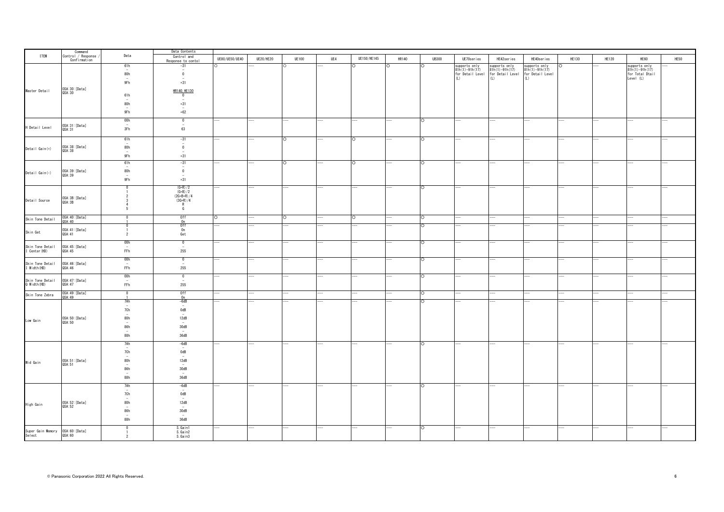|                                                  | Command<br>Control / Response |                                 | Data Contents                               |                |                  |              |     |             |       |              |                          |                                   |                  |       |                          |                  |      |
|--------------------------------------------------|-------------------------------|---------------------------------|---------------------------------------------|----------------|------------------|--------------|-----|-------------|-------|--------------|--------------------------|-----------------------------------|------------------|-------|--------------------------|------------------|------|
| <b>ITEM</b>                                      | Confirmation                  | Data                            | Control and                                 | UE80/UE50/UE40 | <b>UE20/HE20</b> | <b>UE100</b> | UE4 | UE150/HE145 | HR140 | <b>UB300</b> | UE70series               | HE42series                        | HE40series       | HE130 | <b>HE120</b>             | HE60             | HE50 |
|                                                  |                               | 61h                             | Response to contol<br>$-31$                 |                |                  |              |     |             |       | ∩            | supports only            |                                   | supports only    |       |                          | supports only    |      |
|                                                  |                               |                                 | $\sim$                                      |                |                  |              |     |             |       |              | $81h(1) - 91h(17)$       | supports only<br>81h(1)-91h(17)   | $81h(1)-91h(17)$ |       |                          | $81h(1)-91h(17)$ |      |
|                                                  |                               | 80h                             | $\mathbf 0$                                 |                |                  |              |     |             |       |              | for Detail Level         | for Detail Level for Detail Level |                  |       |                          | for Total Dtail  |      |
|                                                  |                               | 9Fh                             | $+31$                                       |                |                  |              |     |             |       |              |                          | (1)                               | (L)              |       |                          | Level (L)        |      |
|                                                  |                               |                                 |                                             |                |                  |              |     |             |       |              |                          |                                   |                  |       |                          |                  |      |
| Master Detail                                    | 0SA:30: [Data]<br>QSA:30      |                                 | HR140, HE130                                |                |                  |              |     |             |       |              |                          |                                   |                  |       |                          |                  |      |
|                                                  |                               | 61h                             | $\overline{0}$<br>$\overline{\phantom{a}}$  |                |                  |              |     |             |       |              |                          |                                   |                  |       |                          |                  |      |
|                                                  |                               | 80h                             | $+31$                                       |                |                  |              |     |             |       |              |                          |                                   |                  |       |                          |                  |      |
|                                                  |                               |                                 | ٠.                                          |                |                  |              |     |             |       |              |                          |                                   |                  |       |                          |                  |      |
|                                                  |                               | 9Fh                             | $+62$                                       |                |                  |              |     |             |       |              |                          |                                   |                  |       |                          |                  |      |
|                                                  |                               | 00h                             | $\overline{0}$                              |                |                  |              |     |             |       | $\circ$      |                          |                                   |                  |       |                          |                  |      |
| H Detail Level                                   | OSA:31:[Data]                 | $\sim$                          | $\overline{\phantom{a}}$                    |                |                  |              |     |             |       |              |                          |                                   |                  |       |                          |                  |      |
|                                                  | QSA: 31                       | 3Fh                             | 63                                          |                |                  |              |     |             |       |              |                          |                                   |                  |       |                          |                  |      |
|                                                  |                               | 61h                             | $-31$                                       |                |                  |              |     |             |       | $\circ$      |                          |                                   |                  |       |                          |                  |      |
|                                                  |                               | $\overline{a}$                  | $\sim$                                      |                |                  |              |     |             |       |              |                          |                                   |                  |       |                          |                  |      |
| Detail Gain(+)                                   | OSA:38: [Data]<br>QSA:38      | 80h                             | $\overline{0}$                              |                |                  |              |     |             |       |              |                          |                                   |                  |       |                          |                  |      |
|                                                  |                               | $\overline{\phantom{a}}$<br>9Fh | $\overline{\phantom{a}}$<br>$+31$           |                |                  |              |     |             |       |              |                          |                                   |                  |       |                          |                  |      |
|                                                  |                               |                                 |                                             |                |                  |              |     |             |       |              |                          |                                   |                  |       |                          |                  |      |
|                                                  |                               | 61h<br>٠                        | $-31$<br>$\sim$                             |                |                  |              |     |             |       | $\circ$      |                          |                                   |                  |       |                          |                  |      |
| Detail Gain(-)                                   | OSA: 39: [Data]               | 80h                             | $\overline{0}$                              |                |                  |              |     |             |       |              |                          |                                   |                  |       |                          |                  |      |
|                                                  | QSA: 39                       | $\overline{\phantom{a}}$<br>9Fh | $\overline{\phantom{a}}$<br>$+31$           |                |                  |              |     |             |       |              |                          |                                   |                  |       |                          |                  |      |
|                                                  |                               |                                 |                                             |                |                  |              |     |             |       |              |                          |                                   |                  |       |                          |                  |      |
|                                                  |                               | $\Omega$                        | $(G+R)/2$                                   |                |                  |              |     | -           | ---   | $\circ$      | ÷.                       | $-$                               | $- -$            | $-$   | $\overline{\phantom{a}}$ |                  |      |
|                                                  |                               |                                 | $(G+B)/2$<br>$(2G+B+R)/4$                   |                |                  |              |     |             |       |              |                          |                                   |                  |       |                          |                  |      |
| Detail Source                                    | OSA: 3B: [Data]               |                                 | $(3G+R)/4$                                  |                |                  |              |     |             |       |              |                          |                                   |                  |       |                          |                  |      |
|                                                  | QSA: 3B                       |                                 | $\overline{R}$                              |                |                  |              |     |             |       |              |                          |                                   |                  |       |                          |                  |      |
|                                                  |                               | -5                              | G                                           |                |                  |              |     |             |       |              |                          |                                   |                  |       |                          |                  |      |
| Skin Tone Detail                                 | OSA:40: [Data]<br>QSA:40      | $\Omega$                        | 0ff                                         | $\Omega$       |                  | $\circ$      |     | ∩           |       | $\circ$      |                          |                                   |                  |       |                          |                  |      |
|                                                  |                               |                                 | 0n                                          |                |                  |              |     |             |       |              |                          |                                   |                  |       |                          |                  |      |
|                                                  | OSA:41:[Data]                 |                                 | 0ff<br>0n                                   |                |                  |              |     |             |       | $\circ$      |                          |                                   |                  |       |                          |                  |      |
| Skin Get                                         | QSA: 41                       | $\overline{2}$                  | Get                                         |                |                  |              |     |             |       |              |                          |                                   |                  |       |                          |                  |      |
|                                                  |                               | 00h                             | $\overline{\phantom{0}}$                    |                |                  |              |     |             |       | O            |                          |                                   |                  |       |                          |                  |      |
|                                                  | OSA:45:[Data]                 | $\sim$                          | $\sim$                                      |                |                  |              |     |             |       |              |                          |                                   |                  |       |                          |                  |      |
| Skin Tone Detail<br>I Center(HD)                 | QSA: 45                       | FFh                             | 255                                         |                |                  |              |     |             |       |              |                          |                                   |                  |       |                          |                  |      |
|                                                  |                               | 00h                             | $\overline{0}$                              |                |                  |              |     |             |       | $\circ$      |                          |                                   |                  |       |                          |                  |      |
| Skin Tone Detail<br>I Width(HD)                  | OSA:46:[Data]                 | $\overline{\phantom{a}}$        | $\overline{\phantom{a}}$                    |                |                  |              |     |             |       |              |                          |                                   |                  |       |                          |                  |      |
|                                                  | QSA: 46                       | FFh                             | 255                                         |                |                  |              |     |             |       |              |                          |                                   |                  |       |                          |                  |      |
|                                                  |                               | 00h                             | $\overline{0}$                              |                |                  |              |     | -           |       | $\circ$      | $\overline{\phantom{a}}$ | --                                |                  | --    |                          |                  |      |
| Skin Tone Detail<br>Q Width(HD)                  | OSA: 47: [Data]               | $\sim$                          | $\sim$                                      |                |                  |              |     |             |       |              |                          |                                   |                  |       |                          |                  |      |
|                                                  | QSA: 47                       | ${\sf FFh}$                     | 255                                         |                |                  |              |     |             |       |              |                          |                                   |                  |       |                          |                  |      |
| Skin Tone Zebra                                  | OSA: 49: [Data]<br>QSA: 49    | $\overline{0}$                  | 0ff                                         |                |                  |              |     |             |       | $\circ$      |                          |                                   |                  |       |                          |                  |      |
|                                                  |                               |                                 | 0n                                          |                |                  |              |     |             |       |              |                          |                                   |                  |       |                          |                  |      |
|                                                  |                               | 7Ah                             | $-6dB$<br>$\overline{\phantom{a}}$          |                |                  |              |     |             |       | Ō            |                          |                                   |                  |       |                          |                  |      |
|                                                  |                               | 7Ch                             | 0dB                                         |                |                  |              |     |             |       |              |                          |                                   |                  |       |                          |                  |      |
|                                                  |                               | $\overline{\phantom{a}}$        | $\overline{a}$                              |                |                  |              |     |             |       |              |                          |                                   |                  |       |                          |                  |      |
| Low Gain                                         | OSA: 50: [Data]<br>QSA: 50    | 80h                             | 12dB                                        |                |                  |              |     |             |       |              |                          |                                   |                  |       |                          |                  |      |
|                                                  |                               | 86h                             | 30dB                                        |                |                  |              |     |             |       |              |                          |                                   |                  |       |                          |                  |      |
|                                                  |                               | $\sim$<br>88h                   | $\overline{\phantom{a}}$<br>36dB            |                |                  |              |     |             |       |              |                          |                                   |                  |       |                          |                  |      |
|                                                  |                               |                                 |                                             |                |                  |              |     |             |       |              |                          |                                   |                  |       |                          |                  |      |
|                                                  |                               | 7Ah                             | $-6dB$                                      |                |                  |              |     |             |       | $\circ$      |                          |                                   |                  |       |                          |                  |      |
|                                                  |                               | $\overline{\phantom{a}}$<br>7Ch | $\overline{\phantom{a}}$<br>$0$ dB          |                |                  |              |     |             |       |              |                          |                                   |                  |       |                          |                  |      |
|                                                  |                               |                                 | $\sim$                                      |                |                  |              |     |             |       |              |                          |                                   |                  |       |                          |                  |      |
| Mid Gain                                         | OSA: 51: [Data]<br>QSA: 51    | 80h                             | 12dB                                        |                |                  |              |     |             |       |              |                          |                                   |                  |       |                          |                  |      |
|                                                  |                               | $\overline{\phantom{a}}$<br>86h | $\overline{\phantom{a}}$<br>$30\mathrm{dB}$ |                |                  |              |     |             |       |              |                          |                                   |                  |       |                          |                  |      |
|                                                  |                               | $\sim$                          | $\sim$                                      |                |                  |              |     |             |       |              |                          |                                   |                  |       |                          |                  |      |
|                                                  |                               | 88h                             | 36dB                                        |                |                  |              |     |             |       |              |                          |                                   |                  |       |                          |                  |      |
|                                                  |                               | 7Ah                             | $-6dB$                                      |                |                  |              |     |             |       | $\circ$      |                          |                                   |                  |       |                          |                  |      |
|                                                  |                               | $\overline{\phantom{a}}$        | $\overline{a}$                              |                |                  |              |     |             |       |              |                          |                                   |                  |       |                          |                  |      |
|                                                  |                               | 7Ch                             | 0dB                                         |                |                  |              |     |             |       |              |                          |                                   |                  |       |                          |                  |      |
|                                                  | OSA:52:[Data]                 | 80h                             | 12dB                                        |                |                  |              |     |             |       |              |                          |                                   |                  |       |                          |                  |      |
| High Gain                                        | QSA: 52                       | $\overline{\phantom{a}}$        | $\sim$                                      |                |                  |              |     |             |       |              |                          |                                   |                  |       |                          |                  |      |
|                                                  |                               | 86h                             | 30dB<br>$\overline{\phantom{a}}$            |                |                  |              |     |             |       |              |                          |                                   |                  |       |                          |                  |      |
|                                                  |                               | 88h                             | 36dB                                        |                |                  |              |     |             |       |              |                          |                                   |                  |       |                          |                  |      |
|                                                  |                               |                                 |                                             |                |                  |              |     |             |       |              |                          |                                   |                  |       |                          |                  |      |
|                                                  |                               | $\Omega$                        | S. Gain1<br>S. Gain2                        |                |                  |              |     |             |       | $\circ$      |                          | --                                |                  |       |                          |                  |      |
| Super Gain Memory 0SA:60:[Data]<br>Select 0SA:60 |                               | $\overline{2}$                  | S. Gain3                                    |                |                  |              |     |             |       |              |                          |                                   |                  |       |                          |                  |      |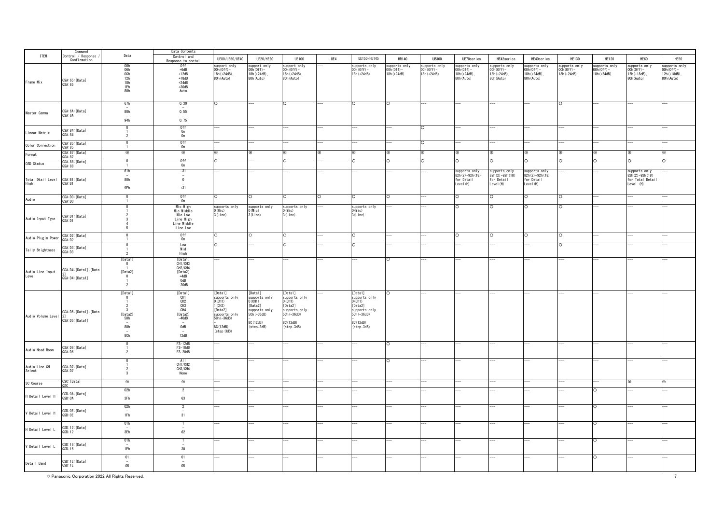|                           | Command<br>Control / Response                    |                                                                        | Data Contents                                                                                                                                                        |                                                                                                                              |                                                                                                                              |                                                                                                                                   |     |                                                                                                                            |                                              |                                              |                                                              |                                                             |                                                              |                                              |                                              |                                                                  |                                                             |
|---------------------------|--------------------------------------------------|------------------------------------------------------------------------|----------------------------------------------------------------------------------------------------------------------------------------------------------------------|------------------------------------------------------------------------------------------------------------------------------|------------------------------------------------------------------------------------------------------------------------------|-----------------------------------------------------------------------------------------------------------------------------------|-----|----------------------------------------------------------------------------------------------------------------------------|----------------------------------------------|----------------------------------------------|--------------------------------------------------------------|-------------------------------------------------------------|--------------------------------------------------------------|----------------------------------------------|----------------------------------------------|------------------------------------------------------------------|-------------------------------------------------------------|
| <b>ITEM</b>               | Confirmation                                     | Data                                                                   | Control and                                                                                                                                                          | UE80/UE50/UE40                                                                                                               | <b>UE20/HE20</b>                                                                                                             | <b>UE100</b>                                                                                                                      | UE4 | UE150/HE145                                                                                                                | HR140                                        | <b>HR300</b>                                 | UE70series                                                   | HE42series                                                  | HE40series                                                   | <b>HE130</b>                                 | <b>HE120</b>                                 | HE60                                                             | HE50                                                        |
| Frame Mix                 | OSA: 65: [Data]<br>QSA: 65                       | 00h<br>06h<br>0Ch<br>12h<br>18h<br>1Eh<br>80h                          | Response to conto<br>0ff<br>$+6dB$<br>$+12dB$<br>$+18dB$<br>$+24dB$<br>$+30dB$<br>Auto                                                                               | support only<br>$(00h(0ff) -$<br>18h (+24dB).<br>80h (Auto)                                                                  | upport only<br>$00h(0ff) -$<br>18h (+24dB).<br>80h (Auto)                                                                    | support only<br>OOh(Off)-<br>18h (+24dB)<br>80h (Auto)                                                                            |     | supports only<br>$00h(0ff) -$<br>18h (+24dB)                                                                               | supports only<br>$00h(0ff) -$<br>18h (+24dB) | supports only<br>$00h(0ff) -$<br>18h (+24dB) | supports only<br>$00h(0ff) -$<br>18h (+24dB),<br>80h (Auto)  | supports only<br>$00h(0ff) -$<br>18h (+24dB).<br>80h (Auto) | supports only<br>$(00h(0ff) -$<br>18h (+24dB).<br>80h (Auto) | supports only<br>$00h(0ff) -$<br>18h (+24dB) | supports only<br>$00h(0ff) -$<br>18h (+24dB) | supports only<br>$00h(0ff) -$<br>12h (+18dB),<br>80h (Auto)      | supports only<br>$00h(0ff) -$<br>12h (+18dB).<br>80h (Auto) |
| Master Gamma              | OSA: 6A: [Data]<br>QSA: 6A                       | 67h<br>80h<br>94h                                                      | 0.30<br>0.55<br>0.75                                                                                                                                                 | O                                                                                                                            |                                                                                                                              | $\circ$                                                                                                                           |     |                                                                                                                            |                                              |                                              |                                                              |                                                             |                                                              | O                                            |                                              |                                                                  |                                                             |
| Linear Matrix             | OSA: 84: [Data]<br>QSA: 84                       | $\Omega$<br>$\overline{2}$                                             | 0ff<br>0n<br>0n                                                                                                                                                      |                                                                                                                              |                                                                                                                              |                                                                                                                                   |     |                                                                                                                            |                                              | $\circ$                                      |                                                              |                                                             |                                                              |                                              |                                              |                                                                  |                                                             |
| Color Correction          | OSA: 85: [Data]<br>QSA: 85                       | $\Omega$<br>$\overline{1}$                                             | 0ff<br>0n                                                                                                                                                            |                                                                                                                              |                                                                                                                              |                                                                                                                                   |     |                                                                                                                            |                                              | $\circ$                                      |                                                              |                                                             |                                                              |                                              |                                              |                                                                  |                                                             |
| Format                    | OSA: 87: [Data]<br>QSA: 87                       | $\times$                                                               | ⋇                                                                                                                                                                    |                                                                                                                              |                                                                                                                              |                                                                                                                                   |     |                                                                                                                            |                                              | ×.                                           |                                                              |                                                             | ×.                                                           |                                              |                                              |                                                                  |                                                             |
| OSD Status                | OSA: 88: [Data]<br>QSA: 88                       | $\overline{1}$                                                         | 0ff<br>0n                                                                                                                                                            |                                                                                                                              |                                                                                                                              |                                                                                                                                   |     |                                                                                                                            |                                              | O                                            |                                                              | O                                                           | O                                                            | Ο                                            |                                              |                                                                  |                                                             |
| Total Dtail Level<br>High | OSA: B1: [Data]<br>QSA: B1                       | 61h<br>80h<br>9Fh                                                      | $-31$<br>$\overline{\phantom{a}}$<br>$\overline{0}$<br>$+31$                                                                                                         |                                                                                                                              |                                                                                                                              |                                                                                                                                   |     |                                                                                                                            |                                              |                                              | supports only<br>$82h(2)-92h(18)$<br>for Detail<br>Level (H) | supports only<br>82h(2)-92h(18)<br>for Detail<br>Level (H)  | supports only<br>82h(2)-92h(18)<br>for Detail<br>Level (H)   |                                              |                                              | supports only<br>82h(2)-92h(18)<br>for Total Detail<br>Level (H) |                                                             |
| Aud i o                   | OSA: DO: [Data]<br>QSA: DO                       |                                                                        | Off<br>On                                                                                                                                                            |                                                                                                                              |                                                                                                                              | $\circ$                                                                                                                           | ∩   |                                                                                                                            |                                              |                                              |                                                              | $\Omega$                                                    | $\circ$                                                      | $\Omega$                                     |                                              |                                                                  |                                                             |
| Audio Input Type          | OSA:D1:[Data]<br>QSA:D1                          |                                                                        | Mic High<br>Mic Middle<br>Mic Low<br>Line High<br>Line Middle<br>Line Low                                                                                            | supports only<br>O (Mic)<br>3(Line)                                                                                          | supports only<br>$0$ (Mic)<br>3(Line)                                                                                        | supports only<br>$0$ (M i c)<br>3(Line)                                                                                           |     | supports only<br>$0$ (Mic)<br>3 (Line)                                                                                     |                                              |                                              | $\Omega$                                                     | $\circ$                                                     | O                                                            | $\circ$                                      |                                              |                                                                  |                                                             |
| Audio Plugin Power        | OSA: D2: [Data]<br>QSA: D2                       | $\overline{0}$                                                         | 0ff<br>0n                                                                                                                                                            | $\circ$                                                                                                                      |                                                                                                                              | $\circ$                                                                                                                           |     |                                                                                                                            |                                              |                                              | $\circ$                                                      | $\circ$                                                     | O                                                            | ō                                            |                                              |                                                                  |                                                             |
| Tally Brightness          | OSA: D3: [Data]<br>QSA:D3                        | $\overline{\phantom{a}}$                                               | Low<br>Mid<br>High                                                                                                                                                   |                                                                                                                              |                                                                                                                              |                                                                                                                                   |     |                                                                                                                            |                                              |                                              |                                                              |                                                             |                                                              | Ō                                            |                                              |                                                                  |                                                             |
| Audio Line Input<br>Level | OSA:D4: [Data1]: [Data<br>QSA:D4: [Data1]        | [Data1]<br>$\overline{0}$<br>[Data2]<br>$\mathbf{0}$<br>$\overline{2}$ | [Data1]<br>CH1/CH3<br>CH <sub>2</sub> /CH4<br>[Data2]<br>$+4dB$<br>0dB<br>$-20dB$                                                                                    |                                                                                                                              |                                                                                                                              |                                                                                                                                   |     |                                                                                                                            |                                              |                                              |                                                              |                                                             |                                                              |                                              |                                              |                                                                  |                                                             |
| Audio Volume Level        | OSA: D5: [Data1]: [Data<br>2]<br>QSA:D5: [Data1] | [Data1]<br>$\overline{0}$<br>[Data2]<br>58h<br>80h<br>8Ch              | [Data1]<br>CH <sub>1</sub><br>CH <sub>2</sub><br>CH <sub>3</sub><br>CH4<br>[Data2]<br>$-40dB$<br>$\overline{\phantom{a}}$<br>0dB<br>$\overline{\phantom{a}}$<br>12dB | [Data1]<br>supports only<br>) (CH1)<br>(CH2)<br>[Data2]<br>supports only<br>$5ch(-36dB)$<br>8C (12dB)<br>$(\text{step}:3dB)$ | [Data1]<br>supports only<br>0 (CH1)<br>[Data2]<br>supports only<br>5Ch (-36dB)<br>8C (12dB)<br>$(\text{step} : 3 \text{dB})$ | [Data1]<br>supports only<br>$0$ (CH <sub>1</sub> )<br>[Data2]<br>supports only<br>5Ch (-36dB)<br>8C (12dB)<br>$(\text{step}:3dB)$ |     | [Data1]<br>supports only<br>CH <sub>1</sub><br>[Data2]<br>supports only<br>5Ch (-36dB)<br>8C (12dB)<br>$(\text{step}:3dB)$ |                                              |                                              |                                                              |                                                             |                                                              |                                              |                                              |                                                                  |                                                             |
| Audio Head Room           | OSA: D6: [Data]<br>QSA: D6                       | 0<br>$\overline{2}$                                                    | FS-12dB<br>FS-18dB<br>FS-20dB                                                                                                                                        |                                                                                                                              |                                                                                                                              |                                                                                                                                   |     |                                                                                                                            | $\circ$                                      |                                              |                                                              |                                                             |                                                              |                                              |                                              |                                                                  |                                                             |
| Audio Line CH<br>Select   | OSA:D7: [Data]<br>QSA: D7                        | 3                                                                      | All<br>CH1/CH2<br>CH3/CH4<br>None                                                                                                                                    |                                                                                                                              |                                                                                                                              |                                                                                                                                   |     |                                                                                                                            |                                              |                                              |                                                              |                                                             |                                                              |                                              |                                              |                                                                  |                                                             |
| SC Coarse                 | OSC: [Data]                                      | ⋇                                                                      | Ж                                                                                                                                                                    |                                                                                                                              |                                                                                                                              |                                                                                                                                   |     |                                                                                                                            |                                              |                                              |                                                              |                                                             |                                                              |                                              |                                              |                                                                  |                                                             |
| H Detail Level H          | OSD: OA: [Data]<br>QSD: 0A                       | 02h<br>3Fh                                                             | $\overline{2}$<br>63                                                                                                                                                 |                                                                                                                              |                                                                                                                              |                                                                                                                                   |     |                                                                                                                            |                                              |                                              |                                                              |                                                             |                                                              |                                              |                                              |                                                                  |                                                             |
| V Detail Level H          | OSD: OE: [Data]<br>QSD: OE                       | 02h<br>1Fh                                                             | $\overline{2}$<br>31                                                                                                                                                 |                                                                                                                              |                                                                                                                              |                                                                                                                                   |     |                                                                                                                            |                                              |                                              |                                                              |                                                             |                                                              |                                              | $\circ$                                      |                                                                  |                                                             |
| H Detail Level L          | OSD:12:[Data]<br>QSD:12                          | 01h<br>3Eh                                                             | 62                                                                                                                                                                   |                                                                                                                              |                                                                                                                              |                                                                                                                                   |     |                                                                                                                            |                                              |                                              |                                                              |                                                             |                                                              |                                              |                                              |                                                                  |                                                             |
| V Detail Level L          | OSD:16:[Data]<br>QSD:16                          | 01h<br>1Eh                                                             | $30\,$                                                                                                                                                               |                                                                                                                              |                                                                                                                              |                                                                                                                                   |     |                                                                                                                            |                                              |                                              |                                                              |                                                             |                                                              |                                              |                                              |                                                                  |                                                             |
| Detail Band               | OSD:1E: [Data]<br>QSD:1E                         | 01<br>$05\,$                                                           | $_{01}$<br>$05\,$                                                                                                                                                    |                                                                                                                              |                                                                                                                              |                                                                                                                                   |     |                                                                                                                            |                                              |                                              |                                                              |                                                             |                                                              |                                              |                                              |                                                                  |                                                             |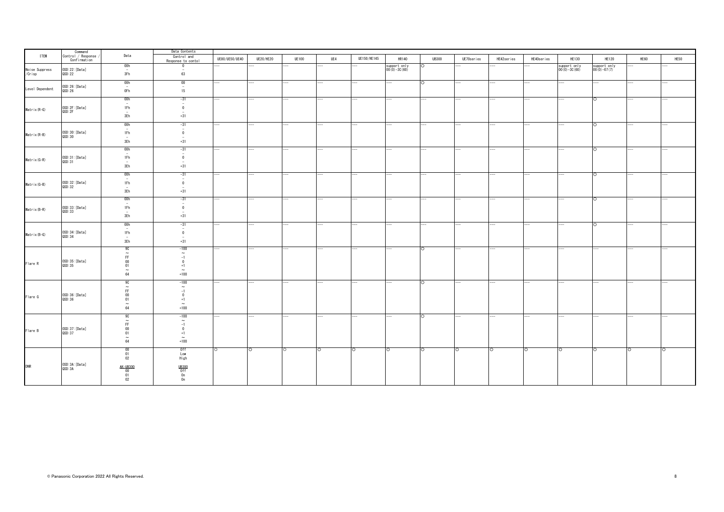|                          | Command<br>Control / Response |                                                                                                            | Data Contents                                                                                                   |                |                  |              |                    |             |                                  |                          |            |                          |                          |                                  |                                |         |                    |
|--------------------------|-------------------------------|------------------------------------------------------------------------------------------------------------|-----------------------------------------------------------------------------------------------------------------|----------------|------------------|--------------|--------------------|-------------|----------------------------------|--------------------------|------------|--------------------------|--------------------------|----------------------------------|--------------------------------|---------|--------------------|
| <b>ITEM</b>              | Confirmation                  | Data                                                                                                       | Control and<br>Response to contol                                                                               | UE80/UE50/UE40 | <b>UE20/HE20</b> | <b>UE100</b> | UE4                | UE150/HE145 | <b>HR140</b>                     | <b>UB300</b>             | UE70series | HE42series               | HE40series               | HE130                            | <b>HE120</b>                   | HE60    | HE50               |
| Noise Suppress<br>/Crisp | OSD:22: [Data]<br>QSD:22      | 00h<br>$\sim$<br>3Fh                                                                                       | 0<br>$\overline{\phantom{a}}$<br>63                                                                             |                |                  |              |                    |             | support only<br>$00(0) - 30(60)$ |                          |            |                          |                          | support only<br>$00(0) - 30(60)$ | support only<br>$00(0) -07(7)$ |         |                    |
| Level Dependent          | OSD:26: [Data]<br>QSD:26      | 00h<br>$\sim$<br>0Fh                                                                                       | 00<br>$\overline{\phantom{a}}$<br>15                                                                            |                |                  |              |                    |             |                                  | $\circ$                  |            |                          | $\overline{\phantom{a}}$ |                                  |                                |         |                    |
| Matrix(R-G)              | OSD:2F:[Data]<br>QSD:2F       | 00h<br>$\sim$<br>1Fh<br>$-$<br>3Eh                                                                         | $-31$<br>$\overline{\phantom{a}}$<br>$\mathbf 0$<br>$\overline{\phantom{a}}$<br>$+31$                           |                |                  |              |                    |             |                                  |                          |            |                          |                          |                                  | $\circ$                        |         |                    |
| Matrix(R-B)              | 0SD:30: [Data]<br>QSD:30      | 00h<br>$\sim$<br>1Fh<br>$\overline{\phantom{a}}$<br>3Eh                                                    | $-31$<br>$\overline{\phantom{a}}$<br>$\overline{0}$<br>$\sim$<br>$+31$                                          |                |                  |              |                    |             |                                  | $\overline{\phantom{a}}$ |            | ---                      | $- -$                    |                                  | ं                              |         |                    |
| Matrix(G-R)              | OSD:31:[Data]<br>QSD:31       | 00h<br>$\overline{\phantom{a}}$<br>1Fh<br>$\overline{\phantom{a}}$<br>3Eh                                  | $-31$<br>$\overline{\phantom{a}}$<br>$\mathbf 0$<br>$\overline{\phantom{a}}$<br>$+31$                           |                |                  |              |                    |             |                                  |                          |            |                          |                          |                                  | $\circ$                        |         |                    |
| Matrix(G-B)              | OSD:32: [Data]<br>QSD:32      | 00h<br>$\overline{\phantom{a}}$<br>1Fh<br>$\overline{\phantom{a}}$<br>3Eh                                  | $-31$<br>$\overline{\phantom{a}}$<br>$\mathbf 0$<br>$\overline{\phantom{a}}$<br>$+31$                           |                |                  |              |                    |             |                                  |                          |            |                          |                          |                                  | $\circ$                        |         |                    |
| Matrix(B-R)              | OSD:33: [Data]<br>QSD:33      | 00h<br>$\overline{\phantom{a}}$<br>1Fh<br>$\overline{\phantom{a}}$<br>3Eh                                  | $-31$<br>$\overline{\phantom{a}}$<br>$\mathbf 0$<br>$\sim$<br>$+31$                                             |                |                  |              |                    |             |                                  |                          |            |                          |                          |                                  | $\circ$                        |         |                    |
| Matrix(B-G)              | OSD:34: [Data]<br>QSD:34      | 00h<br>$\sim$<br>1Fh<br>$\overline{\phantom{a}}$<br>3Eh                                                    | $-31$<br>$\sim$<br>$\overline{0}$<br>$\overline{a}$<br>$+31$                                                    |                |                  |              |                    |             |                                  | -                        |            | $\overline{\phantom{a}}$ | ---                      |                                  | $\circ$                        |         |                    |
| Flare R                  | 0SD:35: [Data]<br>QSD:35      | 9C<br>$\sim$<br>FF.<br>$\frac{00}{01}$<br>$\sim$<br>$64\,$                                                 | $-100$<br>$\widetilde{\phantom{m}}$<br>$-1$<br>$\overline{0}$<br>$+1$<br>$\sim$<br>$+100$                       |                |                  |              |                    |             | ---                              | lo.                      |            | $\overline{\phantom{a}}$ |                          |                                  |                                |         |                    |
| Flare G                  | OSD:36:[Data]<br>QSD:36       | 9C<br>$\widetilde{\mathsf{FF}}$<br>$\begin{array}{c} 00 \\ 01 \end{array}$<br>$\widetilde{\widetilde{64}}$ | $-100$<br>$\sim$<br>$-1$<br>$\overline{0}$<br>$+1$<br>$\sim$<br>$+100$                                          |                |                  |              |                    |             |                                  | O                        |            |                          |                          |                                  |                                |         |                    |
| Flare B                  | OSD:37:[Data]<br>QSD:37       | 9C<br>$\begin{array}{c} \widetilde{\text{FF}}\\ 00\\ 01 \end{array}$<br>$\sim$<br>$64\,$                   | $-100$<br>$\widetilde{\phantom{m}}$<br>$-1$<br>$\overline{0}$<br>$+1$<br>$\sim$<br>$+100$                       |                |                  |              |                    |             |                                  | $\circ$                  | ---        |                          |                          |                                  |                                |         |                    |
| <b>DNR</b>               | OSD:3A: [Data]<br>QSD:3A      | $\begin{array}{c} 00 \\ 01 \\ 02 \end{array}$<br>AK-UB300<br>$\begin{array}{c} 00 \\ 01 \\ 02 \end{array}$ | 0ff<br>Low<br>High<br>$\begin{array}{r}\underline{\mathsf{UB300}}\\0\text{ff}\\0\text{n}\\0\text{n}\end{array}$ | C              | ं                | O            | $\overline{\circ}$ | $\circ$     | $\circ$                          | $\circ$                  | O          | $\circ$                  | $\circ$                  | $\circ$                          | $\circ$                        | $\circ$ | $\overline{\circ}$ |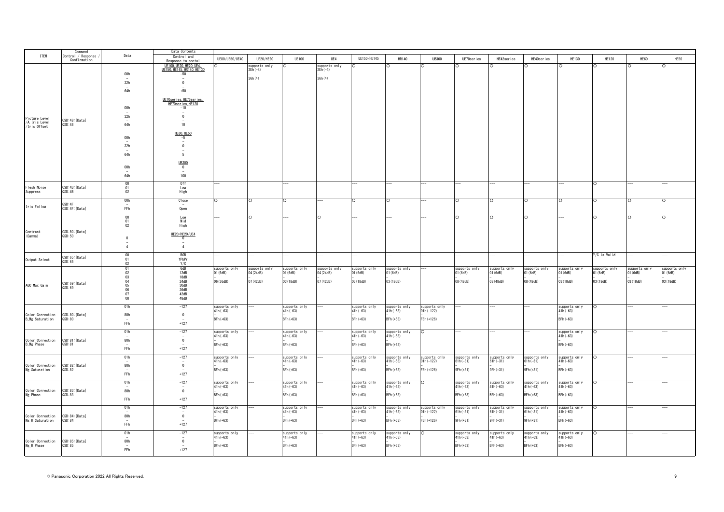|                                                          | Command                            |                                              | Data Contents                              |                             |                           |                             |               |                             |                             |                              |                                |                             |                             |                             |               |               |               |
|----------------------------------------------------------|------------------------------------|----------------------------------------------|--------------------------------------------|-----------------------------|---------------------------|-----------------------------|---------------|-----------------------------|-----------------------------|------------------------------|--------------------------------|-----------------------------|-----------------------------|-----------------------------|---------------|---------------|---------------|
| <b>ITEM</b>                                              | Control / Response<br>Confirmation | Data                                         | Control and<br>Response to conto           | UE80/UE50/UE40              | UE20/HE20                 | <b>UE100</b>                | UE4           | UE150/HE145                 | HR140                       | <b>UB300</b>                 | UE70series                     | HE42series                  | HE40series                  | HE130                       | <b>HE120</b>  | HE60          | HE50          |
|                                                          |                                    |                                              | UE100, UE20, HE20, UE4,                    |                             | upports only              |                             | supports only |                             |                             |                              |                                |                             |                             |                             |               |               |               |
|                                                          |                                    | 00h                                          | UE150, HE145, HR140, HE130<br>$-50$        |                             | 2Eh (-4)                  |                             | $2Eh(-4)$     |                             |                             |                              |                                |                             |                             |                             |               |               |               |
|                                                          |                                    |                                              |                                            |                             | 36h(4)                    |                             | 36h(4)        |                             |                             |                              |                                |                             |                             |                             |               |               |               |
|                                                          |                                    | 32h                                          | $\overline{0}$                             |                             |                           |                             |               |                             |                             |                              |                                |                             |                             |                             |               |               |               |
|                                                          |                                    | 64h                                          | $+50$                                      |                             |                           |                             |               |                             |                             |                              |                                |                             |                             |                             |               |               |               |
|                                                          |                                    |                                              | UE70series, HE75series,                    |                             |                           |                             |               |                             |                             |                              |                                |                             |                             |                             |               |               |               |
|                                                          |                                    | 00h                                          | HE70series, HE120<br>$-10$                 |                             |                           |                             |               |                             |                             |                              |                                |                             |                             |                             |               |               |               |
|                                                          |                                    | $\overline{\phantom{a}}$                     | $\overline{\phantom{a}}$                   |                             |                           |                             |               |                             |                             |                              |                                |                             |                             |                             |               |               |               |
|                                                          | OSD:48:[Data]                      | 32h                                          | $\overline{0}$<br>$\overline{\phantom{a}}$ |                             |                           |                             |               |                             |                             |                              |                                |                             |                             |                             |               |               |               |
| Picture Level<br>/A. Iris Level<br>/Iris Offset          | QSD:48                             | 64h                                          | 10                                         |                             |                           |                             |               |                             |                             |                              |                                |                             |                             |                             |               |               |               |
|                                                          |                                    |                                              | <b>HE60, HE50</b>                          |                             |                           |                             |               |                             |                             |                              |                                |                             |                             |                             |               |               |               |
|                                                          |                                    | 00h                                          | $-5$                                       |                             |                           |                             |               |                             |                             |                              |                                |                             |                             |                             |               |               |               |
|                                                          |                                    | 32h                                          | $\overline{0}$                             |                             |                           |                             |               |                             |                             |                              |                                |                             |                             |                             |               |               |               |
|                                                          |                                    | 64h                                          | 5                                          |                             |                           |                             |               |                             |                             |                              |                                |                             |                             |                             |               |               |               |
|                                                          |                                    |                                              |                                            |                             |                           |                             |               |                             |                             |                              |                                |                             |                             |                             |               |               |               |
|                                                          |                                    | 00h                                          | UB300<br>$\overline{0}$                    |                             |                           |                             |               |                             |                             |                              |                                |                             |                             |                             |               |               |               |
|                                                          |                                    |                                              | $\overline{\phantom{a}}$                   |                             |                           |                             |               |                             |                             |                              |                                |                             |                             |                             |               |               |               |
|                                                          |                                    | 64h                                          | 100                                        |                             |                           |                             |               |                             |                             |                              |                                |                             |                             |                             |               |               |               |
| Flesh Noise                                              | OSD: 4B: [Data]                    | $\begin{array}{c} 00 \\ 01 \end{array}$      | 0ff<br>Low                                 |                             |                           |                             |               |                             |                             |                              |                                |                             |                             |                             | ∩             |               |               |
| Suppress                                                 | QSD: 4B                            | 02                                           | High                                       |                             |                           |                             |               |                             |                             |                              |                                |                             |                             |                             |               |               |               |
|                                                          |                                    | 00h                                          | Close                                      |                             |                           |                             |               |                             |                             |                              |                                |                             |                             |                             |               |               |               |
| Iris Follow                                              | QSD: 4F<br>OSD: 4F: [Data]         | FFh                                          | Open                                       |                             |                           |                             |               |                             |                             |                              |                                |                             |                             |                             |               |               |               |
|                                                          |                                    |                                              |                                            |                             |                           |                             |               |                             |                             |                              |                                |                             |                             |                             |               |               |               |
|                                                          |                                    | $\begin{array}{c} 00 \ 01 \end{array}$       | Low<br><b>Mid</b>                          |                             |                           |                             |               |                             |                             |                              |                                |                             |                             |                             |               |               |               |
|                                                          |                                    | $02\phantom{.0}$                             | High                                       |                             |                           |                             |               |                             |                             |                              |                                |                             |                             |                             |               |               |               |
| Contrast<br>(Gamma)                                      | OSD: 50: [Data]<br>QSD:50          |                                              | UE20/HE20/UE4                              |                             |                           |                             |               |                             |                             |                              |                                |                             |                             |                             |               |               |               |
|                                                          |                                    | $\,0\,$                                      | $\mathbf 0$                                |                             |                           |                             |               |                             |                             |                              |                                |                             |                             |                             |               |               |               |
|                                                          |                                    | $\overline{4}$                               | $\overline{4}$                             |                             |                           |                             |               |                             |                             |                              |                                |                             |                             |                             |               |               |               |
|                                                          |                                    |                                              | RGB                                        |                             |                           |                             |               |                             |                             |                              |                                |                             |                             |                             | Y/C is Valid  |               |               |
| Output Select                                            | OSD:65:[Data]<br>QSD: 65           | $\begin{matrix} 00 \\ 01 \end{matrix}$<br>02 | YPbPr<br>Y/C                               |                             |                           |                             |               |                             |                             |                              |                                |                             |                             |                             |               |               |               |
|                                                          |                                    |                                              |                                            | supports only               |                           | supports only               | supports only | supports only               | supports only               |                              | supports only                  | supports only               | supports only               | supports only               | supports only | supports only | supports only |
|                                                          |                                    | $\begin{array}{c} 01 \\ 02 \end{array}$      | $6dB$<br>12dB                              | 01(6dB)                     | supports only<br>04(24dB) | 01(6dB)                     | 04(24dB)      | 01(6dB)                     | 01(6dB)                     |                              | 01(6dB)                        | 01(6dB)                     | 01(6dB)                     | 01 (6dB)                    | (6dB)         | 01(6dB)       | 1(6dB)        |
|                                                          | OSD:69: [Data]                     | $03$<br>$04$<br>$05$<br>$06$<br>$07$         | 18dB<br>24dB                               | 06 (36dB)                   | 07 (42dB)                 | 03 (18dB)                   | 07 (42dB)     | 03 (18dB)                   | 03 (18dB)                   |                              | 08 (48dB)                      | 08 (48dB)                   | 08 (48dB)                   | 03 (18dB)                   | 03 (18dB)     | 03 (18dB)     | 03 (18dB)     |
| AGC Max Gain                                             | QSD:69                             |                                              | 30dB<br>36dB<br>42dB                       |                             |                           |                             |               |                             |                             |                              |                                |                             |                             |                             |               |               |               |
|                                                          |                                    |                                              |                                            |                             |                           |                             |               |                             |                             |                              |                                |                             |                             |                             |               |               |               |
|                                                          |                                    | 08                                           | 48dB                                       |                             |                           |                             |               |                             |                             |                              |                                |                             |                             |                             |               |               |               |
|                                                          |                                    | 01h                                          | $-127$                                     | supports only               |                           | supports only               |               | supports only               | supports only<br>41h(-63)   | supports only<br>O1h(-127)   |                                |                             |                             | supports only               | ∩             |               |               |
|                                                          |                                    | 80h                                          | $\overline{\phantom{a}}$<br>$\overline{0}$ | $41h(-63)$                  |                           | $41h(-63)$                  |               | $41h(-63)$                  |                             |                              |                                |                             |                             | $41h(-63)$                  |               |               |               |
| Color Correction 0SD:80:[Data]<br>B_Mg Saturation 0SD:80 |                                    | ${\sf FFh}$                                  | $+127$                                     | BFh (+63)                   |                           | BFh (+63)                   |               | BFh (+63)                   | $BFh (+63)$                 | FEh (+126)                   |                                |                             |                             | BFh (+63)                   |               |               |               |
|                                                          |                                    |                                              |                                            |                             |                           |                             |               |                             |                             |                              |                                |                             |                             |                             |               |               |               |
|                                                          |                                    | 01h                                          | $-127$                                     | supports only<br>$41h(-63)$ |                           | supports only<br>$41h(-63)$ |               | supports only<br>$41h(-63)$ | supports only<br>$41h(-63)$ | $\circ$                      |                                |                             |                             | supports only<br>$41h(-63)$ | $\circ$       |               |               |
| Color Correction 0SD:81:[Data]<br>B_Mg Phase 0SD:81      |                                    | 80h                                          | $\mathbf 0$                                |                             |                           |                             |               |                             |                             |                              |                                |                             |                             |                             |               |               |               |
|                                                          |                                    | FFh                                          | $+127$                                     | BFh (+63)                   |                           | BFh (+63)                   |               | BFh (+63)                   | $BFh(+63)$                  |                              |                                |                             |                             | $BFh(+63)$                  |               |               |               |
|                                                          |                                    | 01h                                          | $-127$                                     | supports only               |                           | supports only               |               | supports only               | supports only               |                              |                                |                             |                             | supports only               | $\Omega$      |               |               |
|                                                          |                                    |                                              | $\sim$                                     | $41h(-63)$                  |                           | $41h(-63)$                  |               | $41h(-63)$                  | $41h(-63)$                  | supports only<br>01h(-127)   | supports only<br>61h(-31)      | supports only<br>61h(-31)   | supports only<br>61h(-31)   | $41h(-63)$                  |               |               |               |
| Color Correction 0SD:82:[Data]<br>Mg Saturation 0SD:82   |                                    | 80h                                          | $\overline{\phantom{0}}$                   | BFh (+63)                   |                           | BFh (+63)                   |               | $BFh (+63)$                 | $BFh (+63)$                 | FEh (+126)                   | 9Fh (+31)                      | 9Fh (+31)                   | 9Fh (+31)                   | $BFh(+63)$                  |               |               |               |
|                                                          |                                    | FFh                                          | $+127$                                     |                             |                           |                             |               |                             |                             |                              |                                |                             |                             |                             |               |               |               |
|                                                          |                                    | 01h                                          | $-127$                                     | supports only               |                           | supports only               |               | supports only               | supports only               |                              | supports only                  | supports only               | supports only               | supports only               |               |               |               |
|                                                          |                                    | 80h                                          | $\overline{\phantom{a}}$<br>$\overline{0}$ | $41h(-63)$                  |                           | $41h(-63)$                  |               | $41h(-63)$                  | $41h(-63)$                  |                              | $41h(-63)$                     | $41h(-63)$                  | $41h(-63)$                  | $11h(-63)$                  |               |               |               |
| Color Correction 0SD:83:[Data]<br>Mg Phase 0SD:83        |                                    | $\overline{\phantom{a}}$                     |                                            | $BFh (+63)$                 |                           | BFh (+63)                   |               | BFh (+63)                   | BFh (+63)                   |                              | $BFh (+63)$                    | BFh (+63)                   | $BFh (+63)$                 | $BFh(+63)$                  |               |               |               |
|                                                          |                                    | ${\sf FFh}$                                  | $+127$                                     |                             |                           |                             |               |                             |                             |                              |                                |                             |                             |                             |               |               |               |
|                                                          |                                    | 01h                                          | $-127$                                     | supports only<br>$41h(-63)$ |                           | supports only<br>$41h(-63)$ |               | supports only<br>$41h(-63)$ | supports only<br>$41h(-63)$ | supports only<br>$01h(-127)$ | supports only<br>$i$ h $(-31)$ | supports only<br>$61h(-31)$ | supports only<br>$61h(-31)$ | supports only<br>$41h(-63)$ | $\circ$       |               |               |
| Color Correction<br>Mg_R Saturation                      | OSD:84: [Data]                     | 80h                                          | $\mathbf 0$                                |                             |                           |                             |               |                             |                             |                              |                                |                             |                             |                             |               |               |               |
|                                                          | QSD: 84                            | FFh                                          | $+127$                                     | BFh (+63)                   |                           | BFh (+63)                   |               | BFh (+63)                   | $BFh(+63)$                  | FEh (+126)                   | 9Fh (+31)                      | 9Fh (+31)                   | 9Fh (+31)                   | BFh (+63)                   |               |               |               |
|                                                          |                                    |                                              |                                            |                             |                           |                             |               |                             |                             |                              |                                |                             |                             |                             |               |               |               |
|                                                          |                                    | 01h                                          | $-127$<br>$\sim$                           | supports only<br>$41h(-63)$ |                           | supports only<br>$41h(-63)$ |               | supports only<br>$41h(-63)$ | supports only<br>41h(-63)   | $\circ$                      | supports only<br>$41h(-63)$    | supports only<br>41h(-63)   | supports only<br>41h(-63)   | supports only<br>$41h(-63)$ | $\Omega$      |               |               |
| Color Correction 0SD:85:[Data]<br>Mg_R Phase 0SD:85      |                                    | 80h                                          | $\overline{0}$                             | BFh (+63)                   |                           | BFh (+63)                   |               | $BFh (+63)$                 | BFh (+63)                   |                              | BFh (+63)                      | BFh (+63)                   | $BFh (+63)$                 | BFh (+63)                   |               |               |               |
|                                                          |                                    | ${\sf FFh}$                                  | $+127$                                     |                             |                           |                             |               |                             |                             |                              |                                |                             |                             |                             |               |               |               |
|                                                          |                                    |                                              |                                            |                             |                           |                             |               |                             |                             |                              |                                |                             |                             |                             |               |               |               |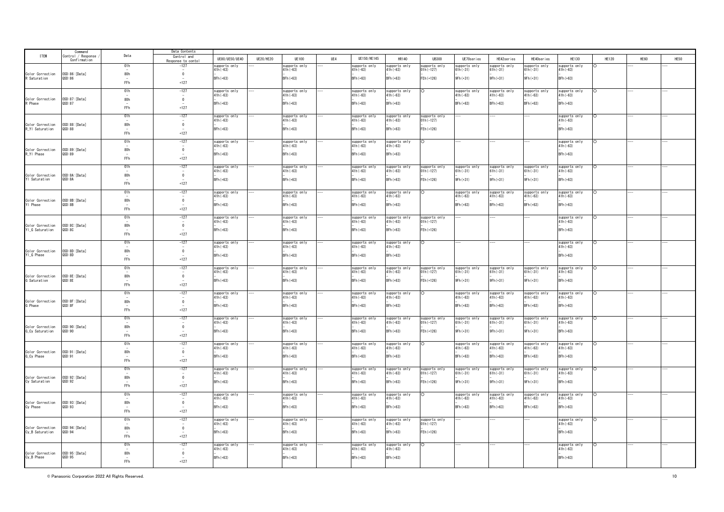|                                     | Command                            |      | Data Contents              |                             |           |                             |     |                             |                             |                              |                           |               |                           |                             |          |             |      |
|-------------------------------------|------------------------------------|------|----------------------------|-----------------------------|-----------|-----------------------------|-----|-----------------------------|-----------------------------|------------------------------|---------------------------|---------------|---------------------------|-----------------------------|----------|-------------|------|
| <b>ITEM</b>                         | Control / Response<br>Confirmation | Data | Control and                | HE80/HE50/HE40              | UE20/HE20 | UF100                       | UF4 | UF150/HF145                 | HR140                       | <b>HR300</b>                 | UF70series                | HF42series    | HF40series                | HF130                       | HF120    | <b>HF60</b> | HE50 |
|                                     |                                    | 01h  | Response to cont<br>$-127$ | supports only               |           | supports only               |     | supports only               | supports only               | supports only                | supports only             | supports only | supports only             | supports only               |          |             |      |
|                                     |                                    |      |                            | 41h (-63)                   |           | $41h(-63)$                  |     | $41h(-63)$                  | $41h(-63)$                  | 01h (–127)                   | $1h(-31)$                 | $61h(-31)$    | 31h (-31)                 | 41h (-63)                   |          |             |      |
| Color Correction<br>R Saturation    | OSD:86: [Data]<br>QSD:86           | 80h  | $\mathbf{0}$               | BFh (+63)                   |           | BFh (+63)                   |     | BFh (+63)                   | $BFh (+63)$                 | FEh (+126)                   | 9Fh (+31)                 | 9Fh (+31)     | 9Fh (+31)                 | $BFh(+63)$                  |          |             |      |
|                                     |                                    | FFh  | $+127$                     |                             |           |                             |     |                             |                             |                              |                           |               |                           |                             |          |             |      |
|                                     |                                    | 01h  | $-127$                     | supports only               |           | supports only               |     | supports only               |                             | $\circ$                      |                           | supports only |                           | supports only               | ∩        |             |      |
|                                     |                                    |      | $\sim$                     | 41h (-63)                   |           | $41h(-63)$                  |     | $41h(-63)$                  | supports only<br>41h(-63)   |                              | supports only<br>41h(-63) | $41h(-63)$    | supports only<br>41h(-63) | 41h (-63)                   |          |             |      |
| Color Correction<br>रे Phase        | OSD:87:[Data]<br>QSD:87            | 80h  | $\Omega$                   | $BFh (+63)$                 |           | BFh (+63)                   |     | BFh (+63)                   | BFh (+63)                   |                              | BFh (+63)                 | BFh (+63)     | $BFh(+63)$                | BFh (+63)                   |          |             |      |
|                                     |                                    | FFh  | $+127$                     |                             |           |                             |     |                             |                             |                              |                           |               |                           |                             |          |             |      |
|                                     |                                    | 01h  | $-127$                     | supports only               |           | supports only               |     | supports only               | supports only               | supports only                |                           |               |                           | supports only               |          |             |      |
|                                     |                                    |      |                            | $41h(-63)$                  |           | $41h(-63)$                  |     | $41h(-63)$                  | $41h(-63)$                  | $01h(-127)$                  |                           |               |                           | 41h (-63)                   |          |             |      |
| Color Correction<br>R_Y  Saturation | OSD:88: [Data]<br>QSD:88           | 80h  | $\mathbf{0}$               | BFh (+63)                   |           | BFh (+63)                   |     | BFh (+63)                   | BFh (+63)                   | FEh (+126)                   |                           |               |                           | $BFh(+63)$                  |          |             |      |
|                                     |                                    | FFh  | $+127$                     |                             |           |                             |     |                             |                             |                              |                           |               |                           |                             |          |             |      |
|                                     |                                    | 01h  | $-127$                     | supports only               |           | supports only               |     | supports only               | supports only               | $\circ$                      |                           |               |                           | supports only               | $\Omega$ |             |      |
|                                     |                                    |      | $\overline{\phantom{a}}$   | 41h (-63)                   |           | $41h(-63)$                  |     | $41h(-63)$                  | $41h(-63)$                  |                              |                           |               |                           | $41h(-63)$                  |          |             |      |
| Color Correction<br>R_YI Phase      | OSD:89: [Data]<br>QSD:89           | 80h  | $\mathbf{0}$               | $BFh(+63)$                  |           | BFh (+63)                   |     | BFh (+63)                   | $BFh (+63)$                 |                              |                           |               |                           | $BFh(+63)$                  |          |             |      |
|                                     |                                    | FFh  | $+127$                     |                             |           |                             |     |                             |                             |                              |                           |               |                           |                             |          |             |      |
|                                     |                                    | 01h  | $-127$                     | supports only               |           | supports only               |     | supports only               | supports only               | supports only                | supports only             | supports only | supports only             | supports only               |          |             |      |
|                                     |                                    |      |                            | 41h (-63)                   |           | 41h (-63)                   |     | 41h (-63)                   | $41h(-63)$                  | $01h(-127)$                  | i1h (-31)                 | $61h(-31)$    | $31h(-31)$                | 41h (-63)                   |          |             |      |
| Color Correction<br>YI Saturation   | OSD:8A: [Data]<br>QSD: 8A          | 80h  | $\mathbf{0}$               | BFh (+63)                   |           | BFh (+63)                   |     | BFh (+63)                   | $BFh (+63)$                 | FEh (+126)                   | 9Fh (+31)                 | 9Fh (+31)     | 9Fh (+31)                 | $BFh(+63)$                  |          |             |      |
|                                     |                                    | FFh  | $+127$                     |                             |           |                             |     |                             |                             |                              |                           |               |                           |                             |          |             |      |
|                                     |                                    | 01h  | $-127$                     | supports only               |           | supports only               |     | supports only               | supports only               | O                            | supports onl              | supports onl  | supports only             | supports only               |          |             |      |
|                                     |                                    |      |                            | 41h (-63)                   |           | $41h(-63)$                  |     | $41h(-63)$                  | $41h(-63)$                  |                              | 41h (-63)                 | $41h(-63)$    | 41h (-63)                 | 41h (-63)                   |          |             |      |
| Color Correction<br>YI Phase        | OSD:8B: [Data]<br>QSD:8B           | 80h  | $\overline{0}$             | BFh (+63)                   |           | BFh (+63)                   |     | BFh (+63)                   | BFh (+63)                   |                              | BFh (+63)                 | BFh (+63)     | BFh (+63)                 | BFh (+63)                   |          |             |      |
|                                     |                                    | FFh  | $+127$                     |                             |           |                             |     |                             |                             |                              |                           |               |                           |                             |          |             |      |
|                                     |                                    | 01h  | $-127$                     | supports only               |           | supports only               |     | supports only               | supports only               | supports only                |                           |               |                           | supports only               |          |             |      |
|                                     |                                    |      |                            | 11h (-63)                   |           | $41h(-63)$                  |     | 41h (-63)                   | $41h(-63)$                  | $01h(-127)$                  |                           |               |                           | 41h (-63)                   |          |             |      |
| Color Correction<br>YI_G Saturation | OSD:8C: [Data]<br>QSD:8C           | 80h  | $\overline{0}$             | BFh (+63)                   |           | BFh (+63)                   |     | BFh (+63)                   | BFh (+63)                   | FEh (+126)                   |                           |               |                           | $BFh(+63)$                  |          |             |      |
|                                     |                                    | FFh  | $+127$                     |                             |           |                             |     |                             |                             |                              |                           |               |                           |                             |          |             |      |
|                                     |                                    | 01h  | $-127$                     | upports only                |           | supports only               |     | supports only               | supports only               |                              |                           |               |                           | supports only               |          |             |      |
|                                     |                                    |      | $\overline{\phantom{a}}$   | 41h (-63)                   |           | $41h(-63)$                  |     | $41h(-63)$                  | $41h(-63)$                  |                              |                           |               |                           | $41h(-63)$                  |          |             |      |
| Color Correction<br>YI_G Phase      | OSD:8D:[Data]<br>QSD:8D            | 80h  | $\mathbf{0}$               | BFh (+63)                   |           | BFh (+63)                   |     | BFh (+63)                   | BFh (+63)                   |                              |                           |               |                           | $BFh(+63)$                  |          |             |      |
|                                     |                                    | FFh  | $+127$                     |                             |           |                             |     |                             |                             |                              |                           |               |                           |                             |          |             |      |
|                                     |                                    | 01h  | $-127$                     | supports only               |           | supports only               |     | supports only               | supports only               | supports only                | supports only             | supports only | supports only             | supports only               |          |             |      |
|                                     |                                    |      |                            | $11h(-63)$                  |           | $41h(-63)$                  |     | $41h(-63)$                  | $41h(-63)$                  | $01h(-127)$                  | $1h(-31)$                 | $61h(-31)$    | $31h(-31)$                | $11h(-63)$                  |          |             |      |
| Color Correction<br>G Saturation    | OSD: 8E: [Data]<br>QSD: 8E         | 80h  | $\overline{0}$             | $BFh(+63)$                  |           | BFh (+63)                   |     | BFh (+63)                   | $BFh (+63)$                 | FEh (+126)                   | 9Fh (+31)                 | 9Fh (+31)     | 9Fh (+31)                 | BFh (+63)                   |          |             |      |
|                                     |                                    | FFh  | $+127$                     |                             |           |                             |     |                             |                             |                              |                           |               |                           |                             |          |             |      |
|                                     |                                    | 01h  | $-127$                     | supports only               |           | supports only               |     | supports only               | supports only               |                              | supports onl              | supports on   | supports only             | supports only               |          |             |      |
|                                     | OSD: 8F: [Data]                    |      |                            | 41h (-63)                   |           | $41h(-63)$                  |     | $41h(-63)$                  | $41h(-63)$                  |                              | 41h (-63)                 | $41h(-63)$    | $41h(-63)$                | 41h (-63)                   |          |             |      |
| Color Correction<br>Fhase           | QSD: 8F                            | 80h  | $\overline{0}$             | BFh (+63)                   |           | BFh (+63)                   |     | BFh (+63)                   | BFh (+63)                   |                              | BFh (+63)                 | BFh (+63)     | BFh (+63)                 | BFh (+63)                   |          |             |      |
|                                     |                                    | FFh  | $+127$                     |                             |           |                             |     |                             |                             |                              |                           |               |                           |                             |          |             |      |
|                                     |                                    | 01h  | $-127$                     | supports only               |           | supports only               |     | supports only               | supports only               | supports only                | supports only             | supports only | supports only             | supports only               |          |             |      |
| Color Correction                    | OSD: 90: [Data]                    | 80h  | $\overline{0}$             | $11h(-63)$                  |           | $41h(-63)$                  |     | $41h(-63)$                  | $41h(-63)$                  | $01h(-127)$                  | $1h(-31)$                 | $61h(-31)$    | $31h(-31)$                | $11h(-63)$                  |          |             |      |
| G_Cy Saturation                     | QSD:90                             |      |                            | BFh (+63)                   |           | BFh (+63)                   |     | BFh (+63)                   | BFh (+63)                   | FEh (+126)                   | 9Fh (+31)                 | 9Fh (+31)     | 9Fh (+31)                 | BFh (+63)                   |          |             |      |
|                                     |                                    | FFh  | $+127$                     |                             |           |                             |     |                             |                             |                              |                           |               |                           |                             |          |             |      |
|                                     |                                    | 01h  | $-127$                     | supports only               |           | supports only               |     | supports only               | supports only               |                              | supports only             | supports onl  | supports only             | supports only               |          |             |      |
| Color Correction                    | OSD: 91: [Data]                    | 80h  | $\mathbf{0}$               | $41h(-63)$                  |           | $41h(-63)$                  |     | $41h(-63)$                  | $41h(-63)$                  |                              | $41h(-63)$                | $41h(-63)$    | $41h(-63)$                | $41h(-63)$                  |          |             |      |
| G_Cy Phase                          | QSD:91                             |      |                            | BFh (+63)                   |           | BFh (+63)                   |     | BFh (+63)                   | $BFh(+63)$                  |                              | BFh (+63)                 | $BFh (+63)$   | BFh (+63)                 | BFh (+63)                   |          |             |      |
|                                     |                                    | FFh  | $+127$                     |                             |           |                             |     |                             |                             |                              |                           |               |                           |                             |          |             |      |
|                                     |                                    | 01h  | $-127$                     | supports only               |           | supports only               |     | supports only               | supports only               | supports only                | supports only             | supports onl  | supports only             | supports only               |          |             |      |
| Color Correction                    | OSD: 92: [Data]                    | 80h  | $\mathbf 0$                | $11h(-63)$                  |           | $41h(-63)$                  |     | $41h(-63)$                  | $41h(-63)$                  | $01h(-127)$                  | $i\hbar(-31)$             | $61h(-31)$    | $31h(-31)$                | $11h(-63)$                  |          |             |      |
| Cy Saturation                       | QSD:92                             |      |                            | $BFh (+63)$                 |           | BFh (+63)                   |     | BFh (+63)                   | $BFh(+63)$                  | FEh (+126)                   | 9Fh (+31)                 | 9Fh (+31)     | 9Fh (+31)                 | BFh (+63)                   |          |             |      |
|                                     |                                    | FFh  | $+127$                     |                             |           |                             |     |                             |                             |                              |                           |               |                           |                             |          |             |      |
|                                     |                                    | 01h  | $-127$                     | supports only               |           | supports only               |     | supports only               | supports only               | റ                            | supports onl              | supports onl  | supports only             | supports only               |          |             |      |
| Color Correction                    | OSD: 93: [Data]                    | 80h  | $\mathbf{0}$               | $11h(-63)$                  |           | $41h(-63)$                  |     | $41h(-63)$                  | $41h(-63)$                  |                              | $41h(-63)$                | $41h(-63)$    | $41h(-63)$                | $41h(-63)$                  |          |             |      |
| Cy Phase                            | QSD:93                             | FFh  | $+127$                     | BFh (+63)                   |           | BFh (+63)                   |     | BFh (+63)                   | BFh (+63)                   |                              | BFh (+63)                 | BFh (+63)     | BFh (+63)                 | BFh (+63)                   |          |             |      |
|                                     |                                    |      |                            |                             |           |                             |     |                             |                             |                              |                           |               |                           |                             |          |             |      |
|                                     |                                    | 01h  | $-127$                     | supports only<br>$11h(-63)$ |           | supports only<br>$41h(-63)$ |     | supports only<br>$41h(-63)$ | supports only<br>$41h(-63)$ | supports only<br>$01h(-127)$ |                           |               |                           | supports only<br>$41h(-63)$ |          |             |      |
| Color Correction                    | OSD: 94: [Data]                    | 80h  | $\overline{0}$             |                             |           |                             |     |                             |                             |                              |                           |               |                           |                             |          |             |      |
| Cy_B Saturation                     | QSD:94                             | FFh  | $+127$                     | $BFh(+63)$                  |           | BFh (+63)                   |     | BFh (+63)                   | $BFh(+63)$                  | FEh (+126)                   |                           |               |                           | BFh (+63)                   |          |             |      |
|                                     |                                    |      |                            |                             |           |                             |     |                             |                             |                              |                           |               |                           |                             |          |             |      |
|                                     |                                    | 01h  | $-127$                     | supports only<br>$41h(-63)$ |           | supports only<br>$41h(-63)$ |     | supports only<br>$41h(-63)$ | supports only<br>$41h(-63)$ | $\circ$                      |                           |               |                           | supports only<br>$41h(-63)$ |          |             |      |
| Color Correction                    | OSD: 95: [Data]                    | 80h  | $\overline{0}$             |                             |           |                             |     |                             |                             |                              |                           |               |                           |                             |          |             |      |
| Cy_B Phase                          | QSD:95                             |      |                            | $BFh(+63)$                  |           | BFh (+63)                   |     | BFh (+63)                   | $BFh (+63)$                 |                              |                           |               |                           | $BFh(+63)$                  |          |             |      |
|                                     |                                    | FFh  | $+127$                     |                             |           |                             |     |                             |                             |                              |                           |               |                           |                             |          |             |      |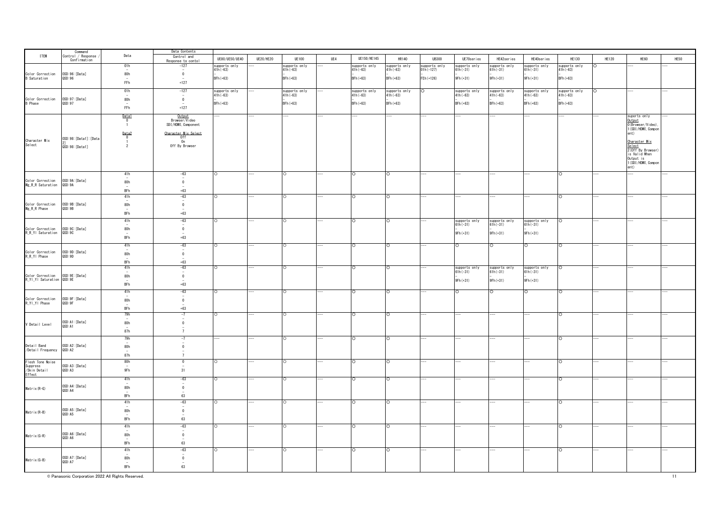|                                                            | Command<br>Control / Response |                                  | Data Contents                           |                           |                  |                           |     |               |               |               |                             |                             |                             |               |              |                                                     |      |
|------------------------------------------------------------|-------------------------------|----------------------------------|-----------------------------------------|---------------------------|------------------|---------------------------|-----|---------------|---------------|---------------|-----------------------------|-----------------------------|-----------------------------|---------------|--------------|-----------------------------------------------------|------|
| <b>ITEM</b>                                                | Confirmation                  | Data                             | Control and                             | UE80/UE50/UE40            | <b>UE20/HE20</b> | <b>UE100</b>              | UE4 | UE150/HE145   | <b>HR140</b>  | <b>UB300</b>  | UE70series                  | HE42series                  | HE40series                  | <b>HE130</b>  | <b>HE120</b> | HE60                                                | HE50 |
|                                                            |                               | 01h                              | Response to contol<br>$-127$            | supports only             |                  | supports only             |     | supports only | supports only | supports only | supports only               | supports only               | supports only               | supports only |              |                                                     |      |
|                                                            |                               |                                  | $\sim$                                  | $41h(-63)$                |                  | 41h (-63)                 |     | 41h (-63)     | $41h(-63)$    | 01h (-127)    | $61h(-31)$                  | $61h(-31)$                  | $61h(-31)$                  | $41h(-63)$    |              |                                                     |      |
| Color Correction<br>B Saturation                           | 0SD:96: [Data]<br>QSD:96      | 80h<br>$\overline{a}$            | $\overline{0}$<br>$\sim$                | BFh (+63)                 |                  | BFh (+63)                 |     | $BFh (+63)$   | $BFh (+63)$   | FEh (+126)    | 9Fh (+31)                   | 9Fh (+31)                   | 9Fh(+31)                    | BFh (+63)     |              |                                                     |      |
|                                                            |                               | ${\sf FFh}$                      | $+127$                                  |                           |                  |                           |     |               |               |               |                             |                             |                             |               |              |                                                     |      |
|                                                            |                               | 01h                              | $-127$                                  |                           |                  |                           |     | supports only | supports only | $\circ$       |                             | supports only               |                             | supports only | $\circ$      |                                                     |      |
|                                                            |                               |                                  | $\overline{a}$                          | supports only<br>41h(-63) |                  | supports only<br>41h(-63) |     | 41h (-63)     | 41h (-63)     |               | supports only<br>41h(-63)   | $41h(-63)$                  | supports only<br>41h(-63)   | $41h(-63)$    |              |                                                     |      |
| Color Correction<br>B Phase                                | 0SD:97: [Data]<br>QSD:97      | 80h<br>$\sim$                    | $\ddot{\mathbf{0}}$                     | BFh (+63)                 |                  | BFh (+63)                 |     | $BFh (+63)$   | $BFh (+63)$   |               | $BFh (+63)$                 | BFh (+63)                   | BFh (+63)                   | BFh (+63)     |              |                                                     |      |
|                                                            |                               | ${\sf FFh}$                      | $+127$                                  |                           |                  |                           |     |               |               |               |                             |                             |                             |               |              |                                                     |      |
|                                                            |                               | Data1                            | Output                                  |                           |                  |                           |     |               |               |               |                             |                             |                             |               |              | suports only                                        |      |
|                                                            |                               | $\overline{0}$                   | Browser/Video                           |                           |                  |                           |     |               |               |               |                             |                             |                             |               |              | Output<br>O(Browser/Video),                         |      |
|                                                            |                               | $\overline{1}$                   | SDI/HDMI, Component                     |                           |                  |                           |     |               |               |               |                             |                             |                             |               |              | 1 (SDI/HDMI, Compon                                 |      |
|                                                            |                               | Data2                            | Character Mix Select                    |                           |                  |                           |     |               |               |               |                             |                             |                             |               |              | ent)                                                |      |
|                                                            | OSD:98: [Data1]: [Data        | $\overline{0}$<br>$\overline{1}$ | Off<br>On                               |                           |                  |                           |     |               |               |               |                             |                             |                             |               |              |                                                     |      |
| Character Mix<br>Select                                    | QSD:98: [Data1]               | $\overline{2}$                   | Off By Browser                          |                           |                  |                           |     |               |               |               |                             |                             |                             |               |              | <u>Character Mix</u><br>Select<br>2(Off By Browser) |      |
|                                                            |                               |                                  |                                         |                           |                  |                           |     |               |               |               |                             |                             |                             |               |              |                                                     |      |
|                                                            |                               |                                  |                                         |                           |                  |                           |     |               |               |               |                             |                             |                             |               |              | is Valid When<br>$Output$ is                        |      |
|                                                            |                               |                                  |                                         |                           |                  |                           |     |               |               |               |                             |                             |                             |               |              | 1 (SDI/HDMI, Compon                                 |      |
|                                                            |                               |                                  |                                         |                           |                  |                           |     |               |               |               |                             |                             |                             |               |              | ent)                                                |      |
|                                                            |                               | 41h                              | $-63$<br>$\overline{\phantom{a}}$       | ∩                         |                  |                           |     | ∩             |               |               |                             |                             |                             | $\circ$       |              |                                                     |      |
| Color Correction 0SD:9A:[Data]<br>Mg_R_R Saturation 0SD:9A |                               | 80h                              | $\ddot{\mathbf{0}}$                     |                           |                  |                           |     |               |               |               |                             |                             |                             |               |              |                                                     |      |
|                                                            |                               | BFh                              | $+63$                                   |                           |                  |                           |     |               |               |               |                             |                             |                             |               |              |                                                     |      |
|                                                            |                               | 41h                              | $-63$                                   | ∩                         |                  |                           |     |               |               |               |                             |                             |                             | $\circ$       |              |                                                     |      |
|                                                            |                               |                                  | $\overline{\phantom{a}}$                |                           |                  |                           |     |               |               |               |                             |                             |                             |               |              |                                                     |      |
| Color Correction<br>Mg_R_R Phase                           | OSD:9B: [Data]<br>QSD:9B      | 80h                              | $\mathbf{0}$                            |                           |                  |                           |     |               |               |               |                             |                             |                             |               |              |                                                     |      |
|                                                            |                               | BFh                              | $+63$                                   |                           |                  |                           |     |               |               |               |                             |                             |                             |               |              |                                                     |      |
|                                                            |                               | 41h                              | $-63$                                   | ∩                         |                  | $\circ$                   |     | O             | $\circ$       |               |                             |                             |                             | $\circ$       |              |                                                     |      |
| Color Correction                                           | OSD: 9C: [Data]               | 80h                              | $\sim$<br>$\bf{0}$                      |                           |                  |                           |     |               |               |               | supports only<br>61h(-31)   | supports only<br>61h(-31)   | supports only<br>61h(-31)   |               |              |                                                     |      |
| R_R_Y  Saturation                                          | QSD:9C                        |                                  |                                         |                           |                  |                           |     |               |               |               | 9Fh (+31)                   | 9Fh (+31)                   | 9Fh (+31)                   |               |              |                                                     |      |
|                                                            |                               | BFh                              | $+63$                                   |                           |                  |                           |     |               |               |               |                             |                             |                             |               |              |                                                     |      |
|                                                            |                               | 41h                              | $-63$                                   |                           |                  |                           |     |               |               |               |                             |                             | O                           |               |              |                                                     |      |
| Color Correction                                           | OSD: 9D: [Data]               | 80h                              | $\overline{\phantom{a}}$<br>$\mathbf 0$ |                           |                  |                           |     |               |               |               |                             |                             |                             |               |              |                                                     |      |
| R_R_YI Phase                                               | QSD:9D                        |                                  |                                         |                           |                  |                           |     |               |               |               |                             |                             |                             |               |              |                                                     |      |
|                                                            |                               | BFh                              | $+63$                                   |                           |                  |                           |     |               |               |               |                             |                             |                             |               |              |                                                     |      |
|                                                            |                               | 41h                              | $-63$<br>$\sim$                         |                           |                  |                           |     |               |               |               | supports only<br>$61h(-31)$ | supports only<br>$61h(-31)$ | supports only<br>$61h(-31)$ | O             |              |                                                     |      |
| Color Correction 0SD:9E:<br>R_YI_YI Saturation 0SD:9E      | OSD:9E: [Data]                | 80h                              | $\bf{0}$                                |                           |                  |                           |     |               |               |               |                             |                             |                             |               |              |                                                     |      |
|                                                            |                               | BFh                              | $+63$                                   |                           |                  |                           |     |               |               |               | 9Fh (+31)                   | 9Fh (+31)                   | 9Fh (+31)                   |               |              |                                                     |      |
|                                                            |                               |                                  |                                         |                           |                  |                           |     |               |               |               |                             |                             |                             |               |              |                                                     |      |
|                                                            |                               | 41h                              | $-63$                                   |                           |                  |                           |     |               |               |               |                             |                             | O                           | Ō             |              |                                                     |      |
| Color Correction<br>R_YI_YI Phase                          | OSD: 9F: [Data]<br>QSD: 9F    | 80h                              | $\mathbf 0$                             |                           |                  |                           |     |               |               |               |                             |                             |                             |               |              |                                                     |      |
|                                                            |                               | BFh                              | $+63$                                   |                           |                  |                           |     |               |               |               |                             |                             |                             |               |              |                                                     |      |
|                                                            |                               | 79h                              | $-7$                                    |                           |                  |                           |     |               |               |               |                             |                             |                             | Ō             |              |                                                     |      |
|                                                            | OSD:A1:[Data]                 |                                  | $\overline{\phantom{a}}$                |                           |                  |                           |     |               |               |               |                             |                             |                             |               |              |                                                     |      |
| V Detail Level                                             | QSD: A1                       | 80h                              | $\mathbf 0$                             |                           |                  |                           |     |               |               |               |                             |                             |                             |               |              |                                                     |      |
|                                                            |                               | 87h                              | $7\overline{ }$                         |                           |                  |                           |     |               |               |               |                             |                             |                             |               |              |                                                     |      |
|                                                            |                               | 79h                              | -7                                      |                           |                  |                           |     |               |               |               |                             |                             |                             |               |              |                                                     |      |
| Detail Band                                                | OSD: A2: [Data]               | 80h                              | $\overline{\phantom{a}}$<br>$\mathbf 0$ |                           |                  |                           |     |               |               |               |                             |                             |                             |               |              |                                                     |      |
| /Detail Frequency                                          | QSD: A2                       |                                  |                                         |                           |                  |                           |     |               |               |               |                             |                             |                             |               |              |                                                     |      |
|                                                            |                               | 87h                              | $\overline{7}$                          |                           |                  |                           |     |               |               |               |                             |                             |                             |               |              |                                                     |      |
| Flesh Tone Noise<br>Suppress                               | OSD:A3: [Data]                | 80h                              | $\overline{0}$                          |                           |                  |                           |     |               |               |               |                             |                             |                             | $\circ$       |              |                                                     |      |
| /Skin Detail                                               | QSD: A3                       | 9Fh                              | 31                                      |                           |                  |                           |     |               |               |               |                             |                             |                             |               |              |                                                     |      |
| Effect                                                     |                               | 41h                              | $-63$                                   |                           |                  |                           |     |               |               |               |                             |                             |                             |               |              |                                                     |      |
|                                                            |                               |                                  |                                         |                           |                  |                           |     |               |               |               |                             |                             |                             |               |              |                                                     |      |
| Matrix(R-G)                                                | OSD: A4: [Data]<br>QSD: A4    | 80h                              | $\mathbf 0$                             |                           |                  |                           |     |               |               |               |                             |                             |                             |               |              |                                                     |      |
|                                                            |                               | BFh                              | 63                                      |                           |                  |                           |     |               |               |               |                             |                             |                             |               |              |                                                     |      |
|                                                            |                               | 41h                              | $-63$                                   |                           |                  |                           |     |               |               |               |                             |                             |                             | $\circ$       |              |                                                     |      |
|                                                            | OSD: A5: [Data]               |                                  | $\overline{\phantom{a}}$                |                           |                  |                           |     |               |               |               |                             |                             |                             |               |              |                                                     |      |
| Matrix(R-B)                                                | QSD: A5                       | 80h                              | $\mathbf{0}$                            |                           |                  |                           |     |               |               |               |                             |                             |                             |               |              |                                                     |      |
|                                                            |                               | BFh                              | 63                                      |                           |                  |                           |     |               |               |               |                             |                             |                             |               |              |                                                     |      |
|                                                            |                               | 41h                              | $-63$                                   |                           |                  |                           |     |               |               |               |                             |                             |                             | $\circ$       |              |                                                     |      |
|                                                            | OSD:A6: [Data]                | 80h                              | $\sim$                                  |                           |                  |                           |     |               |               |               |                             |                             |                             |               |              |                                                     |      |
| Matrix(G-R)                                                | QSD: A6                       |                                  | $\overline{0}$                          |                           |                  |                           |     |               |               |               |                             |                             |                             |               |              |                                                     |      |
|                                                            |                               | BFh                              | 63                                      |                           |                  |                           |     |               |               |               |                             |                             |                             |               |              |                                                     |      |
|                                                            |                               | 41h                              | $-63$                                   |                           |                  |                           |     |               |               |               |                             |                             |                             | $\circ$       |              |                                                     |      |
|                                                            | OSD: A7: [Data]               | 80h                              | $\overline{\phantom{a}}$<br>$\mathbf 0$ |                           |                  |                           |     |               |               |               |                             |                             |                             |               |              |                                                     |      |
| $Matr$ ix $(G-B)$                                          | QSD: A7                       |                                  |                                         |                           |                  |                           |     |               |               |               |                             |                             |                             |               |              |                                                     |      |
|                                                            |                               | BFh                              | 63                                      |                           |                  |                           |     |               |               |               |                             |                             |                             |               |              |                                                     |      |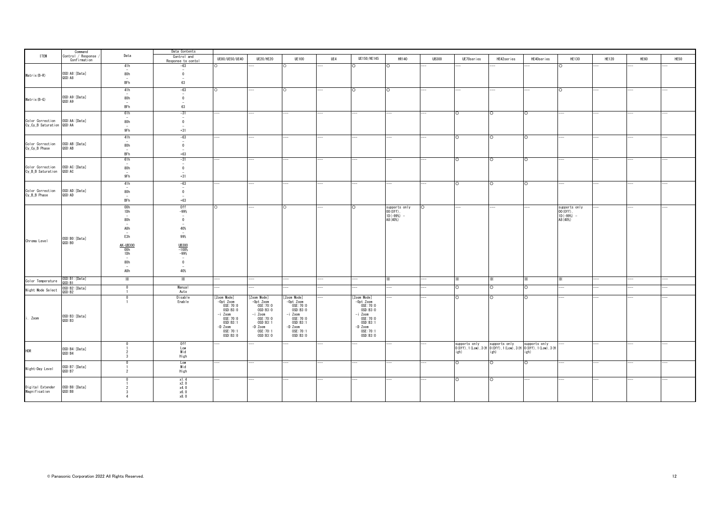|                                               | Command                            |                                                                                      | Data Contents                                                                                                                                                                                                                                                                                                                                                                             |                          |                        |                         |                          |                          |                            |              |                                                                                                          |            |            |                            |              |      |      |
|-----------------------------------------------|------------------------------------|--------------------------------------------------------------------------------------|-------------------------------------------------------------------------------------------------------------------------------------------------------------------------------------------------------------------------------------------------------------------------------------------------------------------------------------------------------------------------------------------|--------------------------|------------------------|-------------------------|--------------------------|--------------------------|----------------------------|--------------|----------------------------------------------------------------------------------------------------------|------------|------------|----------------------------|--------------|------|------|
| <b>ITEM</b>                                   | Control / Response<br>Confirmation | Data                                                                                 | Control and<br>Response to contol                                                                                                                                                                                                                                                                                                                                                         | UE80/UE50/UE40           | <b>UE20/HE20</b>       | <b>UE100</b>            | UE4                      | UE150/HE145              | <b>HR140</b>               | <b>UB300</b> | UE70series                                                                                               | HE42series | HE40series | <b>HE130</b>               | <b>HE120</b> | HE60 | HE50 |
|                                               |                                    | 41h<br>$\overline{\phantom{m}}$                                                      | -63<br>$\hspace{1.0cm} \hspace{1.0cm} \hspace{1.0cm} \hspace{1.0cm} \hspace{1.0cm} \hspace{1.0cm} \hspace{1.0cm} \hspace{1.0cm} \hspace{1.0cm} \hspace{1.0cm} \hspace{1.0cm} \hspace{1.0cm} \hspace{1.0cm} \hspace{1.0cm} \hspace{1.0cm} \hspace{1.0cm} \hspace{1.0cm} \hspace{1.0cm} \hspace{1.0cm} \hspace{1.0cm} \hspace{1.0cm} \hspace{1.0cm} \hspace{1.0cm} \hspace{1.0cm} \hspace{$ |                          |                        |                         |                          | ∩                        |                            |              |                                                                                                          |            |            |                            |              |      |      |
| Matrix(B-R)                                   | OSD:A8:[Data]                      | 80h                                                                                  | $\bf{0}$                                                                                                                                                                                                                                                                                                                                                                                  |                          |                        |                         |                          |                          |                            |              |                                                                                                          |            |            |                            |              |      |      |
|                                               | QSD: A8                            | $-$<br>BFh                                                                           | $\overline{\phantom{a}}$<br>63                                                                                                                                                                                                                                                                                                                                                            |                          |                        |                         |                          |                          |                            |              |                                                                                                          |            |            |                            |              |      |      |
|                                               |                                    | 41h                                                                                  | $-63$                                                                                                                                                                                                                                                                                                                                                                                     | $\circ$                  |                        | O                       |                          | $\Omega$                 | $\circ$                    |              |                                                                                                          |            |            | $\circ$                    |              |      |      |
|                                               | OSD: A9: [Data]                    | $\overline{a}$                                                                       | $\overline{\phantom{a}}$                                                                                                                                                                                                                                                                                                                                                                  |                          |                        |                         |                          |                          |                            |              |                                                                                                          |            |            |                            |              |      |      |
| Matrix(B-G)                                   | QSD: A9                            | 80h                                                                                  | $\bf{0}$<br>$\overline{\phantom{a}}$                                                                                                                                                                                                                                                                                                                                                      |                          |                        |                         |                          |                          |                            |              |                                                                                                          |            |            |                            |              |      |      |
|                                               |                                    | BFh                                                                                  | 63                                                                                                                                                                                                                                                                                                                                                                                        |                          |                        |                         |                          |                          |                            |              |                                                                                                          |            |            |                            |              |      |      |
|                                               |                                    | 61h<br>$\overline{a}$                                                                | $-31$<br>$\overline{a}$                                                                                                                                                                                                                                                                                                                                                                   |                          |                        |                         |                          |                          |                            |              | ō                                                                                                        | $\circ$    | $\Omega$   |                            |              |      |      |
| Color Correction<br>Cy_Cy_B Saturation QSD:AA | OSD: AA: [Data]                    | 80h                                                                                  | $\overline{0}$                                                                                                                                                                                                                                                                                                                                                                            |                          |                        |                         |                          |                          |                            |              |                                                                                                          |            |            |                            |              |      |      |
|                                               |                                    | 9Fh                                                                                  | $+31$                                                                                                                                                                                                                                                                                                                                                                                     |                          |                        |                         |                          |                          |                            |              |                                                                                                          |            |            |                            |              |      |      |
|                                               |                                    | 41h                                                                                  | $-63$                                                                                                                                                                                                                                                                                                                                                                                     |                          |                        |                         |                          |                          |                            |              | ō                                                                                                        | O          | $\circ$    |                            |              |      |      |
| Color Correction                              | OSD: AB: [Data]                    | 80h                                                                                  | $\sim$<br>$\mathbf 0$                                                                                                                                                                                                                                                                                                                                                                     |                          |                        |                         |                          |                          |                            |              |                                                                                                          |            |            |                            |              |      |      |
| Cy_Cy_B Phase                                 | QSD: AB                            | $\sim$                                                                               | $\overline{\phantom{a}}$<br>$+63$                                                                                                                                                                                                                                                                                                                                                         |                          |                        |                         |                          |                          |                            |              |                                                                                                          |            |            |                            |              |      |      |
|                                               |                                    | <b>BFh</b><br>61h                                                                    | $-31$                                                                                                                                                                                                                                                                                                                                                                                     |                          |                        |                         |                          |                          |                            |              | $\circ$                                                                                                  | O          | $\circ$    |                            |              |      |      |
| Color Correction                              | OSD: AC: [Data]                    |                                                                                      | $\overline{\phantom{a}}$                                                                                                                                                                                                                                                                                                                                                                  |                          |                        |                         |                          |                          |                            |              |                                                                                                          |            |            |                            |              |      |      |
| Cy_B_B Saturation                             | QSD: AC                            | 80h                                                                                  | $\bf{0}$                                                                                                                                                                                                                                                                                                                                                                                  |                          |                        |                         |                          |                          |                            |              |                                                                                                          |            |            |                            |              |      |      |
|                                               |                                    | 9Fh                                                                                  | $+31$                                                                                                                                                                                                                                                                                                                                                                                     |                          |                        |                         |                          |                          |                            |              |                                                                                                          |            |            |                            |              |      |      |
|                                               |                                    | 41h<br>$\overline{\phantom{0}}$                                                      | $-63$<br>$\sim$                                                                                                                                                                                                                                                                                                                                                                           |                          | $- -$                  | ---                     | $\overline{\phantom{a}}$ | $\overline{\phantom{a}}$ | $- -$                      | --           | $\circ$                                                                                                  | $\circ$    | $\circ$    | --                         |              |      |      |
| Color Correction<br>Cy_B_B Phase              | OSD: AD: [Data]<br>QSD: AD         | 80h<br>$\sim$                                                                        | $\overline{0}$<br>$\overline{\phantom{a}}$                                                                                                                                                                                                                                                                                                                                                |                          |                        |                         |                          |                          |                            |              |                                                                                                          |            |            |                            |              |      |      |
|                                               |                                    | BFh                                                                                  | $+63$                                                                                                                                                                                                                                                                                                                                                                                     |                          |                        |                         |                          |                          |                            |              |                                                                                                          |            |            |                            |              |      |      |
|                                               |                                    | 00h                                                                                  | 0ff                                                                                                                                                                                                                                                                                                                                                                                       | $\circ$                  |                        | $\circ$                 |                          | $\circ$                  | supports only              | $\circ$      | --                                                                                                       | --         | $- -$      | supports only              |              |      |      |
|                                               |                                    | 1Dh<br>$\sim$                                                                        | $-99\%$<br>$\sim$                                                                                                                                                                                                                                                                                                                                                                         |                          |                        |                         |                          |                          | $00(0ff)$ .<br>$1D (-99%)$ |              |                                                                                                          |            |            | $00(0ff)$ ,<br>$1D (-99%)$ |              |      |      |
|                                               |                                    | 80h                                                                                  | $\mathbf 0$                                                                                                                                                                                                                                                                                                                                                                               |                          |                        |                         |                          |                          | A8 (40%)                   |              |                                                                                                          |            |            | A8 (40%)                   |              |      |      |
|                                               |                                    | A8h                                                                                  | 40%                                                                                                                                                                                                                                                                                                                                                                                       |                          |                        |                         |                          |                          |                            |              |                                                                                                          |            |            |                            |              |      |      |
|                                               | OSD:BO: [Data]                     | $\overline{\phantom{0}}$<br>E3h                                                      | $\overline{\phantom{a}}$<br>99%                                                                                                                                                                                                                                                                                                                                                           |                          |                        |                         |                          |                          |                            |              |                                                                                                          |            |            |                            |              |      |      |
| Chroma Level                                  | QSD:BO                             |                                                                                      |                                                                                                                                                                                                                                                                                                                                                                                           |                          |                        |                         |                          |                          |                            |              |                                                                                                          |            |            |                            |              |      |      |
|                                               |                                    | $\begin{array}{r} \underline{\text{AK--UB300}}\\ \underline{\text{O0h}} \end{array}$ | UB300<br>-100%                                                                                                                                                                                                                                                                                                                                                                            |                          |                        |                         |                          |                          |                            |              |                                                                                                          |            |            |                            |              |      |      |
|                                               |                                    | 1Dh<br>$\overline{a}$                                                                | $-99%$<br>$\sim$                                                                                                                                                                                                                                                                                                                                                                          |                          |                        |                         |                          |                          |                            |              |                                                                                                          |            |            |                            |              |      |      |
|                                               |                                    | 80h                                                                                  | $\bf{0}$                                                                                                                                                                                                                                                                                                                                                                                  |                          |                        |                         |                          |                          |                            |              |                                                                                                          |            |            |                            |              |      |      |
|                                               |                                    | A8h                                                                                  | 40%                                                                                                                                                                                                                                                                                                                                                                                       |                          |                        |                         |                          |                          |                            |              |                                                                                                          |            |            |                            |              |      |      |
| Color Temperature                             | OSD:B1:[Data]<br>QSD:B1            | ⋇                                                                                    | $\times$                                                                                                                                                                                                                                                                                                                                                                                  |                          |                        |                         |                          | <u></u>                  | ⋇                          |              | $\times$                                                                                                 | ⋇          | ⋇          |                            |              |      |      |
| Night Mode Select                             | OSD:B2: [Data]<br>QSD:B2           | $^{\circ}$                                                                           | Manua I<br>Auto                                                                                                                                                                                                                                                                                                                                                                           |                          |                        |                         |                          | --                       |                            |              | $\circ$                                                                                                  | $\circ$    | $\circ$    |                            |              |      |      |
|                                               |                                    |                                                                                      | Disable                                                                                                                                                                                                                                                                                                                                                                                   | Zoom Mode]               | Zoom Mode]             | [Zoom Mode]             |                          | [Zoom Mode]              |                            |              | lO.                                                                                                      | O          | O          |                            |              |      |      |
|                                               |                                    |                                                                                      | Enable                                                                                                                                                                                                                                                                                                                                                                                    | $-0pt$ Zoom<br>OSE: 70:0 | -Opt Zoom<br>0SE: 70:0 | $-0pt$ Zoom<br>0SE:70:0 |                          | $-0pt$ Zoom<br>0SE:70:0  |                            |              |                                                                                                          |            |            |                            |              |      |      |
|                                               |                                    |                                                                                      |                                                                                                                                                                                                                                                                                                                                                                                           | 0SD:B3:0<br>-i Zoom      | 0SD:B3:0<br>-i Zoom    | 0SD:B3:0<br>-i Zoom     |                          | OSD: B3:0<br>-i Zoom     |                            |              |                                                                                                          |            |            |                            |              |      |      |
| i. Zoom                                       | OSD:B3: [Data]<br>QSD:B3           |                                                                                      |                                                                                                                                                                                                                                                                                                                                                                                           | 0SE:70:0<br>OSD: B3:1    | 0SE: 70:0<br>OSD: B3:1 | 0SE: 70:0<br>OSD:B3:1   |                          | 0SE: 70:0<br>OSD:B3:1    |                            |              |                                                                                                          |            |            |                            |              |      |      |
|                                               |                                    |                                                                                      |                                                                                                                                                                                                                                                                                                                                                                                           | $-D$ Zoom                | $-D$ Zoom              | -D Zoom                 |                          | $-D$ Zoom                |                            |              |                                                                                                          |            |            |                            |              |      |      |
|                                               |                                    |                                                                                      |                                                                                                                                                                                                                                                                                                                                                                                           | OSE: 70:1<br>OSD: B3:0   | OSE: 70:1<br>OSD: B3:0 | 0SE: 70:1<br>OSD:B3:0   |                          | 0SE: 70:1<br>OSD: B3:0   |                            |              |                                                                                                          |            |            |                            |              |      |      |
|                                               |                                    |                                                                                      | 0ff                                                                                                                                                                                                                                                                                                                                                                                       |                          |                        |                         |                          |                          |                            |              |                                                                                                          |            |            |                            |              |      |      |
| <b>HDR</b>                                    | OSD:B4: [Data]                     |                                                                                      | Low                                                                                                                                                                                                                                                                                                                                                                                       |                          |                        |                         |                          |                          |                            |              | supports only supports only supports only<br>0(0ff), 1(Low), 3(H 0(0ff), 1(Low), 3(H 0(0ff), 1(Low), 3(H |            |            |                            |              |      |      |
|                                               | QSD:B4                             |                                                                                      | Mid<br>High                                                                                                                                                                                                                                                                                                                                                                               |                          |                        |                         |                          |                          |                            |              | igh)                                                                                                     | igh)       | igh)       |                            |              |      |      |
|                                               |                                    |                                                                                      | Low                                                                                                                                                                                                                                                                                                                                                                                       |                          | --                     |                         |                          | -                        |                            |              | ō                                                                                                        | $\circ$    | $\circ$    | ——                         |              |      |      |
| Night-Day Level                               | OSD:B7: [Data]<br>QSD:B7           | $\overline{\phantom{a}}$                                                             | Mid<br>High                                                                                                                                                                                                                                                                                                                                                                               |                          |                        |                         |                          |                          |                            |              |                                                                                                          |            |            |                            |              |      |      |
|                                               |                                    |                                                                                      | x1.4                                                                                                                                                                                                                                                                                                                                                                                      |                          |                        |                         |                          |                          |                            |              | $\circ$                                                                                                  | $\circ$    | $- -$      |                            |              |      |      |
| Digital Extender                              | OSD:B8: [Data]                     |                                                                                      | $x^2.0$<br>$x^4.0$                                                                                                                                                                                                                                                                                                                                                                        |                          |                        |                         |                          |                          |                            |              |                                                                                                          |            |            |                            |              |      |      |
| Magnification                                 | QSD:B8                             |                                                                                      | x6.0                                                                                                                                                                                                                                                                                                                                                                                      |                          |                        |                         |                          |                          |                            |              |                                                                                                          |            |            |                            |              |      |      |
|                                               |                                    |                                                                                      | x8.0                                                                                                                                                                                                                                                                                                                                                                                      |                          |                        |                         |                          |                          |                            |              |                                                                                                          |            |            |                            |              |      |      |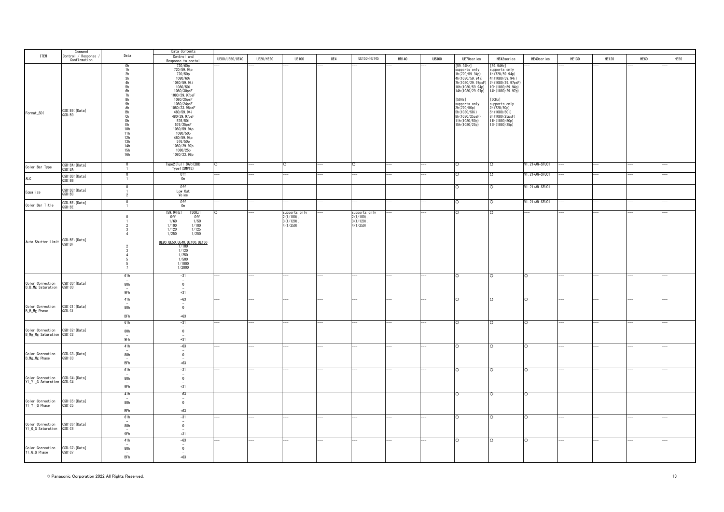|                                                             |                                               |                                                                                                                                                                                                    | Data Contents                                                                                                                                                                                                                                                                                           |                |                  |                                                           |     |                                                       |       |              |                                                                                                                                                                                                                                                    |                                                                                                                                                                                                                                                     |                 |              |              |      |      |
|-------------------------------------------------------------|-----------------------------------------------|----------------------------------------------------------------------------------------------------------------------------------------------------------------------------------------------------|---------------------------------------------------------------------------------------------------------------------------------------------------------------------------------------------------------------------------------------------------------------------------------------------------------|----------------|------------------|-----------------------------------------------------------|-----|-------------------------------------------------------|-------|--------------|----------------------------------------------------------------------------------------------------------------------------------------------------------------------------------------------------------------------------------------------------|-----------------------------------------------------------------------------------------------------------------------------------------------------------------------------------------------------------------------------------------------------|-----------------|--------------|--------------|------|------|
| <b>ITEM</b>                                                 | Command<br>Control / Response<br>Confirmation | Data                                                                                                                                                                                               | Control and<br>Response to contol                                                                                                                                                                                                                                                                       | UE80/UE50/UE40 | <b>UE20/HE20</b> | <b>UE100</b>                                              | UE4 | UE150/HE145                                           | HR140 | <b>UB300</b> | UE70series                                                                                                                                                                                                                                         | HE42series                                                                                                                                                                                                                                          | HE40series      | <b>HE130</b> | <b>HE120</b> | HE60 | HE50 |
| Format_SDI                                                  | OSD:B9: [Data]<br>QSD : B9                    | 0h<br>1h<br>2h<br>3h<br>4h<br>5h<br>6h<br>7h<br>8h<br>9h<br>Ah<br>Bh<br>Ch<br>Dh<br>Eh<br>10h<br>11h<br>$\begin{array}{c} 12\text{h} \\ 13\text{h} \\ 14\text{h} \\ 15\text{h} \end{array}$<br>16h | 720/60p<br>720/59.94p<br>720/50p<br>1080/60i<br>1080/59.94i<br>1080/50i<br>1080/30psF<br>1080/29.97psF<br>1080/25psF<br>1080/24psF<br>1080/23.98psF<br>480/59.94i<br>480/29.97psF<br>576/50i<br>576/25psF<br>1080/59.94p<br>1080/50p<br>480/59.94p<br>576/50p<br>1080/29.97p<br>1080/25p<br>1080/23.98p |                |                  |                                                           |     |                                                       |       |              | [59.94Hz]<br>supports only<br>1h (720/59.94p)<br>4h (1080/59.94i)<br>7h (1080/29.97psF)<br>10h (1080/59.94p)<br>14h (1080/29.97p)<br>[50Hz]<br>supports only<br>2h(720/50p)<br>5h(1080/50i)<br>8h (1080/25psF)<br>11h (1080/50p)<br>15h (1080/25p) | [59.94Hz]<br>supports only<br>1h (720/59.94p)<br>4h (1080/59.94i)<br>7h (1080/29. 97psF)<br>10h (1080/59.94p)<br>14h (1080/29.97p)<br>[50Hz]<br>supports only<br>2h(720/50p)<br>5h(1080/50i)<br>8h (1080/25psF)<br>11h (1080/50p)<br>15h (1080/25p) |                 |              |              |      |      |
| Color Bar Type                                              | OSD:BA: [Data]<br>QSD: BA                     | $\mathbf 0$<br>$\overline{1}$                                                                                                                                                                      | Type2 (Ful   BAR/EBU)<br>Type1(SMPTE)                                                                                                                                                                                                                                                                   | $\circ$        |                  | $\circ$                                                   |     |                                                       |       |              | $\circ$                                                                                                                                                                                                                                            | O                                                                                                                                                                                                                                                   | V1.21+AW-SFU01  |              |              |      |      |
| <b>ALC</b>                                                  | OSD:BB: [Data]<br>QSD:BB                      | $\mathbf{1}$                                                                                                                                                                                       | Off<br>On                                                                                                                                                                                                                                                                                               |                |                  |                                                           |     |                                                       |       |              |                                                                                                                                                                                                                                                    | O                                                                                                                                                                                                                                                   | V1.21+AW-SFU01  |              |              |      |      |
| Equalize                                                    | OSD: BC: [Data]<br>QSD: BC                    | $\Omega$<br>$\overline{2}$                                                                                                                                                                         | 0ff<br>Low Cut<br>Voice                                                                                                                                                                                                                                                                                 |                |                  |                                                           |     |                                                       |       |              | ೧                                                                                                                                                                                                                                                  | O                                                                                                                                                                                                                                                   | V1. 21+AW-SFU01 |              |              |      |      |
| Color Bar Title                                             | OSD:BE: [Data]<br>QSD: BE                     | $\Omega$<br>$\overline{1}$                                                                                                                                                                         | Off<br>On                                                                                                                                                                                                                                                                                               |                |                  |                                                           |     |                                                       |       |              | $\Omega$                                                                                                                                                                                                                                           | $\circ$                                                                                                                                                                                                                                             | V1.21+AW-SFU01  |              |              |      |      |
| Auto Shutter Limit 0SD: BF: [Data]                          |                                               | $\Omega$<br>3<br>$\overline{4}$<br>$\overline{2}$<br>3<br>$\overline{4}$<br>-5<br>5<br>$\overline{7}$                                                                                              | [59.94Hz]<br>[50Hz]<br>Off<br>0ff<br>1/60<br>1/50<br>1/100<br>1/100<br>1/125<br>1/120<br>1/250<br>1/250<br>UE80, UE50, UE40, UE100, UE150<br>1/100<br>1/120<br>1/250<br>1/500<br>1/1000<br>1/2000                                                                                                       |                |                  | supports only<br>$2(1/100)$ .<br>$3(1/120)$ .<br>4(1/250) |     | supports only<br>$2(1/100)$ ,<br>3(1/120)<br>4(1/250) |       |              |                                                                                                                                                                                                                                                    | $\Omega$                                                                                                                                                                                                                                            |                 |              |              |      |      |
| Color Correction 0SD:CO:[Data]<br>B_B_Mg Saturation 0SD:CO  |                                               | 61h<br>80h<br>9Fh                                                                                                                                                                                  | $-31$<br>$\sim$<br>$\overline{0}$<br>$+31$                                                                                                                                                                                                                                                              |                |                  |                                                           |     |                                                       |       |              |                                                                                                                                                                                                                                                    | $\circ$                                                                                                                                                                                                                                             | $\Omega$        |              |              |      |      |
| Color Correction 0SD:C1:[Data]<br>B_B_Mg Phase 0SD:C1       |                                               | 41h<br>80h<br>$\overline{\phantom{a}}$<br>BFh                                                                                                                                                      | $-63$<br>$\sim$<br>$\overline{0}$<br>$+63$                                                                                                                                                                                                                                                              |                |                  |                                                           |     |                                                       |       |              | ∩                                                                                                                                                                                                                                                  | $\circ$                                                                                                                                                                                                                                             | $\circ$         |              |              |      |      |
| Color Correction 0SD:C2:[Data]<br>B_Mg_Mg Saturation 0SD:C2 |                                               | 61h<br>80h<br>9Fh                                                                                                                                                                                  | $-31$<br>$\overline{\phantom{a}}$<br>$\overline{0}$<br>$+31$                                                                                                                                                                                                                                            |                |                  |                                                           |     |                                                       |       |              |                                                                                                                                                                                                                                                    | $\circ$                                                                                                                                                                                                                                             | $\circ$         |              |              |      |      |
| Color Correction 0SD:C3:[Data]<br>B_Mg_Mg Phase 0SD:C3      |                                               | 41h<br>80h<br>BFh                                                                                                                                                                                  | $-63$<br>$\sim$<br>$\overline{0}$<br>$+63\,$                                                                                                                                                                                                                                                            |                |                  |                                                           |     |                                                       |       |              | $\circ$                                                                                                                                                                                                                                            | $\circ$                                                                                                                                                                                                                                             | $\circ$         |              |              |      |      |
| Color Correction 0SD:C4:[Data]<br>YI_YI_G Saturation 0SD:C4 |                                               | 61h<br>80h<br>9Fh                                                                                                                                                                                  | $-31$<br>$\,0\,$<br>$+31$                                                                                                                                                                                                                                                                               |                |                  |                                                           |     |                                                       |       |              |                                                                                                                                                                                                                                                    | $\circ$                                                                                                                                                                                                                                             | $\circ$         |              |              |      |      |
| Color Correction 0SD:C5:[Data]<br>YI_YI_G Phase 0SD:C5      |                                               | 41h<br>80h<br>BFh                                                                                                                                                                                  | $-63$<br>$\overline{\phantom{a}}$<br>$\overline{0}$<br>$+63$                                                                                                                                                                                                                                            |                |                  |                                                           |     |                                                       |       |              | $\Omega$                                                                                                                                                                                                                                           | $\Omega$                                                                                                                                                                                                                                            | l O             |              |              |      |      |
| Color Correction 0SD:C6:[Data]<br>YI_G_G Saturation 0SD:C6  |                                               | 61h<br>$\overline{\phantom{a}}$<br>80h<br>$\overline{\phantom{a}}$<br>9Fh                                                                                                                          | $-31$<br>$\overline{\phantom{a}}$<br>$\overline{0}$<br>$+31$                                                                                                                                                                                                                                            |                |                  |                                                           |     |                                                       |       |              | $\circ$                                                                                                                                                                                                                                            | $\circ$                                                                                                                                                                                                                                             | $\circ$         |              |              |      |      |
| Color Correction 0SD:C7:[Data]<br>YI_G_G Phase 0SD:C7       |                                               | 41h<br>80h<br>BFh                                                                                                                                                                                  | $-63$<br>$\sim$<br>$\overline{0}$<br>$+63$                                                                                                                                                                                                                                                              |                |                  |                                                           |     |                                                       |       |              |                                                                                                                                                                                                                                                    | $\circ$                                                                                                                                                                                                                                             | $\circ$         |              |              |      |      |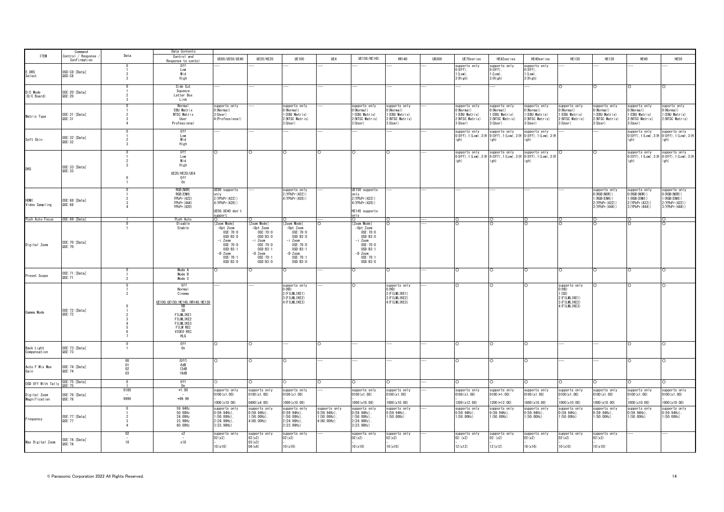|                                    | Command                            |                                                     | Data Contents                                                                                                                                              |                                                                                                               |                                                                                                                    |                                                                                                            |                                                                   |                                                                                                                 |                                                                           |              |                                                                         |                                                                            |                                                                                                                  |                                                                                   |                                                                                          |                                                                                        |                                                                                     |
|------------------------------------|------------------------------------|-----------------------------------------------------|------------------------------------------------------------------------------------------------------------------------------------------------------------|---------------------------------------------------------------------------------------------------------------|--------------------------------------------------------------------------------------------------------------------|------------------------------------------------------------------------------------------------------------|-------------------------------------------------------------------|-----------------------------------------------------------------------------------------------------------------|---------------------------------------------------------------------------|--------------|-------------------------------------------------------------------------|----------------------------------------------------------------------------|------------------------------------------------------------------------------------------------------------------|-----------------------------------------------------------------------------------|------------------------------------------------------------------------------------------|----------------------------------------------------------------------------------------|-------------------------------------------------------------------------------------|
| <b>ITEM</b>                        | Control / Response<br>Confirmation | Data                                                | Control and<br>Response to conto                                                                                                                           | UE80/UE50/UE40                                                                                                | <b>UE20/HE20</b>                                                                                                   | <b>UE100</b>                                                                                               | UE4                                                               | UE150/HE145                                                                                                     | <b>HR140</b>                                                              | <b>UB300</b> | UE70series                                                              | HE42series                                                                 | HE40series                                                                                                       | HE130                                                                             | <b>HE120</b>                                                                             | HE60                                                                                   | HE50                                                                                |
| E. DRS<br>Select                   | OSD:C8:[Data]<br>QSD:C8            | 3                                                   | 0ff<br>Low<br>Mid<br>High                                                                                                                                  |                                                                                                               |                                                                                                                    |                                                                                                            |                                                                   |                                                                                                                 |                                                                           |              | supports only<br>$(0ff)$ .<br>$1$ ( $1$ $\text{ow}$ )<br>3 (High)       | supports only<br>$(0ff)$ .<br>$1$ ( $1$ ow)<br>$3$ (High)                  | supports only<br>$0(0ff)$ .<br>$1$ ( $1$ ow).<br>3(High)                                                         |                                                                                   |                                                                                          |                                                                                        |                                                                                     |
| D/C Mode<br>(D/C Board)            | OSE: 20: [Data]<br>QSE: 20         | $\Omega$                                            | Side Cut<br>Squeeze<br>Letter Box<br>Link                                                                                                                  |                                                                                                               |                                                                                                                    |                                                                                                            |                                                                   |                                                                                                                 |                                                                           |              |                                                                         |                                                                            |                                                                                                                  | $\circ$                                                                           | $\circ$                                                                                  | $\circ$                                                                                | $\circ$                                                                             |
| Matrix Type                        | OSE: 31: [Data]<br>QSE: 31         |                                                     | Normal<br>EBU Matrix<br>NTSC Matrix<br>User<br>Professional                                                                                                | supports only<br>0 (Normal)<br>3 (User)<br>4 (Professional)                                                   |                                                                                                                    | supports only<br>$0$ (Normal)<br>1 (EBU Matrix)<br>2 (NTSC Matrix)<br>3 (User)                             |                                                                   | supports only<br>(Normal)<br>(EBU Matrix)<br>(NTSC Matrix)<br>(User)                                            | supports only<br>(Normal)<br>(EBU Matrix)<br>(NTSC Matrix)<br>3 (User)    |              | supports only<br>(Normal)<br>(EBU Matrix)<br>2(NTSC Matrix)<br>3 (User) | supports only<br>(Normal)<br>1 (EBU Matrix)<br>2 (NTSC Matrix)<br>3 (User) | supports only<br>(Normal)<br>(EBU Matrix)<br>2 (NTSC Matrix)<br>3 (User)                                         | supports only<br>(Normal)<br>(EBU Matrix)<br>2 (NTSC Matrix)<br>3 (User)          | supports only<br>(Normal)<br>(EBU Matrix)<br>(NTSC Matrix)<br>3 (User)                   | supports only<br>(Normal)<br>(EBU Matrix)<br>(NTSC Matrix)<br>(User)                   | suports only<br>(Normal)<br>1 (EBU Matrix)<br>2 (NTSC Matrix)                       |
| Soft Skin                          | OSE:32:[Data]<br>QSE: 32           |                                                     | 0f<br>Low<br>Mid<br>High                                                                                                                                   |                                                                                                               |                                                                                                                    |                                                                                                            |                                                                   |                                                                                                                 |                                                                           |              | igh)                                                                    | i gh)                                                                      | supports only supports only supports only<br>0(0ff), 1(Low), 3(H 0(0ff), 1(Low), 3(H 0(0ff), 1(Low), 3(H<br>igh) |                                                                                   |                                                                                          | supports only<br>igh)                                                                  | supports only<br>0 (0ff), 1 (Low), 3 (H 0 (0ff), 1 (Low), 3 (H<br>i gh)             |
| <b>DRS</b>                         | OSE: 33: [Data]<br>QSE: 33         |                                                     | 0 <sup>f</sup><br>Low<br>Mid<br>High<br>UE20/HE20/UE4<br>0ff<br>0n                                                                                         | n.                                                                                                            |                                                                                                                    |                                                                                                            |                                                                   |                                                                                                                 |                                                                           |              | supports only<br>i gh)                                                  | supports only<br>i gh)                                                     | supports only<br>0 (Off), 1 (Low), 3 (H   0 (Off), 1 (Low), 3 (H   0 (Off), 1 (Low), 3 (H<br>igh)                | C                                                                                 |                                                                                          | supports only<br>i gh)                                                                 | supports only<br>0 (Off), 1 (Low), 3 (H 0 (Off), 1 (Low), 3 (H<br>i gh)             |
| <b>HDMT</b><br>Video Sampling      | OSE: 68: [Data]<br>QSE: 68         |                                                     | RGB (NOR)<br>RGB (ENH)<br>YPbPr (422)<br>YPbPr(444)<br>YPbPr (420)                                                                                         | E80 supports<br>nlv<br>2 (YPbPr (422))<br>4 (YPbPr (420))<br>UE50, UE40 don't<br>pport                        |                                                                                                                    | supports only<br>2 (YPbPr (422))<br>4 (YPbPr (420))                                                        |                                                                   | JE150 supports<br>nlv<br>2 (YPbPr (422))<br>(YPbPr (420))<br>HE145 supports<br>nlv                              |                                                                           |              |                                                                         |                                                                            |                                                                                                                  |                                                                                   | supports only<br>$0$ (RGB (NOR) )<br>1 (RGB (ENH))<br>2 (YPbPr (422))<br>3 (YPbPr (444)) | supports only<br>$0$ (RGB (NOR) )<br>(RGB (ENH))<br>2 (YPbPr (422))<br>3 (YPbPr (444)) | supports only<br>(RGB (NOR))<br>1 (RGB (ENH))<br>2 (YPbPr (422))<br>3 (YPbPr (444)) |
| Push Auto Focus                    | OSE:69: [Data]                     |                                                     | Push Auto<br>Disable                                                                                                                                       | Zoom Mode]                                                                                                    | Zoom Mode]                                                                                                         | Zoom Mode]                                                                                                 |                                                                   | Zoom Mode]                                                                                                      |                                                                           |              |                                                                         |                                                                            | ∩                                                                                                                |                                                                                   |                                                                                          |                                                                                        |                                                                                     |
| Digital Zoom                       | OSE: 70: [Data]<br>QSE: 70         |                                                     | Enable                                                                                                                                                     | $-0pt$ Zoom<br>OSE: 70:0<br>0SD:B3:0<br>-i Zoom<br>0SE:70:0<br>OSD:B3:1<br>$-D$ Zoom<br>0SE: 70:1<br>OSD:B3:0 | $-0pt$ Zoom<br>0SE: 70:0<br>OSD: B3: 0<br>-i Zoom<br>0SE: 70:0<br>OSD: B3:1<br>$-D$ Zoom<br>OSE: 70:1<br>OSD: B3:0 | $-0pt$ Zoom<br>0SE:70:0<br>OSD:B3:0<br>-i Zoom<br>0SE:70:0<br>0SD:B3:1<br>-D Zoom<br>0SE: 70:1<br>OSD:B3:0 |                                                                   | $-0pt$ Zoom<br>OSE:70:0<br>OSD: B3:0<br>-i Zoom<br>0SE: 70:0<br>OSD:B3:1<br>$-D$ Zoom<br>0SE: 70:1<br>OSD: B3:0 |                                                                           |              |                                                                         |                                                                            |                                                                                                                  |                                                                                   |                                                                                          |                                                                                        |                                                                                     |
| Preset Scope                       | OSE: 71: [Data]<br>QSE: 71         |                                                     | Mode A<br>Mode B<br>Mode C                                                                                                                                 |                                                                                                               |                                                                                                                    |                                                                                                            |                                                                   |                                                                                                                 | O                                                                         |              |                                                                         | $\circ$                                                                    | $\circ$                                                                                                          | $\circ$                                                                           | $\circ$                                                                                  | O                                                                                      |                                                                                     |
| Gamma Mode                         | OSE: 72: [Data]<br>QSE: 72         |                                                     | 0ff<br>Normal<br>Cinema<br>UE100, UE150, HE145, HR140, HE130<br>$^{HD}_{SD}$<br>FILMLIKE1<br>FILMLIKE2<br>FILMLIKE3<br><b>FILM REC</b><br>VIDEO REC<br>HLG |                                                                                                               |                                                                                                                    | supports only<br>$0$ (HD)<br>2 (FILMLIKE1)<br>3 (FILMLIKE2)<br>4 (FILMLIKE3)                               |                                                                   |                                                                                                                 | supports only<br>O(HD)<br>2 (FILMLIKE1)<br>3 (FILMLIKE2)<br>4 (FILMLIKE3) |              |                                                                         |                                                                            |                                                                                                                  | supports only<br>O(HD)<br>(SD)<br>2 (FILMLIKE1)<br>3 (FILMLIKE2)<br>4 (FILMLIKE3) |                                                                                          | $\circ$                                                                                |                                                                                     |
| Back Light<br>Compensation         | OSE: 73: [Data]<br>QSE: 73         |                                                     | 0ff<br>0n                                                                                                                                                  |                                                                                                               |                                                                                                                    |                                                                                                            |                                                                   |                                                                                                                 |                                                                           |              |                                                                         |                                                                            |                                                                                                                  |                                                                                   |                                                                                          |                                                                                        |                                                                                     |
| Auto F. Mix Max<br>Gain            | OSE: 74: [Data]<br>QSE: 74         | $\begin{array}{c} 00 \\ 01 \end{array}$<br>02<br>03 | (0ff)<br>6dB<br>12dB<br>18dB                                                                                                                               |                                                                                                               |                                                                                                                    |                                                                                                            |                                                                   |                                                                                                                 |                                                                           |              |                                                                         |                                                                            |                                                                                                                  |                                                                                   |                                                                                          |                                                                                        |                                                                                     |
| OSD Off With Tally OSE: 75: [Data] |                                    | $\Omega$                                            | 0ff<br>0n                                                                                                                                                  |                                                                                                               |                                                                                                                    |                                                                                                            |                                                                   |                                                                                                                 |                                                                           |              | n                                                                       |                                                                            | O                                                                                                                | $\Omega$                                                                          | ∩                                                                                        | $\Omega$                                                                               |                                                                                     |
|                                    |                                    | 0100                                                | $*1.00$                                                                                                                                                    | supports only                                                                                                 | upports only                                                                                                       | supports only                                                                                              |                                                                   | supports only                                                                                                   | supports only                                                             |              | supports only                                                           | supports only                                                              | supports only                                                                                                    | supports only                                                                     | supports only                                                                            | supports only                                                                          | supports only                                                                       |
| Digital Zoom<br>Magnification      | OSE: 76: [Data]<br>QSE: 76         | 9999                                                | $*99.99$                                                                                                                                                   | 0100 (x1.00)<br>000 (x10.00)                                                                                  | 100(x1.00)<br>0400 (x4.00)                                                                                         | 0100(x1.00)<br>1000(x10.00)                                                                                |                                                                   | 0100 (x1.00)<br>1000 (x10.00)                                                                                   | 0100 (x1.00)<br>1000 (x10.00)                                             |              | 0100(x1.00)<br>1200 (x12.00)                                            | $0100 (*1.00)$<br>1200 (*12.00)                                            | 0100(x1.00)<br>1600 (x16.00)                                                                                     | 0100(x1,00)<br>1000 (x10.00)                                                      | 0100 (x1.00)<br>000(x10.00)                                                              | 0100 (x1.00)<br>1000 (x10.00)                                                          | 0100(x1.00)<br>1000 (x10.00)                                                        |
| Frequency                          | OSE: 77: [Data]<br>0SF: 77         | $\Delta$                                            | 59.94Hz<br>50.00Hz<br>24.00Hz<br>23.98Hz<br>60.00Hz                                                                                                        | supports only<br>$0(59.94Hz)$ .<br>$(50, 00Hz)$ .<br>2 (24. 98Hz).<br>3 (23. 98Hz)                            | supports only<br>$0(59.94Hz)$ .<br>$1(50.00 Hz)$ .<br>4(60.00Hz)                                                   | supports only<br>$0(59.94Hz)$ .<br>$1(50.00Hz)$ .<br>2 (24. 98Hz).<br>3 (23. 98Hz)                         | supports only<br>$0(59.94Hz)$ .<br>$1(50.00 Hz)$ .<br>4(60.00 Hz) | supports only<br>$(59.94Hz)$ .<br>(50.00Hz)<br>$(24.98Hz)$ .<br>3 (23. 98Hz)                                    | supports only<br>$0(59.94Hz)$ .<br>1(50.00Hz)                             |              | supports only<br>$0(59.94Hz)$ .<br>1(50.00Hz)                           | supports only<br>$0(59.94Hz)$ .<br>1(50.00Hz)                              | supports only<br>$0(59.94Hz)$ .<br>1(50.00Hz)                                                                    | supports only<br>$0(59.94Hz)$ .<br>1(50.00Hz)                                     | supports only<br>$0(59.94Hz)$ .<br>1(50.00 Hz)                                           | supports only<br>$0(59.94Hz)$ .<br>1(50.00Hz)                                          | supports only<br>$0(59.94Hz)$ .<br>1(50.00Hz)                                       |
| Max Digital Zoom                   | OSE: 7A: [Data]<br>QSE: 7A         | 02<br>18                                            | x2<br>x18                                                                                                                                                  | supports only<br>02(x2)                                                                                       | supports only<br>02(x2)<br>03(x3)                                                                                  | supports only<br>02(x2)                                                                                    |                                                                   | upports only<br>02(x2)                                                                                          | supports only<br>02(x2)                                                   |              | upports only<br>02: (x2)                                                | supports only<br>02: (x2)                                                  | supports only<br>02(x2)                                                                                          | supports only<br>02(x2)                                                           | supports only<br>02(x2)                                                                  |                                                                                        |                                                                                     |
|                                    |                                    |                                                     |                                                                                                                                                            | 10(x10)                                                                                                       | 04(x4)                                                                                                             | 10(x10)                                                                                                    |                                                                   | 10(x10)                                                                                                         | 10(x10)                                                                   |              | 12(x12)                                                                 | 12(x12)                                                                    | 16(x16)                                                                                                          | 10(x10)                                                                           | 10(x10)                                                                                  |                                                                                        |                                                                                     |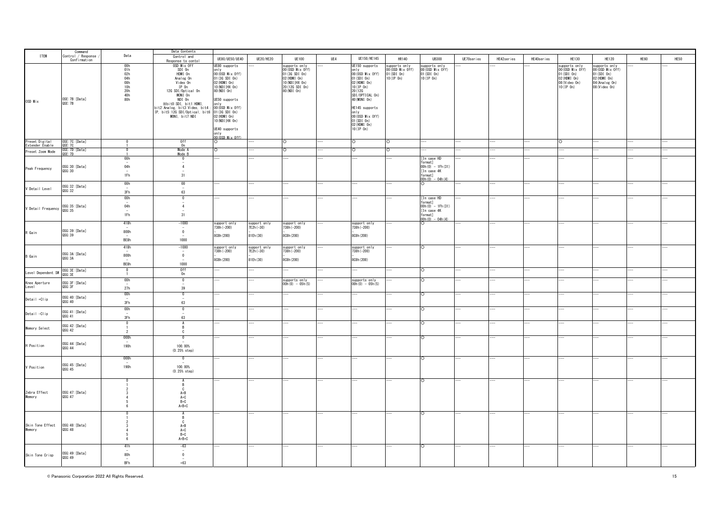|                                                 | Command<br>Control / Response |                                                             | Data Contents                                                                                                                                                           |                                                                                                                                                            |              |                                                                                                                           |     |                                                                                                                                                                        |                                                                 |                                                                                             |            |            |            |                                                                                                         |                                                                                                     |      |      |
|-------------------------------------------------|-------------------------------|-------------------------------------------------------------|-------------------------------------------------------------------------------------------------------------------------------------------------------------------------|------------------------------------------------------------------------------------------------------------------------------------------------------------|--------------|---------------------------------------------------------------------------------------------------------------------------|-----|------------------------------------------------------------------------------------------------------------------------------------------------------------------------|-----------------------------------------------------------------|---------------------------------------------------------------------------------------------|------------|------------|------------|---------------------------------------------------------------------------------------------------------|-----------------------------------------------------------------------------------------------------|------|------|
| <b>ITEM</b>                                     |                               | Data                                                        | Control and                                                                                                                                                             | UE80/UE50/UE40                                                                                                                                             | UE20/HE20    | <b>UE100</b>                                                                                                              | UE4 | UE150/HE145                                                                                                                                                            | HR140                                                           | <b>UB300</b>                                                                                | UE70series | HE42series | HE40series | HE130                                                                                                   | <b>HE120</b>                                                                                        | HE60 | HE50 |
|                                                 | Confirmation                  |                                                             | Response to conto                                                                                                                                                       |                                                                                                                                                            |              |                                                                                                                           |     |                                                                                                                                                                        |                                                                 |                                                                                             |            |            |            |                                                                                                         |                                                                                                     |      |      |
| OSD Mix                                         | OSE: 7B: [Data]<br>QSE: 7B    | 00h<br>01h<br>02h<br>04h<br>08h<br>10h<br>20h<br>40h<br>80h | OSD Mix Off<br>SDI On<br>HDMI On<br>Analog On<br>Video On<br>IP On<br>12G SDI/Optical On<br>MONI On<br>NDI On<br>※bitO:SDI, bit1:HDMI,<br>it2:Analog, bit3:Video, bit4: | UE80 supports<br>only<br>00 (OSD Mix Off)<br>01 (3G SDI 0n)<br>02 (HDMI 0n)<br>10 (NDI   HX 0n)<br>80 (NDI 0n)<br>UE50 supports<br>only<br>00(0SD Mix Off) |              | supports only<br>00 (OSD Mix Off)<br>01 (3G SDI 0n)<br>02 (HDMI On)<br>10 (NDI   HX 0n)<br>20 (12G SDI 0n)<br>80 (NDI 0n) |     | UE150 supports<br>only<br>00 (OSD Mix Off)<br>$01(SDI \t{On})$<br>02 (HDMI On)<br>$10($ IP 0n)<br>20 (12G<br>SDI/OPTICAL On)<br>40 (MONI 0n)<br>HE145 supports<br>only | supports only<br>00 (OSD Mix Off)<br>$01(SDI$ On)<br>10 (IP 0n) | supports only<br>00 (OSD Mix Off)<br>01 (SDI On)<br>10 (IP On)                              |            |            |            | supports only<br>00 (OSD Mix Off)<br>$01(SDI \space 0n)$<br>02 (HDMI 0n)<br>08 (Video On)<br>10 (IP 0n) | supports only<br>00 (OSD Mix Off)<br>01 (SDI 0n)<br>02 (HDMI 0n)<br>04 (Analog On)<br>08 (Video On) |      |      |
|                                                 |                               |                                                             | IP, bit5:12G SDI/Optical, bit6: 01(3G SDI On)<br>MONI, bit7:NDI 02(HDMI On)                                                                                             | 10 (NDI   HX 0n)<br>UE40 supports<br>only<br>00(OSD Mix Off)                                                                                               |              |                                                                                                                           |     | 00(0SD Mix Off)<br>$01(SDI$ On)<br>02 (HDMI On)<br>$10(IP \space 0n)$                                                                                                  |                                                                 |                                                                                             |            |            |            |                                                                                                         |                                                                                                     |      |      |
| Preset Digital<br>Extender Enable               | OSE:7C:[Data]<br>QSE:7C       | $\overline{1}$                                              | 0ff<br>0n                                                                                                                                                               |                                                                                                                                                            |              |                                                                                                                           |     |                                                                                                                                                                        |                                                                 |                                                                                             |            |            |            |                                                                                                         |                                                                                                     |      |      |
| Preset Zoom Mode                                | OSE: 7D: [Data]<br>QSE: 7D    | $\mathbf 0$                                                 | Mode A                                                                                                                                                                  | $\circ$                                                                                                                                                    |              |                                                                                                                           |     |                                                                                                                                                                        | O                                                               |                                                                                             |            |            |            |                                                                                                         |                                                                                                     |      |      |
|                                                 |                               |                                                             | Mode B                                                                                                                                                                  |                                                                                                                                                            |              |                                                                                                                           |     |                                                                                                                                                                        |                                                                 |                                                                                             |            |            |            |                                                                                                         |                                                                                                     |      |      |
| Peak Frequency                                  | 0SG:30: [Data]<br>QSG:30      | 00h<br>04h<br>$\overline{\phantom{a}}$<br>1Fh               | $\mathbf{0}$<br>$\overline{\phantom{a}}$<br>$\overline{4}$<br>$\overline{\phantom{a}}$<br>31                                                                            |                                                                                                                                                            |              |                                                                                                                           |     |                                                                                                                                                                        |                                                                 | [In case HD<br>format1<br>$00h(0) - 1Fh(31)$<br>[In case 4K<br>format]<br>$00h(0) - 04h(4)$ |            |            |            |                                                                                                         |                                                                                                     |      |      |
|                                                 | OSG:32:[Data]                 | 00h                                                         | 00                                                                                                                                                                      |                                                                                                                                                            |              |                                                                                                                           |     |                                                                                                                                                                        |                                                                 | $\Omega$                                                                                    |            |            |            |                                                                                                         |                                                                                                     |      |      |
| V Detail Level                                  | QSG:32                        | $\overline{\phantom{a}}$<br>3Fh                             | $\overline{\phantom{a}}$<br>63                                                                                                                                          |                                                                                                                                                            |              |                                                                                                                           |     |                                                                                                                                                                        |                                                                 |                                                                                             |            |            |            |                                                                                                         |                                                                                                     |      |      |
|                                                 |                               | 00h<br>04h                                                  | $\mathbf 0$<br>4                                                                                                                                                        |                                                                                                                                                            |              |                                                                                                                           |     |                                                                                                                                                                        |                                                                 | [In case HD<br>format]<br>$00h(0) - 1Fh(31)$                                                |            |            |            |                                                                                                         |                                                                                                     |      |      |
| V Detail Frequency 0SG:35:[Data]                |                               | $\sim$<br>1Fh                                               | 31                                                                                                                                                                      |                                                                                                                                                            |              |                                                                                                                           |     |                                                                                                                                                                        |                                                                 | [In case 4K<br>format]<br>$00h(0) - 04h(4)$                                                 |            |            |            |                                                                                                         |                                                                                                     |      |      |
|                                                 |                               | 418h                                                        | $-1000$<br>$\overline{\phantom{a}}$                                                                                                                                     | support only                                                                                                                                               | support only | support only                                                                                                              |     | support only                                                                                                                                                           |                                                                 |                                                                                             |            |            |            |                                                                                                         |                                                                                                     |      |      |
| R Gain                                          | OSG: 39: [Data]<br>QSG:39     | 800h                                                        | $\mathbf 0$                                                                                                                                                             | 738h (-200)                                                                                                                                                | 7E2h (-30)   | 738h (-200)                                                                                                               |     | 738h (-200)                                                                                                                                                            |                                                                 |                                                                                             |            |            |            |                                                                                                         |                                                                                                     |      |      |
|                                                 |                               | BE8h                                                        | 1000                                                                                                                                                                    | 8C8h (200)                                                                                                                                                 | 81Eh (30)    | 8C8h (200)                                                                                                                |     | 8C8h (200)                                                                                                                                                             |                                                                 |                                                                                             |            |            |            |                                                                                                         |                                                                                                     |      |      |
|                                                 |                               | 418h                                                        | $-1000$                                                                                                                                                                 | support only                                                                                                                                               | support only | support only                                                                                                              |     | support only                                                                                                                                                           |                                                                 | $\bigcirc$                                                                                  |            |            |            |                                                                                                         |                                                                                                     |      |      |
|                                                 |                               |                                                             | $\overline{\phantom{a}}$                                                                                                                                                | 738h (-200)                                                                                                                                                | 7E2h (-30)   | 738h (-200)                                                                                                               |     | 738h (-200)                                                                                                                                                            |                                                                 |                                                                                             |            |            |            |                                                                                                         |                                                                                                     |      |      |
| B Gain                                          | OSG: 3A: [Data]<br>QSG: 3A    | 800h                                                        | $\mathbf 0$                                                                                                                                                             | 8C8h (200)                                                                                                                                                 | 81Eh (30)    | 8C8h (200)                                                                                                                |     | 8C8h (200)                                                                                                                                                             |                                                                 |                                                                                             |            |            |            |                                                                                                         |                                                                                                     |      |      |
|                                                 |                               | BE8h                                                        | 1000                                                                                                                                                                    |                                                                                                                                                            |              |                                                                                                                           |     |                                                                                                                                                                        |                                                                 |                                                                                             |            |            |            |                                                                                                         |                                                                                                     |      |      |
| Level Dependent SW 0SG:3E:[Data]                |                               | $\Omega$                                                    | $0ff$<br>$0n$                                                                                                                                                           |                                                                                                                                                            |              |                                                                                                                           |     |                                                                                                                                                                        |                                                                 | $\circ$                                                                                     |            |            |            |                                                                                                         |                                                                                                     |      |      |
|                                                 | QSG:3E                        | $\overline{1}$                                              |                                                                                                                                                                         |                                                                                                                                                            |              |                                                                                                                           |     |                                                                                                                                                                        |                                                                 |                                                                                             |            |            |            |                                                                                                         |                                                                                                     |      |      |
| Knee Aperture<br>Level                          | OSG: 3F: [Data]<br>QSG:3F     | 00h<br>27h                                                  | $\overline{0}$<br>39                                                                                                                                                    |                                                                                                                                                            |              | supports only<br>$00h(0) - 05h(5)$                                                                                        |     | supports only<br>$00h(0) - 05h(5)$                                                                                                                                     |                                                                 | $\circ$                                                                                     |            |            |            |                                                                                                         |                                                                                                     |      |      |
| Detail +Clip                                    | 0SG: 40: [Data]<br>QSG: 40    | 00h<br>$\overline{\phantom{a}}$<br>3Fh                      | $\overline{\mathbf{0}}$<br>63                                                                                                                                           |                                                                                                                                                            |              |                                                                                                                           |     |                                                                                                                                                                        |                                                                 |                                                                                             |            |            |            |                                                                                                         |                                                                                                     |      |      |
| Detail -Clip                                    | OSG:41:[Data]<br>QSG:41       | 00h<br>3Fh                                                  | $\overline{0}$<br>63                                                                                                                                                    |                                                                                                                                                            |              |                                                                                                                           |     |                                                                                                                                                                        |                                                                 |                                                                                             |            |            |            |                                                                                                         |                                                                                                     |      |      |
|                                                 |                               | $\mathbf 0$                                                 | A                                                                                                                                                                       |                                                                                                                                                            |              |                                                                                                                           |     |                                                                                                                                                                        |                                                                 |                                                                                             |            |            |            |                                                                                                         |                                                                                                     |      |      |
| Memory Select                                   | OSG:42:[Data]<br>QSG:42       | $\overline{2}$<br>000h                                      | B<br>C<br>$\mathbf{0}$                                                                                                                                                  |                                                                                                                                                            |              |                                                                                                                           |     |                                                                                                                                                                        |                                                                 | $\circ$                                                                                     |            |            |            |                                                                                                         |                                                                                                     |      |      |
| H Position                                      | OSG: 44: [Data]<br>QSG:44     | 190h<br>000h                                                | 100.00%<br>$(0.25%$ step)                                                                                                                                               |                                                                                                                                                            |              |                                                                                                                           |     |                                                                                                                                                                        |                                                                 |                                                                                             |            |            |            |                                                                                                         |                                                                                                     |      |      |
| V Position                                      | OSG:45:[Data]<br>QSG:45       | $\sim$<br>190h                                              | 100.00%<br>$(0.25%$ step)                                                                                                                                               |                                                                                                                                                            |              |                                                                                                                           |     |                                                                                                                                                                        |                                                                 | C                                                                                           |            |            |            |                                                                                                         |                                                                                                     |      |      |
| Zebra Effect<br>Memory                          | OSG: 47: [Data]<br>QSG:47     |                                                             | B<br>$\mathbf{c}$<br>$A + B$<br>$A + C$<br>$B+C$<br>$A+B+C$                                                                                                             |                                                                                                                                                            |              |                                                                                                                           |     |                                                                                                                                                                        |                                                                 |                                                                                             |            |            |            |                                                                                                         |                                                                                                     |      |      |
| Skin Tone Effect 0SG:48:[Data]<br>Memory 0SG:48 |                               | 6                                                           | B<br>C<br>$A + B$<br>$A+C$<br>$B+C$<br>$A+B+C$                                                                                                                          |                                                                                                                                                            |              |                                                                                                                           |     |                                                                                                                                                                        |                                                                 |                                                                                             |            |            |            |                                                                                                         |                                                                                                     |      |      |
| Skin Tone Crisp                                 | OSG: 49: [Data]<br>QSG: 49    | 41h<br>80h<br>$\sim$<br>BFh                                 | $-63$<br>$\overline{a}$<br>$\overline{0}$<br>$+63$                                                                                                                      |                                                                                                                                                            |              |                                                                                                                           |     |                                                                                                                                                                        |                                                                 | $\circ$                                                                                     |            |            |            |                                                                                                         |                                                                                                     |      |      |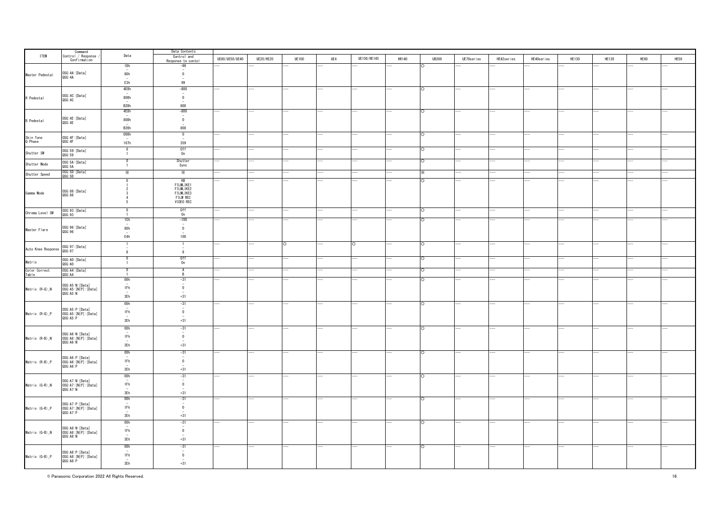|                        | Command<br>Control / Response                      |                                 | Data Contents                           |                |           |              |     |             |              |              |            |            |            |       |              |      |      |
|------------------------|----------------------------------------------------|---------------------------------|-----------------------------------------|----------------|-----------|--------------|-----|-------------|--------------|--------------|------------|------------|------------|-------|--------------|------|------|
| ITEM                   |                                                    | Data                            | Control and<br>Response to contol       | UE80/UE50/UE40 | UE20/HE20 | <b>UE100</b> | UE4 | UE150/HE145 | <b>HR140</b> | <b>UB300</b> | UE70series | HE42series | HE40series | HE130 | <b>HE120</b> | HE60 | HE50 |
|                        | Confirmation                                       |                                 |                                         |                |           |              |     |             |              |              |            |            |            |       |              |      |      |
|                        |                                                    | 1Dh                             | $-99$                                   |                |           |              |     |             |              |              |            |            |            |       |              |      |      |
| Master Pedestal        | OSG:4A: [Data]                                     | 80h                             | $\overline{\mathbf{0}}$                 |                |           |              |     |             |              |              |            |            |            |       |              |      |      |
|                        | QSG: 4A                                            |                                 |                                         |                |           |              |     |             |              |              |            |            |            |       |              |      |      |
|                        |                                                    | E3h                             | 99                                      |                |           |              |     |             |              |              |            |            |            |       |              |      |      |
|                        |                                                    | 4E0h                            | $-800$                                  |                |           |              |     |             |              | $\cap$       |            |            |            |       |              |      |      |
|                        | OSG: 4C: [Data]                                    |                                 | $\overline{\phantom{a}}$<br>$\mathbf 0$ |                |           |              |     |             |              |              |            |            |            |       |              |      |      |
| R Pedestal             | QSG:4C                                             | 800h                            |                                         |                |           |              |     |             |              |              |            |            |            |       |              |      |      |
|                        |                                                    | B <sub>20h</sub>                | 800                                     |                |           |              |     |             |              |              |            |            |            |       |              |      |      |
|                        |                                                    | 4E0h                            | $-800$                                  |                |           |              |     |             |              |              |            |            |            |       |              |      |      |
|                        |                                                    |                                 | $\overline{\phantom{a}}$                |                |           |              |     |             |              |              |            |            |            |       |              |      |      |
| <b>B</b> Pedestal      | OSG: 4E: [Data]<br>QSG: 4E                         | 800h<br>$\sim$                  | $\overline{\mathbf{0}}$                 |                |           |              |     |             |              |              |            |            |            |       |              |      |      |
|                        |                                                    | B <sub>20</sub> h               | 800                                     |                |           |              |     |             |              |              |            |            |            |       |              |      |      |
|                        |                                                    | 000h                            | $\overline{0}$                          |                |           |              |     |             |              | $\circ$      |            |            |            |       |              |      |      |
| Skin Tone<br>Q Phase   | OSG: 4F: [Data]                                    |                                 |                                         |                |           |              |     |             |              |              |            |            |            |       |              |      |      |
|                        | QSG: 4F                                            | 167h                            | 359                                     |                |           |              |     |             |              |              |            |            |            |       |              |      |      |
|                        | OSG:59:[Data]                                      | $\mathbf 0$                     | 0ff                                     |                |           |              |     |             |              | $\circ$      |            |            |            |       |              |      |      |
| Shutter SW             | QSG:59                                             | $\overline{1}$                  | 0n                                      |                |           |              |     |             |              |              |            |            |            |       |              |      |      |
|                        | OSG: 5A: [Data]                                    | $\overline{0}$                  | Shutter                                 |                |           |              |     |             |              |              |            |            |            |       |              |      |      |
| Shutter Mode           | QSG: 5A                                            | $\overline{1}$                  | Sync                                    |                |           |              |     |             |              |              |            |            |            |       |              |      |      |
| Shutter Speed          |                                                    | ⋇                               | ⋇                                       |                |           |              |     |             |              |              |            |            |            |       |              |      |      |
|                        | 0SG:5D:[Data]<br>QSG:5D                            |                                 |                                         |                |           |              |     |             |              |              |            |            |            |       |              |      |      |
|                        |                                                    |                                 | HD                                      |                |           |              |     |             |              |              |            |            |            |       |              |      |      |
|                        |                                                    |                                 | FILMLIKE1<br>FILMLIKE2                  |                |           |              |     |             |              |              |            |            |            |       |              |      |      |
| Gamma Mode             | 0SG:86: [Data]<br>QSG:86                           |                                 | FILMLIKE3                               |                |           |              |     |             |              |              |            |            |            |       |              |      |      |
|                        |                                                    |                                 | <b>FILM REC</b>                         |                |           |              |     |             |              |              |            |            |            |       |              |      |      |
|                        |                                                    | -5                              | VIDEO REC                               |                |           |              |     |             |              |              |            |            |            |       |              |      |      |
|                        | OSG: 93: [Data]                                    | $\Omega$                        | 0ff                                     |                |           |              |     |             |              | $\circ$      |            |            |            |       |              |      |      |
| Chroma Level SW        | QSG:93                                             |                                 | 0n                                      |                |           |              |     |             |              |              |            |            |            |       |              |      |      |
|                        |                                                    | 1Ch                             | $-100$                                  |                |           |              |     |             |              | $\cap$       |            |            |            |       |              |      |      |
|                        |                                                    |                                 | $\overline{\phantom{a}}$                |                |           |              |     |             |              |              |            |            |            |       |              |      |      |
| Master Flare           | 0SG: 96: [Data]<br>QSG: 96                         | 80h                             | $\overline{\mathbf{0}}$                 |                |           |              |     |             |              |              |            |            |            |       |              |      |      |
|                        |                                                    | E4h                             | 100                                     |                |           |              |     |             |              |              |            |            |            |       |              |      |      |
|                        |                                                    |                                 |                                         |                |           |              |     |             |              |              |            |            |            |       |              |      |      |
|                        |                                                    | $\mathbf{1}$                    | $\overline{1}$                          |                |           | ∩            |     | C.          |              | $\circ$      |            |            |            |       |              |      |      |
| Auto Knee Response     | 0SG: 97: [Data]<br>QSG: 97                         | $\overline{\mathbf{8}}$         | $\overline{\mathbf{8}}$                 |                |           |              |     |             |              |              |            |            |            |       |              |      |      |
|                        |                                                    | $\overline{0}$                  |                                         |                |           |              |     |             |              | $\circ$      |            |            |            |       |              |      |      |
| Matrix                 | OSG: AO: [Data]<br>QSG: AO                         | $\overline{1}$                  | Off<br>On                               |                |           |              |     |             |              |              |            |            |            |       |              |      |      |
|                        |                                                    | $\overline{0}$                  | $\overline{A}$                          |                |           |              |     |             |              |              |            |            |            |       |              |      |      |
| Color Correct<br>Table | OSG: A4: [Data]<br>QSG:AA                          | $\overline{1}$                  | R.                                      |                |           |              |     |             |              |              |            |            |            |       |              |      |      |
|                        |                                                    | 00h                             | $-31$                                   |                |           |              |     |             |              |              |            |            |            |       |              |      |      |
|                        | OSG: A5: N: [Data]                                 |                                 |                                         |                |           |              |     |             |              |              |            |            |            |       |              |      |      |
| Matrix (R-G)_N         | OSG: A5: [N P]: [Data]                             | 1Fh                             | $\overline{\mathbf{0}}$                 |                |           |              |     |             |              |              |            |            |            |       |              |      |      |
|                        | QSG: A5: N                                         | $3\bar{\text{E}}\text{h}$       | $+31$                                   |                |           |              |     |             |              |              |            |            |            |       |              |      |      |
|                        |                                                    |                                 |                                         |                |           |              |     |             |              |              |            |            |            |       |              |      |      |
|                        |                                                    | 00h                             | $-31$<br>$\overline{\phantom{a}}$       |                |           |              |     |             |              | $\circ$      |            |            |            |       |              |      |      |
| Matrix (R-G)_P         | OSG: A5: P: [Data]<br>OSG: A5: [N P]: [Data]       | 1Fh                             | $\overline{\mathbf{0}}$                 |                |           |              |     |             |              |              |            |            |            |       |              |      |      |
|                        | QSG: A5:P                                          |                                 |                                         |                |           |              |     |             |              |              |            |            |            |       |              |      |      |
|                        |                                                    | 3Eh                             | $+31$                                   |                |           |              |     |             |              |              |            |            |            |       |              |      |      |
|                        |                                                    | 00h                             | $-31$                                   |                |           |              |     |             |              | O            |            |            |            |       |              |      |      |
|                        | OSG:A6:N:[Data]                                    |                                 |                                         |                |           |              |     |             |              |              |            |            |            |       |              |      |      |
| Matrix (R-B)_N         | OSG:A6: [N P]: [Data]                              | 1Fh                             | $\overline{\mathbf{0}}$                 |                |           |              |     |             |              |              |            |            |            |       |              |      |      |
|                        | QSG: A6: N                                         | 3Eh                             | $+31$                                   |                |           |              |     |             |              |              |            |            |            |       |              |      |      |
|                        |                                                    |                                 |                                         |                |           |              |     |             |              |              |            |            |            |       |              |      |      |
|                        |                                                    | 00h                             | $-31$<br>$\overline{\phantom{a}}$       |                |           |              |     |             |              | $\circ$      |            |            | i,         |       |              |      |      |
| Matrix (R-B) P         | OSG:A6:P:[Data]<br>OSG:A6:[N P]:[Data]             | 1Fh                             | $\overline{\mathbf{0}}$                 |                |           |              |     |             |              |              |            |            |            |       |              |      |      |
|                        | QSG: A6: P                                         |                                 |                                         |                |           |              |     |             |              |              |            |            |            |       |              |      |      |
|                        |                                                    | 3Eh                             | $+31$                                   |                |           |              |     |             |              |              |            |            |            |       |              |      |      |
|                        |                                                    | 00h                             | $-31$                                   |                |           |              |     |             |              | ō            |            |            |            |       |              |      |      |
|                        | OSG:A7:N: [Data]                                   | 1Fh                             | $\mathbf 0$                             |                |           |              |     |             |              |              |            |            |            |       |              |      |      |
| Matrix (G-R)_N         | OSG:A7: [N P]: [Data]<br>QSG: A7: N                |                                 |                                         |                |           |              |     |             |              |              |            |            |            |       |              |      |      |
|                        |                                                    | 3Eh                             | $+31$                                   |                |           |              |     |             |              |              |            |            |            |       |              |      |      |
|                        |                                                    | 00h                             | $-31$                                   |                |           |              |     |             |              |              |            |            |            |       |              |      |      |
|                        |                                                    | $\sim$                          | $\overline{\phantom{a}}$                |                |           |              |     |             |              |              |            |            |            |       |              |      |      |
| Matrix (G-R) P         | OSG:A7:P:[Data]<br>OSG:A7:[N P]:[Data]<br>QSG:A7:P | 1Fh                             | $\overline{\mathbf{0}}$                 |                |           |              |     |             |              |              |            |            |            |       |              |      |      |
|                        |                                                    | 3Eh                             | $+31$                                   |                |           |              |     |             |              |              |            |            |            |       |              |      |      |
|                        |                                                    |                                 |                                         |                |           |              |     |             |              |              |            |            |            |       |              |      |      |
|                        |                                                    | 00h<br>$\overline{\phantom{a}}$ | $-31$                                   |                |           |              |     |             |              | ∩            |            |            |            |       |              |      |      |
| Matrix (G-B)_N         | OSG: A8: N: [Data]<br>OSG: A8: [N P]: [Data]       | 1Fh                             | $\overline{\mathbf{0}}$                 |                |           |              |     |             |              |              |            |            |            |       |              |      |      |
|                        | QSG: AB:N                                          |                                 |                                         |                |           |              |     |             |              |              |            |            |            |       |              |      |      |
|                        |                                                    | 3Eh                             | $+31$                                   |                |           |              |     |             |              |              |            |            |            |       |              |      |      |
|                        |                                                    | 00h                             | $-31$                                   |                |           |              |     |             |              | $\cap$       |            |            |            |       |              |      |      |
|                        | OSG: A8: P: [Data]                                 |                                 | $\overline{\phantom{a}}$                |                |           |              |     |             |              |              |            |            |            |       |              |      |      |
| Matrix (G-B) P         | OSG:A8: [N P]: [Data]                              | 1Fh                             | $\overline{\mathbf{0}}$                 |                |           |              |     |             |              |              |            |            |            |       |              |      |      |
|                        | QSG: A8: P                                         | $\frac{-}{3\mathsf{Eh}}$        | $+31$                                   |                |           |              |     |             |              |              |            |            |            |       |              |      |      |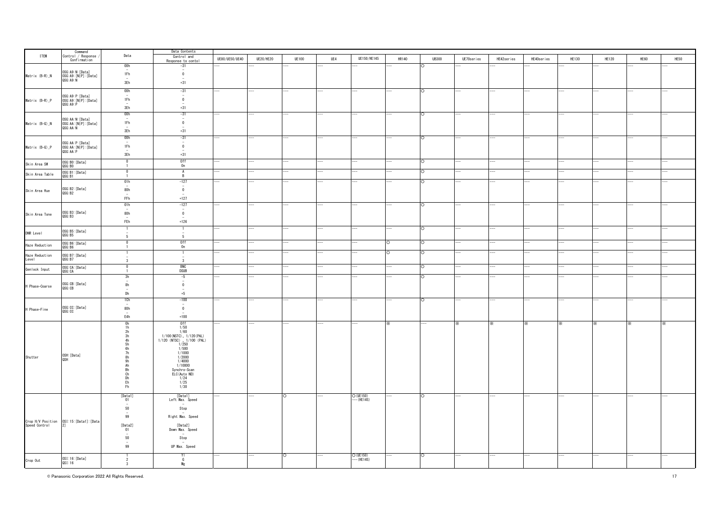|                         | Command<br>Control / Response                      |                                  | Data Contents                                            |                |                  |              |     |                          |              |              |            |            |            |              |              |      |      |
|-------------------------|----------------------------------------------------|----------------------------------|----------------------------------------------------------|----------------|------------------|--------------|-----|--------------------------|--------------|--------------|------------|------------|------------|--------------|--------------|------|------|
| <b>ITEM</b>             |                                                    | Data                             | Control and                                              | UE80/UE50/UE40 | <b>UE20/HE20</b> | <b>UE100</b> | UE4 | UE150/HE145              | <b>HR140</b> | <b>UB300</b> | UE70series | HE42series | HE40series | <b>HE130</b> | <b>HE120</b> | HE60 | HE50 |
|                         | Confirmation                                       | 00h                              | Response to contol                                       |                |                  |              |     |                          |              |              |            |            |            |              |              |      |      |
|                         |                                                    |                                  | $-31$                                                    |                |                  |              |     |                          |              |              |            |            |            |              |              |      |      |
| Matrix (B-R)_N          | OSG: A9: N: [Data]                                 | 1Fh                              | $\overline{\mathbf{0}}$                                  |                |                  |              |     |                          |              |              |            |            |            |              |              |      |      |
|                         | OSG: A9: [N P]: [Data]<br>QSG: A9: N               | 3Eh                              | $+31$                                                    |                |                  |              |     |                          |              |              |            |            |            |              |              |      |      |
|                         |                                                    |                                  |                                                          |                |                  |              |     |                          |              |              |            |            |            |              |              |      |      |
|                         |                                                    | 00h                              | $-31$                                                    |                |                  |              |     |                          |              | $\circ$      |            | ÷.         | i.         |              |              |      |      |
| Matrix (B-R) P          |                                                    | 1Fh                              | $\overline{\mathbf{0}}$                                  |                |                  |              |     |                          |              |              |            |            |            |              |              |      |      |
|                         | OSG:A9:P:[Data]<br>OSG:A9:[N P]:[Data]<br>QSG:A9:P |                                  |                                                          |                |                  |              |     |                          |              |              |            |            |            |              |              |      |      |
|                         |                                                    | 3Eh                              | $+31$                                                    |                |                  |              |     |                          |              |              |            |            |            |              |              |      |      |
|                         |                                                    | 00h                              | $-31$<br>$\overline{\phantom{a}}$                        |                |                  |              |     |                          |              |              |            |            |            |              |              |      |      |
| Matrix (B-G)_N          | OSG:AA:N:[Data]<br>OSG:AA:[N P]:[Data]             | 1Fh                              | $\mathbf 0$                                              |                |                  |              |     |                          |              |              |            |            |            |              |              |      |      |
|                         | QSG: AA: N                                         |                                  |                                                          |                |                  |              |     |                          |              |              |            |            |            |              |              |      |      |
|                         |                                                    | 3Eh                              | $+31$                                                    |                |                  |              |     |                          |              |              |            |            |            |              |              |      |      |
|                         |                                                    | 00h<br>$\overline{\phantom{a}}$  | $-31$                                                    |                |                  |              |     |                          |              | ∩            |            |            |            |              |              |      |      |
| Matrix (B-G)_P          | OSG:AA:P:[Data]<br>OSG:AA:[N P]:[Data]             | 1Fh                              | $\overline{\mathbf{0}}$                                  |                |                  |              |     |                          |              |              |            |            |            |              |              |      |      |
|                         | QSG: AA: P                                         |                                  |                                                          |                |                  |              |     |                          |              |              |            |            |            |              |              |      |      |
|                         |                                                    | 3Eh                              | $+31$                                                    |                |                  |              |     |                          |              |              |            |            |            |              |              |      |      |
| Skin Area SW            | OSG: BO: [Data]<br>QSG: BO                         | $\overline{0}$<br>$\overline{1}$ | Off<br>On                                                |                |                  |              |     |                          |              | ೧            |            |            |            |              |              |      |      |
|                         |                                                    | $\Omega$                         | $\overline{A}$                                           |                |                  |              |     |                          |              | ◠            |            |            |            |              |              |      |      |
| Skin Area Table         | OSG:B1:[Data]<br>QSG: B1                           | $\overline{1}$                   | B                                                        |                |                  |              |     |                          |              |              |            |            |            |              |              |      |      |
|                         |                                                    | 01h                              | $-127$                                                   |                |                  |              |     |                          |              |              |            |            |            |              |              |      |      |
|                         | OSG: B2: [Data]                                    | 80h                              | $\overline{\mathbf{0}}$                                  |                |                  |              |     |                          |              |              |            |            |            |              |              |      |      |
| Skin Area Hue           | QSG:B2                                             |                                  |                                                          |                |                  |              |     |                          |              |              |            |            |            |              |              |      |      |
|                         |                                                    | $\mathsf{FFh}\xspace$            | $+127$                                                   |                |                  |              |     |                          |              |              |            |            |            |              |              |      |      |
|                         |                                                    | 01h                              | $-127$                                                   |                |                  |              |     |                          |              |              |            |            |            |              |              |      |      |
|                         | OSG:B3: [Data]                                     | 80h                              | $\overline{\mathbf{0}}$                                  |                |                  |              |     |                          |              |              |            |            |            |              |              |      |      |
| Skin Area Tone          | QSG:B3                                             | $\sim$                           |                                                          |                |                  |              |     |                          |              |              |            |            |            |              |              |      |      |
|                         |                                                    | FEh                              | $+126$                                                   |                |                  |              |     |                          |              |              |            |            |            |              |              |      |      |
|                         | OSG:B5: [Data]                                     | -1                               |                                                          |                |                  |              |     |                          |              | ∩            |            |            |            |              |              |      |      |
| DNR Level               | QSG: B5                                            | $5\overline{5}$                  | 5                                                        |                |                  |              |     |                          |              |              |            |            |            |              |              |      |      |
|                         | OSG:B6: [Data]                                     | 0                                |                                                          |                |                  |              |     |                          | $\circ$      | $\circ$      |            |            |            |              |              |      |      |
| Haze Reduction          | QSG:B6                                             | $\mathbf{1}$                     | $0ff$<br>$0n$                                            |                |                  |              |     |                          |              |              |            |            |            |              |              |      |      |
|                         | OSG:B7:[Data]                                      |                                  | 1                                                        |                |                  |              |     |                          | Ō            | Ō            |            |            |            |              |              |      |      |
| Haze Reduction<br>Level | QSG:B7                                             | 3                                | $\overline{\mathbf{3}}$                                  |                |                  |              |     |                          |              |              |            |            |            |              |              |      |      |
|                         | OSG: CA: [Data]                                    | $\overline{0}$                   |                                                          |                |                  |              |     |                          |              | O            |            |            |            |              |              |      |      |
| Genlock Input           | QSG: CA                                            |                                  | BNC<br>DSUB                                              |                |                  |              |     |                          |              |              |            |            |            |              |              |      |      |
|                         |                                                    | 3h                               | $-5$                                                     |                |                  |              |     |                          |              | $\circ$      |            |            |            |              |              |      |      |
| H Phase-Coarse          | OSG:CB:[Data]<br>QSG:CB                            | $\overline{\phantom{a}}$<br>8h   | $\overline{0}$                                           |                |                  |              |     |                          |              |              |            |            |            |              |              |      |      |
|                         |                                                    |                                  |                                                          |                |                  |              |     |                          |              |              |            |            |            |              |              |      |      |
|                         |                                                    | Dh                               | $+5$                                                     |                |                  |              |     |                          |              |              |            |            |            |              |              |      |      |
|                         |                                                    | 1Ch                              | $-100$                                                   |                |                  |              |     |                          |              | O            |            |            |            |              |              |      |      |
| H Phase-Fine            | OSG:CC: [Data]                                     | 80h                              | $\overline{\mathbf{0}}$                                  |                |                  |              |     |                          |              |              |            |            |            |              |              |      |      |
|                         | QSG: CC                                            |                                  |                                                          |                |                  |              |     |                          |              |              |            |            |            |              |              |      |      |
|                         |                                                    | E4h                              | $+100$                                                   |                |                  |              |     |                          |              |              |            |            |            |              |              |      |      |
|                         |                                                    | $\frac{0h}{1h}$                  | $0ff$ $1/50$                                             |                |                  |              |     |                          |              |              |            | ×          |            |              | ×.           |      |      |
|                         |                                                    | 2h                               | 1/60                                                     |                |                  |              |     |                          |              |              |            |            |            |              |              |      |      |
|                         |                                                    | $\frac{3h}{4h}$                  | 1/100 (NSTC) v 1/120 (PAL)<br>1/120 (NTSC) v 1/100 (PAL) |                |                  |              |     |                          |              |              |            |            |            |              |              |      |      |
|                         |                                                    | $\overrightarrow{5}h$            | 1/250                                                    |                |                  |              |     |                          |              |              |            |            |            |              |              |      |      |
|                         |                                                    | 6h                               | 1/500                                                    |                |                  |              |     |                          |              |              |            |            |            |              |              |      |      |
| Shutter                 | OSH: [Data]                                        | 7h<br>8h                         | 1/1000<br>1/2000                                         |                |                  |              |     |                          |              |              |            |            |            |              |              |      |      |
|                         | <b>A2O</b>                                         | 9h                               | 1/4000                                                   |                |                  |              |     |                          |              |              |            |            |            |              |              |      |      |
|                         |                                                    | Ah                               | 1/10000                                                  |                |                  |              |     |                          |              |              |            |            |            |              |              |      |      |
|                         |                                                    | Bh<br>Ch                         | Synchro-Scan<br>ELC(Auto ND)                             |                |                  |              |     |                          |              |              |            |            |            |              |              |      |      |
|                         |                                                    | Dh<br>Eh                         | $\frac{1/24}{1/25}$                                      |                |                  |              |     |                          |              |              |            |            |            |              |              |      |      |
|                         |                                                    | Fh                               | 1/30                                                     |                |                  |              |     |                          |              |              |            |            |            |              |              |      |      |
|                         |                                                    |                                  |                                                          |                |                  |              |     |                          |              |              |            |            |            |              |              |      |      |
|                         |                                                    | [Data1]<br>01                    | [Data1]<br>Left Max. Speed                               |                |                  | ∩            |     | O (UE150)<br>--- (HE145) |              |              |            |            |            |              |              |      |      |
|                         |                                                    | $\sim$                           |                                                          |                |                  |              |     |                          |              |              |            |            |            |              |              |      |      |
|                         |                                                    | 50                               | Stop                                                     |                |                  |              |     |                          |              |              |            |            |            |              |              |      |      |
|                         |                                                    | 99                               | Right Max. Speed                                         |                |                  |              |     |                          |              |              |            |            |            |              |              |      |      |
|                         |                                                    |                                  |                                                          |                |                  |              |     |                          |              |              |            |            |            |              |              |      |      |
|                         |                                                    | [Data2]                          | [Data2]                                                  |                |                  |              |     |                          |              |              |            |            |            |              |              |      |      |
|                         |                                                    | 01                               | Down Max. Speed                                          |                |                  |              |     |                          |              |              |            |            |            |              |              |      |      |
|                         |                                                    | 50                               | Stop                                                     |                |                  |              |     |                          |              |              |            |            |            |              |              |      |      |
|                         |                                                    | 99                               | UP Max. Speed                                            |                |                  |              |     |                          |              |              |            |            |            |              |              |      |      |
|                         |                                                    |                                  |                                                          |                |                  |              |     |                          |              |              |            |            |            |              |              |      |      |
|                         |                                                    | 1                                | YI<br>G                                                  |                |                  | $\circ$      |     | O (UE150)                |              | $\circ$      |            |            |            |              |              |      |      |
| Crop Out                | 0SI:16: [Data]<br>QSI:16                           | 3                                | Mg                                                       |                |                  |              |     | — (HE145)                |              |              |            |            |            |              |              |      |      |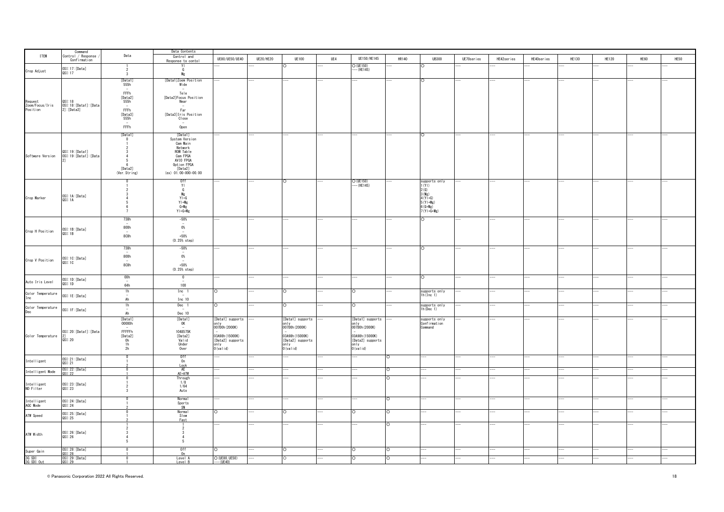|                                        |                                                                     |                                | Data Contents                          |                                     |                  |                                     |     |                                     |          |                               |            |            |            |              |              |      |      |
|----------------------------------------|---------------------------------------------------------------------|--------------------------------|----------------------------------------|-------------------------------------|------------------|-------------------------------------|-----|-------------------------------------|----------|-------------------------------|------------|------------|------------|--------------|--------------|------|------|
| <b>ITEM</b>                            | $\begin{array}{c} \texttt{Command} \\ \texttt{Control} \end{array}$ | Data                           | Control and                            | UE80/UE50/UE40                      | <b>UE20/HE20</b> | <b>UE100</b>                        | UE4 | UE150/HE145                         | HR140    | <b>UB300</b>                  | UE70series | HE42series | HE40series | <b>HE130</b> | <b>HE120</b> | HE60 | HE50 |
|                                        | Confirmation                                                        |                                | Response to conto                      |                                     |                  |                                     |     |                                     |          |                               |            |            |            |              |              |      |      |
| Crop Adjust                            | OSI:17:[Data]<br>QSI:17                                             | $\cdot$                        | YI<br>$\mathbf{G}$                     |                                     |                  |                                     |     | O (UE150)<br>– (HE145)              |          | O                             |            |            |            |              |              |      |      |
|                                        |                                                                     | 3                              | Mg                                     |                                     |                  |                                     |     |                                     |          |                               |            |            |            |              |              |      |      |
|                                        |                                                                     | [Data1]<br>555h                | [Data1]Zoom Position<br>Wide           |                                     |                  |                                     |     |                                     |          | $\circ$                       |            |            |            |              |              |      |      |
|                                        |                                                                     | $\sim$                         | $\overline{\phantom{a}}$               |                                     |                  |                                     |     |                                     |          |                               |            |            |            |              |              |      |      |
|                                        |                                                                     | FFFh<br>[Data2]                | Tele<br>[Data2] Focus Position         |                                     |                  |                                     |     |                                     |          |                               |            |            |            |              |              |      |      |
|                                        | QSI:18                                                              | 555h                           | Near                                   |                                     |                  |                                     |     |                                     |          |                               |            |            |            |              |              |      |      |
| Request<br>Zoom/Focus/Iris<br>Position | OSI:18: [Data1]: [Data<br>$2]$ : [Data3]                            | $\sim$<br>FFFh                 | $-$<br>Far                             |                                     |                  |                                     |     |                                     |          |                               |            |            |            |              |              |      |      |
|                                        |                                                                     | [Data3]                        | [Data3] Iris Position                  |                                     |                  |                                     |     |                                     |          |                               |            |            |            |              |              |      |      |
|                                        |                                                                     | 555h<br>$\sim$                 | Close<br>$\sim$                        |                                     |                  |                                     |     |                                     |          |                               |            |            |            |              |              |      |      |
|                                        |                                                                     | FFFh                           | Open                                   |                                     |                  |                                     |     |                                     |          |                               |            |            |            |              |              |      |      |
|                                        |                                                                     | [Data1]                        | [Data1]                                |                                     |                  |                                     |     |                                     |          | Ο                             |            |            |            |              |              |      |      |
|                                        |                                                                     | $\overline{0}$                 | System Version<br>Cam Main             |                                     |                  |                                     |     |                                     |          |                               |            |            |            |              |              |      |      |
|                                        |                                                                     | -3                             | Network                                |                                     |                  |                                     |     |                                     |          |                               |            |            |            |              |              |      |      |
| Software Version                       | QSI:19:[Data1]<br>OSI:19:[Data1]:[Data                              | $\Delta$                       | ROM Table<br>Cam FPGA                  |                                     |                  |                                     |     |                                     |          |                               |            |            |            |              |              |      |      |
|                                        |                                                                     | 6                              | AVIO FPGA<br>Option FPGA               |                                     |                  |                                     |     |                                     |          |                               |            |            |            |              |              |      |      |
|                                        |                                                                     | [Data2]                        | [Data2]                                |                                     |                  |                                     |     |                                     |          |                               |            |            |            |              |              |      |      |
|                                        |                                                                     | (Ver. String)                  | (ex) 01.00-000-00.00                   |                                     |                  |                                     |     |                                     |          |                               |            |            |            |              |              |      |      |
|                                        |                                                                     |                                | Off<br>Yl                              |                                     |                  |                                     |     | O (UE150)<br>$-(HE145)$             |          | supports only<br>1(Y)         |            |            |            |              |              |      |      |
|                                        |                                                                     |                                | G                                      |                                     |                  |                                     |     |                                     |          | 2(G)                          |            |            |            |              |              |      |      |
| Crop Marker                            | OSI:1A: [Data]<br>QSI:1A                                            |                                | $\frac{\text{Mg}}{\text{YI}+\text{G}}$ |                                     |                  |                                     |     |                                     |          | 3(Mg)<br>$4(Y+G)$             |            |            |            |              |              |      |      |
|                                        |                                                                     |                                | $Y1 + Mg$                              |                                     |                  |                                     |     |                                     |          | $5(Y+Mg)$                     |            |            |            |              |              |      |      |
|                                        |                                                                     |                                | $G+Mg$<br>$Y + G + Mg$                 |                                     |                  |                                     |     |                                     |          | $6(G+Mg)$<br>$7(Y1+6+Mg)$     |            |            |            |              |              |      |      |
|                                        |                                                                     | 738h                           | $-50%$                                 |                                     |                  |                                     |     |                                     |          | $\circ$                       |            |            |            |              |              |      |      |
|                                        |                                                                     |                                | $\overline{\phantom{a}}$               |                                     |                  |                                     |     |                                     |          |                               |            |            |            |              |              |      |      |
| Crop H Position                        | OSI:1B:[Data]                                                       | 800h                           | $0\%$<br>$\sim$                        |                                     |                  |                                     |     |                                     |          |                               |            |            |            |              |              |      |      |
|                                        | QSI:1B                                                              | 8C8h                           | $+50%$                                 |                                     |                  |                                     |     |                                     |          |                               |            |            |            |              |              |      |      |
|                                        |                                                                     |                                | (0.25% step)                           |                                     |                  |                                     |     |                                     |          |                               |            |            |            |              |              |      |      |
|                                        |                                                                     | 738h                           | $-50%$<br>$\sim$                       |                                     |                  |                                     |     |                                     |          | O                             |            |            |            |              |              |      |      |
|                                        | OSI:1C:[Data]<br>QSI:1C                                             | 800h                           | $0\%$                                  |                                     |                  |                                     |     |                                     |          |                               |            |            |            |              |              |      |      |
| Crop V Position                        |                                                                     | 8C8h                           | $\overline{\phantom{a}}$<br>$+50%$     |                                     |                  |                                     |     |                                     |          |                               |            |            |            |              |              |      |      |
|                                        |                                                                     |                                | $(0.25%$ step)                         |                                     |                  |                                     |     |                                     |          |                               |            |            |            |              |              |      |      |
|                                        |                                                                     | 00h                            | $\overline{0}$                         |                                     |                  |                                     |     |                                     |          | $\circ$                       |            |            |            |              |              |      |      |
| Auto Iris Level                        | OSI:1D:[Data]<br>QSI:1D                                             | $\frac{1}{64h}$                | 100                                    |                                     |                  |                                     |     |                                     |          |                               |            |            |            |              |              |      |      |
| Color Temperature                      |                                                                     | 1h                             | Inc 1                                  |                                     |                  |                                     |     |                                     |          | supports only                 |            |            |            |              |              |      |      |
| Inc                                    | OSI:1E:[Data]                                                       | $\overline{\phantom{a}}$<br>Ah | Inc 10                                 |                                     |                  |                                     |     |                                     |          | $1h($ Inc $1)$                |            |            |            |              |              |      |      |
|                                        |                                                                     | 1h                             | Dec 1                                  | ∩                                   |                  | $\Omega$                            |     | n                                   |          | supports only<br>1h(Dec 1)    |            |            |            |              |              |      |      |
| Color Temperature<br>Dec               | OSI:1F:[Data]                                                       | $\overline{\phantom{a}}$<br>Ah | Dec 10                                 |                                     |                  |                                     |     |                                     |          |                               |            |            |            |              |              |      |      |
|                                        |                                                                     | [Data1]<br>00000h              | [Data1]<br>OK                          | [Data1] supports                    |                  | [Data1] supports                    |     | [Data1] supports                    |          | supports only<br>Confirmation |            |            |            |              |              |      |      |
|                                        |                                                                     | $\overline{\phantom{a}}$       | $\sim$                                 | only<br>007D0h (2000K)              |                  | on I y<br>007D0h (2000K)            |     | on I y<br>007D0h (2000K)            |          | Command                       |            |            |            |              |              |      |      |
|                                        | OSI:20: [Data1]: [Data                                              | FFFFFh                         | 1048575K                               |                                     |                  |                                     |     |                                     |          |                               |            |            |            |              |              |      |      |
| Color Temperature                      | $\frac{2}{0}$ SI:20                                                 | [Data2]                        | [Data2]<br>Valid                       | 03A98h (15000K)<br>[Data2] supports |                  | 03A98h (15000K)<br>[Data2] supports |     | 03A98h (15000K)<br>[Data2] supports |          |                               |            |            |            |              |              |      |      |
|                                        |                                                                     | $\frac{0 h}{1 h}$<br>2h        | Under                                  | nly<br>$0$ (valid)                  |                  | only<br>O(valid)                    |     | only<br>O(valid)                    |          |                               |            |            |            |              |              |      |      |
|                                        |                                                                     |                                | Over                                   |                                     |                  |                                     |     |                                     |          |                               |            |            |            |              |              |      |      |
| Intelligent                            | OSI:21:[Data]                                                       |                                | 0ff<br>0n                              |                                     |                  |                                     |     |                                     | $\circ$  |                               |            |            |            | i.           |              |      |      |
|                                        | QSI:21                                                              |                                | Lock                                   |                                     |                  |                                     |     |                                     |          |                               |            |            |            |              |              |      |      |
| Intelligent Mode                       | OSI:22:[Data]<br>QSI:22                                             |                                | AE<br>AE+ATW                           |                                     |                  |                                     |     |                                     |          |                               |            |            |            |              |              |      |      |
|                                        |                                                                     |                                | Through<br>1/8                         |                                     |                  |                                     |     |                                     |          |                               |            |            |            |              |              |      |      |
| Intelligent<br>ND Filter               | OSI:23: [Data]<br>QSI:23                                            |                                | 1/64                                   |                                     |                  |                                     |     |                                     |          |                               |            |            |            |              |              |      |      |
|                                        |                                                                     |                                | Auto                                   |                                     |                  |                                     |     |                                     |          |                               |            |            |            |              |              |      |      |
| Intelligent                            | OSI:24: [Data]<br>QSI:24                                            |                                | Normal<br>Sports                       |                                     |                  |                                     |     |                                     | $\circ$  |                               |            |            |            |              |              |      |      |
| AGC Mode                               |                                                                     |                                | SN                                     |                                     |                  |                                     |     |                                     |          |                               |            |            |            |              |              |      |      |
| ATW Speed                              | 0SI:25: [Data]<br>QSI:25                                            |                                | Normal<br>Slow                         | ∩                                   |                  | $\cap$                              |     |                                     | $\Omega$ |                               |            |            |            |              |              |      |      |
|                                        |                                                                     |                                | Fast                                   |                                     |                  |                                     |     |                                     |          |                               |            |            |            |              |              |      |      |
|                                        |                                                                     |                                |                                        |                                     |                  |                                     |     |                                     | C.       |                               |            |            |            |              |              |      |      |
| ATW Width                              | OSI:26: [Data]<br>QSI:26                                            |                                |                                        |                                     |                  |                                     |     |                                     |          |                               |            |            |            |              |              |      |      |
|                                        |                                                                     |                                | -5                                     |                                     |                  |                                     |     |                                     |          |                               |            |            |            |              |              |      |      |
|                                        |                                                                     |                                |                                        |                                     |                  | ∩                                   |     |                                     |          |                               |            |            |            |              |              |      |      |
| Super Gain                             | OSI:28:[Data]<br>QSI:28                                             |                                | Off<br>On                              |                                     |                  |                                     |     |                                     |          |                               |            |            |            |              |              |      |      |
| 3G SDI<br>3G SDI Out                   | OSI:29:[Data]<br>QSI:29                                             |                                | Level A<br>level B                     | O (UE80, UE50)<br>$-$ (UF40)        |                  |                                     |     |                                     |          |                               |            |            |            |              |              |      |      |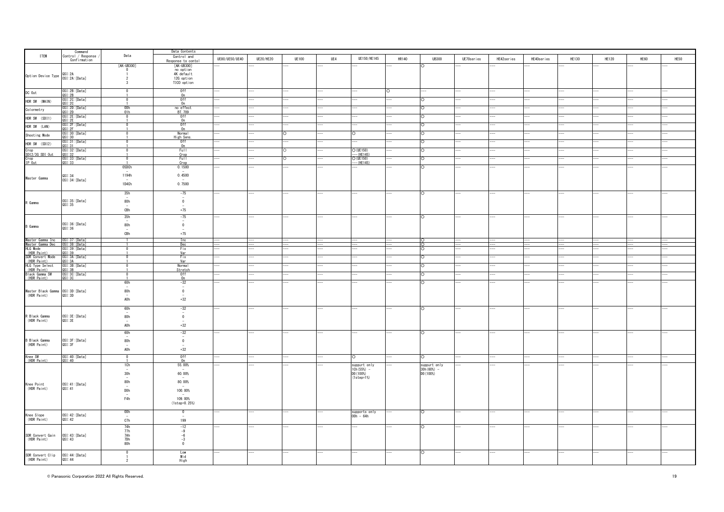|                                                        | Command                  |                                 | Data Contents                           |                          |                  |              |     |                            |              |              |                   |                          |                          |              |              |      |      |
|--------------------------------------------------------|--------------------------|---------------------------------|-----------------------------------------|--------------------------|------------------|--------------|-----|----------------------------|--------------|--------------|-------------------|--------------------------|--------------------------|--------------|--------------|------|------|
| <b>ITEM</b>                                            | Control / Response       | Data                            | Control and                             | UE80/UE50/UE40           | <b>UE20/HE20</b> | <b>UE100</b> | UE4 | UE150/HE145                | <b>HR140</b> | <b>UB300</b> | UE70series        | HE42series               | HE40series               | <b>HE130</b> | <b>HE120</b> | HE60 | HE50 |
|                                                        | Confirmation             |                                 | Response to conto                       |                          |                  |              |     |                            |              |              |                   |                          |                          |              |              |      |      |
|                                                        |                          | [AK-UB300]                      | [AK-UB300]                              |                          |                  |              |     |                            |              |              |                   |                          |                          |              |              |      |      |
|                                                        |                          | $\overline{0}$                  | no option<br>4K default                 |                          |                  |              |     |                            |              |              |                   |                          |                          |              |              |      |      |
| Option Device Type 0SI:2A<br>OSI:2A:[Data]             |                          | -2                              | 12G option                              |                          |                  |              |     |                            |              |              |                   |                          |                          |              |              |      |      |
|                                                        |                          | $\mathbf{3}$                    | TICO option                             |                          |                  |              |     |                            |              |              |                   |                          |                          |              |              |      |      |
|                                                        |                          |                                 | 0ff                                     |                          |                  |              |     |                            |              |              |                   |                          |                          |              |              |      |      |
| DC Out                                                 | OSI:2B: [Data]<br>QSI:2B | $\Omega$                        | 0n                                      |                          |                  |              |     |                            |              |              |                   |                          |                          |              |              |      |      |
| HDR SW (MAIN)                                          | 0SI:20:[Data]<br>QSI:20  | $\Omega$                        | Off                                     |                          |                  |              |     |                            |              |              |                   |                          |                          |              |              |      |      |
|                                                        |                          |                                 | 0n                                      |                          |                  |              |     |                            |              |              |                   |                          |                          |              |              |      |      |
| Colormetry                                             | 0SI:20:[Data]<br>QSI:2D  | $\frac{00h}{01h}$               | no effect<br>BT. 709                    |                          |                  |              |     |                            |              |              |                   |                          |                          |              |              |      |      |
| HDR SW (SDI1)                                          | OSI:2E:[Data]            | $\Omega$                        | 0ff                                     |                          |                  |              |     |                            |              |              |                   |                          |                          |              |              |      |      |
|                                                        |                          |                                 | n                                       |                          |                  |              |     |                            |              |              |                   |                          |                          |              |              |      |      |
| HDR SW (LAN)                                           | OSI:2F:[Data]<br>QSI:2F  | $\Omega$                        | 0ff                                     |                          |                  |              |     |                            |              |              |                   |                          |                          |              |              |      |      |
|                                                        |                          |                                 | 0n<br>Normal                            |                          |                  |              |     |                            |              |              |                   |                          |                          |              |              |      |      |
| Shooting Mode                                          | 0SI:30:[Data]<br>QSI:30  |                                 | High Sens                               |                          |                  |              |     |                            |              |              |                   |                          |                          |              |              |      |      |
| HDR SW (SDI2)                                          | OSI:31:[Data]<br>QSI:31  |                                 | 0ff                                     |                          |                  |              |     |                            |              |              |                   |                          |                          |              |              |      |      |
| Crop                                                   |                          |                                 | 0n                                      |                          |                  |              |     |                            |              |              |                   |                          |                          |              |              |      |      |
|                                                        | OSI:32: [Data]<br>OSI:32 | $\mathbf{0}$                    | Full<br>Crop                            |                          |                  |              |     | $O$ (UE150)<br>$-(HE145)$  |              |              |                   |                          |                          |              |              |      |      |
| SD12/3G SD1 Out<br>Crop<br>IP Out                      | OSI:33: [Data]<br>QSI:33 | $\mathbf{0}$                    | Full                                    |                          |                  |              |     | $O$ (UE150)                |              |              |                   |                          |                          |              |              |      |      |
|                                                        |                          |                                 | Crop                                    |                          |                  |              |     | $-(HE145)$                 |              |              |                   |                          |                          |              |              |      |      |
|                                                        |                          | 05DCh                           | 0.1500                                  |                          |                  |              |     |                            |              |              |                   |                          |                          |              |              |      |      |
|                                                        | QSI:34                   | 1194h                           | 0.4500                                  |                          |                  |              |     |                            |              |              |                   |                          |                          |              |              |      |      |
| Master Gamma                                           | OSI:34: [Data]           |                                 |                                         |                          |                  |              |     |                            |              |              |                   |                          |                          |              |              |      |      |
|                                                        |                          | 1D4Ch                           | 0.7500                                  |                          |                  |              |     |                            |              |              |                   |                          |                          |              |              |      |      |
|                                                        |                          |                                 |                                         |                          |                  |              |     |                            |              |              |                   |                          |                          |              |              |      |      |
|                                                        |                          | 35h                             | $-75$                                   |                          |                  |              |     |                            |              |              |                   |                          |                          |              |              |      |      |
| R Gamma                                                | OSI:35:[Data]            | 80h                             | $\mathbf{0}$                            |                          |                  |              |     |                            |              |              |                   |                          |                          |              |              |      |      |
|                                                        | QSI:35                   |                                 |                                         |                          |                  |              |     |                            |              |              |                   |                          |                          |              |              |      |      |
|                                                        |                          | CBh                             | $+75$                                   |                          |                  |              |     |                            |              |              |                   |                          |                          |              |              |      |      |
|                                                        |                          | 35h                             | $-75$                                   |                          |                  |              |     |                            |              | O            |                   |                          |                          |              |              |      |      |
|                                                        | OSI:36:[Data]            | 80h                             | $\overline{\phantom{a}}$<br>$\mathbf 0$ |                          |                  |              |     |                            |              |              |                   |                          |                          |              |              |      |      |
| <b>B</b> Gamma                                         | QSI:36                   |                                 |                                         |                          |                  |              |     |                            |              |              |                   |                          |                          |              |              |      |      |
|                                                        |                          | CBh                             | $+75$                                   |                          |                  |              |     |                            |              |              |                   |                          |                          |              |              |      |      |
|                                                        | OSI:37: [Data]           | $\overline{1}$                  | Inc                                     |                          |                  |              |     |                            |              |              | $\qquad \qquad -$ |                          | $- -$                    |              |              |      |      |
| Master Gamma Inc<br>Master Gamma Dec<br>HLG Mode       | OSI:38: [Data]           | ┱                               | Dec                                     | $\overline{\phantom{a}}$ |                  | ļ            |     |                            |              |              | —<br>——           | $\overline{\phantom{a}}$ | $\overline{\phantom{a}}$ | I            | I            |      |      |
|                                                        | 0SI:39: [Data]           |                                 | Fix                                     |                          |                  |              |     |                            |              |              |                   |                          |                          |              |              |      |      |
| (HDR Paint)                                            | QSI:39<br>OSI:3A:[Data]  | $\overline{0}$                  | Var<br>Fix                              |                          |                  |              |     |                            |              |              |                   |                          |                          |              |              |      |      |
| SDR Convert Mode<br>(HDR Paint)                        | OSI:3A                   |                                 | Var                                     |                          |                  |              |     |                            |              |              |                   |                          |                          |              |              |      |      |
| HLG Type Select<br>(HDR Paint)                         | 0SI:3B: [Data]<br>QSI:3B | $\mathbf 0$                     | Normal                                  |                          |                  |              |     |                            |              |              |                   |                          |                          |              |              |      |      |
|                                                        |                          | $\Omega$                        | Stretch<br>0ff                          |                          |                  |              |     |                            |              |              |                   |                          |                          |              |              |      |      |
| Black Gamma SW<br>(HDR Paint)                          | OSI:3C: [Data]<br>QSI:3C |                                 | 0n                                      |                          |                  |              |     |                            |              |              |                   |                          |                          |              |              |      |      |
|                                                        |                          | 60h                             | $-32$                                   |                          |                  |              |     |                            |              |              |                   |                          |                          |              |              |      |      |
|                                                        |                          |                                 | $\overline{\phantom{a}}$                |                          |                  |              |     |                            |              |              |                   |                          |                          |              |              |      |      |
| Master Black Gamma 0SI:3D:[Data]<br>(HDR Paint) 0SI:3D |                          | 80h<br>$\overline{\phantom{a}}$ | $\overline{\mathbf{0}}$<br>$\sim$       |                          |                  |              |     |                            |              |              |                   |                          |                          |              |              |      |      |
|                                                        |                          | AOh                             | $+32\,$                                 |                          |                  |              |     |                            |              |              |                   |                          |                          |              |              |      |      |
|                                                        |                          |                                 |                                         |                          |                  |              |     |                            |              |              |                   |                          |                          |              |              |      |      |
|                                                        |                          | 60h                             | $-32$                                   |                          |                  |              |     |                            |              |              |                   |                          |                          |              |              |      |      |
| R Black Gamma                                          |                          | 80h                             | $\overline{\phantom{a}}$<br>$\mathbf 0$ |                          |                  |              |     |                            |              |              |                   |                          |                          |              |              |      |      |
| (HDR Paint)                                            | OSI:3E:[Data]<br>QSI:3E  | $\overline{\phantom{a}}$        | $\overline{\phantom{a}}$                |                          |                  |              |     |                            |              |              |                   |                          |                          |              |              |      |      |
|                                                        |                          | AOh                             | $+32$                                   |                          |                  |              |     |                            |              |              |                   |                          |                          |              |              |      |      |
|                                                        |                          | 60h                             | $-32$                                   |                          |                  |              |     |                            |              |              |                   |                          |                          |              |              |      |      |
|                                                        |                          |                                 | $\overline{\phantom{a}}$                |                          |                  |              |     |                            |              |              |                   |                          |                          |              |              |      |      |
| B Black Gamma                                          | OSI:3F: [Data]           | 80h                             | $\overline{\mathbf{0}}$                 |                          |                  |              |     |                            |              |              |                   |                          |                          |              |              |      |      |
| (HDR Paint)                                            | QSI:3F                   | A0h                             | $\overline{\phantom{a}}$<br>$+32$       |                          |                  |              |     |                            |              |              |                   |                          |                          |              |              |      |      |
|                                                        |                          |                                 |                                         |                          |                  |              |     |                            |              |              |                   |                          |                          |              |              |      |      |
| Knee SW<br>(HDR Paint)                                 | OSI:40:[Data]<br>QSI:40  | $\overline{0}$                  | 0ff<br>0n                               |                          |                  |              |     | $\circ$                    |              |              |                   |                          |                          |              |              |      |      |
|                                                        |                          | 1Ch                             | 55.00%                                  |                          |                  |              |     | suppurt only               |              | suppurt only |                   |                          |                          |              |              |      |      |
|                                                        |                          |                                 |                                         |                          |                  |              |     | 1Ch (55%) -                |              | 30h (60%) -  |                   |                          |                          |              |              |      |      |
|                                                        |                          | 30h                             | 60.00%                                  |                          |                  |              |     | DO (100%)                  |              | DO (100%)    |                   |                          |                          |              |              |      |      |
|                                                        |                          | 80h                             | 80.00%                                  |                          |                  |              |     | $(1step=1%)$               |              |              |                   |                          |                          |              |              |      |      |
| Knee Point<br>(HDR Paint)                              | OSI:41:[Data]<br>QSI:41  |                                 |                                         |                          |                  |              |     |                            |              |              |                   |                          |                          |              |              |      |      |
|                                                        |                          | <b>DOh</b>                      | 100.00%                                 |                          |                  |              |     |                            |              |              |                   |                          |                          |              |              |      |      |
|                                                        |                          |                                 |                                         |                          |                  |              |     |                            |              |              |                   |                          |                          |              |              |      |      |
|                                                        |                          | F4h                             | 109.00%<br>$(1step=0.25%)$              |                          |                  |              |     |                            |              |              |                   |                          |                          |              |              |      |      |
|                                                        |                          |                                 |                                         |                          |                  |              |     |                            |              |              |                   |                          |                          |              |              |      |      |
|                                                        |                          | 00h                             | $\pmb{0}$                               |                          |                  |              |     | supports only<br>OOh - 64h |              | $\circ$      |                   |                          |                          |              |              |      |      |
| Knee Slope<br>(HDR Paint)                              | OSI:42:[Data]<br>QSI:42  |                                 |                                         |                          |                  |              |     |                            |              |              |                   |                          |                          |              |              |      |      |
|                                                        |                          | C7h                             | 199                                     |                          |                  |              |     |                            |              |              |                   |                          |                          |              |              |      |      |
|                                                        |                          | 74h<br>77h                      | $\frac{-12}{-9}$                        |                          |                  |              |     |                            |              | $\Omega$     |                   |                          |                          |              |              |      |      |
|                                                        |                          |                                 |                                         |                          |                  |              |     |                            |              |              |                   |                          |                          |              |              |      |      |
| SDR Convert Gain 0SI:43:[Data]<br>(HDR Paint) 0SI:43   |                          | 7Ah<br>7Dh<br>80h               | $\frac{-6}{-3}$                         |                          |                  |              |     |                            |              |              |                   |                          |                          |              |              |      |      |
|                                                        |                          |                                 | $\overline{\phantom{0}}$                |                          |                  |              |     |                            |              |              |                   |                          |                          |              |              |      |      |
|                                                        |                          | $\Omega$                        |                                         |                          |                  |              |     |                            |              |              |                   |                          |                          |              |              |      |      |
|                                                        |                          |                                 | Low<br>Mid                              |                          |                  |              |     |                            |              |              |                   |                          |                          |              |              |      |      |
| SDR Convert Clip 0SI:44:[Data]<br>(HDR Paint) 0SI:44   |                          | $\overline{2}$                  | High                                    |                          |                  |              |     |                            |              |              |                   |                          |                          |              |              |      |      |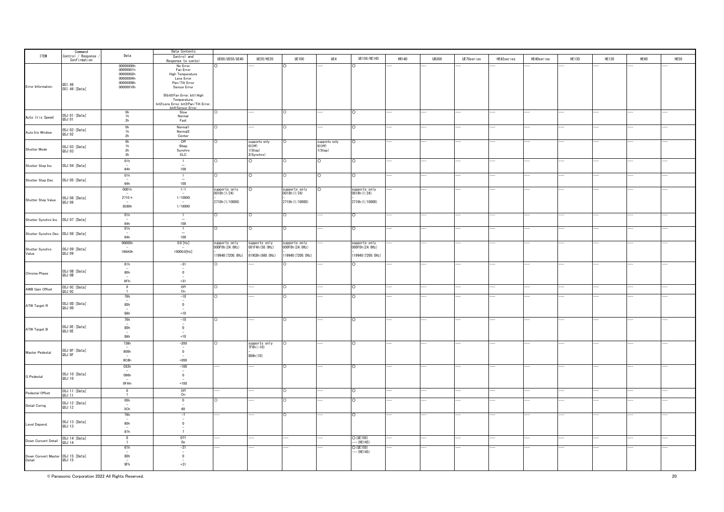|                                                     |                                               |                                  | Data Contents                                            |                                 |                                 |                                 |                         |                                 |              |              |            |            |            |       |              |      |      |
|-----------------------------------------------------|-----------------------------------------------|----------------------------------|----------------------------------------------------------|---------------------------------|---------------------------------|---------------------------------|-------------------------|---------------------------------|--------------|--------------|------------|------------|------------|-------|--------------|------|------|
| <b>ITEM</b>                                         | Command<br>Control / Response<br>Confirmation | Data                             | Control and                                              | UE80/UE50/UE40                  | <b>UE20/HE20</b>                | <b>UE100</b>                    | UE4                     | UE150/HE145                     | <b>HR140</b> | <b>UB300</b> | UE70series | HE42series | HE40series | HE130 | <b>HE120</b> | HE60 | HE50 |
|                                                     |                                               |                                  | Response to conto                                        |                                 |                                 |                                 |                         |                                 |              |              |            |            |            |       |              |      |      |
|                                                     |                                               | 00000000h                        | No Error                                                 |                                 |                                 |                                 |                         | ∩                               |              |              |            |            |            |       |              |      |      |
|                                                     |                                               | 00000001h                        | Fan Error                                                |                                 |                                 |                                 |                         |                                 |              |              |            |            |            |       |              |      |      |
|                                                     |                                               | 00000002h                        | High Temperature                                         |                                 |                                 |                                 |                         |                                 |              |              |            |            |            |       |              |      |      |
|                                                     |                                               | 00000004h                        | Lens Error                                               |                                 |                                 |                                 |                         |                                 |              |              |            |            |            |       |              |      |      |
|                                                     | QSI:46                                        |                                  | Pan/Tilt Error                                           |                                 |                                 |                                 |                         |                                 |              |              |            |            |            |       |              |      |      |
| Error Information                                   | OSI: 46: [Data]                               | 00000010h                        | Sensor Error                                             |                                 |                                 |                                 |                         |                                 |              |              |            |            |            |       |              |      |      |
|                                                     |                                               |                                  |                                                          |                                 |                                 |                                 |                         |                                 |              |              |            |            |            |       |              |      |      |
|                                                     |                                               |                                  | ※bit0:Fan Error, bit1:High                               |                                 |                                 |                                 |                         |                                 |              |              |            |            |            |       |              |      |      |
|                                                     |                                               |                                  | Temperature,                                             |                                 |                                 |                                 |                         |                                 |              |              |            |            |            |       |              |      |      |
|                                                     |                                               |                                  | bit2:Lens Error, bit3:Pan/Tilt Error,                    |                                 |                                 |                                 |                         |                                 |              |              |            |            |            |       |              |      |      |
|                                                     |                                               |                                  | bit4:Sensor Error                                        |                                 |                                 |                                 |                         |                                 |              |              |            |            |            |       |              |      |      |
|                                                     |                                               | $\frac{0 h}{1 h}$                | Slow<br>Normal                                           |                                 |                                 |                                 |                         | $\circ$                         |              |              |            |            |            |       |              |      |      |
| Auto Iris Speed                                     | OSJ:01:[Data]<br>QSJ:01                       |                                  |                                                          |                                 |                                 |                                 |                         |                                 |              |              |            |            |            |       |              |      |      |
|                                                     |                                               | 2h                               | Fast                                                     |                                 |                                 |                                 |                         |                                 |              |              |            |            |            |       |              |      |      |
|                                                     |                                               |                                  | Normal1                                                  |                                 |                                 |                                 |                         | C                               |              |              |            |            |            |       |              |      |      |
|                                                     | OSJ:02:[Data]                                 | $\frac{0 h}{1 h}$                | Normal <sub>2</sub>                                      |                                 |                                 |                                 |                         |                                 |              |              |            |            |            |       |              |      |      |
| Auto Iris Window                                    | QSJ:02                                        | 2h                               | Center                                                   |                                 |                                 |                                 |                         |                                 |              |              |            |            |            |       |              |      |      |
|                                                     |                                               |                                  |                                                          |                                 |                                 |                                 |                         |                                 |              |              |            |            |            |       |              |      |      |
|                                                     |                                               | $\frac{0 h}{1 h}$                | Off                                                      |                                 | supports only<br>0(Off)         |                                 | supports only<br>0(Off) | $\Omega$                        |              |              |            |            |            |       |              |      |      |
| Shutter Mode                                        | OSJ:03:[Data]                                 |                                  | Step                                                     |                                 |                                 |                                 |                         |                                 |              |              |            |            |            |       |              |      |      |
|                                                     | QSJ:03                                        | 2h                               | Synchro                                                  |                                 | 1(Step)                         |                                 | 1(Step)                 |                                 |              |              |            |            |            |       |              |      |      |
|                                                     |                                               | 3h                               | ELC                                                      |                                 | 2(Synchro)                      |                                 |                         |                                 |              |              |            |            |            |       |              |      |      |
|                                                     |                                               | 01h                              | $\overline{1}$                                           |                                 | ō                               |                                 | O                       | $\circ$                         |              |              |            |            |            |       |              |      |      |
| Shutter Step Inc                                    | OSJ:04:[Data]                                 | $\overline{\phantom{a}}$         | $\overline{\phantom{a}}$                                 |                                 |                                 |                                 |                         |                                 |              |              |            |            |            |       |              |      |      |
|                                                     |                                               | 64h                              | 100                                                      |                                 |                                 |                                 |                         |                                 |              |              |            |            |            |       |              |      |      |
|                                                     |                                               | 01h                              | $\overline{1}$                                           |                                 | $\circ$                         | ∩                               | $\circ$                 | $\circ$                         |              |              |            |            |            |       |              |      |      |
| Shutter Step Dec                                    | OSJ:05:[Data]                                 | $\overline{\phantom{a}}$         | $\overline{\phantom{m}}$                                 |                                 |                                 |                                 |                         |                                 |              |              |            |            |            |       |              |      |      |
|                                                     |                                               | 64h                              | 100                                                      |                                 |                                 |                                 |                         |                                 |              |              |            |            |            |       |              |      |      |
|                                                     |                                               |                                  |                                                          |                                 |                                 |                                 |                         |                                 |              |              |            |            |            |       |              |      |      |
|                                                     |                                               | 0001h                            | 1/1                                                      | supports only<br>0018h(1/24)    | $\circ$                         | supports only<br>0018h(1/24)    | $\circ$                 | supports only<br>0018h(1/24)    |              |              |            |            |            |       |              |      |      |
|                                                     |                                               |                                  |                                                          |                                 |                                 |                                 |                         |                                 |              |              |            |            |            |       |              |      |      |
| Shutter Step Value                                  | 0SJ:06: [Data]<br>QSJ:06                      | 2710 h                           | 1/10000                                                  |                                 |                                 |                                 |                         |                                 |              |              |            |            |            |       |              |      |      |
|                                                     |                                               | 3E80h                            | 1/16000                                                  | 2710h (1/10000)                 |                                 | 2710h (1/10000)                 |                         | 2710h (1/10000)                 |              |              |            |            |            |       |              |      |      |
|                                                     |                                               |                                  |                                                          |                                 |                                 |                                 |                         |                                 |              |              |            |            |            |       |              |      |      |
|                                                     |                                               |                                  |                                                          |                                 |                                 |                                 |                         |                                 |              |              |            |            |            |       |              |      |      |
|                                                     |                                               | 01h                              |                                                          |                                 | $\circ$                         |                                 |                         | ō                               |              |              |            |            |            |       |              |      |      |
| Shutter Synchro Inc                                 | 0SJ:07: [Data]                                | $\sim$                           | $\equiv$                                                 |                                 |                                 |                                 |                         |                                 |              |              |            |            |            |       |              |      |      |
|                                                     |                                               | 64h                              | 100                                                      |                                 |                                 |                                 |                         |                                 |              |              |            |            |            |       |              |      |      |
|                                                     |                                               | 01h                              | $\overline{1}$                                           |                                 | $\circ$                         | ∩                               |                         | $\circ$                         |              |              |            |            |            |       |              |      |      |
| Shutter Synchro Dec 0SJ:08: [Data]                  |                                               | $\sim$                           | $\overline{\phantom{a}}$                                 |                                 |                                 |                                 |                         |                                 |              |              |            |            |            |       |              |      |      |
|                                                     |                                               | 64h                              | 100                                                      |                                 |                                 |                                 |                         |                                 |              |              |            |            |            |       |              |      |      |
|                                                     |                                               | 00000h                           | $0.0$ [Hz]                                               |                                 |                                 |                                 |                         |                                 |              |              |            |            |            |       |              |      |      |
|                                                     |                                               |                                  |                                                          | supports only<br>000FOh(24.0Hz) | supports only<br>001F4h(50.0Hz) | supports only<br>OOOFOh(24.OHz) |                         | supports only<br>000FOh(24.0Hz) |              |              |            |            |            |       |              |      |      |
| Shutter Synchro<br>Value                            | OSJ:09:[Data]                                 | 186A0h                           | 10000.0[Hz]                                              |                                 |                                 |                                 |                         |                                 |              |              |            |            |            |       |              |      |      |
|                                                     | QSJ:09                                        |                                  |                                                          | 119940 (7200. OHz)              | 01908h (660, 0Hz)               | 119940 (7200. OHz)              |                         | 119940 (7200. OHz)              |              |              |            |            |            |       |              |      |      |
|                                                     |                                               |                                  |                                                          |                                 |                                 |                                 |                         |                                 |              |              |            |            |            |       |              |      |      |
|                                                     |                                               | 61h                              | $-31$                                                    |                                 |                                 |                                 |                         | $\cap$                          |              |              |            |            |            |       |              |      |      |
|                                                     |                                               | $\sim$                           | $\bar{\rm o}$                                            |                                 |                                 |                                 |                         |                                 |              |              |            |            |            |       |              |      |      |
| Chroma Phase                                        | OSJ: OB: [Data]                               | 80h                              |                                                          |                                 |                                 |                                 |                         |                                 |              |              |            |            |            |       |              |      |      |
|                                                     | QSJ:0B                                        |                                  |                                                          |                                 |                                 |                                 |                         |                                 |              |              |            |            |            |       |              |      |      |
|                                                     |                                               | 9Fh                              | $+31$                                                    |                                 |                                 |                                 |                         |                                 |              |              |            |            |            |       |              |      |      |
|                                                     |                                               | $\overline{\mathbf{0}}$          |                                                          |                                 |                                 |                                 |                         |                                 |              |              |            |            |            |       |              |      |      |
| AWB Gain Offset                                     | OSJ:OC:[Data]<br>QSJ:OC                       | $\overline{1}$                   | $rac{Off}{On}$                                           |                                 |                                 |                                 |                         |                                 |              |              |            |            |            |       |              |      |      |
|                                                     |                                               |                                  |                                                          |                                 |                                 |                                 |                         |                                 |              |              |            |            |            |       |              |      |      |
|                                                     |                                               | 76h<br>$\overline{\phantom{a}}$  | $-10$<br>$\overline{\phantom{a}}$                        |                                 |                                 |                                 |                         | $\circ$                         |              |              |            |            |            |       |              |      |      |
|                                                     | OSJ:OD: [Data]<br>QSJ:OD                      | 80h                              | $\overline{0}$                                           |                                 |                                 |                                 |                         |                                 |              |              |            |            |            |       |              |      |      |
| ATW Target R                                        |                                               | $\overline{\phantom{a}}$         | $\overline{\phantom{a}}$                                 |                                 |                                 |                                 |                         |                                 |              |              |            |            |            |       |              |      |      |
|                                                     |                                               | 8Ah                              | $+10$                                                    |                                 |                                 |                                 |                         |                                 |              |              |            |            |            |       |              |      |      |
|                                                     |                                               |                                  |                                                          |                                 |                                 |                                 |                         |                                 |              |              |            |            |            |       |              |      |      |
|                                                     |                                               | 76h                              | $-10$                                                    |                                 |                                 |                                 |                         |                                 |              |              |            |            |            |       |              |      |      |
|                                                     |                                               |                                  | $\bar{\rm_0}$                                            |                                 |                                 |                                 |                         |                                 |              |              |            |            |            |       |              |      |      |
| ATW Target B                                        | OSJ:OE:[Data]<br>QSJ:OE                       | 80h                              |                                                          |                                 |                                 |                                 |                         |                                 |              |              |            |            |            |       |              |      |      |
|                                                     |                                               |                                  | $\overline{\phantom{a}}$                                 |                                 |                                 |                                 |                         |                                 |              |              |            |            |            |       |              |      |      |
|                                                     |                                               | 8Ah                              | $+10$                                                    |                                 |                                 |                                 |                         |                                 |              |              |            |            |            |       |              |      |      |
|                                                     |                                               | 738h                             | $-200$                                                   |                                 |                                 |                                 |                         |                                 |              |              |            |            |            |       |              |      |      |
|                                                     |                                               |                                  | $\overline{\phantom{a}}$                                 |                                 | supports only<br>7F6h(-10)      |                                 |                         |                                 |              |              |            |            |            |       |              |      |      |
| Master Pedestal                                     | OSJ: OF: [Data]                               | 800h                             | $\mathbf 0$                                              |                                 |                                 |                                 |                         |                                 |              |              |            |            |            |       |              |      |      |
|                                                     | QSJ: OF                                       |                                  | $\overline{a}$                                           |                                 | 80Ah (10)                       |                                 |                         |                                 |              |              |            |            |            |       |              |      |      |
|                                                     |                                               | 8C8h                             | $+200$                                                   |                                 |                                 |                                 |                         |                                 |              |              |            |            |            |       |              |      |      |
|                                                     |                                               |                                  |                                                          |                                 |                                 |                                 |                         |                                 |              |              |            |            |            |       |              |      |      |
|                                                     |                                               | 032h<br>$\overline{\phantom{a}}$ | $-100$<br>$\overline{a}$                                 |                                 |                                 |                                 |                         | $\cap$                          |              |              |            |            |            |       |              |      |      |
|                                                     | 0SJ:10: [Data]                                | 096h                             | $\overline{0}$                                           |                                 |                                 |                                 |                         |                                 |              |              |            |            |            |       |              |      |      |
| <b>G</b> Pedestal                                   | QSJ:10                                        | $\sim$                           | $\overline{\phantom{a}}$                                 |                                 |                                 |                                 |                         |                                 |              |              |            |            |            |       |              |      |      |
|                                                     |                                               | 0FAh                             | $+100$                                                   |                                 |                                 |                                 |                         |                                 |              |              |            |            |            |       |              |      |      |
|                                                     |                                               |                                  |                                                          |                                 |                                 |                                 |                         |                                 |              |              |            |            |            |       |              |      |      |
|                                                     | OSJ:11:[Data]                                 | $\Omega$                         |                                                          |                                 |                                 |                                 |                         | $\cap$                          |              |              |            |            |            |       |              |      |      |
| Pedestal Offset                                     | QSJ:11                                        | $\overline{1}$                   | Off<br>On                                                |                                 |                                 |                                 |                         |                                 |              |              |            |            |            |       |              |      |      |
|                                                     |                                               | 00h                              | $\overline{0}$                                           |                                 |                                 |                                 |                         | $\circ$                         |              |              |            |            |            |       |              |      |      |
| Detail Coring                                       | OSJ:12: [Data]<br>QSJ:12                      | $\sim$                           | $\sim$                                                   |                                 |                                 |                                 |                         |                                 |              |              |            |            |            |       |              |      |      |
|                                                     |                                               | 3Ch                              | 60                                                       |                                 |                                 |                                 |                         |                                 |              |              |            |            |            |       |              |      |      |
|                                                     |                                               |                                  |                                                          |                                 |                                 |                                 |                         |                                 |              |              |            |            |            |       |              |      |      |
|                                                     |                                               | 79h                              | $-7$                                                     |                                 |                                 |                                 |                         | $\circ$                         |              |              |            |            |            |       |              |      |      |
|                                                     | OSJ:13:[Data]                                 |                                  |                                                          |                                 |                                 |                                 |                         |                                 |              |              |            |            |            |       |              |      |      |
| Level Depend.                                       | QSJ:13                                        | 80h                              | $\mathbf 0$                                              |                                 |                                 |                                 |                         |                                 |              |              |            |            |            |       |              |      |      |
|                                                     |                                               | $\sim$                           |                                                          |                                 |                                 |                                 |                         |                                 |              |              |            |            |            |       |              |      |      |
|                                                     |                                               | 87h                              | $\overline{7}$                                           |                                 |                                 |                                 |                         |                                 |              |              |            |            |            |       |              |      |      |
|                                                     |                                               | $\overline{0}$                   |                                                          |                                 |                                 |                                 |                         | $O$ (UE150)                     |              |              |            |            |            |       |              |      |      |
| Down Convert Detail                                 | OSJ:14: [Data]<br>QSJ:14                      | $\overline{1}$                   | $\begin{array}{c} 0 \text{ff} \\ 0 \text{n} \end{array}$ |                                 |                                 |                                 |                         | $-(HE145)$                      |              |              |            |            |            |       |              |      |      |
|                                                     |                                               | 61h                              | $-31$                                                    |                                 |                                 |                                 |                         | $O$ (UE150)                     |              |              |            |            |            |       |              |      |      |
|                                                     |                                               | $\overline{\phantom{a}}$         | $\sim$                                                   |                                 |                                 |                                 |                         | $-(HE145)$                      |              |              |            |            |            |       |              |      |      |
| Down Convert Master 0SJ:15: [Data]<br>Detail 0SJ:15 |                                               | 80h                              | $\overline{\mathbf{0}}$                                  |                                 |                                 |                                 |                         |                                 |              |              |            |            |            |       |              |      |      |
|                                                     |                                               | $\overline{\phantom{a}}$         | $\overline{\phantom{a}}$                                 |                                 |                                 |                                 |                         |                                 |              |              |            |            |            |       |              |      |      |
|                                                     |                                               | 9Fh                              | $+31$                                                    |                                 |                                 |                                 |                         |                                 |              |              |            |            |            |       |              |      |      |
|                                                     |                                               |                                  |                                                          |                                 |                                 |                                 |                         |                                 |              |              |            |            |            |       |              |      |      |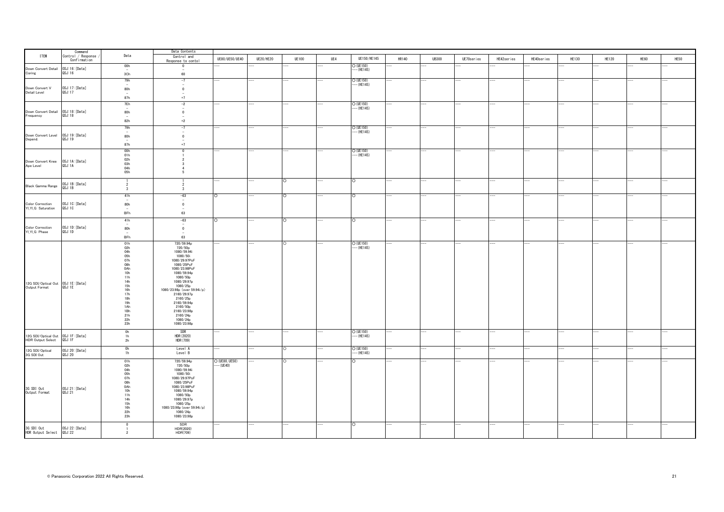|                                                                | Command<br>Control / Response |                                 | Data Contents                              |                          |                  |              |     |                            |       |              |                |                          |                |              |              |      |      |
|----------------------------------------------------------------|-------------------------------|---------------------------------|--------------------------------------------|--------------------------|------------------|--------------|-----|----------------------------|-------|--------------|----------------|--------------------------|----------------|--------------|--------------|------|------|
| <b>ITEM</b>                                                    | Confirmation                  | Data                            | Control and<br>Response to contol          | UE80/UE50/UE40           | <b>UE20/HE20</b> | <b>UE100</b> | UE4 | UE150/HE145                | HR140 | <b>UB300</b> | UE70series     | HE42series               | HE40series     | <b>HE130</b> | <b>HE120</b> | HE60 | HE50 |
|                                                                |                               | 00h                             | $\Omega$                                   |                          |                  |              |     | $O$ (UE150)                |       |              |                |                          |                |              |              |      |      |
| Down Convert Detail 0SJ:16: [Data]<br>Coring 0SJ:16            |                               | $\sim$<br>3Ch                   | $\sim$<br>60                               |                          |                  |              |     | $-$ (HE145)                |       |              |                |                          |                |              |              |      |      |
|                                                                |                               | 79h                             | $-7$                                       |                          |                  |              |     | $O$ (UE150)                |       |              |                |                          |                |              |              |      |      |
| Down Convert V<br>Detail Level                                 | OSJ:17:[Data]<br>QSJ:17       | $\overline{\phantom{a}}$<br>80h | $\sim$<br>$\overline{0}$                   |                          |                  |              |     | $-$ (HE145)                |       |              |                |                          |                |              |              |      |      |
|                                                                |                               | $\sim$<br>87h                   | $\overline{\phantom{a}}$<br>$+7$           |                          |                  |              |     |                            |       |              |                |                          |                |              |              |      |      |
|                                                                |                               | 7Eh                             | $-2$                                       | $\overline{\phantom{a}}$ |                  |              |     | O (UE150)                  |       |              | $\overline{a}$ | $\overline{\phantom{a}}$ | $\overline{a}$ |              |              |      |      |
| Down Convert Detail 0SJ:18: [Data]                             |                               |                                 | $\overline{\phantom{a}}$                   |                          |                  |              |     | $---(HE145)$               |       |              |                |                          |                |              |              |      |      |
| Frequency                                                      | QSJ:18                        | 80h<br>$\sim$                   | $\overline{0}$<br>$\sim$                   |                          |                  |              |     |                            |       |              |                |                          |                |              |              |      |      |
|                                                                |                               | 82h                             | $+2$                                       |                          |                  |              |     |                            |       |              |                |                          |                |              |              |      |      |
|                                                                |                               | 79h<br>$\sim$                   | $-7$<br>$\sim$                             |                          |                  |              |     | $O$ (UE150)<br>$-$ (HE145) |       |              |                |                          |                |              |              |      |      |
| Down Convert Level 0SJ:19: [Data]<br>Depend. 0SJ:19            |                               | 80h<br>$\overline{\phantom{a}}$ | $\overline{0}$                             |                          |                  |              |     |                            |       |              |                |                          |                |              |              |      |      |
|                                                                |                               | 87h                             | $+7$                                       |                          |                  |              |     |                            |       |              |                |                          |                |              |              |      |      |
|                                                                |                               | 00h                             | $\mathbf{0}$                               |                          |                  |              |     | $O$ (UE150)                |       |              |                |                          |                |              |              |      |      |
|                                                                |                               | 01h<br>02h                      | $\overline{2}$                             |                          |                  |              |     | $--(HE145)$                |       |              |                |                          |                |              |              |      |      |
|                                                                |                               | 03h<br>04h                      | 4                                          |                          |                  |              |     |                            |       |              |                |                          |                |              |              |      |      |
|                                                                |                               | 05h                             | 5                                          |                          |                  |              |     |                            |       |              |                |                          |                |              |              |      |      |
|                                                                |                               |                                 |                                            |                          |                  | $\circ$      |     | O                          |       |              |                |                          |                |              |              |      |      |
| Black Gamma Range 0SJ: 1B                                      | OSJ:1B: [Data]                | $\overline{2}$<br>3             | $\mathbf{3}$                               |                          |                  |              |     |                            |       |              |                |                          |                |              |              |      |      |
|                                                                |                               | 41h<br>$\sim$                   | $-63$<br>$\sim$                            |                          |                  |              |     | ∩                          |       |              |                |                          |                |              |              |      |      |
| Color Correction<br>Yl_Yl_G Saturation                         | OSJ:1C: [Data]<br>QSJ:1C      | 80h                             | $\overline{0}$                             |                          |                  |              |     |                            |       |              |                |                          |                |              |              |      |      |
|                                                                |                               | $\sim$<br><b>BFh</b>            | $\overline{\phantom{a}}$<br>63             |                          |                  |              |     |                            |       |              |                |                          |                |              |              |      |      |
|                                                                |                               | 41h                             | $-63$                                      | ∩                        |                  |              |     | $\circ$                    |       |              |                |                          |                |              |              |      |      |
|                                                                | OSJ:1D:[Data]                 | $\sim$<br>80h                   | $\overline{\phantom{a}}$<br>$\overline{0}$ |                          |                  |              |     |                            |       |              |                |                          |                |              |              |      |      |
| Color Correction<br>Yl_Yl_G Phase                              | QSJ:1D                        |                                 | $\overline{\phantom{a}}$                   |                          |                  |              |     |                            |       |              |                |                          |                |              |              |      |      |
|                                                                |                               | BFh<br>01h                      | 63<br>720/59.94p                           |                          |                  | $\circ$      |     |                            |       |              |                |                          |                |              |              |      |      |
|                                                                |                               | 02h                             | 720/50p                                    |                          |                  |              |     | O (UE150)<br>--- (HE145)   |       |              |                |                          |                |              |              |      |      |
|                                                                |                               | 04h<br>05h                      | 1080/59.94i<br>1080/50i                    |                          |                  |              |     |                            |       |              |                |                          |                |              |              |      |      |
|                                                                |                               | 07h<br>08h                      | 1080/29.97PsF<br>1080/25PsF                |                          |                  |              |     |                            |       |              |                |                          |                |              |              |      |      |
|                                                                |                               | 0Ah                             | 1080/23.98PsF                              |                          |                  |              |     |                            |       |              |                |                          |                |              |              |      |      |
|                                                                |                               | 10h<br>11h                      | 1080/59.94p<br>1080/50p                    |                          |                  |              |     |                            |       |              |                |                          |                |              |              |      |      |
| 12G SDI/Optical Out 0SJ:1E: [Data]                             |                               | 14h<br>15h                      | 1080/29.97p<br>1080/25p                    |                          |                  |              |     |                            |       |              |                |                          |                |              |              |      |      |
| Output Format                                                  | QSJ:1E                        | 16h                             | 1080/23.98p (over 59.94i/p)<br>2160/29.97p |                          |                  |              |     |                            |       |              |                |                          |                |              |              |      |      |
|                                                                |                               | $17h$<br>$18h$<br>$19h$         | 2160/25p                                   |                          |                  |              |     |                            |       |              |                |                          |                |              |              |      |      |
|                                                                |                               | 1Ah                             | 2160/59.94p<br>2160/50p                    |                          |                  |              |     |                            |       |              |                |                          |                |              |              |      |      |
|                                                                |                               | 1Bh                             | 2160/23.98p<br>2160/24p                    |                          |                  |              |     |                            |       |              |                |                          |                |              |              |      |      |
|                                                                |                               | 21h<br>22h                      | 1080/24p                                   |                          |                  |              |     |                            |       |              |                |                          |                |              |              |      |      |
|                                                                |                               | 23h                             | 1080/23.98p                                |                          |                  |              |     |                            |       |              |                |                          |                |              |              |      |      |
|                                                                |                               | 0 <sub>h</sub><br>1h            | SDR<br>HDR (2020)                          |                          |                  |              |     | $O$ (UE150)<br>$-$ (HE145) |       |              |                |                          |                |              |              |      |      |
| 12G SDI/Optical Out 0SJ:1F: [Data]<br>HDR Output Select 0SJ:1F |                               | 2h                              | HDR (709)                                  |                          |                  |              |     |                            |       |              |                |                          |                |              |              |      |      |
| 12G SDI/Optical<br>3G SDI Out                                  | OSJ:20:[Data]<br>QSJ:20       | 0h<br>1h                        | Level A<br>Level B                         |                          |                  |              |     | $O$ (UE150)<br>$-$ (HE145) |       |              |                |                          |                |              |              |      |      |
|                                                                |                               | 01h                             | 720/59.94p                                 | O (UE80, UE50)           |                  |              |     |                            |       |              |                |                          |                |              |              |      |      |
|                                                                |                               | 02h<br>04h                      | 720/50p<br>1080/59.94i                     | $-$ (UE40)               |                  |              |     |                            |       |              |                |                          |                |              |              |      |      |
|                                                                |                               | 05h<br>07h                      | 1080/50i<br>1080/29.97PsF                  |                          |                  |              |     |                            |       |              |                |                          |                |              |              |      |      |
|                                                                |                               | 08h                             | 1080/25PsF                                 |                          |                  |              |     |                            |       |              |                |                          |                |              |              |      |      |
| 3G SDI Out<br>Output Format                                    | OSJ:21:[Data]<br>QSJ:21       | $0$ Ah<br>10h                   | 1080/23.98PsF<br>1080/59.94p               |                          |                  |              |     |                            |       |              |                |                          |                |              |              |      |      |
|                                                                |                               | 11h<br>14h                      | 1080/50p<br>1080/29.97p                    |                          |                  |              |     |                            |       |              |                |                          |                |              |              |      |      |
|                                                                |                               | 15h                             | 1080/25p                                   |                          |                  |              |     |                            |       |              |                |                          |                |              |              |      |      |
|                                                                |                               | 16h<br>22h                      | 1080/23.98p (over 59.94i/p)<br>1080/24p    |                          |                  |              |     |                            |       |              |                |                          |                |              |              |      |      |
|                                                                |                               | 23h                             | 1080/23.98p                                |                          |                  |              |     |                            |       |              |                |                          |                |              |              |      |      |
|                                                                | OSJ:22:[Data]                 | $\Omega$                        | SDR<br>HDR(2020)                           |                          |                  |              |     | $\circ$                    |       |              |                |                          |                |              |              |      |      |
| 3G SDI Out<br>HDR Output Select 0SJ:22:[                       |                               | $\overline{2}$                  | HDR(709)                                   |                          |                  |              |     |                            |       |              |                |                          |                |              |              |      |      |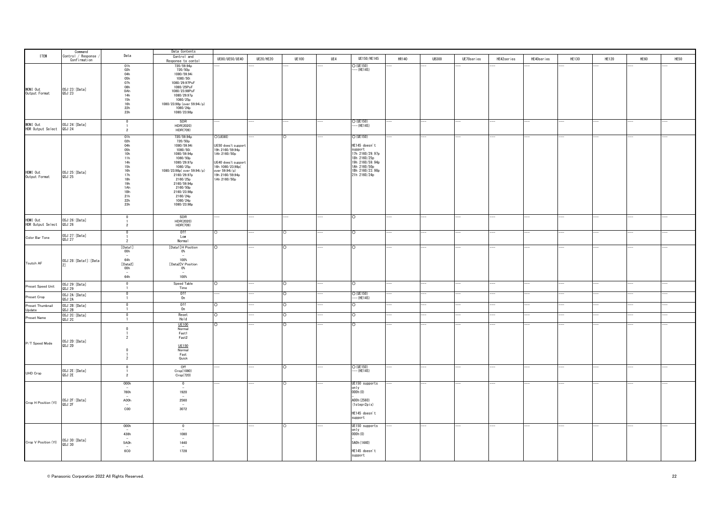|                                                   | Command<br>Control / Response      |                                                                                                                                 | Data Contents                                                                                                                                                                                                                                     |                                                                                                                                                                         |                  |              |     |                                                                                                                                                  |              |              |            |            |                |       |              |      |      |
|---------------------------------------------------|------------------------------------|---------------------------------------------------------------------------------------------------------------------------------|---------------------------------------------------------------------------------------------------------------------------------------------------------------------------------------------------------------------------------------------------|-------------------------------------------------------------------------------------------------------------------------------------------------------------------------|------------------|--------------|-----|--------------------------------------------------------------------------------------------------------------------------------------------------|--------------|--------------|------------|------------|----------------|-------|--------------|------|------|
| <b>ITEM</b>                                       | Confirmation                       | Data                                                                                                                            | Control and<br>Response to conto                                                                                                                                                                                                                  | UE80/UE50/UE40                                                                                                                                                          | <b>UE20/HE20</b> | <b>UE100</b> | UE4 | UE150/HE145                                                                                                                                      | <b>HR140</b> | <b>UB300</b> | UE70series | HE42series | HE40series     | HE130 | <b>HE120</b> | HE60 | HE50 |
| MONI Out<br>Output Format                         | OSJ:23:[Data]<br>QSJ:23            | 01h<br>02h<br>$\frac{04h}{05h}$<br>$\frac{07h}{08h}$<br>0Ah<br>14h<br>15h<br>16h<br>22h<br>23h                                  | 720/59.94p<br>720/50p<br>1080/59.94i<br>1080/50i<br>1080/29.97PsF<br>1080/25PsF<br>1080/23.98PsF<br>1080/29.97p<br>1080/25p<br>1080/23.98p (over 59.94i/p)<br>1080/24p<br>1080/23.98p                                                             |                                                                                                                                                                         |                  |              |     | $O$ (UE150)<br>$-(HE145)$                                                                                                                        |              |              |            |            |                |       |              |      |      |
| MONI Out<br>HDR Output Select 0SJ:24:             | OSJ:24:[Data]                      | $\mathbf 0$<br>$\overline{2}$                                                                                                   | SDR<br>HDR(2020)<br>HDR(709)                                                                                                                                                                                                                      |                                                                                                                                                                         |                  |              |     | O (UE150)<br>--- (HE145)                                                                                                                         |              |              |            |            |                |       |              |      |      |
| HDMI Out<br>Output Format                         | OSJ:25:[Data]<br>QSJ:25            | 01h<br>02h<br>04h<br>05h<br>10h<br>11h<br>14h<br>15h<br>16h<br>17h<br>18h<br>19 <sub>h</sub><br>1Ah<br>1Bh<br>21h<br>22h<br>23h | 720/59.94p<br>720/50p<br>1080/59.94i<br>1080/50i<br>1080/59.94p<br>1080/50p<br>1080/29.97p<br>1080/25p<br>1080/23.98p( over 59.94i/p)<br>2160/29.97p<br>2160/25p<br>2160/59.94p<br>2160/50p<br>2160/23.98p<br>2160/24p<br>1080/24p<br>1080/23.98p | $O($ UE80 $)$<br>UE50 does't support<br>19h 2160/59.94p<br>1Ah 2160/50p<br>UE40 does't support<br>16h 1080/23.98p(<br>over 59.94i/p)<br>19h 2160/59.94p<br>1Ah 2160/50p |                  |              |     | $O$ (UE150)<br>HE145 doesn't<br>support<br>17h 2160/29.97p<br>18h 2160/25p<br>19h 2160/59.94p<br>1Ah 2160/50p<br>1Bh 2160/23.98p<br>21h 2160/24p |              |              |            |            |                |       |              |      |      |
| HDMI Out<br>HDR Output Select 0SJ:26:             | OSJ:26:[Data]                      | $\overline{0}$<br>$\overline{1}$<br>$\overline{2}$                                                                              | SDR<br>HDR(2020)<br>HDR(709)                                                                                                                                                                                                                      |                                                                                                                                                                         |                  |              |     | C                                                                                                                                                |              |              |            |            |                |       |              |      |      |
| Color Bar Tone                                    | OSJ:27: [Data]<br>QSJ:27           | $\Omega$<br>$\overline{\phantom{a}}$                                                                                            | 0ff<br>Low<br>Normal                                                                                                                                                                                                                              | 0                                                                                                                                                                       |                  | O            |     | $\circ$                                                                                                                                          |              |              |            |            | $\overline{a}$ |       |              |      |      |
| Toutch AF                                         | OSJ:28: [Data1]: [Data             | [Data1]<br>00h<br>$\overline{\phantom{a}}$<br>64h<br>[Data2]<br>00h<br>$\sim$<br>64h                                            | [Data1]H Position<br>$O\%$<br>100%<br>[Data2]V Position<br>0%<br>$\overline{a}$<br>100%                                                                                                                                                           | 0                                                                                                                                                                       |                  |              |     |                                                                                                                                                  |              |              |            |            |                |       |              |      |      |
| Preset Speed Unit                                 | OSJ:29:[Data]<br>QSJ:29            | $\overline{0}$<br>$\mathbf{1}$                                                                                                  | Speed Table<br>Time                                                                                                                                                                                                                               |                                                                                                                                                                         |                  |              |     |                                                                                                                                                  |              |              |            |            |                |       |              |      |      |
| Preset Crop                                       | OSJ:2A: [Data]                     | $\Omega$<br>$\overline{1}$                                                                                                      | Off<br>On                                                                                                                                                                                                                                         |                                                                                                                                                                         |                  |              |     | $O$ (UE150)<br>$-$ (HE145)                                                                                                                       |              |              |            |            |                |       |              |      |      |
| Preset Thumbnail                                  | QSJ:ZA<br>OSJ:2B:[Data]            | $\Omega$                                                                                                                        | Off<br>On                                                                                                                                                                                                                                         |                                                                                                                                                                         |                  |              |     | $\circ$                                                                                                                                          |              |              |            |            |                |       |              |      |      |
| Update                                            | QSJ:2B<br>OSJ:2C: [Data]           | $\overline{1}$<br>$\overline{0}$                                                                                                | Reset                                                                                                                                                                                                                                             |                                                                                                                                                                         |                  |              |     | ō                                                                                                                                                |              |              |            |            |                |       |              |      |      |
| Preset Name<br>$\mathsf{P}/\mathsf{T}$ Speed Mode | OSJ:2C<br>OSJ:2D: [Data]<br>QSJ:2D | $\mathbf 0$<br>$\overline{2}$<br>$\Omega$<br>$\overline{2}$                                                                     | Hold<br><b>UE100</b><br>Normal<br>Fast1<br>Fast2<br>UE150<br>Normal<br>Fast<br>Quick                                                                                                                                                              |                                                                                                                                                                         |                  |              |     | $\circ$                                                                                                                                          |              |              |            |            |                |       |              |      |      |
| UHD Crop                                          | OSJ:2E: [Data]<br>QSJ:2E           | $\mathbf{0}$<br>$\overline{1}$<br>$\overline{2}$                                                                                | Off<br>Crop(1080)<br>Crop(720)                                                                                                                                                                                                                    |                                                                                                                                                                         |                  | $\circ$      |     | O (UE150)<br>$-$ (HE145)                                                                                                                         |              |              |            |            |                |       |              |      |      |
| Crop H Position (YI)                              | OSJ:2F:[Data]<br>QSJ:2F            | 000h<br>780h<br>A00h<br>$\overline{\phantom{a}}$<br>C00                                                                         | $\mathbf{0}$<br>1920<br>$\sim$<br>2560<br>$\overline{\phantom{a}}$<br>3072                                                                                                                                                                        |                                                                                                                                                                         |                  |              |     | UE150 supports<br>only<br>000h(0)<br>A00h (2560)<br>$(1step=2pi)x)$<br>HE145 doesn't<br>support                                                  |              |              |            |            |                |       |              |      |      |
| Crop V Position (YI) 0SJ:30: [Data]               |                                    | 000h<br>438h<br>5A0h<br>$\overline{\phantom{a}}$<br>6C0                                                                         | $\overline{\mathbf{0}}$<br>1080<br>1440<br>1728                                                                                                                                                                                                   |                                                                                                                                                                         |                  |              |     | UE150 supports<br>only<br>000h(0)<br>5A0h (1440)<br>HE145 doesn't<br>support                                                                     |              |              |            |            |                |       |              |      |      |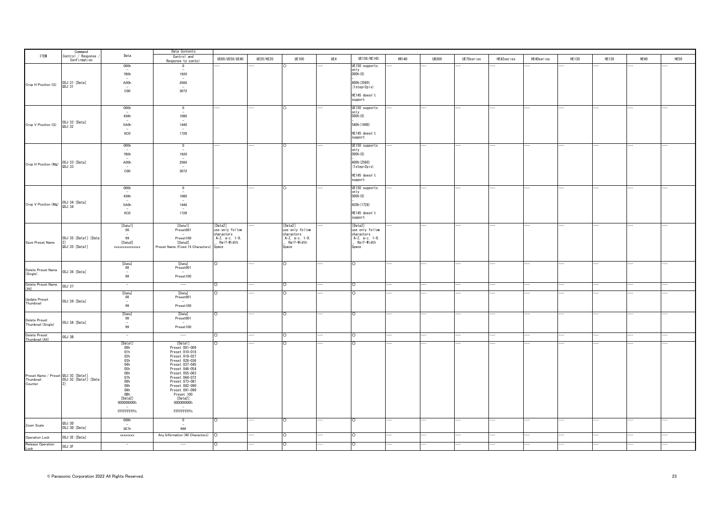|                                     | Command                            |                                                            | Data Contents                      |                                         |                  |                                         |     |                                         |              |              |            |            |            |              |              |      |      |
|-------------------------------------|------------------------------------|------------------------------------------------------------|------------------------------------|-----------------------------------------|------------------|-----------------------------------------|-----|-----------------------------------------|--------------|--------------|------------|------------|------------|--------------|--------------|------|------|
| <b>ITEM</b>                         | Control / Response<br>Confirmation | Data                                                       | Control and                        | UE80/UE50/UE40                          | <b>UE20/HE20</b> | <b>UE100</b>                            | UE4 | UE150/HE145                             | <b>HR140</b> | <b>UB300</b> | UE70series | HE42series | HE40series | <b>HE130</b> | <b>HE120</b> | HE60 | HE50 |
|                                     |                                    | 000h                                                       | Response to contol<br>$\mathbf{0}$ |                                         |                  |                                         |     | UE150 supports                          |              |              |            |            |            |              |              |      |      |
|                                     |                                    |                                                            | $\sim$                             |                                         |                  |                                         |     | only                                    |              |              |            |            |            |              |              |      |      |
|                                     |                                    | 780h                                                       | 1920<br>$\sim$                     |                                         |                  |                                         |     | 000h(0)                                 |              |              |            |            |            |              |              |      |      |
|                                     |                                    | A00h                                                       | 2560                               |                                         |                  |                                         |     | A00h (2560)                             |              |              |            |            |            |              |              |      |      |
| Crop H Position (G)                 | OSJ:31:[Data]<br>QSJ:31            |                                                            | $\sim$                             |                                         |                  |                                         |     | $(1step=2pi)x)$                         |              |              |            |            |            |              |              |      |      |
|                                     |                                    | C00                                                        | 3072                               |                                         |                  |                                         |     | HE145 doesn't                           |              |              |            |            |            |              |              |      |      |
|                                     |                                    |                                                            |                                    |                                         |                  |                                         |     | support                                 |              |              |            |            |            |              |              |      |      |
|                                     |                                    |                                                            |                                    |                                         |                  |                                         |     |                                         |              |              |            |            |            |              |              |      |      |
|                                     |                                    | 000h<br>$\sim$                                             | $\overline{0}$<br>$\sim$           |                                         |                  | $\circ$                                 |     | UE150 supports<br>only                  |              |              |            |            |            |              |              |      |      |
|                                     |                                    | 438h                                                       | 1080                               |                                         |                  |                                         |     | 000h(0)                                 |              |              |            |            |            |              |              |      |      |
| Crop V Position (G)                 | 0SJ:32: [Data]<br>QSJ:32           | 5A0h                                                       | $\sim$<br>1440                     |                                         |                  |                                         |     | 5A0h (1440)                             |              |              |            |            |            |              |              |      |      |
|                                     |                                    | $\sim$                                                     | $\sim$                             |                                         |                  |                                         |     |                                         |              |              |            |            |            |              |              |      |      |
|                                     |                                    | <b>6C0</b>                                                 | 1728                               |                                         |                  |                                         |     | HE145 doesn't                           |              |              |            |            |            |              |              |      |      |
|                                     |                                    |                                                            |                                    |                                         |                  |                                         |     | support                                 |              |              |            |            |            |              |              |      |      |
|                                     |                                    | 000h                                                       | $\overline{0}$                     |                                         |                  | O                                       |     | UE150 supports                          |              |              |            |            |            |              |              |      |      |
|                                     |                                    | 780h                                                       | 1920                               |                                         |                  |                                         |     | only<br>000h(0)                         |              |              |            |            |            |              |              |      |      |
|                                     |                                    |                                                            | $\sim$                             |                                         |                  |                                         |     |                                         |              |              |            |            |            |              |              |      |      |
| Crop H Position (Mg) 0SJ:33: [Data] |                                    | A00h<br>$\sim$                                             | 2560<br>$\sim$                     |                                         |                  |                                         |     | A00h (2560)                             |              |              |            |            |            |              |              |      |      |
|                                     |                                    | C00                                                        | 3072                               |                                         |                  |                                         |     | $(1step=2pi)x)$                         |              |              |            |            |            |              |              |      |      |
|                                     |                                    |                                                            |                                    |                                         |                  |                                         |     | HE145 doesn't                           |              |              |            |            |            |              |              |      |      |
|                                     |                                    |                                                            |                                    |                                         |                  |                                         |     | support                                 |              |              |            |            |            |              |              |      |      |
|                                     |                                    | 000h                                                       | $\overline{\phantom{a}}$           |                                         |                  |                                         |     | UE150 supports                          |              |              |            |            |            |              |              |      |      |
|                                     |                                    | $\overline{\phantom{0}}$<br>438h                           | $\sim$<br>1080                     |                                         |                  |                                         |     | only<br>000h (0)                        |              |              |            |            |            |              |              |      |      |
|                                     |                                    | $\sim$                                                     | $\overline{a}$                     |                                         |                  |                                         |     |                                         |              |              |            |            |            |              |              |      |      |
| Crop V Position (Mg) 0SJ:34: [Data] |                                    | 5A0h                                                       | 1440                               |                                         |                  |                                         |     | 600h (1728)                             |              |              |            |            |            |              |              |      |      |
|                                     |                                    | $\sim$<br><b>6C0</b>                                       | 1728                               |                                         |                  |                                         |     | HE145 doesn't                           |              |              |            |            |            |              |              |      |      |
|                                     |                                    |                                                            |                                    |                                         |                  |                                         |     | support                                 |              |              |            |            |            |              |              |      |      |
|                                     |                                    | [Data1]                                                    | [Data1]                            | [Data2]                                 |                  | [Data2]                                 |     | [Data2]                                 |              | ---          |            |            |            |              |              |      |      |
|                                     |                                    | 00                                                         | Preset001                          | use only follow                         |                  | use only follow                         |     | use only follow                         |              |              |            |            |            |              |              |      |      |
|                                     |                                    | $\sim$                                                     | $\overline{\phantom{a}}$           | charactors                              |                  | charactors                              |     | charactors                              |              |              |            |            |            |              |              |      |      |
| Save Preset Name                    | OSJ:35: [Data1]: [Data             | 99<br>[Data2]                                              | Preset100<br>[Data2]               | $A-Z$ , $a-z$ , $1-9$ ,<br>. Half-Width |                  | $A-Z$ , $a-z$ , $1-9$ ,<br>. Half-Width |     | $A-Z$ , $a-z$ , $1-9$ ,<br>. Half-Width |              |              |            |            |            |              |              |      |      |
|                                     | QSJ:35:[Data1]                     | xxxxxxxxxxxxxx                                             | Preset Name (Fixed 15 Charactors)  | Space                                   |                  | Space                                   |     | Space                                   |              |              |            |            |            |              |              |      |      |
|                                     |                                    |                                                            |                                    |                                         |                  |                                         |     |                                         |              |              |            |            |            |              |              |      |      |
|                                     |                                    |                                                            |                                    |                                         |                  |                                         |     |                                         |              |              |            |            |            |              |              |      |      |
|                                     |                                    | [Data]                                                     | [Data]                             | $\circ$                                 |                  | $\circ$                                 |     | $\circ$                                 |              |              |            |            |            | i,           |              |      |      |
| Delete Preset Name                  | OSJ:36:[Data]                      | 00<br>$\overline{\phantom{a}}$                             | Preset001<br>$\sim$                |                                         |                  |                                         |     |                                         |              |              |            |            |            |              |              |      |      |
| (Single)                            |                                    | 99                                                         | Preset100                          |                                         |                  |                                         |     |                                         |              |              |            |            |            |              |              |      |      |
|                                     |                                    | $\overline{\phantom{a}}$                                   | $\hspace{0.5cm} \cdots$            | n.                                      |                  | $\circ$                                 |     | C                                       |              |              |            |            |            |              |              |      |      |
| Delete Preset Name<br>(All)         | 0SJ:37                             |                                                            |                                    |                                         |                  |                                         |     |                                         |              |              |            |            |            |              |              |      |      |
|                                     |                                    | [Data]                                                     | [Data]                             | $\circ$                                 |                  | O                                       |     | $\circ$                                 |              |              |            |            |            |              |              |      |      |
| <b>Update Preset</b><br>Thumbnail   | OSJ:39:[Data]                      | $00\,$<br>$\overline{\phantom{a}}$                         | Preset001                          |                                         |                  |                                         |     |                                         |              |              |            |            |            |              |              |      |      |
|                                     |                                    | 99                                                         | Preset100                          |                                         |                  |                                         |     |                                         |              |              |            |            |            |              |              |      |      |
|                                     |                                    | [Data]                                                     | [Data]                             | ∩                                       |                  | $\circ$                                 |     | $\circ$                                 |              |              |            |            |            |              |              |      |      |
| Delete Preset                       |                                    | $_{00}$                                                    | Preset001                          |                                         |                  |                                         |     |                                         |              |              |            |            |            |              |              |      |      |
| Thumbnail (Single)                  | OSJ:3A: [Data]                     | $\sim$<br>99                                               | $-$<br>Preset100                   |                                         |                  |                                         |     |                                         |              |              |            |            |            |              |              |      |      |
|                                     |                                    |                                                            |                                    |                                         |                  |                                         |     |                                         |              |              |            |            |            |              |              |      |      |
| Delete Preset                       | OSJ:3B                             |                                                            |                                    |                                         |                  |                                         |     | O                                       |              |              |            |            |            |              |              |      |      |
| Thumbnail (All)                     |                                    | [Data1]                                                    | [Data1]                            | ∩                                       |                  |                                         |     |                                         |              |              |            |            |            |              |              |      |      |
|                                     |                                    | 00h                                                        | Preset 001-009                     |                                         |                  |                                         |     |                                         |              |              |            |            |            |              |              |      |      |
|                                     |                                    | $\begin{array}{c} 01\mathrm{h}\\ 02\mathrm{h} \end{array}$ | Preset 010-018<br>Preset 019-027   |                                         |                  |                                         |     |                                         |              |              |            |            |            |              |              |      |      |
|                                     |                                    |                                                            | Preset 028-036                     |                                         |                  |                                         |     |                                         |              |              |            |            |            |              |              |      |      |
|                                     |                                    |                                                            | Preset 037-045                     |                                         |                  |                                         |     |                                         |              |              |            |            |            |              |              |      |      |
|                                     |                                    |                                                            | Preset 046-054<br>Preset 055-063   |                                         |                  |                                         |     |                                         |              |              |            |            |            |              |              |      |      |
|                                     |                                    | 03h<br>04h<br>05h<br>06h<br>07h<br>08h<br>08h<br>08h       | Preset 064-072                     |                                         |                  |                                         |     |                                         |              |              |            |            |            |              |              |      |      |
| Counter                             | 21                                 |                                                            | Preset 073-081                     |                                         |                  |                                         |     |                                         |              |              |            |            |            |              |              |      |      |
|                                     |                                    |                                                            | Preset 082-090<br>Preset 091-099   |                                         |                  |                                         |     |                                         |              |              |            |            |            |              |              |      |      |
|                                     |                                    |                                                            | Preset 100                         |                                         |                  |                                         |     |                                         |              |              |            |            |            |              |              |      |      |
|                                     |                                    | [Data2]                                                    | [Data2]                            |                                         |                  |                                         |     |                                         |              |              |            |            |            |              |              |      |      |
|                                     |                                    | 000000000h                                                 | 000000000h                         |                                         |                  |                                         |     |                                         |              |              |            |            |            |              |              |      |      |
|                                     |                                    | FFFFFFFFFh                                                 | FFFFFFFFFh                         |                                         |                  |                                         |     |                                         |              |              |            |            |            |              |              |      |      |
|                                     |                                    |                                                            |                                    |                                         |                  |                                         |     |                                         |              |              |            |            |            |              |              |      |      |
|                                     | QSJ:3D                             | 000h<br>$\overline{\phantom{a}}$                           | $\mathbf{0}$<br>$\sim$             | $\circ$                                 |                  | C.                                      |     | $\circ$                                 |              |              |            |            |            |              |              |      |      |
| Zoom Scale                          | OSJ:3D: [Data]                     | 3E7h                                                       | 999                                |                                         |                  |                                         |     |                                         |              |              |            |            |            |              |              |      |      |
| Operation Lock                      | OSJ:3E:[Data]                      | xxxxxxx                                                    | Any Information (40 Charactors)    |                                         |                  |                                         |     | $\circ$                                 |              |              |            |            |            |              |              |      |      |
|                                     |                                    |                                                            |                                    |                                         |                  |                                         |     |                                         |              |              |            |            |            |              |              |      |      |
| Release Operation<br>Lock           | OSJ:3F                             |                                                            | $-\!-\!$                           |                                         |                  |                                         |     | O                                       |              |              |            |            |            |              |              |      |      |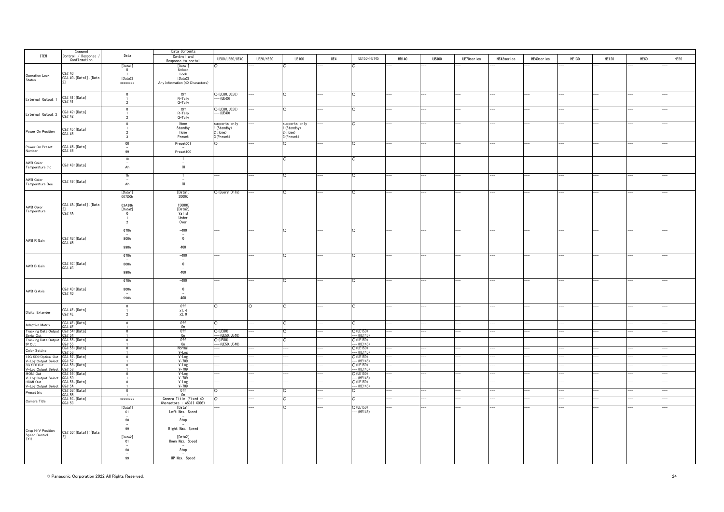|                                                  | Command                   |                                         | Data Contents                                      |                                |                  |                             |     |                            |       |              |            |            |            |              |              |      |      |
|--------------------------------------------------|---------------------------|-----------------------------------------|----------------------------------------------------|--------------------------------|------------------|-----------------------------|-----|----------------------------|-------|--------------|------------|------------|------------|--------------|--------------|------|------|
| <b>ITEM</b>                                      | Control / Response        | Data                                    | Control and                                        | UE80/UE50/UE40                 | <b>UE20/HE20</b> | <b>UE100</b>                | UE4 | UE150/HE145                | HR140 | <b>UB300</b> | UE70series | HE42series | HE40series | <b>HE130</b> | <b>HE120</b> | HE60 | HE50 |
|                                                  | Confirmation              |                                         | Response to contol                                 |                                |                  |                             |     |                            |       |              |            |            |            |              |              |      |      |
|                                                  |                           | [Data1]                                 | [Data1]                                            |                                |                  |                             |     |                            |       |              |            |            |            |              |              |      |      |
|                                                  | OSJ:40                    | $\overline{\mathbf{0}}$<br>$\mathbf{1}$ | Unlock<br>Lock                                     |                                |                  |                             |     |                            |       |              |            |            |            |              |              |      |      |
| Operation Lock                                   | OSJ: 40: [Data1]: [Data   | [Data2]                                 | [Data2]                                            |                                |                  |                             |     |                            |       |              |            |            |            |              |              |      |      |
| Status                                           | 21                        | xxxxxxxx                                | Any Information (40 Charactors)                    |                                |                  |                             |     |                            |       |              |            |            |            |              |              |      |      |
|                                                  |                           |                                         |                                                    |                                |                  |                             |     |                            |       |              |            |            |            |              |              |      |      |
|                                                  |                           | $\overline{0}$                          | Off                                                | O (UE80, UE50)                 |                  |                             |     |                            |       |              |            |            |            |              |              |      |      |
| External Output 1                                | OSJ:41:[Data]<br>QSJ:41   | $\overline{1}$                          | R-Tally                                            | $-$ (UE40)                     |                  |                             |     |                            |       |              |            |            |            |              |              |      |      |
|                                                  |                           | $\overline{2}$                          | G-Tally                                            |                                |                  |                             |     |                            |       |              |            |            |            |              |              |      |      |
|                                                  |                           | $\Omega$                                | Off                                                | O (UE80, UE50)                 |                  | $\circ$                     |     | $\circ$                    |       |              |            |            |            |              |              |      |      |
| External Output 2                                | OSJ:42: [Data]<br>QSJ:42  |                                         | R-Tally                                            | -- (UE40)                      |                  |                             |     |                            |       |              |            |            |            |              |              |      |      |
|                                                  |                           | $\overline{2}$                          | G-Tally                                            |                                |                  |                             |     |                            |       |              |            |            |            |              |              |      |      |
|                                                  |                           | $\overline{0}$                          | None<br>Standby                                    | supports only<br>1 (Standby)   |                  | supports only<br>1(Standby) |     |                            |       |              |            |            |            |              |              |      |      |
| Power On Position                                | OSJ:45:[Data]             | $\overline{2}$                          | Home                                               | 2 (Home)                       |                  | 2 (Home)                    |     |                            |       |              |            |            |            |              |              |      |      |
|                                                  | QSJ:45                    | 3                                       | Preset                                             | 3 (Preset)                     |                  | 3 (Preset)                  |     |                            |       |              |            |            |            |              |              |      |      |
|                                                  |                           | 00                                      | Preset001                                          |                                |                  |                             |     |                            |       |              |            |            |            |              |              |      |      |
| Power On Preset                                  | OSJ:46:[Data]             |                                         | $\sim$                                             |                                |                  |                             |     |                            |       |              |            |            |            |              |              |      |      |
| Number                                           | QSJ:46                    | 99                                      | Preset100                                          |                                |                  |                             |     |                            |       |              |            |            |            |              |              |      |      |
|                                                  |                           | 1h                                      | $\overline{1}$                                     |                                |                  | $\circ$                     |     | $\circ$                    |       |              |            |            |            |              |              |      |      |
| AWB Color                                        | OSJ:48:[Data]             |                                         | $\overline{\phantom{a}}$                           |                                |                  |                             |     |                            |       |              |            |            |            |              |              |      |      |
| Temperature Inc                                  |                           | Ah                                      | 10                                                 |                                |                  |                             |     |                            |       |              |            |            |            |              |              |      |      |
|                                                  |                           | 1h                                      | -1                                                 |                                |                  |                             |     | C                          |       |              |            |            |            |              |              |      |      |
| AWB Color                                        |                           | $\sim$                                  | $\overline{\phantom{a}}$                           |                                |                  |                             |     |                            |       |              |            |            |            |              |              |      |      |
| Temperature Dec                                  | OSJ:49:[Data]             | Ah                                      | 10                                                 |                                |                  |                             |     |                            |       |              |            |            |            |              |              |      |      |
|                                                  |                           |                                         |                                                    |                                |                  |                             |     |                            |       |              |            |            |            |              |              |      |      |
|                                                  |                           | [Data1]<br>007D0h                       | [Data1]<br>2000K                                   | O (Query Only)                 |                  |                             |     | $\circ$                    |       |              |            |            |            |              |              |      |      |
|                                                  |                           |                                         |                                                    |                                |                  |                             |     |                            |       |              |            |            |            |              |              |      |      |
| AWB Color                                        | OSJ: 4A: [Data1]: [Data   | 03A98h                                  | 15000K                                             |                                |                  |                             |     |                            |       |              |            |            |            |              |              |      |      |
| Temperature                                      | 2]<br>QSJ:4A              | [Data2]                                 | [Data2]                                            |                                |                  |                             |     |                            |       |              |            |            |            |              |              |      |      |
|                                                  |                           | $\bullet$<br>$\overline{1}$             | Valid<br>Under                                     |                                |                  |                             |     |                            |       |              |            |            |            |              |              |      |      |
|                                                  |                           | $\overline{2}$                          | Over                                               |                                |                  |                             |     |                            |       |              |            |            |            |              |              |      |      |
|                                                  |                           |                                         |                                                    |                                |                  |                             |     |                            |       |              |            |            |            |              |              |      |      |
|                                                  |                           | 670h                                    | $-400$                                             |                                |                  |                             |     |                            |       |              |            |            |            |              |              |      |      |
|                                                  | OSJ: 4B: [Data]           | 800h                                    | $\overline{\phantom{a}}$<br>$\overline{0}$         |                                |                  |                             |     |                            |       |              |            |            |            |              |              |      |      |
| AWB R Gain                                       | QSJ:4B                    |                                         |                                                    |                                |                  |                             |     |                            |       |              |            |            |            |              |              |      |      |
|                                                  |                           | 990h                                    | 400                                                |                                |                  |                             |     |                            |       |              |            |            |            |              |              |      |      |
|                                                  |                           |                                         |                                                    |                                |                  |                             |     |                            |       |              |            |            |            |              |              |      |      |
|                                                  |                           | 670h                                    | $-400$<br>$\overline{\phantom{a}}$                 |                                |                  |                             |     |                            |       |              |            |            |            |              |              |      |      |
|                                                  | OSJ:4C: [Data]            | 800h                                    | $\overline{0}$                                     |                                |                  |                             |     |                            |       |              |            |            |            |              |              |      |      |
| AWB B Gain                                       | QSJ:4C                    |                                         |                                                    |                                |                  |                             |     |                            |       |              |            |            |            |              |              |      |      |
|                                                  |                           | 990h                                    | 400                                                |                                |                  |                             |     |                            |       |              |            |            |            |              |              |      |      |
|                                                  |                           | 670h                                    | $-400$                                             |                                |                  | $\circ$                     |     | $\circ$                    |       |              |            |            |            |              |              |      |      |
|                                                  |                           |                                         | $\overline{\phantom{a}}$                           |                                |                  |                             |     |                            |       |              |            |            |            |              |              |      |      |
| AWB G Axis                                       | OSJ:4D:[Data]             | 800h                                    | $\overline{0}$                                     |                                |                  |                             |     |                            |       |              |            |            |            |              |              |      |      |
|                                                  | QSJ:4D                    | $\sim$<br>990h                          | 400                                                |                                |                  |                             |     |                            |       |              |            |            |            |              |              |      |      |
|                                                  |                           |                                         |                                                    |                                |                  |                             |     |                            |       |              |            |            |            |              |              |      |      |
|                                                  |                           | $\mathbf{0}$                            | 0ff                                                | O                              | IO.              | $\circ$                     |     | lO.                        |       |              |            |            |            |              |              |      |      |
| Digital Extender                                 | OSJ: 4E: [Data]           | $\overline{1}$                          | x1.4                                               |                                |                  |                             |     |                            |       |              |            |            |            |              |              |      |      |
|                                                  | QSJ: 4E                   | $\overline{2}$                          | x2.0                                               |                                |                  |                             |     |                            |       |              |            |            |            |              |              |      |      |
|                                                  | OSJ:4F:[Data]             | $\Omega$                                | 0ff                                                |                                |                  |                             |     | $\circ$                    |       |              |            |            |            |              |              |      |      |
| Adaptive Matrix                                  | OS.I:AF                   |                                         | n                                                  |                                |                  |                             |     |                            |       |              |            |            |            |              |              |      |      |
| <b>Tracking Data Output</b>                      | OSJ:54: [Data]            | $\Omega$                                | 0ff                                                | $O$ (UE80)                     |                  | ∩                           |     | $O$ (UE150)                |       |              |            |            |            |              |              |      |      |
| Serial Out<br><b>Tracking Data Output</b>        | 0S.1:54<br>OSJ:55: [Data] | $\overline{0}$                          | 0n<br>0ff                                          | $-$ (UE50, UE40)<br>$O$ (UE80) |                  |                             |     | $-$ (HF145)<br>$O$ (UE150) |       |              |            |            |            |              |              |      |      |
| IP Out                                           | QSJ:55                    |                                         | 0n                                                 | $-(UE50, UE40)$                |                  |                             |     | $-$ (HF145)                |       |              |            |            |            |              |              |      |      |
| <b>Color Setting</b>                             | OSJ:56: [Data]            |                                         | Normal                                             |                                |                  |                             |     | $O$ (UE150)                |       |              |            |            |            |              |              |      |      |
| 12G SDI/Optical Out 0SJ:57: [Data]               | 0SJ:56                    | $\overline{\phantom{a}}$                | $V$ -Log<br>V-Log                                  |                                |                  |                             |     | $-$ (HF145)<br>$O$ (UE150) |       |              |            |            |            |              |              |      |      |
|                                                  |                           |                                         | $V - 709$                                          |                                |                  |                             |     | $-$ (HE145)                |       |              |            |            |            |              |              |      |      |
| V-Log Output Select 0SJ:57<br>3G SDI Out 0SJ:58: | OSJ:58: [Data]            | $\overline{0}$                          | $V - Log V - 709$                                  |                                |                  |                             |     | $O$ (UE150)                |       |              |            |            |            |              |              |      |      |
| V-Log Output Select 0SJ:58                       |                           |                                         |                                                    |                                |                  |                             |     | $-(HE145)$                 |       |              |            |            |            |              |              |      |      |
| <b>MONI Out</b>                                  | OSJ:59: [Data]            | $\Omega$                                | $V - Log V - 709$                                  |                                |                  |                             |     | $O$ (UE150)<br>$-(HE145)$  |       |              |            |            |            |              |              |      |      |
| V-Log Output Select 0SJ:59<br>HDMI Out 0SJ:5A:   | 0SJ:5A:[Data]             | $\Omega$                                |                                                    |                                |                  |                             |     |                            |       |              |            |            |            |              |              |      |      |
| V-Log Output Select                              | OSJ:5A                    |                                         | V-Log<br>V-709                                     |                                |                  |                             |     | $O$ (UE150)<br>--- (HE145) |       |              |            |            |            |              |              |      |      |
| Preset Iris                                      | OSJ:5B: [Data]            | $\Omega$                                | 0ff                                                |                                |                  |                             |     | $\circ$                    |       |              |            |            |            |              |              |      |      |
|                                                  | OSJ:5B                    |                                         | 0n                                                 |                                |                  | ∩                           |     | $\Omega$                   |       |              |            |            |            |              |              |      |      |
| Camera Title                                     | OSJ:5C:[Data]<br>QSJ:5C   | xxxxxxx                                 | Camera Title (Fixed 40<br>Charactors : ASCII CODE) | $\Omega$                       |                  |                             |     |                            |       |              |            |            |            |              |              |      |      |
|                                                  |                           | [Data1]                                 | [Data1]                                            |                                |                  |                             |     | $O$ (UE150)                |       |              |            |            |            |              |              |      |      |
|                                                  |                           | 01                                      | Left Max. Speed                                    |                                |                  |                             |     | $-$ (HE145)                |       |              |            |            |            |              |              |      |      |
|                                                  |                           | $\sim$                                  |                                                    |                                |                  |                             |     |                            |       |              |            |            |            |              |              |      |      |
|                                                  |                           | 50                                      | Stop                                               |                                |                  |                             |     |                            |       |              |            |            |            |              |              |      |      |
|                                                  |                           | 99                                      | Right Max. Speed                                   |                                |                  |                             |     |                            |       |              |            |            |            |              |              |      |      |
| Crop H/V Position                                | OSJ: 5D: [Data1]: [Data   |                                         |                                                    |                                |                  |                             |     |                            |       |              |            |            |            |              |              |      |      |
| Speed Control<br>(YI)                            | 21                        | [Data2]                                 | [Data2]                                            |                                |                  |                             |     |                            |       |              |            |            |            |              |              |      |      |
|                                                  |                           | 01                                      | Down Max. Speed                                    |                                |                  |                             |     |                            |       |              |            |            |            |              |              |      |      |
|                                                  |                           | 50                                      | Stop                                               |                                |                  |                             |     |                            |       |              |            |            |            |              |              |      |      |
|                                                  |                           | $\overline{\phantom{a}}$                |                                                    |                                |                  |                             |     |                            |       |              |            |            |            |              |              |      |      |
|                                                  |                           | 99                                      | UP Max. Speed                                      |                                |                  |                             |     |                            |       |              |            |            |            |              |              |      |      |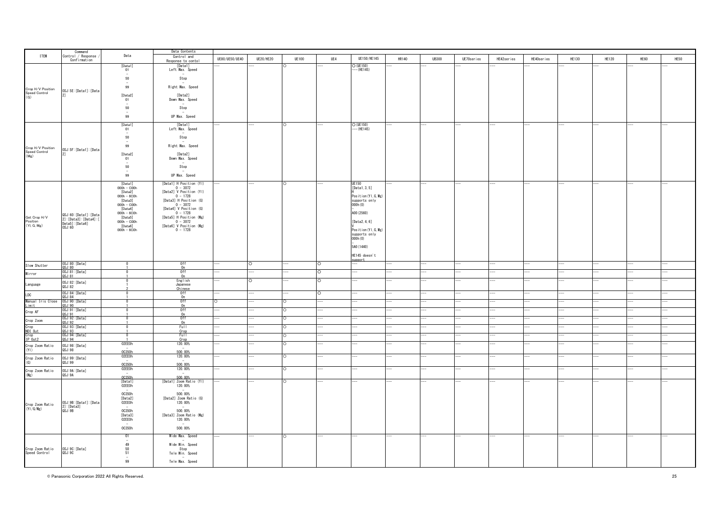|                                                           | Command                                           |                                         | Data Contents                         |                |                  |              |          |                      |       |              |            |            |            |              |              |      |      |
|-----------------------------------------------------------|---------------------------------------------------|-----------------------------------------|---------------------------------------|----------------|------------------|--------------|----------|----------------------|-------|--------------|------------|------------|------------|--------------|--------------|------|------|
| <b>ITEM</b>                                               | Control / Response<br>Confirmation                | Data                                    | Control and                           | UE80/UE50/UE40 | <b>UE20/HE20</b> | <b>UE100</b> | UE4      | UE150/HE145          | HR140 | <b>UB300</b> | UE70series | HE42series | HE40series | <b>HE130</b> | <b>HE120</b> | HE60 | HE50 |
|                                                           |                                                   | [Data1]                                 | Response to contol<br>[Data1]         |                |                  |              |          | $O$ (UE150)          |       |              |            |            |            |              |              |      |      |
|                                                           |                                                   | 01                                      | Left Max. Speed                       |                |                  |              |          | $-$ (HE145)          |       |              |            |            |            |              |              |      |      |
|                                                           |                                                   | 50                                      | Stop                                  |                |                  |              |          |                      |       |              |            |            |            |              |              |      |      |
|                                                           |                                                   |                                         |                                       |                |                  |              |          |                      |       |              |            |            |            |              |              |      |      |
| Crop H/V Position<br>Speed Control<br>(G)                 | OSJ: 5E: [Data1]: [Data                           | 99                                      | Right Max. Speed                      |                |                  |              |          |                      |       |              |            |            |            |              |              |      |      |
|                                                           | 21                                                | [Data2]                                 | [Data2]                               |                |                  |              |          |                      |       |              |            |            |            |              |              |      |      |
|                                                           |                                                   | 01<br>$\sim$                            | Down Max. Speed                       |                |                  |              |          |                      |       |              |            |            |            |              |              |      |      |
|                                                           |                                                   | 50                                      | Stop                                  |                |                  |              |          |                      |       |              |            |            |            |              |              |      |      |
|                                                           |                                                   | $\sim$<br>99                            | UP Max. Speed                         |                |                  |              |          |                      |       |              |            |            |            |              |              |      |      |
|                                                           |                                                   |                                         |                                       |                |                  |              |          |                      |       |              |            |            |            |              |              |      |      |
|                                                           |                                                   | [Data1]                                 | [Data1]                               |                |                  |              |          | $O$ (UE150)          |       |              |            |            |            |              |              |      |      |
|                                                           |                                                   | 01<br>$\overline{\phantom{a}}$          | Left Max. Speed<br>$\sim$             |                |                  |              |          | $-$ (HE145)          |       |              |            |            |            |              |              |      |      |
|                                                           |                                                   | 50                                      | Stop                                  |                |                  |              |          |                      |       |              |            |            |            |              |              |      |      |
|                                                           |                                                   | 99                                      | Right Max. Speed                      |                |                  |              |          |                      |       |              |            |            |            |              |              |      |      |
| Crop H/V Position<br>Speed Control<br>(Mg)                | OSJ: 5F: [Data1]: [Data<br>2]                     |                                         |                                       |                |                  |              |          |                      |       |              |            |            |            |              |              |      |      |
|                                                           |                                                   | [Data2]<br>01                           | [Data2]<br>Down Max. Speed            |                |                  |              |          |                      |       |              |            |            |            |              |              |      |      |
|                                                           |                                                   |                                         |                                       |                |                  |              |          |                      |       |              |            |            |            |              |              |      |      |
|                                                           |                                                   | 50                                      | Stop                                  |                |                  |              |          |                      |       |              |            |            |            |              |              |      |      |
|                                                           |                                                   | 99                                      | UP Max. Speed                         |                |                  |              |          |                      |       |              |            |            |            |              |              |      |      |
|                                                           |                                                   | [Data1]                                 | [Data1] H Position (YI)               |                |                  | $\circ$      |          | <b>UE150</b>         |       |              |            |            |            |              |              |      |      |
|                                                           |                                                   | $000h - \overline{C}00h$                | $0 - 3072$                            |                |                  |              |          | [Data1, 3, 5]        |       |              |            |            |            |              |              |      |      |
|                                                           |                                                   | [Data2]<br>$000h - 6COh$                | [Data2] V Position (YI)<br>$0 - 1728$ |                |                  |              |          | Position (YI, G, Mg) |       |              |            |            |            |              |              |      |      |
|                                                           |                                                   | [Data3]                                 | [Data3] H Position (G)                |                |                  |              |          | supports only        |       |              |            |            |            |              |              |      |      |
|                                                           |                                                   | $000h - C00h$                           | $0 - 3072$<br>[Data4] V Position (G)  |                |                  |              |          | 000h(0)              |       |              |            |            |            |              |              |      |      |
|                                                           |                                                   | [Data4]<br>$000h - 6COh$                | $0 - 1728$                            |                |                  |              |          | A00 (2560)           |       |              |            |            |            |              |              |      |      |
| Get Crop H/V<br>Position<br>(Yl, G, Mg)                   | QSJ:60: [Data1]: [Data<br>2]: [Data3]: [Data4]: [ | [Data5]                                 | [Data5] H Position (Mg)               |                |                  |              |          |                      |       |              |            |            |            |              |              |      |      |
|                                                           | Data5]: [Data6]                                   | $000h - C00h$<br>[Data6]                | $0 - 3072$<br>[Data6] V Position (Mg) |                |                  |              |          | [ $Data2, 4, 6$ ]    |       |              |            |            |            |              |              |      |      |
|                                                           | 0SJ:60                                            | $000h - 6COh$                           | $0 - 1728$                            |                |                  |              |          | Position (YI, G, Mg) |       |              |            |            |            |              |              |      |      |
|                                                           |                                                   |                                         |                                       |                |                  |              |          | supports only        |       |              |            |            |            |              |              |      |      |
|                                                           |                                                   |                                         |                                       |                |                  |              |          | 000h (0)             |       |              |            |            |            |              |              |      |      |
|                                                           |                                                   |                                         |                                       |                |                  |              |          | 5A0 (1440)           |       |              |            |            |            |              |              |      |      |
|                                                           |                                                   |                                         |                                       |                |                  |              |          | HE145 doesn't        |       |              |            |            |            |              |              |      |      |
|                                                           |                                                   |                                         |                                       |                |                  |              |          | unnort               |       |              |            |            |            |              |              |      |      |
| Slow Shutter                                              | OSJ:80: [Data]<br>QSJ:80                          | $\Omega$                                | 0ff<br>n                              |                | $\circ$          |              | $\circ$  |                      |       |              |            |            |            |              |              |      |      |
| Mirror                                                    | OSJ:81: [Data]                                    |                                         | 0 <sup>f</sup>                        |                |                  |              | $\Omega$ |                      |       |              |            |            |            |              |              |      |      |
|                                                           | 0S.1:81                                           |                                         | $n_{n}$<br>English                    |                |                  |              |          |                      |       |              |            |            |            |              |              |      |      |
| Language                                                  | OSJ:82:[Data]<br>QSJ:82                           |                                         | Japanese                              |                |                  |              |          |                      |       |              |            |            |            |              |              |      |      |
|                                                           | OSJ:84:[Data]                                     |                                         | Chinese<br>0ff                        |                |                  |              |          |                      |       |              |            |            |            |              |              |      |      |
| LDC<br>Manual Iris Close<br>Limit<br>Crop AF<br>Crop Zoom | OSJ:84                                            |                                         | 0n                                    |                |                  |              |          |                      |       |              |            |            |            |              |              |      |      |
|                                                           | OSJ: 90: [Data]<br>JSJ:90                         |                                         | 0ff<br>0 <sub>n</sub>                 |                |                  |              |          |                      |       |              |            |            |            |              |              |      |      |
|                                                           | OSJ:91:[Data]                                     |                                         | 0ff                                   |                |                  |              |          |                      |       |              |            |            |            |              |              |      |      |
|                                                           | QSJ:91<br>OSJ:92:[Data]                           |                                         | 0n<br>0ff                             |                |                  |              |          |                      |       |              |            |            |            |              |              |      |      |
|                                                           | QSJ:92                                            |                                         | 0 <sub>n</sub>                        |                |                  |              |          |                      |       |              |            |            |            |              |              |      |      |
|                                                           | OSJ: 93: [Data]<br>QSJ:93                         | $^{\circ}$                              | Full<br>Crop                          |                |                  |              |          |                      |       |              |            |            |            |              |              |      |      |
| Crop<br>NDI Out<br>Crop<br>IP Out2                        | OSJ:94:[Data]                                     | $\Omega$                                | Full                                  |                |                  |              |          |                      |       |              |            |            |            |              |              |      |      |
|                                                           | OSJ:94                                            | 02EE0h                                  | Crop<br>120.00%                       |                |                  |              |          |                      |       |              |            |            |            |              |              |      |      |
| Crop Zoom Ratio<br>(Y )                                   | OSJ:98:[Data]<br>QSJ:98                           |                                         |                                       |                |                  |              |          |                      |       |              |            |            |            |              |              |      |      |
|                                                           |                                                   | 00350h                                  | 500.00%<br>120.00%                    |                |                  |              |          |                      |       |              |            |            |            |              |              |      |      |
| Crop Zoom Ratio                                           | OSJ:99:[Data]                                     | $\overline{\phantom{a}}$                |                                       |                |                  |              |          |                      |       |              |            |            |            |              |              |      |      |
| (G)                                                       | QSJ:99                                            | 0C350h<br>02EE0h                        | 500.00%<br>120.00%                    |                |                  |              |          |                      |       |              |            |            |            |              |              |      |      |
| Crop Zoom Ratio<br>(Mg)                                   | OSJ:9A: [Data]                                    |                                         |                                       |                |                  |              |          |                      |       |              |            |            |            |              |              |      |      |
|                                                           | QSJ:9A                                            | 0C350h                                  | 500.00%                               |                |                  |              |          |                      |       |              |            |            |            |              |              |      |      |
|                                                           |                                                   | [Data1]<br>02EE0h                       | [Data1] Zoom Ratio (YI)<br>120.00%    |                |                  |              |          |                      |       |              |            |            |            |              |              |      |      |
|                                                           |                                                   | $\sim$                                  |                                       |                |                  |              |          |                      |       |              |            |            |            |              |              |      |      |
|                                                           |                                                   | 0C350h                                  | 500.00%<br>[Data2] Zoom Ratio (G)     |                |                  |              |          |                      |       |              |            |            |            |              |              |      |      |
|                                                           |                                                   | [Data2]<br>02EE0h                       | 120.00%                               |                |                  |              |          |                      |       |              |            |            |            |              |              |      |      |
| Crop Zoom Ratio<br>(Yl/G/Mg)                              | OSJ:9B:[Data1]:[Data<br>2]:[Data3]<br>QSJ:9B      | $\overline{a}$                          |                                       |                |                  |              |          |                      |       |              |            |            |            |              |              |      |      |
|                                                           |                                                   | 0C350h<br>[Data3]                       | 500.00%<br>[Data3] Zoom Ratio (Mg)    |                |                  |              |          |                      |       |              |            |            |            |              |              |      |      |
|                                                           |                                                   | 02EE0h                                  | 120.00%                               |                |                  |              |          |                      |       |              |            |            |            |              |              |      |      |
|                                                           |                                                   |                                         |                                       |                |                  |              |          |                      |       |              |            |            |            |              |              |      |      |
|                                                           |                                                   | 00350h                                  | 500.00%                               |                |                  |              |          |                      |       |              |            |            |            |              |              |      |      |
|                                                           |                                                   | 01                                      | Wide Max. Speed                       |                |                  | $\circ$      |          |                      |       |              |            |            |            |              |              |      |      |
|                                                           |                                                   | 49                                      | Wide Min. Speed                       |                |                  |              |          |                      |       |              |            |            |            |              |              |      |      |
| Crop Zoom Ratio<br>Speed Control                          | OSJ:9C: [Data]                                    | $\begin{array}{c} 50 \\ 51 \end{array}$ | Stop                                  |                |                  |              |          |                      |       |              |            |            |            |              |              |      |      |
|                                                           | QSJ:9C                                            |                                         | Tele Min. Speed                       |                |                  |              |          |                      |       |              |            |            |            |              |              |      |      |
|                                                           |                                                   | 99                                      | Tele Max. Speed                       |                |                  |              |          |                      |       |              |            |            |            |              |              |      |      |
|                                                           |                                                   |                                         |                                       |                |                  |              |          |                      |       |              |            |            |            |              |              |      |      |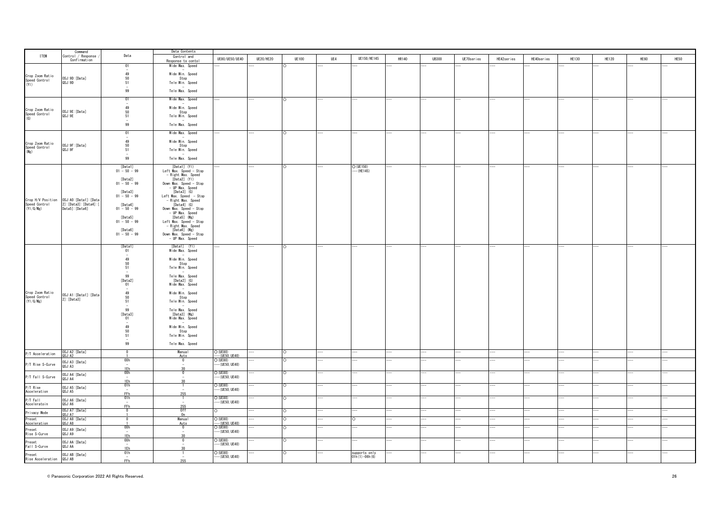|                                                 | Command                                    |                                               | Data Contents                                |                                |                  |              |     |                 |       |              |            |            |            |              |              |      |      |
|-------------------------------------------------|--------------------------------------------|-----------------------------------------------|----------------------------------------------|--------------------------------|------------------|--------------|-----|-----------------|-------|--------------|------------|------------|------------|--------------|--------------|------|------|
| <b>ITEM</b>                                     | Control / Response                         | Data                                          | Control and                                  | UE80/UE50/UE40                 | <b>UE20/HE20</b> | <b>UE100</b> | UE4 | UE150/HE145     | HR140 | <b>UB300</b> | UE70series |            | HE40series | <b>HE130</b> | <b>HE120</b> | HE60 | HE50 |
|                                                 | Confirmation                               |                                               | Response to contol                           |                                |                  |              |     |                 |       |              |            | HE42series |            |              |              |      |      |
|                                                 |                                            | 01                                            | Wide Max. Speed                              |                                |                  |              |     |                 |       |              |            |            |            |              |              |      |      |
| Crop Zoom Ratio                                 | OSJ: 9D: [Data]                            | $\substack{49\\50}$                           | Wide Min. Speed<br>Stop                      |                                |                  |              |     |                 |       |              |            |            |            |              |              |      |      |
| Speed Control<br>(YI)                           | QSJ:9D                                     | 51<br>99                                      | Tele Min. Speed<br>Tele Max. Speed           |                                |                  |              |     |                 |       |              |            |            |            |              |              |      |      |
|                                                 |                                            | 01                                            | Wide Max. Speed                              |                                |                  |              |     |                 |       |              |            |            |            |              |              |      |      |
|                                                 |                                            |                                               |                                              |                                |                  |              |     |                 |       |              |            |            |            |              |              |      |      |
| Crop Zoom Ratio<br>Speed Control<br>(G)         | OSJ: 9E: [Data]<br>QSJ:9E                  | $\begin{array}{c} 49 \\ 50 \\ 51 \end{array}$ | Wide Min. Speed<br>Stop<br>Tele Min. Speed   |                                |                  |              |     |                 |       |              |            |            |            |              |              |      |      |
|                                                 |                                            | 99                                            | Tele Max. Speed                              |                                |                  |              |     |                 |       |              |            |            |            |              |              |      |      |
|                                                 |                                            | 01                                            | Wide Max. Speed                              |                                |                  |              |     |                 |       |              |            |            |            |              |              |      |      |
|                                                 |                                            |                                               | Wide Min. Speed                              |                                |                  |              |     |                 |       |              |            |            |            |              |              |      |      |
| Crop Zoom Ratio<br>Speed Control<br>(Mg)        | OSJ:9F:[Data]<br>QSJ:9F                    | $\begin{array}{c} 49 \\ 50 \\ 51 \end{array}$ | Stop<br>Tele Min. Speed                      |                                |                  |              |     |                 |       |              |            |            |            |              |              |      |      |
|                                                 |                                            | 99                                            | Tele Max. Speed                              |                                |                  |              |     |                 |       |              |            |            |            |              |              |      |      |
|                                                 |                                            | [Data1]                                       | [Data1] (YI)                                 |                                |                  |              |     | $O$ (UE150)     |       |              |            |            |            |              |              |      |      |
|                                                 |                                            | $01 - 50 - 99$                                | Left Max. Speed - Stop<br>- Right Max. Speed |                                |                  |              |     | $-$ (HE145)     |       |              |            |            |            |              |              |      |      |
|                                                 |                                            | [Data2]<br>$01 - 50 - 99$                     | [Data2] (Y1)<br>Down Max. Speed - Stop       |                                |                  |              |     |                 |       |              |            |            |            |              |              |      |      |
|                                                 |                                            |                                               | - UP Max. Speed                              |                                |                  |              |     |                 |       |              |            |            |            |              |              |      |      |
|                                                 |                                            | [Data3]<br>$01 - 50 - 99$                     | $[Data3]$ $(G)$<br>Left Max. Speed - Stop    |                                |                  |              |     |                 |       |              |            |            |            |              |              |      |      |
|                                                 | OSJ: AO: [Data1]: [Data                    |                                               | - Right Max. Speed                           |                                |                  |              |     |                 |       |              |            |            |            |              |              |      |      |
| Crop H/V Position<br>Speed Control<br>(Yl/G/Mg) | 2]: [Data3]: [Data4]: [<br>Data5]: [Data6] | [Data4]<br>$01 - 50 - 99$                     | $[Data4]$ $(G)$<br>Down Max. Speed - Stop    |                                |                  |              |     |                 |       |              |            |            |            |              |              |      |      |
|                                                 |                                            |                                               | - UP Max. Speed                              |                                |                  |              |     |                 |       |              |            |            |            |              |              |      |      |
|                                                 |                                            | [Data5]                                       | [Data5] (Mg)                                 |                                |                  |              |     |                 |       |              |            |            |            |              |              |      |      |
|                                                 |                                            | $01 - 50 - 99$                                | Left Max. Speed - Stop<br>- Right Max. Speed |                                |                  |              |     |                 |       |              |            |            |            |              |              |      |      |
|                                                 |                                            | [Data6]                                       | [Data6] (Mg)                                 |                                |                  |              |     |                 |       |              |            |            |            |              |              |      |      |
|                                                 |                                            | $01 - 50 - 99$                                | Down Max. Speed $-$ Stop<br>- UP Max. Speed  |                                |                  |              |     |                 |       |              |            |            |            |              |              |      |      |
|                                                 |                                            |                                               | [Data1] (YI)                                 |                                |                  |              |     |                 |       |              |            |            |            |              |              |      |      |
|                                                 |                                            | [Data1]<br>01                                 | Wide Max. Speed                              |                                |                  |              |     |                 |       |              |            |            |            |              |              |      |      |
|                                                 |                                            |                                               |                                              |                                |                  |              |     |                 |       |              |            |            |            |              |              |      |      |
|                                                 |                                            | 49<br>50                                      | Wide Min. Speed<br>Stop                      |                                |                  |              |     |                 |       |              |            |            |            |              |              |      |      |
|                                                 |                                            | 51                                            | Tele Min. Speed                              |                                |                  |              |     |                 |       |              |            |            |            |              |              |      |      |
|                                                 |                                            | 99                                            | Tele Max. Speed                              |                                |                  |              |     |                 |       |              |            |            |            |              |              |      |      |
|                                                 |                                            | [Data2]                                       | $[Data2]$ $(G)$                              |                                |                  |              |     |                 |       |              |            |            |            |              |              |      |      |
|                                                 |                                            | 01                                            | Wide Max. Speed                              |                                |                  |              |     |                 |       |              |            |            |            |              |              |      |      |
| Crop Zoom Ratio<br>Speed Control<br>(Yl/G/Mg)   | OSJ: A1: [Data1]: [Data                    |                                               | Wide Min. Speed                              |                                |                  |              |     |                 |       |              |            |            |            |              |              |      |      |
|                                                 | 2]: [Data3]                                | $\begin{array}{c} 49 \\ 50 \\ 51 \end{array}$ | Stop<br>Tele Min. Speed                      |                                |                  |              |     |                 |       |              |            |            |            |              |              |      |      |
|                                                 |                                            |                                               |                                              |                                |                  |              |     |                 |       |              |            |            |            |              |              |      |      |
|                                                 |                                            | 99<br>[Data3]                                 | Tele Max. Speed<br>$[Data3]$ (Mg)            |                                |                  |              |     |                 |       |              |            |            |            |              |              |      |      |
|                                                 |                                            | 01                                            | Wide Max. Speed                              |                                |                  |              |     |                 |       |              |            |            |            |              |              |      |      |
|                                                 |                                            | 49                                            | Wide Min. Speed                              |                                |                  |              |     |                 |       |              |            |            |            |              |              |      |      |
|                                                 |                                            | $\begin{array}{c} 50 \\ 51 \end{array}$       | Stop                                         |                                |                  |              |     |                 |       |              |            |            |            |              |              |      |      |
|                                                 |                                            |                                               | Tele Min. Speed                              |                                |                  |              |     |                 |       |              |            |            |            |              |              |      |      |
|                                                 |                                            | 99                                            | Tele Max. Speed                              |                                |                  |              |     |                 |       |              |            |            |            |              |              |      |      |
|                                                 |                                            | $\Omega$                                      | Manual                                       |                                |                  | ∩            |     |                 |       |              |            |            |            |              |              |      |      |
| P/T Acceleration                                | OSJ:A2:[Data]<br>QSJ:A2                    |                                               | Auto<br>$\overline{0}$                       | O (UE80)<br>--- (UE50, UE40)   |                  |              |     |                 |       |              |            |            |            |              |              |      |      |
| P/T Rise S-Curve                                | OSJ:A3: [Data]<br>QSJ: A3                  | 00h<br>$\sim$                                 |                                              | $O$ (UE80)<br>$-$ (UE50, UE40) |                  |              |     |                 |       |              |            |            |            |              |              |      |      |
|                                                 |                                            | $\frac{1Eh}{00h}$                             | 30 <sub>0</sub><br>$\overline{0}$            | $O$ (UE80)                     |                  |              |     |                 |       |              |            |            |            |              |              |      |      |
| P/T Fall S-Curve                                | OSJ: A4: [Data]<br>QSJ:A4                  | $\sim$                                        |                                              | $-$ (UE50, UE40)               |                  |              |     |                 |       |              |            |            |            |              |              |      |      |
|                                                 |                                            | 1Eh                                           | 20                                           |                                |                  |              |     |                 |       |              |            |            |            |              |              |      |      |
| P/T Rise<br>Acceleration                        | OSJ: A5: [Data]<br>QSJ: A5                 | 01h<br>$\overline{a}$                         |                                              | $O$ (UE80)<br>$-$ (UE50, UE40) |                  |              |     |                 |       |              |            |            |            |              |              |      |      |
|                                                 |                                            | FF <sub>h</sub><br>01h                        | 255                                          | O (UE80)                       |                  |              |     |                 |       |              |            |            |            |              |              |      |      |
| P/T Fall<br>Acceleratoin                        | OSJ: A6: [Data]<br>QSJ:AG                  |                                               |                                              | $-$ (UE50, UE40)               |                  |              |     |                 |       |              |            |            |            |              |              |      |      |
|                                                 | OSJ:A7: [Data]                             | FF <sub>h</sub><br>$\overline{\phantom{0}}$   | 255<br>0ff                                   |                                |                  |              |     |                 |       |              |            |            |            |              |              |      |      |
| Privacy Mode                                    | 3SJ: A7                                    |                                               | 0n                                           |                                |                  |              |     |                 |       |              |            |            |            |              |              |      |      |
| Preset<br>Acceleration                          | OSJ:A8: [Data]<br>QSJ:A8                   | $\Omega$                                      | <b>Manual</b><br>Auto                        | $O$ (UE80)<br>$-(UE50, UE40)$  |                  |              |     |                 |       |              |            |            |            |              |              |      |      |
|                                                 | OSJ: A9: [Data]                            | 00h                                           | $\mathbf{0}$                                 | $O$ (UE80)                     |                  |              |     |                 |       |              |            |            |            |              |              |      |      |
| Preset<br>Rise S-Curve                          | QSJ:A9                                     | 1Eh                                           |                                              | $-$ (UE50, UE40)               |                  |              |     |                 |       |              |            |            |            |              |              |      |      |
| Preset                                          | OSJ: AA: [Data]                            | 00h                                           | $\mathbf{0}$                                 | $O$ (UE80)                     |                  |              |     |                 |       |              |            |            |            |              |              |      |      |
| Fall S-Curve                                    | QSJ: AA                                    | 1Eh                                           | 30                                           | $--$ (UE50, UE40)              |                  |              |     |                 |       |              |            |            |            |              |              |      |      |
|                                                 | OSJ:AB: [Data]                             | 01h                                           | -1                                           | $O$ (UE80)                     |                  |              |     | supports only   |       |              |            |            |            |              |              |      |      |
| Preset<br>Rise Acceleration                     | QSJ:AB                                     | $\sim$<br>FFh                                 | $\sim$<br>255                                | --- (UE50, UE40)               |                  |              |     | $01h(1)-06h(6)$ |       |              |            |            |            |              |              |      |      |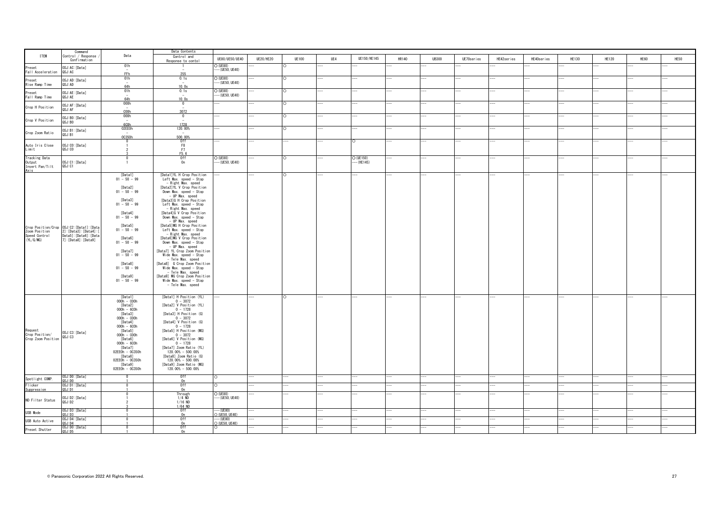|                                                           | Command                                                                                                                                                 |                                                                                                                                                                                                                                                                 | Data Contents                                                                                                                                                                                                                                                                                                                                                                                                                                                                                                                                                                                                                                                                                                  |                                |           |              |     |                           |       |              |            |            |            |              |              |      |      |
|-----------------------------------------------------------|---------------------------------------------------------------------------------------------------------------------------------------------------------|-----------------------------------------------------------------------------------------------------------------------------------------------------------------------------------------------------------------------------------------------------------------|----------------------------------------------------------------------------------------------------------------------------------------------------------------------------------------------------------------------------------------------------------------------------------------------------------------------------------------------------------------------------------------------------------------------------------------------------------------------------------------------------------------------------------------------------------------------------------------------------------------------------------------------------------------------------------------------------------------|--------------------------------|-----------|--------------|-----|---------------------------|-------|--------------|------------|------------|------------|--------------|--------------|------|------|
| <b>ITEM</b>                                               | Control / Response<br>Confirmation                                                                                                                      | Data                                                                                                                                                                                                                                                            | Control and<br>Response to contol                                                                                                                                                                                                                                                                                                                                                                                                                                                                                                                                                                                                                                                                              | UE80/UE50/UE40                 | UE20/HE20 | <b>UE100</b> | UE4 | UE150/HE145               | HR140 | <b>UB300</b> | UE70series | HE42series | HE40series | <b>HE130</b> | <b>HE120</b> | HE60 | HE50 |
| Preset<br>Fall Acceleration                               | OSJ:AC: [Data]<br>QSJ: AC                                                                                                                               | 01h<br>FFh                                                                                                                                                                                                                                                      | 255                                                                                                                                                                                                                                                                                                                                                                                                                                                                                                                                                                                                                                                                                                            | O (UE80)<br>-- (UE50, UE40)    |           |              |     |                           |       |              |            |            |            |              |              |      |      |
| Preset<br>Rise Ramp Time                                  | OSJ: AD: [Data]<br>QSJ: AD                                                                                                                              | 01h<br>64h                                                                                                                                                                                                                                                      | 0.1s<br>10.0s                                                                                                                                                                                                                                                                                                                                                                                                                                                                                                                                                                                                                                                                                                  | $O$ (UE80)<br>$-$ (UE50, UE40) |           |              |     |                           |       |              |            |            |            |              |              |      |      |
| Preset<br>Fall Ramp Time                                  | OSJ:AE: [Data]<br>QSJ: AE                                                                                                                               | 01h<br>64h                                                                                                                                                                                                                                                      | 0.1s<br>10.0s                                                                                                                                                                                                                                                                                                                                                                                                                                                                                                                                                                                                                                                                                                  | $O$ (UE80)<br>-- (UE50, UE40)  |           |              |     |                           |       |              |            |            |            |              |              |      |      |
| Crop H Position                                           | OSJ: AF: [Data]<br>QSJ: AF                                                                                                                              | 000h<br>C <sub>0</sub>                                                                                                                                                                                                                                          | $\overline{0}$<br>3072                                                                                                                                                                                                                                                                                                                                                                                                                                                                                                                                                                                                                                                                                         |                                |           |              |     |                           |       |              |            |            |            |              |              |      |      |
| Crop V Position                                           | OSJ:BO: [Data]<br>QSJ:BO                                                                                                                                | 000h<br>600h                                                                                                                                                                                                                                                    | $\overline{0}$<br>1728                                                                                                                                                                                                                                                                                                                                                                                                                                                                                                                                                                                                                                                                                         |                                |           |              |     |                           |       |              |            |            |            |              |              |      |      |
| Crop Zoom Ratio                                           | OSJ:B1:[Data]<br>QSJ:B1                                                                                                                                 | 02EE0h<br>00350h                                                                                                                                                                                                                                                | 120.00%<br>500.00%                                                                                                                                                                                                                                                                                                                                                                                                                                                                                                                                                                                                                                                                                             |                                |           |              |     |                           |       |              |            |            |            |              |              |      |      |
| Auto Iris Close<br>Limit                                  | OSJ:CO: [Data]<br>QSJ:CO                                                                                                                                | $\Omega$                                                                                                                                                                                                                                                        | 0ff<br>F8<br>F7<br>F5.6                                                                                                                                                                                                                                                                                                                                                                                                                                                                                                                                                                                                                                                                                        |                                |           |              |     |                           |       |              |            |            |            |              |              |      |      |
| <b>Tracking Data</b><br>Output<br>Invert Pan/Tilt<br>Axis | OSJ:C1:[Data]<br>QSJ:C1                                                                                                                                 | - 0                                                                                                                                                                                                                                                             | Off<br>On                                                                                                                                                                                                                                                                                                                                                                                                                                                                                                                                                                                                                                                                                                      | O (UE80)<br>$-$ (UE50, UE40)   |           |              |     | $O$ (UE150)<br>$-(HE145)$ |       |              |            |            |            |              |              |      |      |
|                                                           | Crop Position/Crop 0SJ:C2:[Data1]:[Data<br>Zoom Position 2]:[Data3]:[Data4]:[<br>Speed Control Data5]:[Data6]:[Data4]:[<br>(YL/G/MG) 7]:[Data8]:[Data9] | [Data1]<br>01 - 50 - 99<br>[Data2]<br>$01 - 50 - 99$<br>[Data3]<br>$01 - 50 - 99$<br>[Data4]<br>$01 - 50 - 99$<br>[Data5]<br>$01 - 50 - 99$<br>[Data6]<br>$01 - 50 - 99$<br>[Data7]<br>$01 - 50 - 99$<br>[Data8]<br>$01 - 50 - 99$<br>[Data9]<br>$01 - 50 - 99$ | [Data1]YL H Crop Position<br>Left Max. speed - Stop<br>- Right Max. speed<br>[Data2]YL V Crop Position<br>Down Max. speed - Stop<br>- UP Max. speed<br>[Data3]G H Crop Position<br>Left Max. speed - Stop<br>- Right Max. speed<br>[Data4]G V Crop Position<br>Down Max. speed - Stop<br>- UP Max. speed<br>[Data5]MG H Crop Position<br>Left Max. speed - Stop<br>- Right Max, speed<br>[Data6]MG V Crop Position<br>Down Max. speed - Stop<br>- UP Max. speed<br>[Data7] YL Crop Zoom Position<br>Wide Max. speed - Stop<br>- Tele Max. speed<br>[Data8] G Crop Zoom Position<br>Wide Max. speed - Stop<br>- Tele Max. speed<br>[Data9] MG Crop Zoom Position<br>Wide Max. speed - Stop<br>- Tele Max. speed |                                |           |              |     |                           |       |              |            |            |            |              |              |      |      |
| Request<br>Crop Position/<br>Crop Zoom Position           | OSJ:C3:[Data]<br>QSJ:C3                                                                                                                                 | [Data1]<br>$000h - 000h$<br>[Data2]<br>$000h - 600h$<br>[Data3]<br>$000h - 000h$<br>[Data4]<br>$000h - 600h$<br>[Data5]<br>$000h - 000h$<br>[Data6]<br>$000h - 600h$<br>[Data7]<br>02EE0h - 0C350h<br>[Data8]<br>02EE0h - 0C350h<br>[Data9]<br>02EE0h - 0C350h  | [Data1] H Position (YL)<br>$0 - 3072$<br>[Data2] V Position (YL)<br>$0 - 1728$<br>[Data3] H Position (G)<br>$0 - 3072$<br>[Data4] V Position (G)<br>$0 - 1728$<br>[Data5] H Position (MG)<br>$0 - 3072$<br>[Data6] V Position (MG)<br>$0 - 1728$<br>[Data7] Zoom Ratio (YL)<br>120.00% - 500.00%<br>[Data8] Zoom Ratio (G)<br>120.00% - 500.00%<br>[Data9] Zoom Ratio (MG)<br>120.00% - 500.00%                                                                                                                                                                                                                                                                                                                |                                |           | n            |     |                           |       |              |            |            |            |              |              |      |      |
| Spotlight COMP.                                           | OSJ:DO:[Data]<br>QSJ:DO                                                                                                                                 |                                                                                                                                                                                                                                                                 | 0ff                                                                                                                                                                                                                                                                                                                                                                                                                                                                                                                                                                                                                                                                                                            |                                |           |              |     |                           |       |              |            |            |            |              |              |      |      |
| Flicker                                                   | DSJ:D1:[Data]<br>JSJ:D1                                                                                                                                 |                                                                                                                                                                                                                                                                 | 0n<br>0ff                                                                                                                                                                                                                                                                                                                                                                                                                                                                                                                                                                                                                                                                                                      |                                |           |              |     |                           |       |              |            |            |            |              |              |      |      |
| Suppression<br>ND Filter Status                           | OSJ:D2: [Data]<br>QSJ:D2                                                                                                                                |                                                                                                                                                                                                                                                                 | 0n<br>Through<br>$1/4$ ND<br>$1/16$ ND                                                                                                                                                                                                                                                                                                                                                                                                                                                                                                                                                                                                                                                                         | O (UE80)<br>$-$ (UE50, UE40)   |           |              |     |                           |       |              |            |            |            |              |              |      |      |
|                                                           | OSJ:D3:[Data]                                                                                                                                           |                                                                                                                                                                                                                                                                 | $1/64$ ND<br>0ff                                                                                                                                                                                                                                                                                                                                                                                                                                                                                                                                                                                                                                                                                               | $-$ (IIF80)                    |           |              |     |                           |       |              |            |            |            |              |              |      |      |
| USB Mode                                                  | $S = 1:0.3$<br>OSJ:D4: [Data]                                                                                                                           |                                                                                                                                                                                                                                                                 | 0 <sub>n</sub><br>0ff                                                                                                                                                                                                                                                                                                                                                                                                                                                                                                                                                                                                                                                                                          | O (UE50, UE40)<br>$---(UE80)$  |           |              |     |                           |       |              |            |            |            |              |              |      |      |
| USB Auto Active                                           | SJ:DA                                                                                                                                                   |                                                                                                                                                                                                                                                                 | 0 <sub>n</sub>                                                                                                                                                                                                                                                                                                                                                                                                                                                                                                                                                                                                                                                                                                 | O (UE50, UE40)                 |           |              |     |                           |       |              |            |            |            |              |              |      |      |
| Preset Shutter                                            | OSJ:DO: [Data]<br>JSJ:DS                                                                                                                                |                                                                                                                                                                                                                                                                 | 0ff<br>0n                                                                                                                                                                                                                                                                                                                                                                                                                                                                                                                                                                                                                                                                                                      |                                |           |              |     |                           |       |              |            |            |            |              |              |      |      |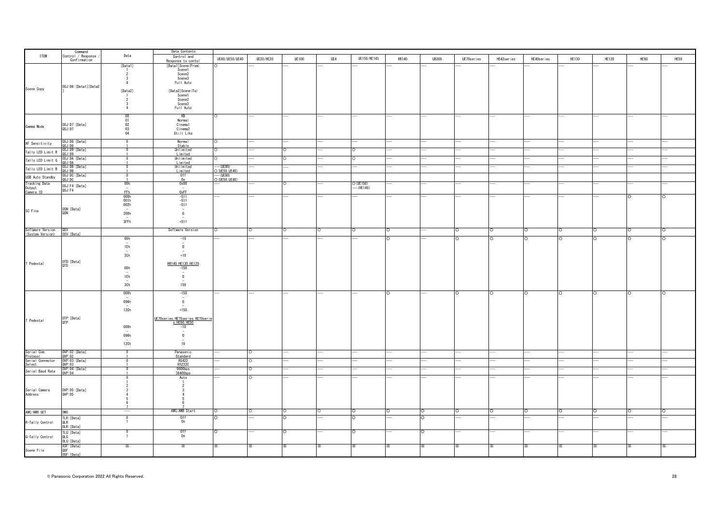|                                      |                                 |                                               | Data Contents                               |                               |                  |              |         |                          |         |              |            |            |            |              |              |         |         |
|--------------------------------------|---------------------------------|-----------------------------------------------|---------------------------------------------|-------------------------------|------------------|--------------|---------|--------------------------|---------|--------------|------------|------------|------------|--------------|--------------|---------|---------|
| <b>ITEM</b>                          | Command<br>Control / Response   | Data                                          | Control and                                 | UE80/UE50/UE40                | <b>UE20/HE20</b> | <b>UE100</b> | UE4     |                          | HR140   | <b>UB300</b> |            |            |            | <b>HE130</b> |              | HE60    | HE50    |
|                                      | Confirmation                    |                                               | Response to conto                           |                               |                  |              |         | UE150/HE145              |         |              | UE70series | HE42series | HE40series |              | <b>HE120</b> |         |         |
|                                      |                                 | [Data1]                                       | [Data1] Scene (From)                        |                               |                  |              |         |                          |         |              |            |            |            |              |              |         |         |
|                                      |                                 |                                               | Scene1                                      |                               |                  |              |         |                          |         |              |            |            |            |              |              |         |         |
|                                      |                                 | $\overline{2}$                                | Scene2                                      |                               |                  |              |         |                          |         |              |            |            |            |              |              |         |         |
|                                      |                                 | $\overline{3}$<br>$\overline{4}$              | Scene3                                      |                               |                  |              |         |                          |         |              |            |            |            |              |              |         |         |
|                                      | OSJ:D6: [Data1] [Data2          |                                               | Full Auto                                   |                               |                  |              |         |                          |         |              |            |            |            |              |              |         |         |
| Scene Copy                           |                                 | [Data2]                                       | [Data2] Scene (To)                          |                               |                  |              |         |                          |         |              |            |            |            |              |              |         |         |
|                                      |                                 |                                               | Scene1                                      |                               |                  |              |         |                          |         |              |            |            |            |              |              |         |         |
|                                      |                                 | $\overline{2}$                                | Scene2                                      |                               |                  |              |         |                          |         |              |            |            |            |              |              |         |         |
|                                      |                                 | 3                                             | Scene3                                      |                               |                  |              |         |                          |         |              |            |            |            |              |              |         |         |
|                                      |                                 | 4                                             | Full Auto                                   |                               |                  |              |         |                          |         |              |            |            |            |              |              |         |         |
|                                      |                                 |                                               |                                             |                               |                  |              |         |                          |         |              |            |            |            |              |              |         |         |
|                                      |                                 | $\begin{array}{c} 00 \\ 01 \\ 02 \end{array}$ | HD                                          | Ō                             |                  |              |         |                          |         |              |            |            |            |              |              |         |         |
|                                      |                                 |                                               | Normal<br>Cinema1                           |                               |                  |              |         |                          |         |              |            |            |            |              |              |         |         |
| Gamma Mode                           | OSJ:D7: [Data]<br>QSJ: D7       | 03                                            | Cinema2                                     |                               |                  |              |         |                          |         |              |            |            |            |              |              |         |         |
|                                      |                                 | 04                                            | Still Like                                  |                               |                  |              |         |                          |         |              |            |            |            |              |              |         |         |
|                                      |                                 |                                               |                                             |                               |                  |              |         |                          |         |              |            |            |            |              |              |         |         |
| AF Sensitivity                       | OSJ:D8:[Data]<br>QSJ:D8         | $\Omega$                                      | Normal                                      |                               |                  |              |         |                          |         |              |            |            |            |              |              |         |         |
|                                      |                                 |                                               | Stable                                      |                               |                  |              |         |                          |         |              |            |            |            |              |              |         |         |
| Tally LED Limit R                    | OSJ:D9: [Data]                  | $\Omega$                                      | Unlimited                                   |                               |                  |              |         | $\circ$                  |         |              |            |            |            |              |              |         |         |
|                                      | QSJ:D9                          |                                               | Limited                                     |                               |                  |              |         |                          |         |              |            |            |            |              |              |         |         |
| Tally LED Limit G                    | OSJ:DA: [Data]<br>A0:1.20       | $\overline{0}$                                | Unlimited                                   |                               |                  |              |         | $\Omega$                 |         |              |            |            |            |              |              |         |         |
|                                      | OSJ:DB: [Data]                  | $\mathbf 0$                                   | Limited<br>Unlimited                        | -- (UE80)                     |                  |              |         |                          |         |              |            |            |            |              |              |         |         |
| Tally LED Limit B                    | asj: DB                         |                                               | Limited                                     | $\times$ (UE50, UE40)         |                  |              |         |                          |         |              |            |            |            |              |              |         |         |
| USB Auto Standby                     | OSJ:DC:[Data]<br>QSJ:DC         | $\overline{0}$                                | 0ff                                         | $--(UE80)$<br>$O(UE50, UE40)$ |                  |              |         |                          |         |              |            |            |            |              |              |         |         |
|                                      |                                 |                                               | n                                           |                               |                  |              |         |                          |         |              |            |            |            |              |              |         |         |
| <b>Tracking Data</b>                 | OSJ:F4: [Data]                  | 00h                                           | 0x00                                        |                               |                  |              |         | O (UE150)<br>--- (HE145) |         |              |            |            |            |              |              |         |         |
| Output                               | QSJ:F4                          | $\overline{\phantom{a}}$                      | $\sim$                                      |                               |                  |              |         |                          |         |              |            |            |            |              |              |         |         |
| Camera ID                            |                                 | <b>FFh</b><br>000h                            | 0xFF                                        |                               |                  |              |         |                          |         |              |            |            |            |              |              |         |         |
|                                      |                                 | 001h                                          | $-511$<br>$-511$                            |                               |                  |              |         |                          |         |              |            |            |            |              |              |         |         |
|                                      |                                 |                                               | $-511$                                      |                               |                  |              |         |                          |         |              |            |            |            |              |              |         |         |
| SC Fine                              | OSN: [Data]                     | $\frac{1}{2}$                                 | $\overline{\phantom{a}}$                    |                               |                  |              |         |                          |         |              |            |            |            |              |              |         |         |
|                                      | QSN                             | 200h                                          | $\mathbf{0}$                                |                               |                  |              |         |                          |         |              |            |            |            |              |              |         |         |
|                                      |                                 | $\overline{\phantom{a}}$                      |                                             |                               |                  |              |         |                          |         |              |            |            |            |              |              |         |         |
|                                      |                                 | 3FFh                                          | $+511$                                      |                               |                  |              |         |                          |         |              |            |            |            |              |              |         |         |
|                                      |                                 |                                               |                                             |                               |                  |              |         |                          |         |              |            |            |            |              |              |         |         |
| Software Version<br>(System Version) | QSV<br>OSV: [Data]              |                                               | Software Version                            | ∩                             | ∩                |              |         | O                        |         |              | $\circ$    | O          |            | $\circ$      | $\circ$      |         |         |
|                                      |                                 | 00h                                           | $-10$                                       |                               |                  |              |         |                          |         |              | $\Omega$   | O          |            |              | Ō            |         |         |
|                                      |                                 |                                               | $\overline{\phantom{a}}$                    |                               |                  |              |         |                          |         |              |            |            |            |              |              |         |         |
|                                      |                                 | 1Eh                                           | $\overline{0}$                              |                               |                  |              |         |                          |         |              |            |            |            |              |              |         |         |
|                                      |                                 |                                               |                                             |                               |                  |              |         |                          |         |              |            |            |            |              |              |         |         |
|                                      |                                 | 3Ch                                           | $+10$                                       |                               |                  |              |         |                          |         |              |            |            |            |              |              |         |         |
| T Pedestal                           | OTD: [Data]                     |                                               |                                             |                               |                  |              |         |                          |         |              |            |            |            |              |              |         |         |
|                                      | QTD                             | 00h                                           | HR140, HE130, HE120                         |                               |                  |              |         |                          |         |              |            |            |            |              |              |         |         |
|                                      |                                 | $\sim$                                        | $-150$<br>$\sim$                            |                               |                  |              |         |                          |         |              |            |            |            |              |              |         |         |
|                                      |                                 | 1Eh                                           | $\overline{0}$                              |                               |                  |              |         |                          |         |              |            |            |            |              |              |         |         |
|                                      |                                 |                                               |                                             |                               |                  |              |         |                          |         |              |            |            |            |              |              |         |         |
|                                      |                                 | 3Ch                                           | 150                                         |                               |                  |              |         |                          |         |              |            |            |            |              |              |         |         |
|                                      |                                 |                                               |                                             |                               |                  |              |         |                          |         |              |            |            |            |              |              |         |         |
|                                      |                                 | 000h                                          | $-150$                                      |                               |                  |              |         |                          |         |              |            |            |            | $\circ$      | Ō            |         |         |
|                                      |                                 | 096h                                          | $\overline{\phantom{a}}$<br>$\overline{0}$  |                               |                  |              |         |                          |         |              |            |            |            |              |              |         |         |
|                                      |                                 |                                               | $\sim$                                      |                               |                  |              |         |                          |         |              |            |            |            |              |              |         |         |
|                                      |                                 | 12Ch                                          | $+150$                                      |                               |                  |              |         |                          |         |              |            |            |            |              |              |         |         |
|                                      |                                 |                                               |                                             |                               |                  |              |         |                          |         |              |            |            |            |              |              |         |         |
| T Pedestal                           | OTP: [Data]<br>QTP              |                                               | <u>UE70 series, HE75 series, HE70 serie</u> |                               |                  |              |         |                          |         |              |            |            |            |              |              |         |         |
|                                      |                                 |                                               | s, HE60, HE50<br>-10                        |                               |                  |              |         |                          |         |              |            |            |            |              |              |         |         |
|                                      |                                 | 000h                                          |                                             |                               |                  |              |         |                          |         |              |            |            |            |              |              |         |         |
|                                      |                                 |                                               | $\sim$                                      |                               |                  |              |         |                          |         |              |            |            |            |              |              |         |         |
|                                      |                                 | 096h                                          | $\overline{0}$<br>$\overline{\phantom{a}}$  |                               |                  |              |         |                          |         |              |            |            |            |              |              |         |         |
|                                      |                                 | 12Ch                                          | 10                                          |                               |                  |              |         |                          |         |              |            |            |            |              |              |         |         |
|                                      |                                 |                                               |                                             |                               |                  |              |         |                          |         |              |            |            |            |              |              |         |         |
| Serial Com.                          | OVP:02: [Data]                  | $\mathbf 0$                                   | Panasonic                                   |                               | O                |              |         |                          |         |              |            |            |            |              |              |         |         |
| Protocol                             | QVP:02                          |                                               | Standard<br>RS422                           |                               |                  |              |         |                          |         |              |            |            |            |              |              |         |         |
| Serial Connector<br>Select           | OVP:03: [Data]<br>QVP:03        | -0                                            | RS232C                                      |                               | Ω                |              |         |                          |         |              |            |            |            |              |              |         |         |
|                                      |                                 | $\Omega$                                      | 9600bps                                     |                               |                  |              |         |                          |         |              |            |            |            |              |              |         |         |
| Serial Baud Rate                     | OVP:04: [Data]<br>QVP:04        |                                               | 38400bps                                    |                               |                  |              |         |                          |         |              |            |            |            |              |              |         |         |
|                                      |                                 |                                               | Auto                                        |                               |                  |              |         |                          |         |              |            |            |            |              |              |         |         |
|                                      |                                 |                                               | $\overline{1}$                              |                               |                  |              |         |                          |         |              |            |            |            |              |              |         |         |
|                                      |                                 |                                               |                                             |                               |                  |              |         |                          |         |              |            |            |            |              |              |         |         |
| Serial Camera<br>Address             | OWP:05:[Data]<br>QVP:05         |                                               |                                             |                               |                  |              |         |                          |         |              |            |            |            |              |              |         |         |
|                                      |                                 |                                               |                                             |                               |                  |              |         |                          |         |              |            |            |            |              |              |         |         |
|                                      |                                 |                                               |                                             |                               |                  |              |         |                          |         |              |            |            |            |              |              |         |         |
|                                      |                                 |                                               |                                             |                               |                  |              |         |                          |         |              |            |            |            |              |              |         |         |
| AWC/AWB SET                          | <b>OWS</b>                      | $\hspace{0.5cm}$                              | AWC/AWB Start                               |                               | $\circ$          | $\circ$      | $\circ$ | $\circ$                  | $\circ$ | $\circ$      | $\circ$    | $\circ$    | $\circ$    | $\circ$      | $\circ$      | $\circ$ | $\circ$ |
|                                      |                                 | $\Omega$                                      | 0ff                                         | C                             |                  | $\Omega$     |         | lo.                      |         | O            |            |            |            |              |              |         |         |
| R-Tally Control                      | TLR: [Data]<br>QLR              | $\overline{1}$                                | 0n                                          |                               |                  |              |         |                          |         |              |            |            |            |              |              |         |         |
|                                      | OLR: [Data]                     |                                               |                                             |                               |                  |              |         |                          |         |              |            |            |            |              |              |         |         |
|                                      |                                 | $\Omega$                                      | 0ff                                         |                               |                  |              |         |                          |         | $\Omega$     |            |            |            |              |              |         |         |
| G-Tally Control                      | TLG: [Data]<br>OI G             | $\overline{1}$                                | 0n                                          |                               |                  |              |         |                          |         |              |            |            |            |              |              |         |         |
|                                      | OLG: [Data]                     |                                               |                                             |                               |                  |              |         |                          |         |              |            |            |            |              |              |         |         |
|                                      |                                 | $\times$                                      | $\times$                                    |                               |                  |              |         |                          |         |              | $\times$   |            |            |              |              |         |         |
| Scene File                           | XSF:[Data]<br>QSF<br>OSF:[Data] |                                               |                                             |                               |                  |              |         |                          |         |              |            |            |            |              |              |         |         |
|                                      |                                 |                                               |                                             |                               |                  |              |         |                          |         |              |            |            |            |              |              |         |         |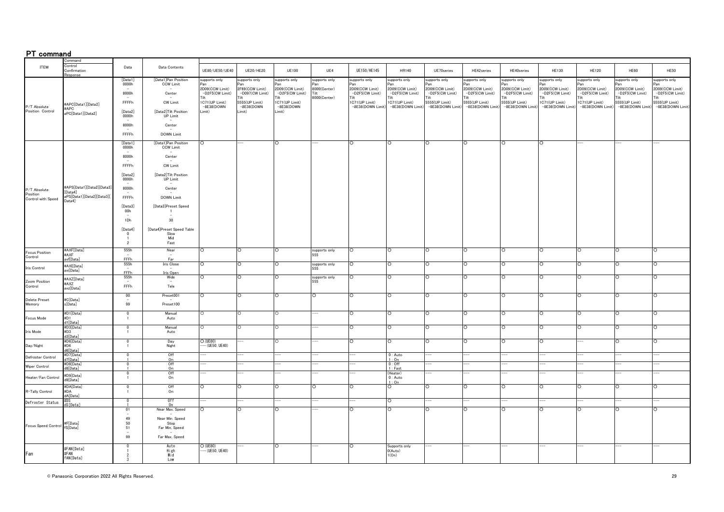# PT command

|                                  | ommand                              |                                           |                                       |                                |                                |                                |                      |                                     |                                     |                                     |                                     |                                    |                                     |                                    |                                    |                                     |
|----------------------------------|-------------------------------------|-------------------------------------------|---------------------------------------|--------------------------------|--------------------------------|--------------------------------|----------------------|-------------------------------------|-------------------------------------|-------------------------------------|-------------------------------------|------------------------------------|-------------------------------------|------------------------------------|------------------------------------|-------------------------------------|
| ITEM                             | Control<br>Confirmation             | Data                                      | Data Contents                         | UE80/UE50/UE40                 | UE20/HE20                      | <b>UE100</b>                   | UE4                  | UE150/HE145                         | HR140                               | UE70series                          | HE42series                          | HE40series                         | <b>HE130</b>                        | <b>HE120</b>                       | <b>HE60</b>                        | <b>HE50</b>                         |
|                                  | esnonse?                            | [Data1]                                   | [Data1]Pan Position                   | upports only                   | supports only                  | supports only                  | supports only        | supports only                       | supports only                       | supports only                       | supports only                       | supports only                      | supports only                       | supports only                      | supports only                      | supports only                       |
|                                  |                                     | 0000h                                     | <b>CCW Limit</b>                      | 'an<br>2D09(CCW Limit)         | ∍an<br>2F69(CCW Limit)         | 2D09(CCW Limit)                | 'an<br>8000(Center)  | Pan<br>2D09(CCW Limit)              | ∍ลท<br>2D09(CCW Limit)              | <sup>9</sup> an<br>2D09(CCW Limit)  | -an<br>2D09(CCW Limit)              | 2D09(CCW Limit)                    | 2D09(CCW Limit)                     | 2D09(CCW Limit)                    | 2D09(CCW Limit)                    | 2D09(CCW Limit)                     |
|                                  |                                     | 8000h                                     | Center                                | -D2F5(CW Limit)                | -D097(CW Limit)                | -D2F5(CW Limit)                | Tilt<br>8000(Center) | -D2F5(CW Limit)                     | -D2F5(CW Limit)                     | -D2F5(CW Limit)                     | -D2F5(CW Limit)                     | -D2F5(CW Limit)                    | -D2F5(CW Limit)                     | -D2F5(CW Limit)                    | -D2F5(CW Limit)                    | -D2F5(CW Limit)                     |
|                                  | #APC[Data1][Data2]                  | FFFFh                                     | CW Limit                              | 1C71(UP Limit)<br>$-8E38(DOWN$ | 5555(UP Limit)<br>$-8E38(DOWN$ | 1C71(UP Limit)<br>$-8E38(DOWN$ |                      | IC71(UP Limit)<br>-8E38(DOWN Limit) | 1C71(UP Limit)<br>-8E38(DOWN Limit) | 5555(UP Limit)<br>-8E38(DOWN Limit) | 5555(UP Limit)<br>-8E38(DOWN Limit) | 5555(UP Limit)<br>-8E38(DOWN Limit | 1C71(UP Limit)<br>-8E38(DOWN Limit) | 1C71(UP Limit)<br>-8E38(DOWN Limit | 5555(UP Limit)<br>-8E38(DOWN Limit | 5555(UP Limit)<br>-8E38(DOWN Limit) |
| P/T Absolute<br>Position Control | #APC<br>aPC[Data1][Data2]           | [Data2]<br>0000h                          | [Data2]Tilt Position<br>UP Limit      | Limit)                         | Limit)                         | Limit)                         |                      |                                     |                                     |                                     |                                     |                                    |                                     |                                    |                                    |                                     |
|                                  |                                     | 8000h                                     | Center                                |                                |                                |                                |                      |                                     |                                     |                                     |                                     |                                    |                                     |                                    |                                    |                                     |
|                                  |                                     | FFFFh                                     | DOWN Limit                            |                                |                                |                                |                      |                                     |                                     |                                     |                                     |                                    |                                     |                                    |                                    |                                     |
|                                  |                                     | [Data1]<br>0000h                          | [Data1]Pan Position<br>CCW Limit      | $\circ$                        |                                | C                              |                      | $\circ$                             | $\circ$                             | $\circ$                             | $\circ$                             | $\circ$                            | ◠                                   |                                    |                                    |                                     |
|                                  |                                     | 8000h                                     | Center                                |                                |                                |                                |                      |                                     |                                     |                                     |                                     |                                    |                                     |                                    |                                    |                                     |
|                                  |                                     | FFFFh                                     | $\sim$<br>CW Limit                    |                                |                                |                                |                      |                                     |                                     |                                     |                                     |                                    |                                     |                                    |                                    |                                     |
|                                  |                                     | [Data2]                                   | [Data2] Tilt Position                 |                                |                                |                                |                      |                                     |                                     |                                     |                                     |                                    |                                     |                                    |                                    |                                     |
|                                  | #APS[Data1][Data2][Data3]           | 0000h                                     | UP Limit                              |                                |                                |                                |                      |                                     |                                     |                                     |                                     |                                    |                                     |                                    |                                    |                                     |
| P/T Absolute<br>Position         | [Data4]                             | 8000h                                     | Center                                |                                |                                |                                |                      |                                     |                                     |                                     |                                     |                                    |                                     |                                    |                                    |                                     |
| Control with Speed               | aPS[Data1][Data2][Data3][<br>Data4] | FFFFh                                     | DOWN Limit                            |                                |                                |                                |                      |                                     |                                     |                                     |                                     |                                    |                                     |                                    |                                    |                                     |
|                                  |                                     | [Data3]<br>00h                            | [Data3]Preset Speed<br>$\overline{1}$ |                                |                                |                                |                      |                                     |                                     |                                     |                                     |                                    |                                     |                                    |                                    |                                     |
|                                  |                                     | 1Dh                                       | $\sim$<br>30                          |                                |                                |                                |                      |                                     |                                     |                                     |                                     |                                    |                                     |                                    |                                    |                                     |
|                                  |                                     | [Data4]                                   | [Data4]Preset Speed Table             |                                |                                |                                |                      |                                     |                                     |                                     |                                     |                                    |                                     |                                    |                                    |                                     |
|                                  |                                     | $\Omega$<br>$\overline{1}$                | Slow<br>Mid                           |                                |                                |                                |                      |                                     |                                     |                                     |                                     |                                    |                                     |                                    |                                    |                                     |
|                                  |                                     | $\overline{2}$                            | Fast                                  |                                |                                |                                |                      |                                     |                                     |                                     |                                     |                                    |                                     |                                    |                                    |                                     |
| Focus Position                   | #AXF[Data]<br>#AXF                  | 555h                                      | Near<br>$\sim$                        | $\circ$                        | $\circ$                        | $\circ$                        | supports only<br>555 | $\circ$                             | $\circ$                             | $\circ$                             | $\circ$                             | O                                  | $\circ$                             | $\circ$                            | ∩                                  | ◠                                   |
| Control                          | xf[Data]                            | FFFh<br>555h                              | Far<br>Iris Close                     | $\circ$                        | $\circ$                        | $\circ$                        | supports only        | O                                   | $\circ$                             | $\circ$                             | $\circ$                             | $\circ$                            | $\circ$                             | $\circ$                            | $\Omega$                           | ∩                                   |
| Iris Control                     | #AXI[Data]<br>axi[Data]             | FFFh.                                     | Iris Open                             |                                |                                |                                | 555                  |                                     |                                     |                                     |                                     |                                    |                                     |                                    |                                    |                                     |
| Zoom Position                    | #AXZ[Data]                          | 555h                                      | Wide<br>$\sim$                        | $\circ$                        | O                              | O                              | supports only<br>555 | O                                   | O                                   | $\circ$                             | $\circ$                             | Ō                                  | $\circ$                             | $\circ$                            | $\circ$                            |                                     |
| Control                          | #AXZ<br>axz[Data]                   | FFFh                                      | Tele                                  |                                |                                |                                |                      |                                     |                                     |                                     |                                     |                                    |                                     |                                    |                                    |                                     |
|                                  |                                     | 00                                        | Preset001                             | $\circ$                        | $\circ$                        | $\circ$                        | $\circ$              | O                                   | $\circ$                             | O                                   | $\circ$                             | $\circ$                            | $\circ$                             | $\circ$                            |                                    |                                     |
| <b>Delete Preset</b><br>Memory   | #C[Data]<br>s[Data]                 | 99                                        | Preset100                             |                                |                                |                                |                      |                                     |                                     |                                     |                                     |                                    |                                     |                                    |                                    |                                     |
|                                  | #D1[Data]                           | $\overline{0}$                            | Manual                                | O                              | $\circ$                        | Ō                              |                      | $\circ$                             | $\circ$                             | $\circ$                             | $\circ$                             | $\circ$                            | O                                   | O                                  | $\circ$                            | $\circ$                             |
| Focus Mode                       | #D1<br>d1[Data]                     | $\mathbf{1}$                              | Auto                                  |                                |                                |                                |                      |                                     |                                     |                                     |                                     |                                    |                                     |                                    |                                    |                                     |
| Iris Mode                        | #D3[Data]<br>#D3                    | $\overline{\mathbf{0}}$<br>$\overline{1}$ | Manual<br>Auto                        | $\circ$                        | O                              | $\circ$                        |                      | $\circ$                             | O                                   | $\circ$                             | $\circ$                             | O                                  | $\circ$                             | O                                  | $\Omega$                           | $\Omega$                            |
|                                  | d3[Data]<br>#D6[Data]               | $\overline{\mathbf{0}}$                   | Day                                   | $O$ (UE80)                     |                                | $\circ$                        |                      | $\circ$                             | $\Omega$                            | $\circ$                             | $\circ$                             | ∩                                  | $\circ$                             |                                    | ∩                                  | ∩                                   |
| Day/Night                        | #D6<br><b>I6</b> [Data]             | $\mathbf{1}$                              | Night                                 | $-$ (UE50, UE40)               |                                |                                |                      |                                     |                                     |                                     |                                     |                                    |                                     |                                    |                                    |                                     |
| Defroster Control                | #D7[Data]<br>7[Data]                | $\overline{\mathbf{0}}$                   | Off<br>On                             |                                |                                |                                |                      |                                     | $0:$ Auto<br>1:On                   |                                     |                                     |                                    |                                     |                                    |                                    |                                     |
| Wiper Control                    | #D8[Data]<br>8[Data]                | $\overline{0}$                            | Off<br>0n                             |                                |                                |                                |                      |                                     | $0:$ Off<br>1:Fast                  |                                     |                                     |                                    |                                     |                                    |                                    |                                     |
|                                  | #D9[Data]                           | $\pmb{0}$                                 | Off<br>On                             |                                |                                |                                |                      |                                     | (Heater)                            |                                     |                                     |                                    |                                     |                                    |                                    |                                     |
| Heater/Fan Control               | d9[Data]                            | $\overline{1}$                            |                                       |                                |                                |                                |                      |                                     | $0:$ Auto<br>1:On                   |                                     |                                     |                                    |                                     |                                    |                                    |                                     |
| R-Tally Control                  | #DA[Data]<br>#DA<br>dA[Data]        | $\mathbf 0$<br>$\mathbf{1}$               | Off<br>On                             | Ō                              | O                              | O                              | O                    | $\circ$                             | O                                   | $\circ$                             | $\circ$                             | Ō                                  | Ō                                   | O                                  | $\Omega$                           |                                     |
| Defroster Status                 | #DS<br>S[Data]                      | $\overline{0}$                            | 0ff<br>n <sub>r</sub>                 |                                |                                |                                |                      |                                     | ō                                   |                                     |                                     |                                    |                                     |                                    |                                    |                                     |
|                                  |                                     | 01                                        | Near Max. Speed                       | $\Omega$                       | $\circ$                        | $\circ$                        |                      | $\Omega$                            | $\Omega$                            | $\circ$                             | $\circ$                             | $\circ$                            | $\circ$                             | $\circ$                            | $\Omega$                           | $\Omega$                            |
|                                  |                                     | 49                                        | Near Min. Speed                       |                                |                                |                                |                      |                                     |                                     |                                     |                                     |                                    |                                     |                                    |                                    |                                     |
| Focus Speed Control              | #F[Data]<br>fS[Data]                | 50<br>51                                  | Stop<br>Far Min. Speed                |                                |                                |                                |                      |                                     |                                     |                                     |                                     |                                    |                                     |                                    |                                    |                                     |
|                                  |                                     | 99                                        | Far Max. Speed                        |                                |                                |                                |                      |                                     |                                     |                                     |                                     |                                    |                                     |                                    |                                    |                                     |
|                                  |                                     |                                           | Auto                                  | O (UE80)                       |                                | O                              |                      | $\circ$                             | Supports only                       |                                     |                                     |                                    |                                     |                                    |                                    |                                     |
| Fan                              | #FAN[Data]<br>#FAN                  |                                           | High<br>Mid                           | $-(UE50, UE40)$                |                                |                                |                      |                                     | O(Auto)<br>1(On)                    |                                     |                                     |                                    |                                     |                                    |                                    |                                     |
|                                  | fAN[Data]                           |                                           | Low                                   |                                |                                |                                |                      |                                     |                                     |                                     |                                     |                                    |                                     |                                    |                                    |                                     |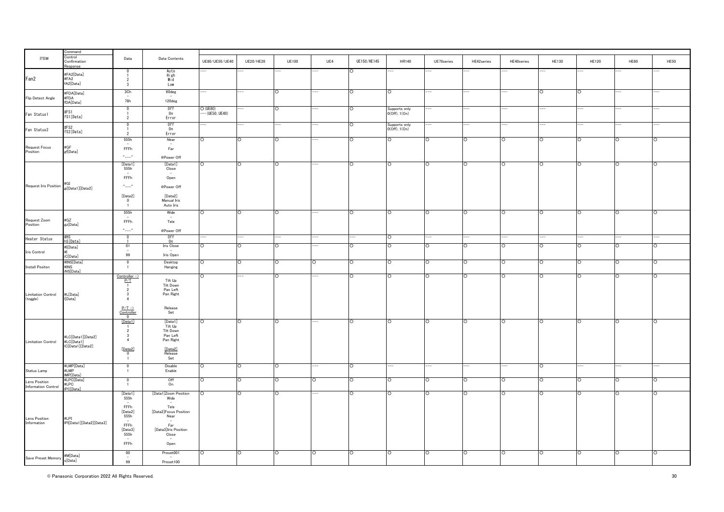| ITEM                                          | ommand<br>Control<br>Confirmation<br>sponse | Data                                                                                                             | Data Contents                                                                                                  | UE80/UE50/UE40                  | <b>UE20/HE20</b>   | <b>UE100</b> | UE4      | UE150/HE145        | HR140                               | UE70series | HE42series | HE40series | <b>HE130</b> | <b>HE120</b> | HE60               | <b>HE50</b>        |
|-----------------------------------------------|---------------------------------------------|------------------------------------------------------------------------------------------------------------------|----------------------------------------------------------------------------------------------------------------|---------------------------------|--------------------|--------------|----------|--------------------|-------------------------------------|------------|------------|------------|--------------|--------------|--------------------|--------------------|
| Fan2                                          | #FA2[Data]<br>#FA2<br>fA2[Data]             | - 2<br>$\overline{3}$                                                                                            | Auto<br>High<br>Mid<br>Low                                                                                     |                                 |                    |              |          |                    |                                     |            |            |            |              |              |                    |                    |
| Flip Detect Angle                             | #FDA[Data]<br>#FDA<br>fDA[Data]             | 3Ch<br>78h                                                                                                       | 60deg<br>120deg                                                                                                |                                 |                    | $\circ$      |          |                    | $\circ$                             |            |            |            | $\circ$      | ō            |                    |                    |
| Fan Status1                                   | #FS1<br>fS1[Data]                           | $\overline{0}$<br>$\overline{2}$                                                                                 | 0ff<br>0n<br>Error                                                                                             | $O$ (UE80)<br>$--$ (UE50, UE40) | ÷                  | O            |          | $\overline{\circ}$ | Supports only<br>0(Off), 1(On)      |            |            | --         | $-$          | --           |                    |                    |
| Fan Status2                                   | #FS2<br>fS2[Data]                           | $\Omega$<br>$\overline{2}$                                                                                       | 0ff<br>0n<br>Error                                                                                             |                                 |                    |              |          | IO                 | Supports only<br>$0(Off)$ , $1(On)$ |            |            |            |              |              |                    |                    |
| Request Focus<br>Position                     | #GF<br>gf[Data]                             | 555h<br>$\sim$<br>FFFh<br>$^{\prime\prime}$ ---- $^{\prime\prime}$                                               | Near<br>$\overline{\phantom{a}}$<br>Far<br>@Power Off                                                          | $\circ$                         | $\overline{\circ}$ | O            |          | ō                  | $\circ$                             | O          | O          | $\circ$    | O            | ō            | $\circ$            | $\circ$            |
|                                               |                                             | [Data1]<br>555h<br>$\sim$<br>FFFh                                                                                | [Data1]<br>Close<br>Open                                                                                       | Ō                               | Ō                  | O            |          | O                  | O                                   | O          | O          | O          | Ō            | Ō            | ō                  | $\circ$            |
| Request Iris Position #GI<br>gi[Data1][Data2] |                                             | $^{\prime\prime}$ ---- $^{\prime\prime}$<br>[Data2]<br>$\overline{0}$<br>-1                                      | @Power Off<br>[Data2]<br>Manual Iris<br>Auto Iris                                                              |                                 |                    |              |          |                    |                                     |            |            |            |              |              |                    |                    |
| Request Zoom<br>Position                      | #GZ<br>gz[Data]                             | 555h<br>FFFh<br>$"---"$                                                                                          | Wide<br>Tele<br>@Power Off                                                                                     | $\circ$                         | ō                  | O            |          | C                  | $\overline{O}$                      | $\Omega$   | O          | $\circ$    | O            | ō            | ō                  | $\circ$            |
| Heater Status                                 | #HS<br>hS[Data]                             | $\overline{0}$                                                                                                   | 0ff<br>0n                                                                                                      | --                              | --                 |              |          |                    | $\circ$                             |            |            | --         | --           |              |                    |                    |
|                                               | #I[Data]                                    | 01                                                                                                               | Iris Close                                                                                                     | O                               | ō                  | O            |          | O                  | Ō                                   | $\circ$    | O          | O          | O            | ō            | ō                  | $\circ$            |
| Iris Control                                  | iC[Data]                                    | $\overline{\phantom{a}}$<br>99                                                                                   | Iris Open                                                                                                      |                                 |                    |              |          |                    |                                     |            |            |            |              |              |                    |                    |
| Install Positon                               | #INS[Data]<br>#INS<br>iNS[Data]             | $\overline{\mathbf{0}}$<br>$\overline{1}$                                                                        | Desktop<br>Hanging                                                                                             | $\circ$                         | $\circ$            | O            | $\circ$  | $\circ$            | O                                   | $\circ$    | O          | $\circ$    | $\circ$      | $\circ$      | $\circ$            | $\circ$            |
| Limitation Control<br>(toggle)                | #L[Data]<br>I[Data]                         | Controller $\rightarrow$<br>P/T<br>$\overline{1}$<br>$\overline{2}$<br>$\overline{\mathbf{3}}$<br>$\overline{4}$ | Tilt Up<br>Tilt Down<br>Pan Left<br>Pan Right                                                                  | $\circ$                         |                    | $\circ$      |          | IO.                | C                                   | $\circ$    | $\circ$    | $\circ$    | $\circ$      | $\circ$      | $\circ$            | $\circ$            |
|                                               |                                             | $P/T \rightarrow$<br>$\frac{\text{Controller}}{0}$                                                               | Release<br>Set                                                                                                 |                                 |                    |              |          |                    |                                     |            |            |            |              |              |                    |                    |
| <b>Limitation Control</b>                     | #LC[Data1][Data2]<br>#LC[Data1]             | [Data1]<br>$\overline{1}$<br>$\overline{2}$<br>$\mathbf{3}$<br>$\overline{4}$                                    | [Data1]<br>Tilt Up<br>Tilt Down<br>Pan Left<br>Pan Right                                                       | $\circ$                         | ō                  | O            |          | C                  | $\circ$                             | $\circ$    | O          | $\circ$    | $\circ$      | ō            | $\circ$            | $\circ$            |
|                                               | IC[Data1][Data2]                            | $\frac{[Data2]}{0}$<br>$\overline{1}$                                                                            | [Data2]<br>Release<br>Set                                                                                      |                                 |                    |              |          |                    |                                     |            |            |            |              |              |                    |                    |
| Status Lamp                                   | #LMP[Data]<br>#LMP<br>IMP[Data]             | $\overline{\mathbf{0}}$<br>$\overline{1}$                                                                        | Disable<br>Enable                                                                                              | Ō                               | $\overline{\circ}$ | O            |          | ō                  |                                     |            |            |            | ō            |              |                    |                    |
| Lens Position<br>Information Control          | #LPC[Data]<br>#LPC<br>IPC[Data]             | $\overline{\mathbf{0}}$                                                                                          | Off<br>On                                                                                                      | Ō                               | ō                  | O            | Ō        | O                  | O                                   | $\Omega$   | O          | O          | $\circ$      | ō            | ō                  | ō                  |
| Lens Position<br>Information                  | #LPI<br>IPI[Data1][Data2][Data3]            | [Data1]<br>555h<br>$\sim$<br>FFFh<br>[Data2]<br>555h<br>$\sim$<br>FFFh<br>[Data3]                                | [Data1]Zoom Position<br>Wide<br>$\sim$<br>Tele<br>[Data2]Focus Position<br>Near<br>Far<br>[Data3]Iris Position | $\circ$                         | Ō                  | O            |          | $\circ$            | $\overline{\circ}$                  | $\circ$    | O          | $\circ$    | $\circ$      | ō            | $\overline{\circ}$ | $\overline{\circ}$ |
|                                               |                                             | 555h<br>$\sim$<br>FFFh                                                                                           | Close<br>$\sim$<br>Open                                                                                        |                                 |                    |              |          |                    |                                     |            |            |            |              |              |                    |                    |
| Save Preset Memory #M[Data]                   |                                             | 00<br>$\overline{a}$<br>99                                                                                       | Preset001<br>Preset100                                                                                         | $\circ$                         | $\circ$            | $\circ$      | $\Omega$ | $\Omega$           | $\circ$                             | $\Omega$   | $\circ$    | $\circ$    | $\circ$      | $\circ$      | $\circ$            | ∩                  |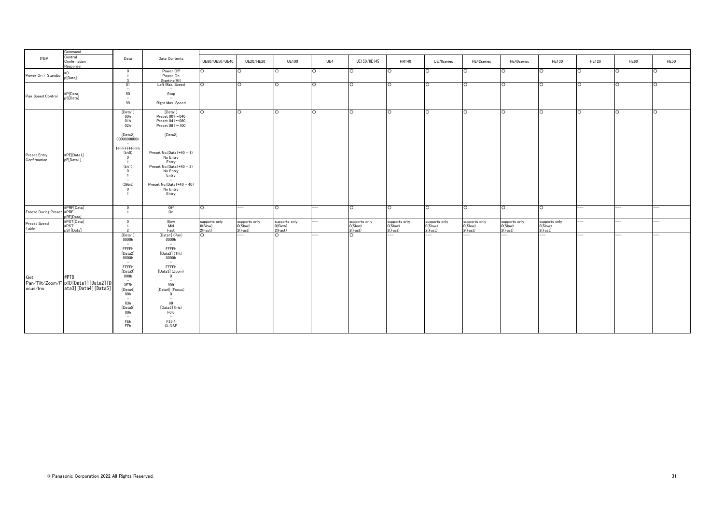|                                                    | Command                                                               |                                                                                                                                                                                                          |                                                                                                                                                                                                                                                                             |                                                |                                              |                                                |                |                                          |                                          |                                           |                                                |                                          |                                          |                 |                |             |
|----------------------------------------------------|-----------------------------------------------------------------------|----------------------------------------------------------------------------------------------------------------------------------------------------------------------------------------------------------|-----------------------------------------------------------------------------------------------------------------------------------------------------------------------------------------------------------------------------------------------------------------------------|------------------------------------------------|----------------------------------------------|------------------------------------------------|----------------|------------------------------------------|------------------------------------------|-------------------------------------------|------------------------------------------------|------------------------------------------|------------------------------------------|-----------------|----------------|-------------|
| ITEM                                               | Control<br>Confirmation<br>Response                                   | Data                                                                                                                                                                                                     | Data Contents                                                                                                                                                                                                                                                               | UE80/UE50/UE40                                 | UE20/HE20                                    | <b>UE100</b>                                   | UE4            | UE150/HE145                              | <b>HR140</b>                             | UE70series                                | HE42series                                     | HE40series                               | <b>HE130</b>                             | <b>HE120</b>    | HE60           | <b>HE50</b> |
| Power On / Standby                                 | #O<br>p[Data]                                                         | $\overline{\phantom{0}}$<br>$\blacksquare$                                                                                                                                                               | Power Off<br>Power On<br>Starting(%)                                                                                                                                                                                                                                        | $\circ$                                        | O                                            | $\circ$                                        | $\circ$        | $\circ$                                  | ю                                        | $\circ$                                   | $\circ$                                        | IO                                       | ю                                        | ю               | O              | $\circ$     |
| Pan Speed Control                                  | #P[Data]<br>pS[Data]                                                  | 01<br>$\overline{\phantom{m}}$<br>50<br>$\sim$<br>99                                                                                                                                                     | Left Max. Speed<br>$\overline{\phantom{a}}$<br>Stop<br>$\sim$<br>Right Max. Speed                                                                                                                                                                                           | $\circ$                                        | lO.                                          | ō                                              | O              | ТO                                       | ТO                                       | lo                                        | O                                              | Ю                                        | l O                                      | ю               | ю              | O           |
| Preset Entry<br>Confirmation                       | #PE[Data1]<br>pE[Data1]                                               | [Data1]<br>00h<br>01h<br>02h<br>[Data2]<br>0000000000h<br>$\sim$<br>FFFFFFFFFFh<br>(bit0)<br>$\overline{0}$<br>$\overline{1}$<br>(bit1)<br>$\overline{0}$<br>$\overline{1}$<br>$\sim$<br>(39bit)         | [Data1]<br>Preset $001\sim040$<br>Preset $041\sim080$<br>Preset $081 - 100$<br>[Data2]<br>Preset No.(Data1*40 + 1)<br>No Entry<br>Entry<br>Preset No.(Data1*40 + 2)<br>No Entry<br>Entry<br>Preset No.(Data1*40 + 40)                                                       | $\circ$                                        | ा                                            | ा                                              | ं              | ō                                        | lo.                                      | lO.                                       | ō                                              | ō                                        | ō                                        | O               | ō              | O           |
| Freeze During Preset #PRF<br>Preset Speed<br>Table | #PRF[Data]<br>pRF[Data]<br>#PST[Data]<br>#PST<br>pST[Data]            | $\overline{\mathbf{0}}$<br>$\overline{\mathbf{0}}$<br>$\overline{1}$<br>$\overline{\mathbf{0}}$                                                                                                          | No Entry<br>Entry<br>Off<br>On<br>Slow<br>Mid<br>Fast                                                                                                                                                                                                                       | $\circ$<br>supports only<br>0(Slow)<br>2(Fast) | $---$<br>supports only<br>0(Slow)<br>2(Fast) | $\circ$<br>supports only<br>0(Slow)<br>2(Fast) | ---<br>---     | ō<br>supports only<br>0(Slow)<br>2(Fast) | ō<br>supports only<br>O(Slow)<br>2(Fast) | ТO<br>supports only<br>0(Slow)<br>2(Fast) | $\circ$<br>supports only<br>0(Slow)<br>2(Fast) | Ю<br>supports only<br>0(Slow)<br>2(Fast) | ō<br>supports only<br>0(Slow)<br>2(Fast) | $\cdots$<br>--- | $-1$           | ---         |
| Get<br>ocus/Iris                                   | #PTD<br>Pan/Tilt/Zoom/F pTD [Data1] [Data2] [D<br>ata3][Data4][Data5] | [Data1]<br>0000h<br>$\sim$<br>FFFFh<br>[Data2]<br>0000h<br>$\sim$ $-$<br>FFFFh<br>[Data3]<br>000h<br>$\sim$<br>3E7h<br>[Data4]<br>00h<br>$\sim$<br>63h<br>[Data5]<br>00h<br>$\overline{a}$<br>FEh<br>FFh | [Data1] (Pan)<br>0000h<br>$\sim$<br>FFFFh<br>[Data2] (Tilt)<br>0000h<br>$\sim 100$<br>FFFFh<br>[Data3] (Zoom)<br>$\mathbf{0}$<br>$\overline{\phantom{a}}$<br>999<br>[Data4] (Focus)<br>$\overline{0}$<br>$\sim$<br>99<br>[Data5] (Iris)<br>F0.0<br>$\sim$<br>F25.4<br>CLOSE | $\circ$                                        | $\overline{\phantom{0}}$                     | ō                                              | $\overline{a}$ | ТO                                       |                                          |                                           |                                                | ÷.                                       | $\overline{a}$                           | $-$             | $\overline{a}$ |             |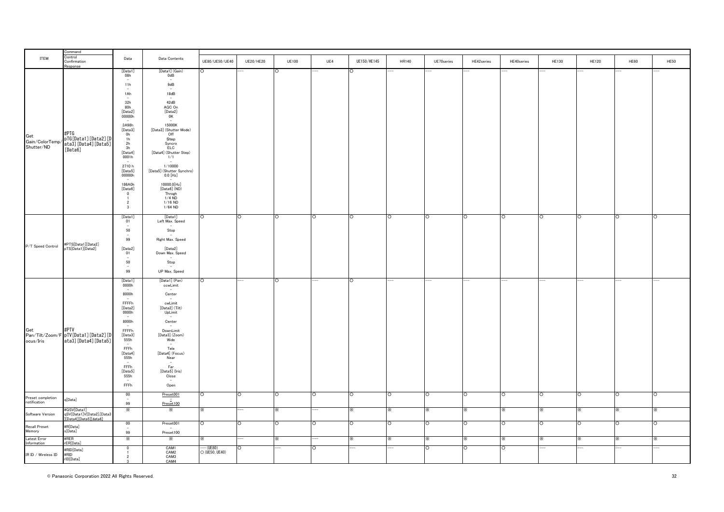|                               | ommand                                                             |                                           |                                                    |                             |                  |              |          |             |          |            |            |            |              |              |             |             |
|-------------------------------|--------------------------------------------------------------------|-------------------------------------------|----------------------------------------------------|-----------------------------|------------------|--------------|----------|-------------|----------|------------|------------|------------|--------------|--------------|-------------|-------------|
| ITEM                          | Control<br>Confirmation<br><i><b>Response</b></i>                  | Data                                      | Data Contents                                      | UE80/UE50/UE40              | <b>UE20/HE20</b> | <b>UE100</b> | UE4      | UE150/HE145 | HR140    | UE70series | HE42series | HE40series | <b>HE130</b> | <b>HE120</b> | <b>HE60</b> | <b>HE50</b> |
|                               |                                                                    | [Data1]<br>08h                            | [Data1] (Gain)<br>0dB                              |                             |                  | ō            |          | O           |          |            |            |            |              |              |             |             |
|                               |                                                                    | $\sim$                                    | $\qquad \qquad -$                                  |                             |                  |              |          |             |          |            |            |            |              |              |             |             |
|                               |                                                                    | 11h<br>٠                                  | 9dB<br>$\sim$                                      |                             |                  |              |          |             |          |            |            |            |              |              |             |             |
|                               |                                                                    | 1Ah<br>$\sim$                             | 18dB                                               |                             |                  |              |          |             |          |            |            |            |              |              |             |             |
|                               |                                                                    | 32h                                       | 42dB                                               |                             |                  |              |          |             |          |            |            |            |              |              |             |             |
|                               |                                                                    | 80h<br>[Data2]                            | AGC On<br>[Data2]                                  |                             |                  |              |          |             |          |            |            |            |              |              |             |             |
|                               |                                                                    | 00000h                                    | 0K                                                 |                             |                  |              |          |             |          |            |            |            |              |              |             |             |
|                               |                                                                    | 3A98h<br>[Data3]                          | 15000K<br>[Data3] (Shutter Mode)                   |                             |                  |              |          |             |          |            |            |            |              |              |             |             |
| Get                           | #PTG                                                               | Oh<br>1h                                  | Off<br>Step                                        |                             |                  |              |          |             |          |            |            |            |              |              |             |             |
| Gain/ColorTemp/<br>Shutter/ND | pTG[Data1][Data2][D<br>ata3][Data4][Data5]                         | $\frac{2h}{3h}$                           | Syncro<br><b>ELC</b>                               |                             |                  |              |          |             |          |            |            |            |              |              |             |             |
|                               | [Data6]                                                            | [Data4]                                   | [Data4] (Shutter Step)                             |                             |                  |              |          |             |          |            |            |            |              |              |             |             |
|                               |                                                                    | 0001h                                     | 1/1                                                |                             |                  |              |          |             |          |            |            |            |              |              |             |             |
|                               |                                                                    | 2710 h<br>[Data5]<br>00000h               | 1/10000<br>[Data5] (Shutter Synchro)<br>$0.0$ [Hz] |                             |                  |              |          |             |          |            |            |            |              |              |             |             |
|                               |                                                                    | 186A0h                                    | 10000.0[Hz]                                        |                             |                  |              |          |             |          |            |            |            |              |              |             |             |
|                               |                                                                    | [Data6]                                   | [Data6] (ND)                                       |                             |                  |              |          |             |          |            |            |            |              |              |             |             |
|                               |                                                                    | $\overline{0}$                            | Throgh<br>$1/4$ ND                                 |                             |                  |              |          |             |          |            |            |            |              |              |             |             |
|                               |                                                                    | $\overline{2}$<br>$\overline{\mathbf{3}}$ | $1/16$ ND                                          |                             |                  |              |          |             |          |            |            |            |              |              |             |             |
|                               |                                                                    |                                           | $1/64$ ND                                          |                             |                  |              |          |             |          |            |            |            |              |              |             |             |
|                               |                                                                    | [Data1]<br>01                             | [Data1]<br>Left Max. Speed                         |                             | ō                | ō            | $\circ$  | ō           | O        | O          | Ō          | O          | O            | ō            | O           | $\Omega$    |
|                               |                                                                    | $\overline{\phantom{a}}$<br>50            | Stop                                               |                             |                  |              |          |             |          |            |            |            |              |              |             |             |
|                               |                                                                    | $\overline{a}$<br>99                      | Right Max. Speed                                   |                             |                  |              |          |             |          |            |            |            |              |              |             |             |
| P/T Speed Control             | #PTS[Data1][Data2]<br>pTS[Data1][Data2]                            | [Data2]<br>01                             | [Data2]                                            |                             |                  |              |          |             |          |            |            |            |              |              |             |             |
|                               |                                                                    | $\sim$                                    | Down Max. Speed                                    |                             |                  |              |          |             |          |            |            |            |              |              |             |             |
|                               |                                                                    | 50<br>$\sim$                              | Stop                                               |                             |                  |              |          |             |          |            |            |            |              |              |             |             |
|                               |                                                                    | 99                                        | UP Max. Speed                                      |                             |                  |              |          |             |          |            |            |            |              |              |             |             |
|                               |                                                                    | [Data1]<br>0000h                          | [Data1] (Pan)<br>ccwLimit                          | O                           |                  | Ō            |          | $\circ$     |          |            |            |            |              |              |             |             |
|                               |                                                                    | 8000h                                     | Center                                             |                             |                  |              |          |             |          |            |            |            |              |              |             |             |
|                               |                                                                    | <b>FFFFh</b>                              | cwLimit                                            |                             |                  |              |          |             |          |            |            |            |              |              |             |             |
|                               |                                                                    | [Data2]<br>0000h                          | [Data2] (Tilt)<br>UpLimit                          |                             |                  |              |          |             |          |            |            |            |              |              |             |             |
|                               |                                                                    | $\equiv$<br>8000h                         | Center                                             |                             |                  |              |          |             |          |            |            |            |              |              |             |             |
| Get                           | #PTV                                                               | FFFFh                                     | DownLimit                                          |                             |                  |              |          |             |          |            |            |            |              |              |             |             |
| ocus/Iris                     | Pan/Tilt/Zoom/F pTV[Data1] [Data2] [D<br>ata3][Data4][Data5]       | [Data3]<br>555h                           | [Data3] (Zoom)<br>Wide                             |                             |                  |              |          |             |          |            |            |            |              |              |             |             |
|                               |                                                                    | FFFh<br>[Data4]                           | Tele<br>[Data4] (Focus)                            |                             |                  |              |          |             |          |            |            |            |              |              |             |             |
|                               |                                                                    | 555h                                      | Near                                               |                             |                  |              |          |             |          |            |            |            |              |              |             |             |
|                               |                                                                    | FFFh                                      | Far                                                |                             |                  |              |          |             |          |            |            |            |              |              |             |             |
|                               |                                                                    | [Data5]<br>555h                           | [Data5] (Iris)<br>Close                            |                             |                  |              |          |             |          |            |            |            |              |              |             |             |
|                               |                                                                    | $\sim$<br>FFFh                            |                                                    |                             |                  |              |          |             |          |            |            |            |              |              |             |             |
|                               |                                                                    |                                           | Open                                               |                             |                  |              |          |             |          |            |            |            |              |              |             |             |
| Preset completion             | q[Data]                                                            | 00<br>$\sim$                              | Preset001                                          | ∩                           | O                | $\circ$      | $\circ$  | ō           | O        | O          | $\circ$    | O          | ō            | ō            | $\circ$     | $\Omega$    |
| notification                  |                                                                    | 99<br>⋇                                   | Preset100<br>⋇                                     |                             |                  |              |          | ፠           | x.       | x.         | ×.         | x.         | ☀            | ፠            | ×.          |             |
| Software Version              | #QSV[Data1]<br>qSV[Data1]V[Data2].[Data3<br>][Data4][Data5][data6] |                                           |                                                    |                             |                  | ⋇            |          |             |          |            |            |            |              |              |             |             |
| Recall Preset                 | #R[Data]<br>s[Data]                                                | $\frac{00}{1}$                            | Preset001                                          | ∩                           | $\Omega$         | O            | $\Omega$ | $\circ$     | $\Omega$ | $\Omega$   | ∩          | ∩          | $\circ$      | $\circ$      | $\Omega$    | ∩           |
| Memory                        |                                                                    | 99                                        | Preset100                                          |                             |                  |              |          |             |          |            |            |            |              |              |             |             |
| Latest Error<br>Information   | #RER<br>rER[Data]                                                  | ፠                                         | ፠                                                  |                             |                  | ⋇            |          | ፠           | ×.       |            |            |            | ፠            | ፠            | ×.          |             |
|                               | #RID[Data]                                                         | $\Omega$                                  | CAM1<br>CAM2                                       | -- (UE80)<br>O (UE50, UE40) | $\Omega$         |              | $\circ$  |             |          | $\circ$    | $\circ$    | O          |              |              |             |             |
| IR ID / Wireless ID           | #RID<br>rID[Data]                                                  | $\overline{2}$                            | CAM3<br>CAM4                                       |                             |                  |              |          |             |          |            |            |            |              |              |             |             |
|                               |                                                                    | 3                                         |                                                    |                             |                  |              |          |             |          |            |            |            |              |              |             |             |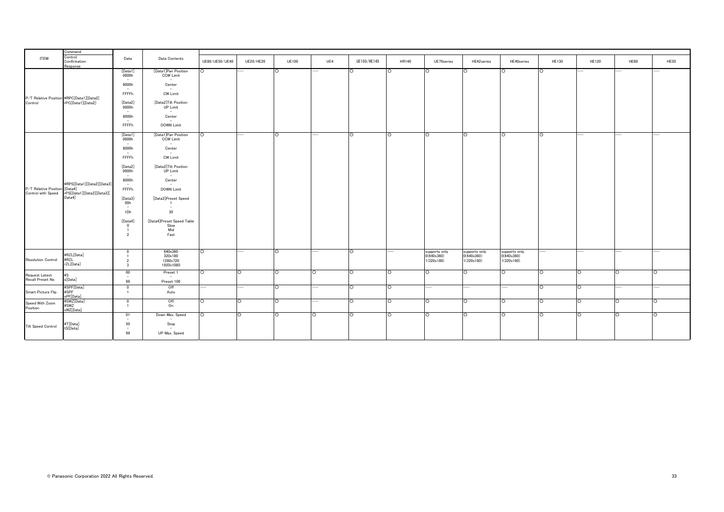|                                                     | Command                                                          |                                                                                                                                                                                                                               |                                                                                                                                                                                                                                                                                                                              |                          |                          |              |                          |             |         |                                           |                                           |                                           |                    |                          |         |             |
|-----------------------------------------------------|------------------------------------------------------------------|-------------------------------------------------------------------------------------------------------------------------------------------------------------------------------------------------------------------------------|------------------------------------------------------------------------------------------------------------------------------------------------------------------------------------------------------------------------------------------------------------------------------------------------------------------------------|--------------------------|--------------------------|--------------|--------------------------|-------------|---------|-------------------------------------------|-------------------------------------------|-------------------------------------------|--------------------|--------------------------|---------|-------------|
| ITEM                                                | Control<br>Confirmation<br>Response                              | Data                                                                                                                                                                                                                          | Data Contents                                                                                                                                                                                                                                                                                                                | UE80/UE50/UE40           | UE20/HE20                | <b>UE100</b> | UE4                      | UE150/HE145 | HR140   | UE70series                                | HE42series                                | HE40series                                | HE130              | <b>HE120</b>             | HE60    | <b>HE50</b> |
|                                                     |                                                                  | [Data1]<br>0000h<br>$\sim$<br>8000h<br>$\sim$<br>FFFFh                                                                                                                                                                        | [Data1]Pan Position<br>CCW Limit<br>$\overline{\phantom{m}}$<br>Center<br>$\sim$ $-$<br><b>CW Limit</b>                                                                                                                                                                                                                      | $\circ$                  |                          | $\circ$      |                          | $\circ$     | $\circ$ | $\circ$                                   | $\circ$                                   |                                           | ō                  |                          |         |             |
| P/T Relative Position #RPC[Data1][Data2]<br>Control | rPC[Data1][Data2]                                                | [Data2]<br>0000h<br>$\sim$<br>8000h<br>$\sim$<br>FFFFh                                                                                                                                                                        | [Data2]Tilt Position<br><b>UP Limit</b><br>$\sim$<br>Center<br><b>DOWN Limit</b>                                                                                                                                                                                                                                             |                          |                          |              |                          |             |         |                                           |                                           |                                           |                    |                          |         |             |
| P/T Relative Position [Data4]<br>Control with Speed | #RPS[Data1][Data2][Data3]<br>rPS[Data1][Data2][Data3][<br>Data4] | [Data1]<br>0000h<br>$\sim$<br>8000h<br>$\sim$<br>FFFFh<br>[Data2]<br>0000h<br>$\sim$<br>8000h<br>$\sim$<br>FFFFh<br>[Data3]<br>00h<br>$\sim$<br>1Dh<br>[Data4]<br>$\overline{\mathbf{0}}$<br>$\overline{1}$<br>$\overline{2}$ | [Data1]Pan Position<br>CCW Limit<br>$\overline{\phantom{a}}$<br>Center<br>$\sim$<br><b>CW Limit</b><br>[Data2]Tilt Position<br><b>UP Limit</b><br>$\overline{\phantom{a}}$<br>Center<br>DOWN Limit<br>[Data3]Preset Speed<br>$\overline{\phantom{a}}$<br>30 <sup>°</sup><br>[Data4]Preset Speed Table<br>Slow<br>Mid<br>Fast | $\circ$                  | $\overline{\phantom{a}}$ | ō            | --                       | ō           | ō       | $\circ$                                   | $\circ$                                   | n.                                        | ō                  | --                       | --      | --          |
| <b>Resolution Control</b>                           | #RZL[Data]<br>#RZL<br>rZL[Data]                                  | $\bf{0}$<br>$\overline{2}$<br>$\overline{\mathbf{3}}$                                                                                                                                                                         | 640×360<br>320×180<br>1280×720<br>1920×1080                                                                                                                                                                                                                                                                                  | $\circ$                  | $--$                     | $\circ$      | ---                      | ō           |         | supports only<br>0(640x360)<br>1(320x180) | supports only<br>0(640x360)<br>1(320x180) | supports only<br>0(640x360)<br>1(320x180) | ---                | $\overline{\phantom{a}}$ | ---     | ÷           |
| <b>Request Latest</b><br>Recall Preset No.          | #S<br>s[Data]                                                    | 00<br>$\sim$<br>99                                                                                                                                                                                                            | Preset 1<br>$\sim$<br>Preset 100                                                                                                                                                                                                                                                                                             | $\circ$                  | ō                        | ō            | O                        | ō           | ō       | $\circ$                                   | $\circ$                                   | $\circ$                                   | $\overline{\circ}$ | ō                        | $\circ$ | $\circ$     |
| Smart Picture Flip                                  | #SPF[Data]<br>#SPF<br>PF[Data]                                   | $\bf{0}$<br>$\overline{1}$                                                                                                                                                                                                    | Off<br>Auto                                                                                                                                                                                                                                                                                                                  | $\overline{\phantom{a}}$ | $\overline{\phantom{a}}$ | $\circ$      | $\overline{\phantom{a}}$ | ō           | $\circ$ | $\overline{a}$                            | --                                        | $\overline{\phantom{a}}$                  | $\overline{\circ}$ | ō                        | ---     | --          |
| Speed With Zoom<br>Position                         | #SWZ[Data]<br>#SWZ<br>sWZ[Data]                                  | $\bf{0}$<br>$\overline{1}$                                                                                                                                                                                                    | Off<br>On                                                                                                                                                                                                                                                                                                                    | $\circ$                  | $\circ$                  | $\circ$      | $\cdots$                 | $\circ$     | $\circ$ | $\circ$                                   | $\circ$                                   | $\circ$                                   | $\circ$            | $\circ$                  | $\circ$ | $\circ$     |
| Tilt Speed Control                                  | #T[Data]<br>tS[Data]                                             | 01<br>$\sim$<br>50<br>$\sim$<br>99                                                                                                                                                                                            | Down Max. Speed<br>$\overline{\phantom{a}}$<br>Stop<br>$\overline{\phantom{a}}$<br>UP Max. Speed                                                                                                                                                                                                                             | $\circ$                  | lO.                      | $\circ$      | $\circ$                  | ō           | $\circ$ | $\circ$                                   | $\circ$                                   | $\circ$                                   | ō                  | ō                        | $\circ$ | $\circ$     |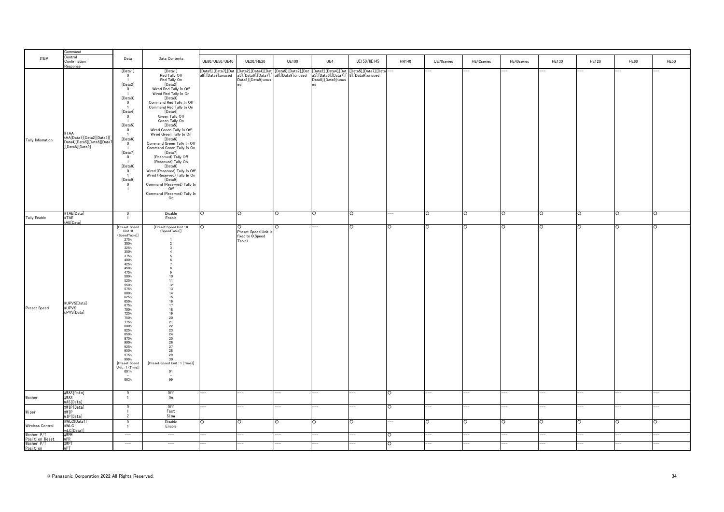|                                            | Command                                                                           |                                                                                                                                                                                                                                                                                                                                                                                                                                                       |                                                                                                                                                                                                                                                                                                                                                                                                                                                                                                                                                                                              |                                            |                                                    |                                                                 |                                                                            |                                            |         |            |            |            |              |              |         |             |
|--------------------------------------------|-----------------------------------------------------------------------------------|-------------------------------------------------------------------------------------------------------------------------------------------------------------------------------------------------------------------------------------------------------------------------------------------------------------------------------------------------------------------------------------------------------------------------------------------------------|----------------------------------------------------------------------------------------------------------------------------------------------------------------------------------------------------------------------------------------------------------------------------------------------------------------------------------------------------------------------------------------------------------------------------------------------------------------------------------------------------------------------------------------------------------------------------------------------|--------------------------------------------|----------------------------------------------------|-----------------------------------------------------------------|----------------------------------------------------------------------------|--------------------------------------------|---------|------------|------------|------------|--------------|--------------|---------|-------------|
| ITEM                                       | Control<br>Confirmation<br>Response                                               | Data                                                                                                                                                                                                                                                                                                                                                                                                                                                  | Data Contents                                                                                                                                                                                                                                                                                                                                                                                                                                                                                                                                                                                | UE80/UE50/UE40                             | <b>UE20/HE20</b>                                   | <b>UE100</b>                                                    | UE4                                                                        | UE150/HE145                                | HR140   | UE70series | HE42series | HE40series | <b>HE130</b> | <b>HE120</b> | HE60    | <b>HE50</b> |
| <b>Tally Infomation</b>                    | #TAA<br>tAA[Data1][Data2][Data3][<br>Data4][Data5][Data6][Data7<br>[Data8][Data9] | [Data1]<br>$\overline{\mathbf{0}}$<br>$\overline{1}$<br>[Data2]<br>$\overline{\mathbf{0}}$<br>$\overline{1}$<br>[Data3]<br>$\overline{\mathbf{0}}$<br>$\overline{1}$<br>[Data4]<br>$\overline{\mathbf{0}}$<br>$\overline{1}$<br>[Data5]<br>$\overline{\mathbf{0}}$<br>[Data6]<br>$\overline{\mathbf{0}}$<br>[Data7]<br>$\overline{\mathbf{0}}$<br>[Data8]<br>$\overline{\mathbf{0}}$<br>$\overline{1}$<br>[Data9]<br>$\overline{0}$<br>$\overline{1}$ | [Data1]<br>Red Tally Off<br>Red Tally On<br>[Data2]<br>Wired Red Tally In Off<br>Wired Red Tally In On<br>[Data3]<br>Command Red Tally In Off<br>Command Red Tally In On<br>[Data4]<br>Green Tally Off<br>Green Tally On<br>[Data5]<br>Wired Green Tally In Off<br>Wired Green Tally In On<br>[Data6]<br>Command Green Tally In Off<br>Command Green Tally In On<br>[Data7]<br>(Reserved) Tally Off<br>(Reserved) Tally On<br>[Data8]<br>Wired (Reserved) Tally In Off<br>Wired (Reserved) Tally In On<br>[Data9]<br>Command (Reserved) Tally In<br>Off<br>Command (Reserved) Tally In<br>On | [Data5],[Data7],[Dat<br>a8],[Data9]:unused | a5],[Data6],[Data7],[<br>Data8],[Data9]:unus<br>٠A | [Data2],[Data4],[Dat [Data5],[Data7],[Dat<br>a8],[Data9]:unused | [Data2],[Data4],[Dat<br>a5].[Data6].[Data7].[<br>Data8],[Data9]:unus<br>H. | [Data5],[Data7],[Data<br>8],[Data9]:unused |         |            |            |            |              |              |         |             |
| <b>Tally Enable</b>                        | #TAE[Data]<br>#TAE<br>tAE[Data]                                                   | $\pmb{0}$                                                                                                                                                                                                                                                                                                                                                                                                                                             | Disable<br>Enable                                                                                                                                                                                                                                                                                                                                                                                                                                                                                                                                                                            | $\circ$                                    | $\circ$                                            | ō                                                               | $\circ$                                                                    | $\circ$                                    |         | $\circ$    | $\circ$    | $\circ$    | ō            | ō            | ō       | ō           |
| Preset Speed                               | #UPVS[Data]<br>#UPVS<br>uPVS[Data]                                                | [Preset Speed<br>Unit :0<br>(SpeedTable)<br>275h<br>300h<br>325h<br>350h<br>375h<br>400h<br>425h<br>450h<br>$\frac{30}{10}$<br>500h<br>525h<br>550h<br>575h<br>600h<br>625h<br>650h<br>675h<br>700h<br>725h<br>750h<br>775h<br>800h<br>825h<br>850h<br>875h<br>900h<br>925h<br>950h<br>975h<br>999h<br>[Preset Speed<br>Unit: 1 (Time)]<br>001h<br>063h                                                                                               | [Preset Speed Unit : 0<br>(SpeedTable)]<br>$\overline{2}$<br>-3<br>$\overline{4}$<br>-5<br>6<br>$\overline{7}$<br>8<br>9<br>10<br>11<br>12<br>13<br>$14\,$<br>15<br>16<br>17<br>18<br>$\frac{19}{20}$<br>21<br>22<br>23<br>24<br>25<br>26<br>27<br>28<br>$29\,$<br>30<br>[Preset Speed Unit: 1 (Time)]<br>01<br>99                                                                                                                                                                                                                                                                           | $\Omega$                                   | Preset Speed Unit is<br>fixed to O(Speed<br>Table) | $\Omega$                                                        |                                                                            | $\circ$                                    | $\circ$ | $\circ$    | O          | $\circ$    | $\circ$      | $\circ$      | $\circ$ | $\circ$     |
| Washer                                     | #WAS[Data]<br>#WAS<br>wAS[Data]                                                   | $\mathbf{0}$<br>$\overline{1}$                                                                                                                                                                                                                                                                                                                                                                                                                        | Off<br>On                                                                                                                                                                                                                                                                                                                                                                                                                                                                                                                                                                                    |                                            | --                                                 | --                                                              |                                                                            | $\overline{\phantom{0}}$                   | $\circ$ |            |            |            |              |              |         |             |
| Wiper                                      | #WIP[Data]<br>#WIP<br>wIP[Data]                                                   | $\Omega$<br>$\overline{\phantom{a}}$                                                                                                                                                                                                                                                                                                                                                                                                                  | 0ff<br>Fast<br>Slow                                                                                                                                                                                                                                                                                                                                                                                                                                                                                                                                                                          |                                            | --                                                 |                                                                 |                                                                            |                                            | ∩       |            |            |            |              |              |         |             |
| Wireless Control                           | #WLC[Data1]<br>#WLC<br>wLC[Data1]                                                 | $\overline{0}$<br>$\overline{1}$                                                                                                                                                                                                                                                                                                                                                                                                                      | Disable<br>Enable                                                                                                                                                                                                                                                                                                                                                                                                                                                                                                                                                                            | $\circ$                                    | $\circ$                                            | $\circ$                                                         | $\circ$                                                                    | $\circ$                                    |         | ∩          | ∩          | ∩          | $\circ$      | $\circ$      | $\circ$ | $\circ$     |
| Washer P/1<br>Position Reset<br>Washer P/T | #WPR<br><b>wPR</b><br>#WPT                                                        | $\qquad \qquad -$                                                                                                                                                                                                                                                                                                                                                                                                                                     | $\overline{\phantom{a}}$<br>$\overline{\phantom{a}}$                                                                                                                                                                                                                                                                                                                                                                                                                                                                                                                                         |                                            |                                                    |                                                                 |                                                                            |                                            | ∩       |            |            |            |              |              |         |             |
| Position                                   | WPT                                                                               |                                                                                                                                                                                                                                                                                                                                                                                                                                                       |                                                                                                                                                                                                                                                                                                                                                                                                                                                                                                                                                                                              |                                            |                                                    |                                                                 |                                                                            |                                            |         |            |            |            |              |              |         |             |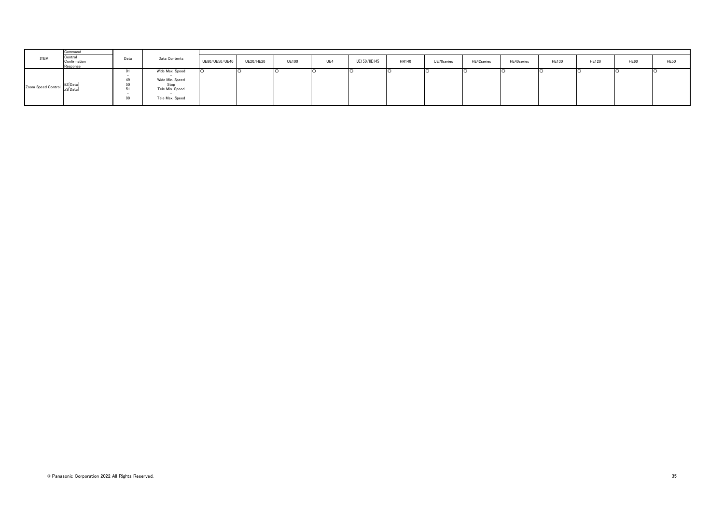|                             | Command                            |                |                                                                                  |                |           |              |     |             |              |            |            |            |              |              |             |             |
|-----------------------------|------------------------------------|----------------|----------------------------------------------------------------------------------|----------------|-----------|--------------|-----|-------------|--------------|------------|------------|------------|--------------|--------------|-------------|-------------|
| ITEM                        | Contro<br>Confirmation<br>Response | Data           | Data Contents                                                                    | UE80/UE50/UE40 | UE20/HE20 | <b>UE100</b> | UE4 | UE150/HE145 | <b>HR140</b> | UE70series | HE42series | HE40series | <b>HE130</b> | <b>HE120</b> | <b>HE60</b> | <b>HE50</b> |
| Zoom Speed Control #Z[Data] |                                    | υı<br>50<br>99 | Wide Max. Speed<br>Wide Min. Speed<br>Stop<br>Tele Min. Speed<br>Tele Max. Speed |                |           |              |     |             |              |            |            |            |              |              |             |             |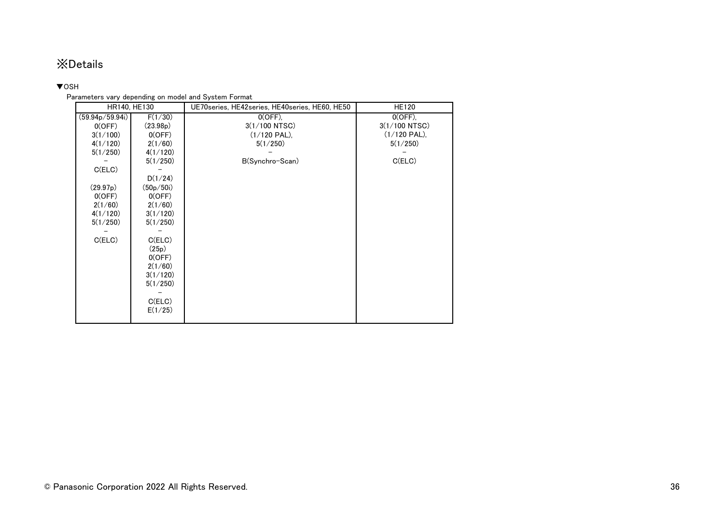# ※Details

# <span id="page-35-0"></span>▼OSH

# Parameters vary depending on model and System Format

|                 | HR140, HE130 | UE70series, HE42series, HE40series, HE60, HE50 | <b>HE120</b>   |
|-----------------|--------------|------------------------------------------------|----------------|
| (59.94p/59.94i) | F(1/30)      | $\overline{O}$ (OFF),                          | $0(OFF)$ .     |
| 0(OFF)          | (23.98p)     | 3(1/100 NTSC)                                  | 3(1/100 NTSC)  |
| 3(1/100)        | 0(OFF)       | $(1/120$ PAL).                                 | $(1/120$ PAL), |
| 4(1/120)        | 2(1/60)      | 5(1/250)                                       | 5(1/250)       |
| 5(1/250)        | 4(1/120)     |                                                |                |
|                 | 5(1/250)     | B(Synchro-Scan)                                | C(ELC)         |
| C(ELC)          |              |                                                |                |
|                 | D(1/24)      |                                                |                |
| (29.97p)        | (50p/50i)    |                                                |                |
| 0(OFF)          | 0(OFF)       |                                                |                |
| 2(1/60)         | 2(1/60)      |                                                |                |
| 4(1/120)        | 3(1/120)     |                                                |                |
| 5(1/250)        | 5(1/250)     |                                                |                |
|                 |              |                                                |                |
| C(ELC)          | C(ELC)       |                                                |                |
|                 | (25p)        |                                                |                |
|                 | 0(OFF)       |                                                |                |
|                 | 2(1/60)      |                                                |                |
|                 | 3(1/120)     |                                                |                |
|                 | 5(1/250)     |                                                |                |
|                 |              |                                                |                |
|                 | C(ELC)       |                                                |                |
|                 | E(1/25)      |                                                |                |
|                 |              |                                                |                |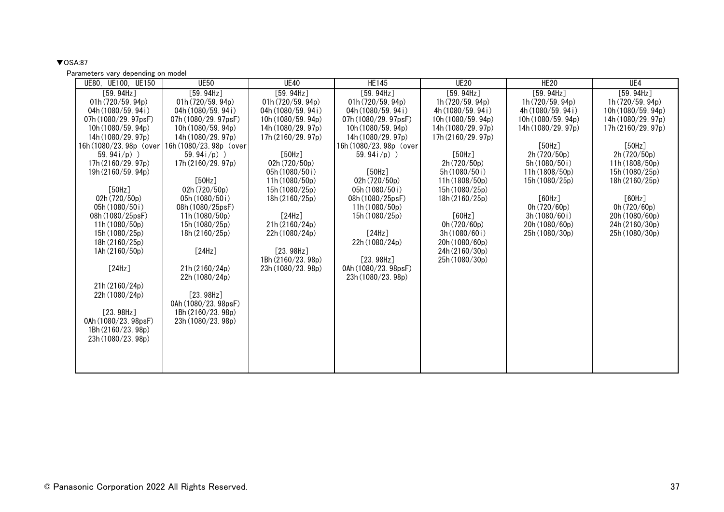# <span id="page-36-0"></span> $\nabla$ OSA:87

| UE80, UE100, UE150                         | <b>UE50</b>                                | <b>UE40</b>         | <b>HE145</b>          | <b>UE20</b>        | HE <sub>20</sub>   | UE4              |
|--------------------------------------------|--------------------------------------------|---------------------|-----------------------|--------------------|--------------------|------------------|
| [59.94Hz]                                  | [59.94Hz]                                  | [59.94Hz]           | [59.94Hz]             | [59.94Hz]          | [59.94Hz]          | [59.94Hz]        |
| 01h(720/59.94p)                            | 01h(720/59.94p)                            | 01h $(720/59.94p)$  | 01h(720/59.94p)       | 1h(720/59.94p)     | 1h(720/59.94p)     | 1h(720/59.94p)   |
| 04h $(1080/59.94i)$                        | 04h(1080/59.94i)                           | 04h $(1080/59.94i)$ | 04h $(1080/59.94i)$   | 4h $(1080/59.94i)$ | 4h (1080/59, 94i)  | 10h(1080/59.94p) |
| 07h(1080/29.97psF)                         | 07h (1080/29. 97psF)                       | 10h(1080/59.94p)    | 07h (1080/29. 97psF)  | 10h(1080/59.94p)   | 10h (1080/59. 94p) | 14h(1080/29.97p) |
| 10h(1080/59.94p)                           | 10h(1080/59.94p)                           | 14h (1080/29. 97p)  | 10h(1080/59.94p)      | 14h (1080/29. 97p) | 14h (1080/29. 97p) | 17h(2160/29.97p) |
| 14h (1080/29. 97p)                         | 14h (1080/29. 97p)                         | 17h(2160/29.97p)    | 14h (1080/29. 97p)    | 17h(2160/29.97p)   |                    |                  |
| 16h(1080/23.98p (over)                     | 16h (1080/23.98p (over                     |                     | 16h(1080/23.98p (over |                    | [50Hz]             | [50Hz]           |
| 59.94 $i$ /p) )                            | 59.94 $i/p$ )                              | [50Hz]              | 59.94 $i/p$ )         | [50Hz]             | 2h(720/50p)        | 2h(720/50p)      |
| 17h (2160/29.97p)                          | 17h(2160/29.97p)                           | 02h(720/50p)        |                       | 2h (720/50p)       | 5h(1080/50i)       | 11h(1808/50p)    |
| 19h (2160/59.94p)                          |                                            | 05h (1080/50i)      | [50Hz]                | 5h (1080/50i)      | 11h (1808/50p)     | 15h (1080/25p)   |
|                                            | [50Hz]                                     | 11h (1080/50p)      | 02h(720/50p)          | 11h (1808/50p)     | 15h(1080/25p)      | 18h (2160/25p)   |
| [50Hz]                                     | 02h(720/50p)                               | 15h (1080/25p)      | 05h(1080/50i)         | 15h (1080/25p)     |                    |                  |
| 02h(720/50p)                               | 05h(1080/50i)                              | 18h(2160/25p)       | 08h(1080/25psF)       | 18h(2160/25p)      | [60Hz]             | [60Hz]           |
| 05h (1080/50i)                             | 08h (1080/25psF)                           |                     | 11h(1080/50p)         |                    | 0h $(720/60p)$     | 0h(720/60p)      |
| 08h (1080/25psF)                           | 11h(1080/50p)                              | [24Hz]              | 15h (1080/25p)        | [60Hz]             | 3h(1080/60i)       | 20h (1080/60p)   |
| 11h(1080/50p)                              | 15h (1080/25p)                             | 21h (2160/24p)      |                       | 0h $(720/60p)$     | 20h(1080/60p)      | 24h (2160/30p)   |
| 15h(1080/25p)                              | 18h(2160/25p)                              | 22h (1080/24p)      | [24Hz]                | 3h(1080/60)        | 25h (1080/30p)     | 25h (1080/30p)   |
| 18h(2160/25p)                              |                                            |                     | 22h (1080/24p)        | 20h(1080/60p)      |                    |                  |
| 1Ah(2160/50p)                              | [24Hz]                                     | [23.98Hz]           |                       | 24h (2160/30p)     |                    |                  |
|                                            |                                            | 1Bh (2160/23.98p)   | [23.98Hz]             | 25h (1080/30p)     |                    |                  |
| [24Hz]                                     | 21h(2160/24p)                              | 23h (1080/23.98p)   | 0Ah (1080/23. 98psF)  |                    |                    |                  |
|                                            | 22h (1080/24p)                             |                     | 23h(1080/23, 98p)     |                    |                    |                  |
| 21h(2160/24p)                              |                                            |                     |                       |                    |                    |                  |
| 22h (1080/24p)                             | [23.98Hz]                                  |                     |                       |                    |                    |                  |
| [23.98Hz]                                  | 0Ah (1080/23. 98psF)<br>1Bh (2160/23, 98p) |                     |                       |                    |                    |                  |
|                                            |                                            |                     |                       |                    |                    |                  |
| 0Ah (1080/23. 98psF)<br>1Bh (2160/23. 98p) | 23h(1080/23, 98p)                          |                     |                       |                    |                    |                  |
| 23h (1080/23.98p)                          |                                            |                     |                       |                    |                    |                  |
|                                            |                                            |                     |                       |                    |                    |                  |
|                                            |                                            |                     |                       |                    |                    |                  |
|                                            |                                            |                     |                       |                    |                    |                  |
|                                            |                                            |                     |                       |                    |                    |                  |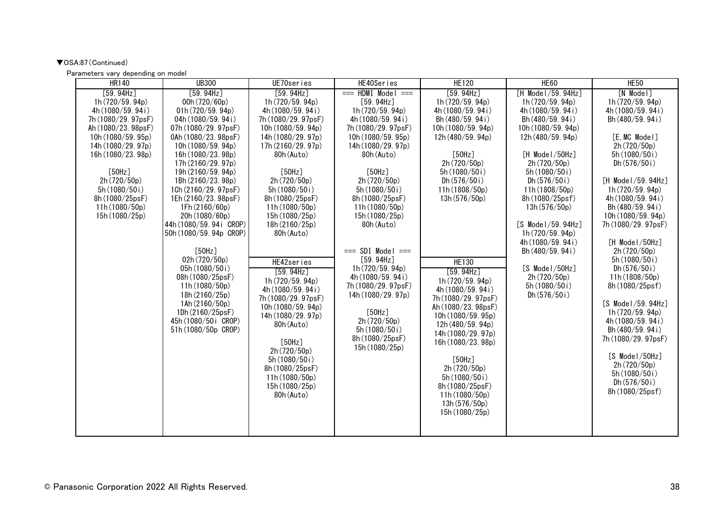# ▼OSA:87(Continued)

| <b>HR140</b>                                                                                                                                                                                                                                                  | <b>UB300</b>                                                                                                                                                                                                                                                                                                                                                                                                                                                                                                                                                      | UE70series                                                                                                                                                                                                                                                                                                                                                                                                                                                                                                                                                        | HE40Series                                                                                                                                                                                                                                                                                                                                                                                                                                                                   | <b>HE120</b>                                                                                                                                                                                                                                                                                                                                                                                                                                                                                                                      | HE <sub>60</sub>                                                                                                                                                                                                                                                                                                                                                                                   | <b>HE50</b>                                                                                                                                                                                                                                                                                                                                                                                                                                                                                                                                                              |
|---------------------------------------------------------------------------------------------------------------------------------------------------------------------------------------------------------------------------------------------------------------|-------------------------------------------------------------------------------------------------------------------------------------------------------------------------------------------------------------------------------------------------------------------------------------------------------------------------------------------------------------------------------------------------------------------------------------------------------------------------------------------------------------------------------------------------------------------|-------------------------------------------------------------------------------------------------------------------------------------------------------------------------------------------------------------------------------------------------------------------------------------------------------------------------------------------------------------------------------------------------------------------------------------------------------------------------------------------------------------------------------------------------------------------|------------------------------------------------------------------------------------------------------------------------------------------------------------------------------------------------------------------------------------------------------------------------------------------------------------------------------------------------------------------------------------------------------------------------------------------------------------------------------|-----------------------------------------------------------------------------------------------------------------------------------------------------------------------------------------------------------------------------------------------------------------------------------------------------------------------------------------------------------------------------------------------------------------------------------------------------------------------------------------------------------------------------------|----------------------------------------------------------------------------------------------------------------------------------------------------------------------------------------------------------------------------------------------------------------------------------------------------------------------------------------------------------------------------------------------------|--------------------------------------------------------------------------------------------------------------------------------------------------------------------------------------------------------------------------------------------------------------------------------------------------------------------------------------------------------------------------------------------------------------------------------------------------------------------------------------------------------------------------------------------------------------------------|
| [59.94Hz]<br>1h(720/59.94p)<br>4h (1080/59. 94i)<br>7h (1080/29. 97psF)<br>Ah (1080/23. 98psF)<br>10h(1080/59.95p)<br>14h (1080/29.97p)<br>16h (1080/23.98p)<br>[50Hz]<br>2h (720/50p)<br>5h (1080/50i)<br>8h (1080/25psF)<br>11h(1080/50p)<br>15h (1080/25p) | [59.94Hz]<br>00h (720/60p)<br>01h(720/59.94p)<br>04h (1080/59.94i)<br>07h (1080/29.97psF)<br>$0$ Ah $(1080/23.98$ psF)<br>10h (1080/59.94p)<br>16h (1080/23.98p)<br>17h (2160/29.97p)<br>19h (2160/59.94p)<br>1Bh (2160/23. 98p)<br>1Ch (2160/29. 97psF)<br>1Eh (2160/23. 98psF)<br>1Fh (2160/60p)<br>20h (1080/60p)<br>44h (1080/59.94i CROP)<br>50h (1080/59.94p CROP)<br>[50Hz]<br>02h (720/50p)<br>05h (1080/50i)<br>08h (1080/25psF)<br>11h (1080/50p)<br>18h (2160/25p)<br>1Ah (2160/50p)<br>1Dh (2160/25psF)<br>45h (1080/50i CROP)<br>51h (1080/50p CROP) | [59.94Hz]<br>1h (720/59.94p)<br>4h (1080/59.94i)<br>7h (1080/29. 97psF)<br>10h (1080/59.94p)<br>14h (1080/29, 97 <sub>p</sub> )<br>17h (2160/29.97p)<br>80h (Auto)<br>[50Hz]<br>2h (720/50p)<br>5h(1080/50i)<br>8h (1080/25psF)<br>11h(1080/50p)<br>15h (1080/25p)<br>18h (2160/25p)<br>80h (Auto)<br>HE42series<br>[59.94Hz]<br>1h (720/59.94p)<br>4h (1080/59.94i)<br>7h (1080/29. 97psF)<br>10h (1080/59.94p)<br>14h (1080/29.97p)<br>80h (Auto)<br>[50Hz]<br>2h(720/50p)<br>5h(1080/50i)<br>8h (1080/25psF)<br>11h (1080/50p)<br>15h (1080/25p)<br>80h (Auto) | $==$ HDMI Model $==$<br>[59.94Hz]<br>1h (720/59.94p)<br>4h (1080/59.94i)<br>7h (1080/29. 97psF)<br>10h(1080/59.95p)<br>14h (1080/29.97p)<br>80h (Auto)<br>[50Hz]<br>2h (720/50p)<br>5h (1080/50i)<br>8h (1080/25psF)<br>11h(1080/50p)<br>15h (1080/25p)<br>80h (Auto)<br>$==$ SDI Model $==$<br>[59.94Hz]<br>1h (720/59.94p)<br>4h (1080/59.94i)<br>7h (1080/29. 97psF)<br>14h (1080/29.97p)<br>[50Hz]<br>2h (720/50p)<br>5h (1080/50i)<br>8h (1080/25psF)<br>15h (1080/25p) | [59.94Hz]<br>1h (720/59.94p)<br>4h (1080/59.94i)<br>Bh (480/59.94i)<br>10h (1080/59.94p)<br>12h(480/59.94p)<br>[50Hz]<br>2h (720/50p)<br>5h (1080/50i)<br>Dh $(576/50i)$<br>11h (1808/50p)<br>13h(576/50p)<br><b>HE130</b><br>[59.94Hz]<br>1h (720/59.94p)<br>4h (1080/59.94i)<br>7h (1080/29. 97psF)<br>Ah (1080/23. 98psF)<br>10h (1080/59.95p)<br>12h (480/59.94p)<br>14h (1080/29.97p)<br>16h (1080/23.98p)<br>[50Hz]<br>2h (720/50p)<br>5h (1080/50i)<br>8h (1080/25psF)<br>11h (1080/50p)<br>13h(576/50p)<br>15h (1080/25p) | $[H$ Model/59.94Hz]<br>1h(720/59.94p)<br>4h (1080/59.94i)<br>Bh (480/59.94i)<br>10h (1080/59.94p)<br>12h(480/59.94p)<br>$[H$ Model/50Hz]<br>2h (720/50p)<br>5h (1080/50i)<br>Dh $(576/50i)$<br>11h(1808/50p)<br>8h(1080/25psf)<br>13h(576/50p)<br>[S Model/59.94Hz]<br>1h(720/59.94p)<br>4h (1080/59.94i)<br>Bh (480/59.94i)<br>$[S$ Model/50Hz]<br>2h(720/50p)<br>5h (1080/50i)<br>Dh $(576/50i)$ | $[N$ Model]<br>1h(720/59.94p)<br>4h (1080/59.94i)<br>Bh (480/59.94i)<br>[E. MC Model]<br>2h(720/50p)<br>5h (1080/50i)<br>Dh $(576/50i)$<br>[H Mode I/59.94Hz]<br>1h(720/59.94p)<br>4h (1080/59.94i)<br>Bh (480/59.94i)<br>10h (1080/59.94p)<br>7h (1080/29. 97psF)<br>[H Model/50Hz]<br>2h(720/50p)<br>5h (1080/50i)<br>Dh $(576/50i)$<br>11h (1808/50p)<br>8h(1080/25psf)<br>$[S$ Model/59.94Hz]<br>1h(720/59.94p)<br>4h (1080/59.94i)<br>Bh (480/59.94i)<br>7h (1080/29. 97psF)<br>[S Model/50Hz]<br>2h(720/50p)<br>5h (1080/50i)<br>Dh $(576/50i)$<br>8h (1080/25psf) |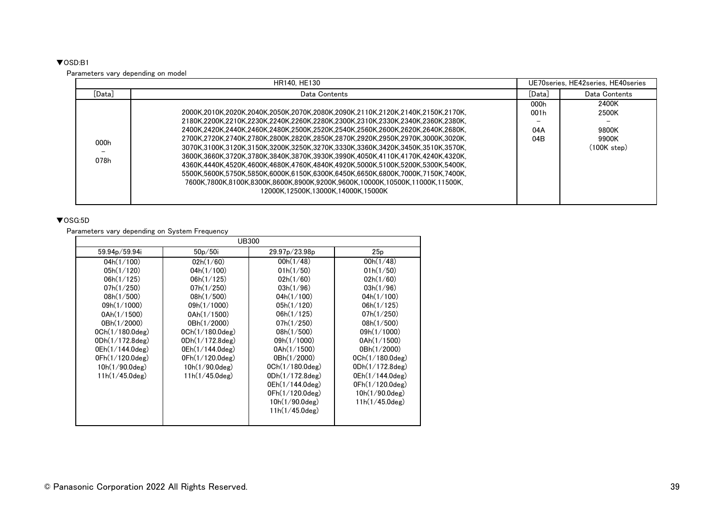# <span id="page-38-0"></span>▼OSD:B1

Parameters vary depending on model

|              |                                                                                                                                                                                                                                                                                                                                                                                                                                                                                                                                                                                                                                                                                                                                                                                                            | UE70series, HE42series, HE40series |                                                 |
|--------------|------------------------------------------------------------------------------------------------------------------------------------------------------------------------------------------------------------------------------------------------------------------------------------------------------------------------------------------------------------------------------------------------------------------------------------------------------------------------------------------------------------------------------------------------------------------------------------------------------------------------------------------------------------------------------------------------------------------------------------------------------------------------------------------------------------|------------------------------------|-------------------------------------------------|
| [Data]       | Data Contents                                                                                                                                                                                                                                                                                                                                                                                                                                                                                                                                                                                                                                                                                                                                                                                              | [Data]                             | Data Contents                                   |
| 000h<br>078h | .2000K.2010K.2020K.2040K.2050K.2070K.2080K.2090K.2110K.2120K.2140K.2150K.2170K.<br>.2180K.2200K.2210K.2230K.2240K.2260K.2280K.2300K.2310K.2330K.2340K.2360K.2380K.<br>.2400K.2420K.2440K.2460K.2480K.2500K.2520K.2540K.2560K.2600K.2620K.2640K.2680K.<br>.2700K.2720K.2740K.2780K.2800K.2820K.2850K.2870K.2920K.2950K.2970K.3000K.3020K.<br>.3070K.3100K.3120K.3150K.3200K.3250K.3270K.3330K.3360K.3420K.3450K.3510K.3570K.<br>.3600K.3660K.3720K.3780K.3840K.3870K.3930K.3990K.4050K.4110K.4170K.4240K.4320K.<br>.4360K.4440K.4520K.4600K.4680K.4760K.4840K.4920K.5000K.5100K.5200K.5300K.5400K.<br>.5500K,5600K,5750K,5850K,6000K,6150K,6300K,6450K,6650K,6800K,7000K,7150K,7400K,<br>7600K.7800K.8100K.8300K.8600K.8900K.9200K.9600K.10000K.10500K.11000K.11500K.<br>12000K.12500K.13000K.14000K.15000K | 000h<br>001h<br>04A<br>04B         | 2400K<br>2500K<br>9800K<br>9900K<br>(100K step) |

# <span id="page-38-1"></span>▼OSG:5D

Parameters vary depending on System Frequency

|                    | <b>UB300</b>       |                    |                    |  |  |  |  |  |  |  |  |
|--------------------|--------------------|--------------------|--------------------|--|--|--|--|--|--|--|--|
| 59.94p/59.94i      | 50p/50i            | 29.97p/23.98p      | 25p                |  |  |  |  |  |  |  |  |
| 04h(1/100)         | 02h(1/60)          | 00h(1/48)          | 00h(1/48)          |  |  |  |  |  |  |  |  |
| 05h(1/120)         | 04h(1/100)         | 01h(1/50)          | 01h(1/50)          |  |  |  |  |  |  |  |  |
| 06h(1/125)         | 06h(1/125)         | 02h(1/60)          | 02h(1/60)          |  |  |  |  |  |  |  |  |
| 07h(1/250)         | 07h(1/250)         | 03h(1/96)          | 03h(1/96)          |  |  |  |  |  |  |  |  |
| 08h(1/500)         | 08h(1/500)         | 04h(1/100)         | 04h(1/100)         |  |  |  |  |  |  |  |  |
| 09h(1/1000)        | 09h(1/1000)        | 05h(1/120)         | 06h(1/125)         |  |  |  |  |  |  |  |  |
| 0Ah(1/1500)        | 0Ah(1/1500)        | 06h(1/125)         | 07h(1/250)         |  |  |  |  |  |  |  |  |
| 0Bh(1/2000)        | 0Bh(1/2000)        | 07h(1/250)         | 08h(1/500)         |  |  |  |  |  |  |  |  |
| $OCh(1/180.0$ deg) | $OCh(1/180.0$ deg) | 08h(1/500)         | 09h(1/1000)        |  |  |  |  |  |  |  |  |
| ODh(1/172.8deg)    | ODh(1/172.8deg)    | 09h(1/1000)        | 0Ah(1/1500)        |  |  |  |  |  |  |  |  |
| 0Eh(1/144.0deg)    | 0Eh(1/144.0deg)    | $0$ Ah $(1/1500)$  | 0Bh(1/2000)        |  |  |  |  |  |  |  |  |
| 0Fh(1/120.0deg)    | 0Fh(1/120.0deg)    | 0Bh(1/2000)        | $OCh(1/180.0$ deg) |  |  |  |  |  |  |  |  |
| $10h(1/90.0$ deg)  | $10h(1/90.0$ deg)  | $OCh(1/180.0$ deg) | ODh(1/172.8deg)    |  |  |  |  |  |  |  |  |
| $11h(1/45.0$ deg)  | $11h(1/45.0$ deg)  | ODh(1/172.8deg)    | 0Eh(1/144.0deg)    |  |  |  |  |  |  |  |  |
|                    |                    | 0Eh(1/144.0deg)    | 0Fh(1/120.0deg)    |  |  |  |  |  |  |  |  |
|                    |                    | 0Fh(1/120.0deg)    | $10h(1/90.0$ deg)  |  |  |  |  |  |  |  |  |
|                    |                    | $10h(1/90.0$ deg)  | 11h(1/45.0deg)     |  |  |  |  |  |  |  |  |
|                    |                    | $11h(1/45.0$ deg)  |                    |  |  |  |  |  |  |  |  |
|                    |                    |                    |                    |  |  |  |  |  |  |  |  |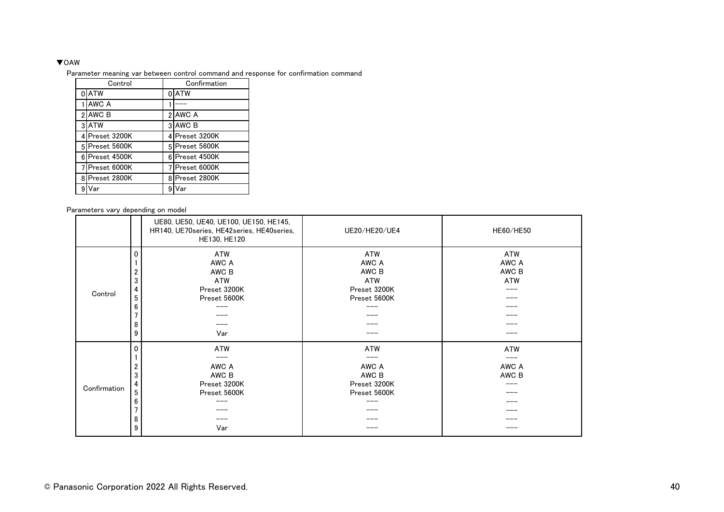#### <span id="page-39-0"></span>▼OAW

Parameter meaning var between control command and response for confirmation command

| Control                        | Confirmation   |
|--------------------------------|----------------|
| 0ATW                           | 0ATW           |
| AWC A                          |                |
| 2 AWC B                        | 2 AWC A        |
| 3 ATW                          | 3 AWC B        |
| 4 Preset 3200K                 | 4 Preset 3200K |
| 5 Preset 5600K                 | 5 Preset 5600K |
| Preset 4500K<br>6 <sup>1</sup> | 6 Preset 4500K |
| 7 Preset 6000K                 | 7 Preset 6000K |
| Preset 2800K<br>8l             | 8 Preset 2800K |
| 9<br>√ar                       | 9<br>/ar       |

|              |                                      | UE80, UE50, UE40, UE100, UE150, HE145,<br>HR140, UE70series, HE42series, HE40series,<br>HE130, HE120 | UE20/HE20/UE4                                                       | HE60/HE50                                  |
|--------------|--------------------------------------|------------------------------------------------------------------------------------------------------|---------------------------------------------------------------------|--------------------------------------------|
| Control      | 0<br>2<br>3<br>4<br>5<br>6<br>8<br>9 | ATW<br>AWC A<br>AWC B<br>ATW<br>Preset 3200K<br>Preset 5600K<br>Var                                  | ATW<br>AWC A<br>AWC B<br><b>ATW</b><br>Preset 3200K<br>Preset 5600K | <b>ATW</b><br>AWC A<br>AWC B<br><b>ATW</b> |
| Confirmation | 0<br>2<br>3<br>4<br>5<br>6<br>8<br>9 | ATW<br>AWC A<br>AWC B<br>Preset 3200K<br>Preset 5600K<br>----<br>Var                                 | ATW<br>AWC A<br>AWC B<br>Preset 3200K<br>Preset 5600K               | <b>ATW</b><br>AWC A<br>AWC B               |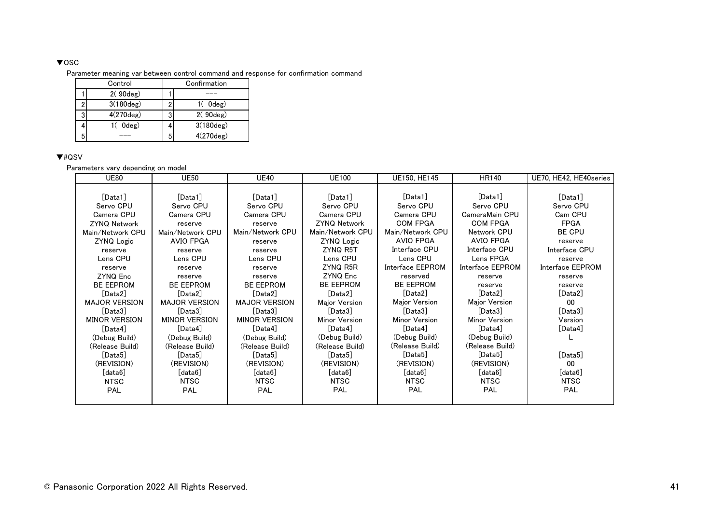### <span id="page-40-0"></span>▼OSC

Parameter meaning var between control command and response for confirmation command

| Control     | Confirmation |                     |  |  |  |  |
|-------------|--------------|---------------------|--|--|--|--|
| 2(90deg)    |              |                     |  |  |  |  |
| 3(180deg)   |              | $1()$ Odeg)         |  |  |  |  |
| 4(270deg)   | o            | 2(90deg)            |  |  |  |  |
| $0$ deg $)$ |              | $3(180 \text{deg})$ |  |  |  |  |
|             | 5            | 4(270deg)           |  |  |  |  |

# <span id="page-40-1"></span>▼#QSV

| <b>UE80</b>          | <b>UE50</b>          | <b>UE40</b>          | <b>UE100</b>        | UE150, HE145     | HR140                   | UE70, HE42, HE40series |
|----------------------|----------------------|----------------------|---------------------|------------------|-------------------------|------------------------|
|                      |                      |                      |                     |                  |                         |                        |
| [Data1]              | [Data1]              | [Data1]              | [Data1]             | [Data1]          | [Data1]                 | [Data1]                |
| Servo CPU            | Servo CPU            | Servo CPU            | Servo CPU           | Servo CPU        | Servo CPU               | Servo CPU              |
| Camera CPU           | Camera CPU           | Camera CPU           | Camera CPU          | Camera CPU       | CameraMain CPU          | Cam CPU                |
| <b>ZYNQ Network</b>  | reserve              | reserve              | <b>ZYNQ Network</b> | <b>COM FPGA</b>  | <b>COM FPGA</b>         | <b>FPGA</b>            |
| Main/Network CPU     | Main/Network CPU     | Main/Network CPU     | Main/Network CPU    | Main/Network CPU | Network CPU             | BE CPU                 |
| <b>ZYNQ Logic</b>    | AVIO FPGA            | reserve              | <b>ZYNQ Logic</b>   | AVIO FPGA        | <b>AVIO FPGA</b>        | reserve                |
| reserve              | reserve              | reserve              | ZYNQ R5T            | Interface CPU    | Interface CPU           | Interface CPU          |
| Lens CPU             | Lens CPU             | Lens CPU             | Lens CPU            | Lens CPU         | Lens FPGA               | reserve                |
| reserve              | reserve              | reserve              | ZYNQ R5R            | Interface EEPROM | Interface EEPROM        | Interface EEPROM       |
| ZYNQ Enc             | reserve              | reserve              | ZYNQ Enc            | reserved         | reserve                 | reserve                |
| <b>BE EEPROM</b>     | <b>BE EEPROM</b>     | <b>BE EEPROM</b>     | <b>BE EEPROM</b>    | <b>BE EEPROM</b> | reserve                 | reserve                |
| [Data2]              | [Data2]              | [Data2]              | [Data2]             | [Data2]          | [Data2]                 | [Data2]                |
| <b>MAJOR VERSION</b> | <b>MAJOR VERSION</b> | <b>MAJOR VERSION</b> | Major Version       | Major Version    | Major Version           | 00                     |
| [Data3]              | [Data3]              | [Data3]              | [Data3]             | [Data3]          | [Data3]                 | [Data3]                |
| <b>MINOR VERSION</b> | <b>MINOR VERSION</b> | <b>MINOR VERSION</b> | Minor Version       | Minor Version    | Minor Version           | Version                |
| [Data4]              | [Data4]              | [Data4]              | [Data4]             | [Data4]          | [Data4]                 | [Data4]                |
| (Debug Build)        | (Debug Build)        | (Debug Build)        | (Debug Build)       | (Debug Build)    | (Debug Build)           |                        |
| (Release Build)      | (Release Build)      | (Release Build)      | (Release Build)     | (Release Build)  | (Release Build)         |                        |
| [Data5]              | [Data5]              | [Data5]              | [Data5]             | [Data5]          | [Data5]                 | [Data5]                |
| (REVISION)           | (REVISION)           | (REVISION)           | (REVISION)          | (REVISION)       | (REVISION)              | 00                     |
| [data6]              | [data6]              | [data6]              | [data6]             | [data6]          | $\lceil$ data $6\rceil$ | [data6]                |
| <b>NTSC</b>          | <b>NTSC</b>          | <b>NTSC</b>          | NTSC                | NTSC             | NTSC                    | <b>NTSC</b>            |
| <b>PAL</b>           | PAL                  | <b>PAL</b>           | <b>PAL</b>          | <b>PAL</b>       | <b>PAL</b>              | <b>PAL</b>             |
|                      |                      |                      |                     |                  |                         |                        |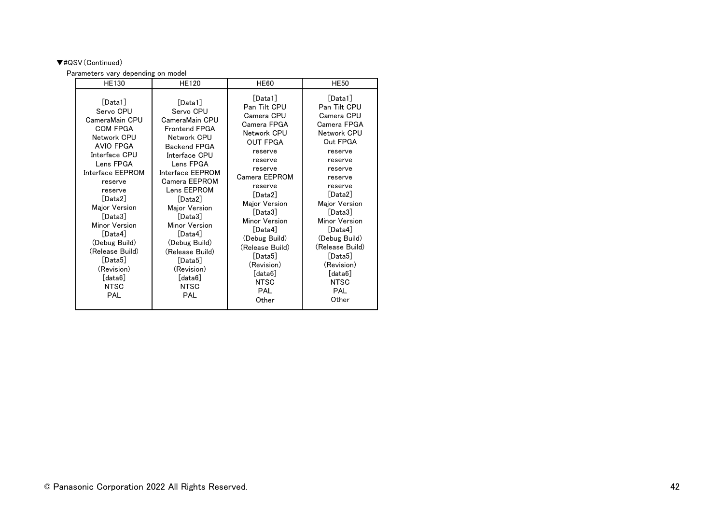# ▼#QSV(Continued)

| <b>HE130</b>                                                                                                                                                                                                                                                                                                                          | <b>HE120</b>                                                                                                                                                                                                                                                                                                                                                   | <b>HE60</b>                                                                                                                                                                                                                                                                                                                   | <b>HE50</b>                                                                                                                                                                                                                                                                                                             |
|---------------------------------------------------------------------------------------------------------------------------------------------------------------------------------------------------------------------------------------------------------------------------------------------------------------------------------------|----------------------------------------------------------------------------------------------------------------------------------------------------------------------------------------------------------------------------------------------------------------------------------------------------------------------------------------------------------------|-------------------------------------------------------------------------------------------------------------------------------------------------------------------------------------------------------------------------------------------------------------------------------------------------------------------------------|-------------------------------------------------------------------------------------------------------------------------------------------------------------------------------------------------------------------------------------------------------------------------------------------------------------------------|
| [Data1]<br>Servo CPU<br>CameraMain CPU<br><b>COM FPGA</b><br>Network CPU<br>AVIO FPGA<br>Interface CPU<br>Lens FPGA<br>Interface EEPROM<br>reserve<br>reserve<br>[Data2]<br>Major Version<br>[Data3]<br>Minor Version<br>[Data4]<br>(Debug Build)<br>(Release Build)<br>[Data5]<br>(Revision)<br>[data6]<br><b>NTSC</b><br><b>PAL</b> | [Data1]<br>Servo CPU<br>CameraMain CPU<br><b>Frontend FPGA</b><br>Network CPU<br><b>Backend FPGA</b><br>Interface CPU<br>Lens FPGA<br>Interface EEPROM<br>Camera FEPROM<br>Lens EEPROM<br>[Data2]<br>Major Version<br>[Data3]<br>Minor Version<br>[Data4]<br>(Debug Build)<br>(Release Build)<br>[Data5]<br>(Revision)<br>[data6]<br><b>NTSC</b><br><b>PAL</b> | [Data1]<br>Pan Tilt CPU<br>Camera CPU<br>Camera FPGA<br>Network CPU<br><b>OUT FPGA</b><br>reserve<br>reserve<br>reserve<br>Camera EEPROM<br>reserve<br>[Data2]<br>Major Version<br>[Data3]<br>Minor Version<br>[Data4]<br>(Debug Build)<br>(Release Build)<br>[Data5]<br>(Revision)<br>[data6]<br><b>NTSC</b><br>PAL<br>Other | [Data1]<br>Pan Tilt CPU<br>Camera CPU<br>Camera FPGA<br>Network CPU<br>Out FPGA<br>reserve<br>reserve<br>reserve<br>reserve<br>reserve<br>[Data2]<br>Major Version<br>[Data3]<br>Minor Version<br>[Data4]<br>(Debug Build)<br>(Release Build)<br>[Data5]<br>(Revision)<br>[data6]<br><b>NTSC</b><br><b>PAL</b><br>Other |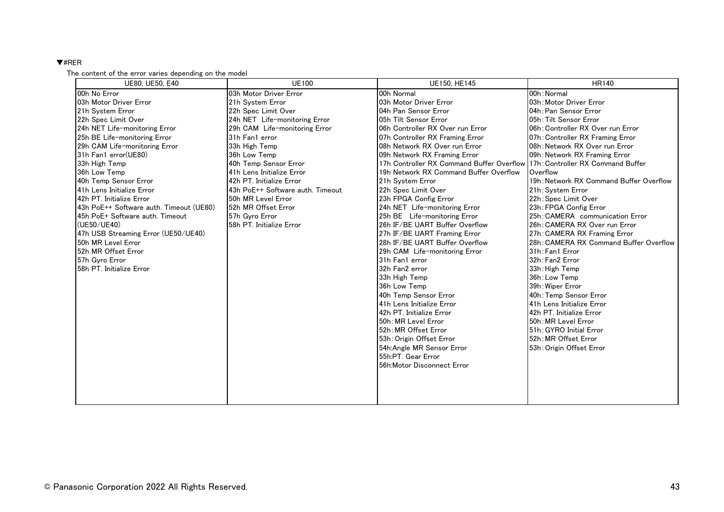#### <span id="page-42-0"></span>▼#RER

#### The content of the error varies depending on the model

| UE80, UE50, E40                         | <b>UE100</b>                     | UE150, HE145                              | <b>HR140</b>                            |
|-----------------------------------------|----------------------------------|-------------------------------------------|-----------------------------------------|
| 00h No Error                            | 03h Motor Driver Error           | 00h Normal                                | 00h: Normal                             |
| 03h Motor Driver Error                  | 21h System Error                 | 03h Motor Driver Error                    | 03h: Motor Driver Error                 |
| 21h System Error                        | 22h Spec Limit Over              | 04h Pan Sensor Error                      | 04h: Pan Sensor Error                   |
| 22h Spec Limit Over                     | 24h NET Life-monitoring Error    | 05h Tilt Sensor Error                     | 05h: Tilt Sensor Error                  |
| 24h NET Life-monitoring Error           | 29h CAM Life-monitoring Error    | 06h Controller RX Over run Error          | 06h: Controller RX Over run Error       |
| 25h BE Life-monitoring Error            | 31h Fan1 error                   | 07h Controller RX Framing Error           | 07h: Controller RX Framing Error        |
| 29h CAM Life-monitoring Error           | 33h High Temp                    | 08h Network RX Over run Error             | 08h: Network RX Over run Error          |
| 31h Fan1 error(UE80)                    | 36h Low Temp                     | 09h Network RX Framing Error              | 09h: Network RX Framing Error           |
| 33h High Temp                           | 40h Temp Sensor Error            | 17h Controller RX Command Buffer Overflow | 17h: Controller RX Command Buffer       |
| 36h Low Temp                            | 41h Lens Initialize Error        | 19h Network RX Command Buffer Overflow    | Overflow                                |
| 40h Temp Sensor Error                   | 42h PT. Initialize Error         | 21h System Error                          | 19h: Network RX Command Buffer Overflow |
| 41h Lens Initialize Error               | 43h PoE++ Software auth. Timeout | 22h Spec Limit Over                       | 21h: System Error                       |
| 42h PT. Initialize Error                | 50h MR Level Error               | 23h FPGA Config Error                     | 22h: Spec Limit Over                    |
| 43h PoE++ Software auth. Timeout (UE80) | 52h MR Offset Error              | 24h NET Life-monitoring Error             | 23h: FPGA Config Error                  |
| 45h PoE+ Software auth. Timeout         | 57h Gyro Error                   | 25h BE Life-monitoring Error              | 25h: CAMERA communication Error         |
| (UE50/UE40)                             | 58h PT. Initialize Error         | 26h IF/BE UART Buffer Overflow            | 26h: CAMERA RX Over run Error           |
| 47h USB Streaming Error (UE50/UE40)     |                                  | 27h IF/BE UART Framing Error              | 27h: CAMERA RX Framing Error            |
| 50h MR Level Error                      |                                  | 28h IF/BE UART Buffer Overflow            | 28h: CAMERA RX Command Buffer Overflow  |
| 52h MR Offset Error                     |                                  | 29h CAM Life-monitoring Error             | 31h: Fan1 Error                         |
| 57h Gyro Error                          |                                  | 31h Fan1 error                            | 32h: Fan2 Error                         |
| 58h PT. Initialize Error                |                                  | 32h Fan2 error                            | 33h: High Temp                          |
|                                         |                                  | 33h High Temp                             | 36h: Low Temp                           |
|                                         |                                  | 36h Low Temp                              | 39h: Wiper Error                        |
|                                         |                                  | 40h Temp Sensor Error                     | 40h: Temp Sensor Error                  |
|                                         |                                  | 41h Lens Initialize Error                 | 41h Lens Initialize Error               |
|                                         |                                  | 42h PT. Initialize Error                  | 42h PT. Initialize Error                |
|                                         |                                  | 50h: MR Level Error                       | 50h: MR Level Error                     |
|                                         |                                  | 52h: MR Offset Error                      | 51h: GYRO Initial Error                 |
|                                         |                                  | 53h: Origin Offset Error                  | 52h: MR Offset Error                    |
|                                         |                                  | 54h:Angle MR Sensor Error                 | 53h: Origin Offset Error                |
|                                         |                                  | 55h:PT. Gear Error                        |                                         |
|                                         |                                  | 56h:Motor Disconnect Error                |                                         |
|                                         |                                  |                                           |                                         |
|                                         |                                  |                                           |                                         |
|                                         |                                  |                                           |                                         |
|                                         |                                  |                                           |                                         |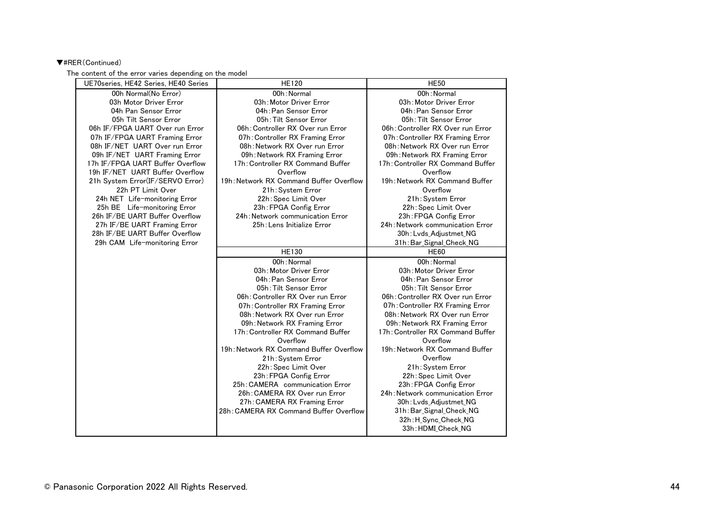# ▼#RER(Continued)

The content of the error varies depending on the model

| UE70series, HE42 Series, HE40 Series | <b>HE120</b>                            | <b>HE50</b>                       |
|--------------------------------------|-----------------------------------------|-----------------------------------|
| 00h Normal(No Error)                 | 00h: Normal                             | 00h: Normal                       |
| 03h Motor Driver Error               | 03h: Motor Driver Error                 | 03h: Motor Driver Error           |
| 04h Pan Sensor Error                 | 04h: Pan Sensor Error                   | 04h: Pan Sensor Error             |
| 05h Tilt Sensor Error                | 05h: Tilt Sensor Error                  | 05h: Tilt Sensor Error            |
| 06h IF/FPGA UART Over run Error      | 06h: Controller RX Over run Error       | 06h: Controller RX Over run Error |
| 07h IF/FPGA UART Framing Error       | 07h: Controller RX Framing Error        | 07h: Controller RX Framing Error  |
| 08h IF/NET UART Over run Error       | 08h: Network RX Over run Error          | 08h: Network RX Over run Error    |
| 09h IF/NET UART Framing Error        | 09h: Network RX Framing Error           | 09h: Network RX Framing Error     |
| 17h IF/FPGA UART Buffer Overflow     | 17h: Controller RX Command Buffer       | 17h: Controller RX Command Buffer |
| 19h IF/NET UART Buffer Overflow      | Overflow                                | Overflow                          |
| 21h System Error(IF/SERVO Error)     | 19h: Network RX Command Buffer Overflow | 19h: Network RX Command Buffer    |
| 22h PT Limit Over                    | 21h: System Error                       | Overflow                          |
| 24h NET Life-monitoring Error        | 22h: Spec Limit Over                    | 21h: System Error                 |
| 25h BE Life-monitoring Error         | 23h: FPGA Config Error                  | 22h: Spec Limit Over              |
| 26h IF/BE UART Buffer Overflow       | 24h: Network communication Error        | 23h: FPGA Config Error            |
| 27h IF/BE UART Framing Error         | 25h: Lens Initialize Error              | 24h: Network communication Error  |
| 28h IF/BE UART Buffer Overflow       |                                         | 30h: Lvds Adjustmet NG            |
| 29h CAM Life-monitoring Error        |                                         | 31h: Bar_Signal_Check_NG          |
|                                      | <b>HE130</b>                            | <b>HE60</b>                       |
|                                      |                                         |                                   |
|                                      | 00h: Normal                             | 00h: Normal                       |
|                                      | 03h: Motor Driver Error                 | 03h: Motor Driver Error           |
|                                      | 04h: Pan Sensor Error                   | 04h: Pan Sensor Error             |
|                                      | 05h: Tilt Sensor Error                  | 05h: Tilt Sensor Error            |
|                                      | 06h: Controller RX Over run Error       | 06h: Controller RX Over run Error |
|                                      | 07h: Controller RX Framing Error        | 07h: Controller RX Framing Error  |
|                                      | 08h: Network RX Over run Error          | 08h: Network RX Over run Error    |
|                                      | 09h: Network RX Framing Error           | 09h: Network RX Framing Error     |
|                                      | 17h: Controller RX Command Buffer       | 17h: Controller RX Command Buffer |
|                                      | Overflow                                | Overflow                          |
|                                      | 19h: Network RX Command Buffer Overflow | 19h: Network RX Command Buffer    |
|                                      | 21h: System Error                       | Overflow                          |
|                                      | 22h: Spec Limit Over                    | 21h: System Error                 |
|                                      | 23h: FPGA Config Error                  | 22h: Spec Limit Over              |
|                                      | 25h: CAMERA communication Error         | 23h: FPGA Config Error            |
|                                      | 26h: CAMERA RX Over run Error           | 24h: Network communication Error  |
|                                      | 27h: CAMERA RX Framing Error            | 30h: Lvds Adjustmet NG            |
|                                      | 28h: CAMERA RX Command Buffer Overflow  | 31h: Bar_Signal_Check_NG          |
|                                      |                                         | 32h: H_Sync_Check_NG              |
|                                      |                                         | 33h: HDMI_Check_NG                |